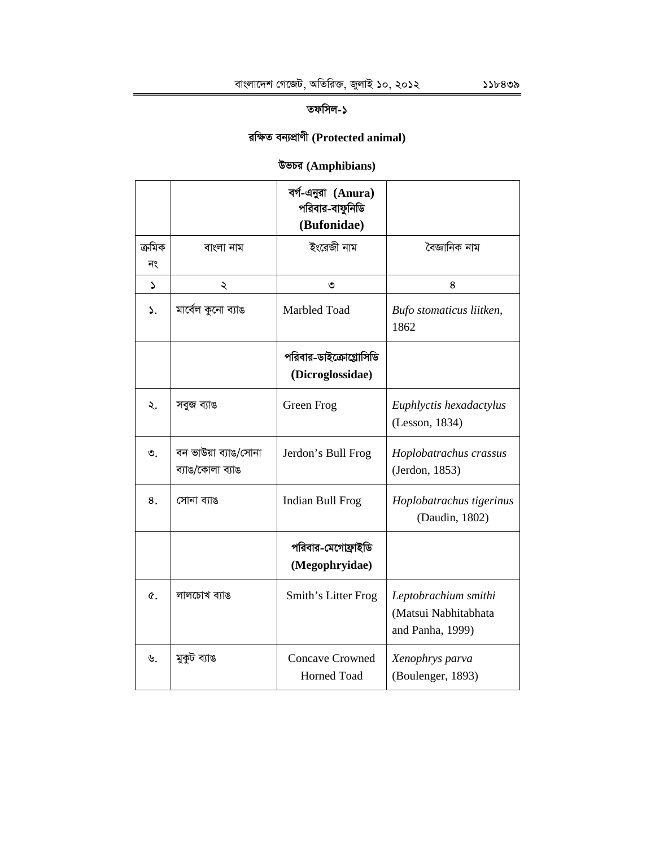# তফসিল-১

# **iwÿZ eb¨cÖvYx (Protected animal)**

# **DfPi (Amphibians)**

|               |                                          | বর্গ-এনুরা (Anura)<br>পরিবার-বাফুনিডি<br>(Bufonidae) |                                                                  |
|---------------|------------------------------------------|------------------------------------------------------|------------------------------------------------------------------|
| ক্ৰমিক<br>নং  | বাংলা নাম                                | ইংরেজী নাম                                           | বৈজ্ঞানিক নাম                                                    |
| $\mathcal{L}$ | ২                                        | ৩                                                    | 8                                                                |
| $\mathcal{L}$ | মাৰ্বেল কুনো ব্যাঙ                       | Marbled Toad                                         | Bufo stomaticus liitken,<br>1862                                 |
|               |                                          | পরিবার-ডাইক্রোগ্লোসিডি<br>(Dicroglossidae)           |                                                                  |
| ২.            | সবুজ ব্যাঙ                               | Green Frog                                           | Euphlyctis hexadactylus<br>(Lesson, 1834)                        |
| $\circ$ .     | বন ভাউয়া ব্যাঙ/সোনা<br>ব্যাঙ/কোলা ব্যাঙ | Jerdon's Bull Frog                                   | Hoplobatrachus crassus<br>(Jerdon, 1853)                         |
| 8.            | সোনা ব্যাঙ                               | Indian Bull Frog                                     | Hoplobatrachus tigerinus<br>(Daudin, 1802)                       |
|               |                                          | পরিবার-মেগোফ্রাইডি<br>(Megophryidae)                 |                                                                  |
| $\alpha$ .    | লালচোখ ব্যাঙ                             | Smith's Litter Frog                                  | Leptobrachium smithi<br>(Matsui Nabhitabhata<br>and Panha, 1999) |
| ৬.            | মুকুট ব্যাঙ                              | <b>Concave Crowned</b><br><b>Horned Toad</b>         | Xenophrys parva<br>(Boulenger, 1893)                             |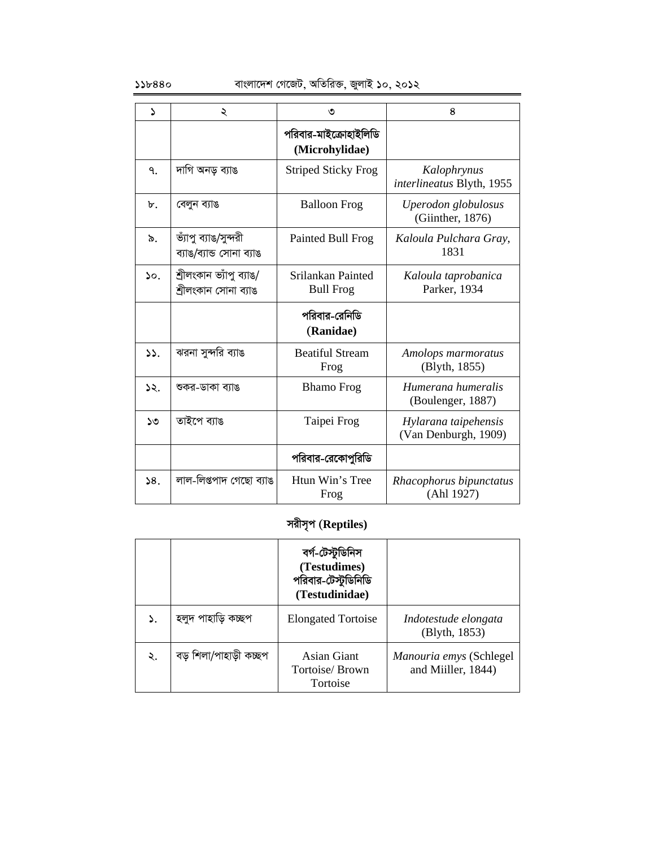| $\mathbf{A}$  | ২                                                | ৩                                       | 8                                            |
|---------------|--------------------------------------------------|-----------------------------------------|----------------------------------------------|
|               |                                                  | পরিবার-মাইক্রোহাইলিডি<br>(Microhylidae) |                                              |
| ٩.            | দাগি অনড় ব্যাঙ                                  | <b>Striped Sticky Frog</b>              | Kalophrynus<br>interlineatus Blyth, 1955     |
| $\mathbf b$ . | বেলুন ব্যাঙ                                      | <b>Balloon Frog</b>                     | Uperodon globulosus<br>(Giinther, 1876)      |
| ৯.            | ভ্যাপু ব্যাঙ/সুন্দরী<br>ব্যাঙ/ব্যান্ড সোনা ব্যাঙ | Painted Bull Frog                       | Kaloula Pulchara Gray,<br>1831               |
| $\mathcal{L}$ | শ্ৰীলংকান ভ্যাঁপু ব্যাঙ/<br>শ্ৰীলংকান সোনা ব্যাঙ | Srilankan Painted<br><b>Bull Frog</b>   | Kaloula taprobanica<br>Parker, 1934          |
|               |                                                  | পরিবার-রেনিডি<br>(Ranidae)              |                                              |
| $\mathcal{L}$ | ঝরনা সুন্দরি ব্যাঙ                               | <b>Beatiful Stream</b><br>Frog          | Amolops marmoratus<br>(Blyth, 1855)          |
| 52.           | শুকর-ডাকা ব্যাঙ                                  | <b>Bhamo Frog</b>                       | Humerana humeralis<br>(Boulenger, 1887)      |
| ১৩            | তাইপে ব্যাঙ                                      | Taipei Frog                             | Hylarana taipehensis<br>(Van Denburgh, 1909) |
|               |                                                  | পরিবার-রেকোপুরিডি                       |                                              |
| 38.           | লাল-লিপ্তপাদ গেছো ব্যাঙ                          | Htun Win's Tree<br>Frog                 | Rhacophorus bipunctatus<br>(Ahl 1927)        |

# **mixm"c (Reptiles)**

|    |                        | বৰ্গ-টেস্টুডিনিস<br>(Testudimes)<br>পরিবার-টেস্টুডিনিডি<br>(Testudinidae) |                                               |
|----|------------------------|---------------------------------------------------------------------------|-----------------------------------------------|
|    | হলুদ পাহাড়ি কচ্ছপ     | <b>Elongated Tortoise</b>                                                 | Indotestude elongata<br>(Blyth, 1853)         |
| ২. | বড় শিলা/পাহাড়ী কচ্ছপ | Asian Giant<br>Tortoise/ Brown<br>Tortoise                                | Manouria emys (Schlegel<br>and Miiller, 1844) |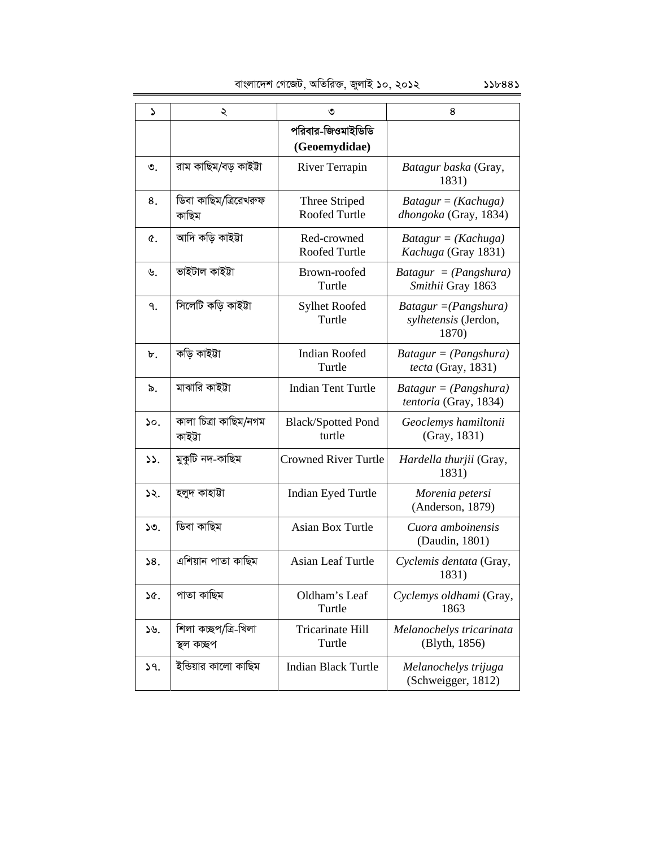| ډ               | ২                                  | ৩                                   | 8                                                        |
|-----------------|------------------------------------|-------------------------------------|----------------------------------------------------------|
|                 |                                    | পরিবার-জিওমাইডিডি                   |                                                          |
|                 |                                    | (Geoemydidae)                       |                                                          |
| ৩.              | রাম কাছিম/বড় কাইটা                | River Terrapin                      | Batagur baska (Gray,<br>1831)                            |
| 8.              | ডিবা কাছিম/ত্ৰিরেখরুফ<br>কাছিম     | Three Striped<br>Roofed Turtle      | $Batagur = (Kachuga)$<br>dhongoka (Gray, 1834)           |
| ¢.              | আদি কড়ি কাইটা                     | Red-crowned<br>Roofed Turtle        | $Batagur = (Kachuga)$<br>Kachuga (Gray 1831)             |
| ৬.              | ভাইটাল কাইটা                       | Brown-roofed<br>Turtle              | $Batagur = (Pangshura)$<br>Smithii Gray 1863             |
| ٩.              | সিলেটি কড়ি কাইটা                  | <b>Sylhet Roofed</b><br>Turtle      | $Batagur = (Pangshura)$<br>sylhetensis (Jerdon,<br>1870) |
| ৮.              | কড়ি কাইটা                         | <b>Indian Roofed</b><br>Turtle      | $Batagur = (Pangshura)$<br>tecta (Gray, 1831)            |
| ৯.              | মাঝারি কাইটা                       | <b>Indian Tent Turtle</b>           | $Batagur = (Pangshura)$<br>tentoria (Gray, 1834)         |
| $\mathcal{L}$ . | কালা চিত্ৰা কাছিম/নগম<br>কাইটা     | <b>Black/Spotted Pond</b><br>turtle | Geoclemys hamiltonii<br>(Gray, 1831)                     |
| 55.             | মুকুটি নদ-কাছিম                    | <b>Crowned River Turtle</b>         | Hardella thurjii (Gray,<br>1831)                         |
| ১২.             | হলুদ কাহাট্টা                      | <b>Indian Eyed Turtle</b>           | Morenia petersi<br>(Anderson, 1879)                      |
| ১৩.             | ডিবা কাছিম                         | <b>Asian Box Turtle</b>             | Cuora amboinensis<br>(Daudin, 1801)                      |
| 58.             | এশিয়ান পাতা কাছিম                 | <b>Asian Leaf Turtle</b>            | Cyclemis dentata (Gray,<br>1831)                         |
| ১৫.             | পাতা কাছিম                         | Oldham's Leaf<br>Turtle             | Cyclemys oldhami (Gray,<br>1863                          |
| ১৬.             | শিলা কচ্ছপ/ত্ৰি-খিলা<br>স্থল কচ্ছপ | Tricarinate Hill<br>Turtle          | Melanochelys tricarinata<br>(Blyth, 1856)                |
| 9.              | ইন্ডিয়ার কালো কাছিম               | <b>Indian Black Turtle</b>          | Melanochelys trijuga<br>(Schweigger, 1812)               |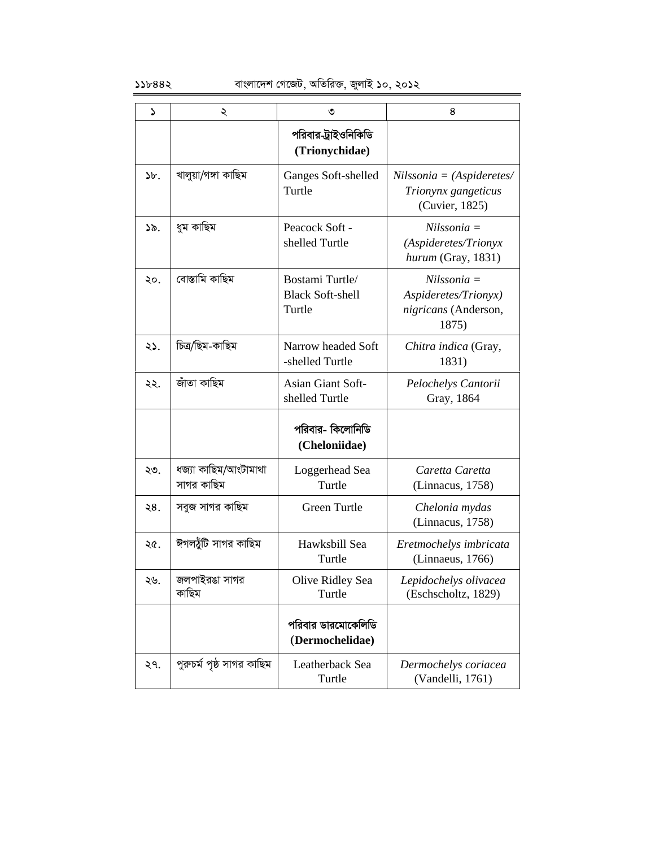| S     | ২                                  | ৩                                                    | 8                                                                      |
|-------|------------------------------------|------------------------------------------------------|------------------------------------------------------------------------|
|       |                                    | পরিবার-ট্রাইওনিকিডি<br>(Trionychidae)                |                                                                        |
| $b$ . | খালুয়া/গঙ্গা কাছিম                | Ganges Soft-shelled<br>Turtle                        | $Nilssonia = (Aspideretes/$<br>Trionynx gangeticus<br>(Cuvier, 1825)   |
| ১৯.   | ধুম কাছিম                          | Peacock Soft -<br>shelled Turtle                     | $Nilssonia =$<br>(Aspideretes/Trionyx<br>hurum (Gray, 1831)            |
| ২০.   | বোস্তামি কাছিম                     | Bostami Turtle/<br><b>Black Soft-shell</b><br>Turtle | $Nilssonia =$<br>Aspideretes/Trionyx)<br>nigricans (Anderson,<br>1875) |
| ২১.   | চিত্ৰ/ছিম-কাছিম                    | Narrow headed Soft<br>-shelled Turtle                | Chitra indica (Gray,<br>1831)                                          |
| ২২.   | জাঁতা কাছিম                        | Asian Giant Soft-<br>shelled Turtle                  | Pelochelys Cantorii<br>Gray, 1864                                      |
|       |                                    | পরিবার- কিলোনিডি<br>(Cheloniidae)                    |                                                                        |
| ২৩.   | ধজ্যা কাছিম/আংটামাথা<br>সাগর কাছিম | Loggerhead Sea<br>Turtle                             | Caretta Caretta<br>(Linnacus, 1758)                                    |
| ২৪.   | সবুজ সাগর কাছিম                    | Green Turtle                                         | Chelonia mydas<br>(Linnacus, 1758)                                     |
| ২৫.   | ঈগলযুঁটি সাগর কাছিম                | Hawksbill Sea<br>Turtle                              | Eretmochelys imbricata<br>(Linnaeus, 1766)                             |
| ২৬.   | জলপাইরঙা সাগর<br>কাছিম             | Olive Ridley Sea<br>Turtle                           | Lepidochelys olivacea<br>(Eschscholtz, 1829)                           |
|       |                                    | পরিবার ডারমোকেলিডি<br>(Dermochelidae)                |                                                                        |
| ২৭.   | পুরুচর্ম পৃষ্ঠ সাগর কাছিম          | Leatherback Sea<br>Turtle                            | Dermochelys coriacea<br>(Vandelli, 1761)                               |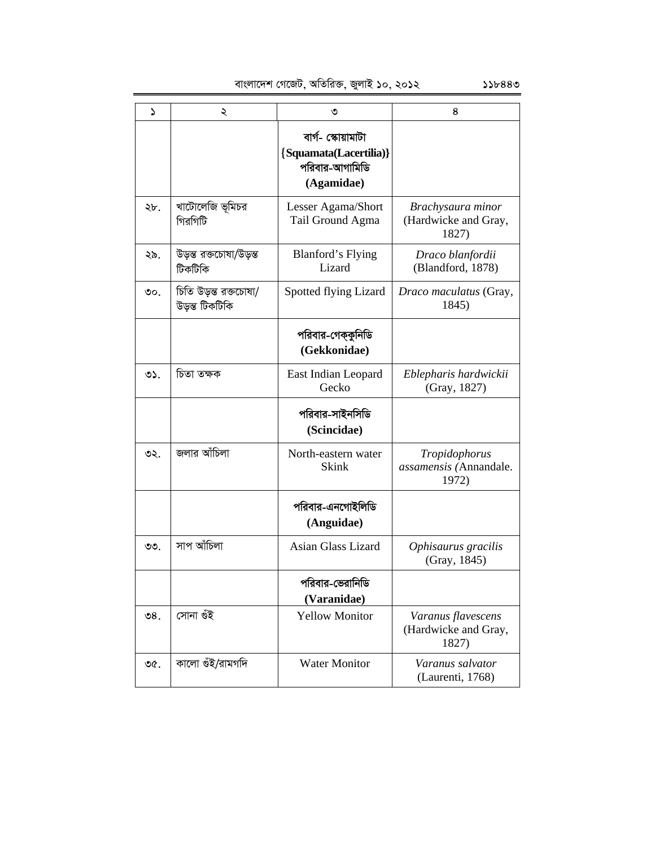evsjv‡`k †M‡RU, AwZwi³, RyjvB 10, 2012 118443

| د               | ২                                       | ৩                                                                            | 8                                                   |
|-----------------|-----------------------------------------|------------------------------------------------------------------------------|-----------------------------------------------------|
|                 |                                         | বাৰ্গ- স্কোয়ামাটা<br>{Squamata(Lacertilia)}<br>পরিবার-আগামিডি<br>(Agamidae) |                                                     |
| ২৮.             | খাটোলেজি ভূমিচর<br>গিরগিটি              | Lesser Agama/Short<br>Tail Ground Agma                                       | Brachysaura minor<br>(Hardwicke and Gray,<br>1827)  |
| ২৯.             | উড়ন্ত রক্তচোষা/উড়্ন্ত<br>টিকটিকি      | <b>Blanford's Flying</b><br>Lizard                                           | Draco blanfordii<br>(Blandford, 1878)               |
| ৩০.             | চিতি উড়স্ত রক্তচোষা/<br>উড়স্ত টিকটিকি | Spotted flying Lizard                                                        | Draco maculatus (Gray,<br>1845)                     |
|                 |                                         | পরিবার-গেক্কুনিডি<br>(Gekkonidae)                                            |                                                     |
| $O2$ .          | চিতা তক্ষক                              | East Indian Leopard<br>Gecko                                                 | Eblepharis hardwickii<br>(Gray, 1827)               |
|                 |                                         | পরিবার-সাইনসিডি<br>(Scincidae)                                               |                                                     |
| ৩২.             | জলার আঁচিলা                             | North-eastern water<br><b>Skink</b>                                          | Tropidophorus<br>assamensis (Annandale.<br>1972)    |
|                 |                                         | পরিবার-এনগোইলিডি<br>(Anguidae)                                               |                                                     |
| ৩৩.             | সাপ আঁচিলা                              | Asian Glass Lizard                                                           | Ophisaurus gracilis<br>(Gray, 1845)                 |
|                 |                                         | পরিবার-ভেরানিডি<br>(Varanidae)                                               |                                                     |
| $\mathcal{S}8.$ | সোনা ওঁই                                | <b>Yellow Monitor</b>                                                        | Varanus flavescens<br>(Hardwicke and Gray,<br>1827) |
| ৩৫.             | কালো গুঁই/রামগদি                        | <b>Water Monitor</b>                                                         | Varanus salvator<br>(Laurenti, 1768)                |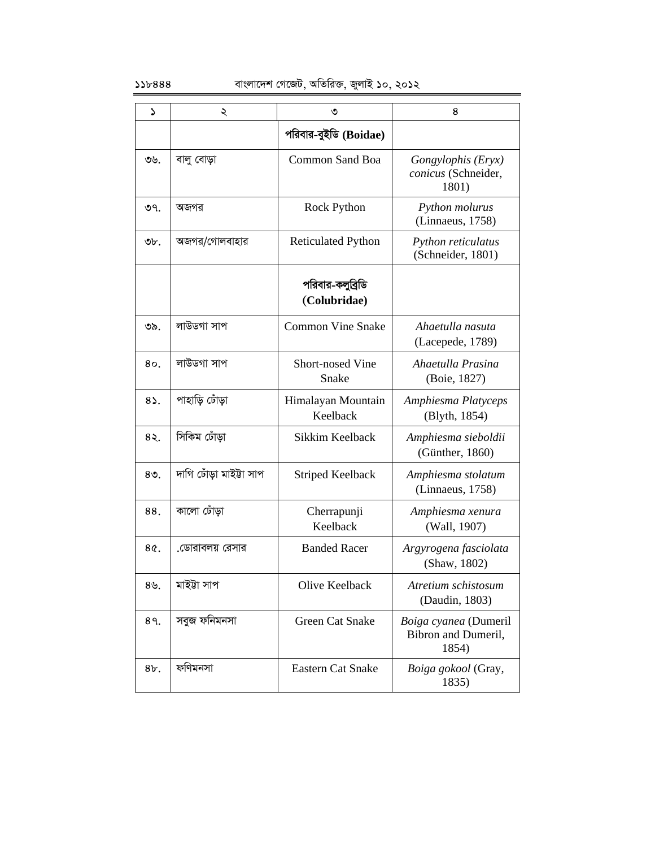### $55b888$  বাংলাদেশ গেজেট, অতিরিক্ত, জুলাই ১০, ২০১২

| د              | ২                       | ৩                                | 8                                                     |
|----------------|-------------------------|----------------------------------|-------------------------------------------------------|
|                |                         | পরিবার-বুইডি (Boidae)            |                                                       |
| ৩৬.            | বালু বোড়া              | <b>Common Sand Boa</b>           | Gongylophis (Eryx)<br>conicus (Schneider,<br>1801)    |
| ৩৭.            | অজগর                    | <b>Rock Python</b>               | Python molurus<br>(Linnaeus, 1758)                    |
| ৩৮.            | অজগর/গোলবাহার           | <b>Reticulated Python</b>        | Python reticulatus<br>(Schneider, 1801)               |
|                |                         | পরিবার-কলুব্রিডি<br>(Colubridae) |                                                       |
| ৩৯.            | লাউডগা সাপ              | <b>Common Vine Snake</b>         | Ahaetulla nasuta<br>(Lacepede, 1789)                  |
| 80             | লাউডগা সাপ              | <b>Short-nosed Vine</b><br>Snake | Ahaetulla Prasina<br>(Boie, 1827)                     |
| $8\lambda$ .   | পাহাড়ি ঢোঁড়া          | Himalayan Mountain<br>Keelback   | Amphiesma Platyceps<br>(Blyth, 1854)                  |
| $8\lambda$ .   | সিকিম ঢোঁড়া            | Sikkim Keelback                  | Amphiesma sieboldii<br>(Günther, 1860)                |
| 8 <sub>0</sub> | দাগি ঢোঁড়া মাইট্টা সাপ | <b>Striped Keelback</b>          | Amphiesma stolatum<br>(Linnaeus, 1758)                |
| 88.            | কালো ঢোঁড়া             | Cherrapunji<br>Keelback          | Amphiesma xenura<br>(Wall, 1907)                      |
| 8¢.            | .ডোরাবলয় রেসার         | <b>Banded Racer</b>              | Argyrogena fasciolata<br>(Shaw, 1802)                 |
| ৪৬.            | মাইটা সাপ               | Olive Keelback                   | Atretium schistosum<br>(Daudin, 1803)                 |
| 89.            | সবুজ ফনিমনসা            | Green Cat Snake                  | Boiga cyanea (Dumeril<br>Bibron and Dumeril,<br>1854) |
| $8b$ .         | ফণিমনসা                 | <b>Eastern Cat Snake</b>         | Boiga gokool (Gray,<br>1835)                          |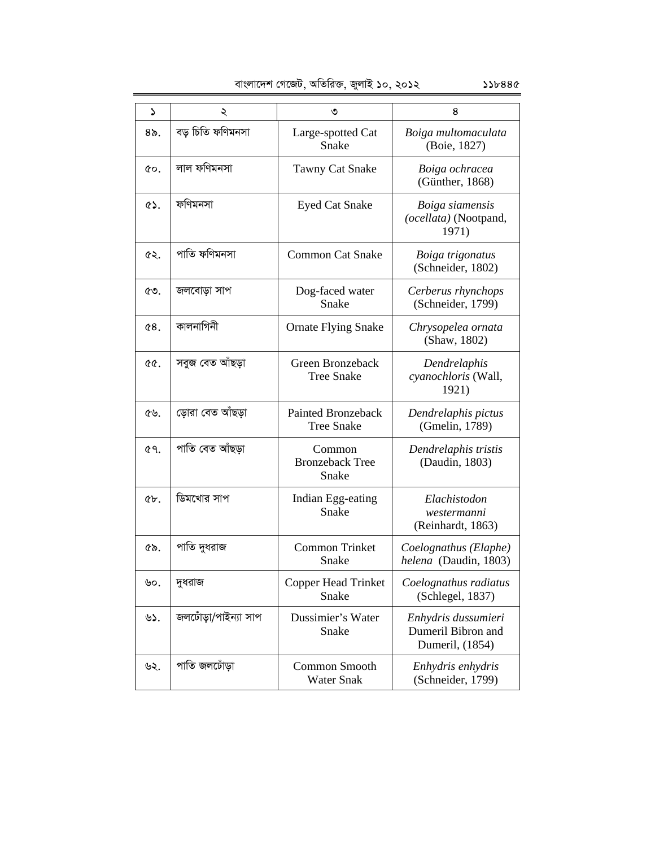| বাংলাদেশ গেজেট, অতিরিক্ত, জুলাই ১০, ২০১২ | 55b88c |
|------------------------------------------|--------|

| ۵         | ২                    | ৩                                         | 8                                                            |
|-----------|----------------------|-------------------------------------------|--------------------------------------------------------------|
| ৪৯.       | বড় চিতি ফণিমনসা     | Large-spotted Cat<br>Snake                | Boiga multomaculata<br>(Boie, 1827)                          |
| ¢о.       | লাল ফণিমনসা          | <b>Tawny Cat Snake</b>                    | Boiga ochracea<br>(Günther, 1868)                            |
| $\circ$ . | ফণিমনসা              | <b>Eyed Cat Snake</b>                     | Boiga siamensis<br>(ocellata) (Nootpand,<br>1971)            |
| ৫২.       | পাতি ফণিমনসা         | <b>Common Cat Snake</b>                   | Boiga trigonatus<br>(Schneider, 1802)                        |
| ৫৩.       | জলবোড়া সাপ          | Dog-faced water<br>Snake                  | Cerberus rhynchops<br>(Schneider, 1799)                      |
| 68.       | কালনাগিনী            | <b>Ornate Flying Snake</b>                | Chrysopelea ornata<br>(Shaw, 1802)                           |
| QQ.       | সবুজ বেত আঁছড়া      | Green Bronzeback<br><b>Tree Snake</b>     | Dendrelaphis<br>cyanochloris (Wall,<br>1921)                 |
| ৫৬.       | ড়োরা বেত আঁছড়া     | Painted Bronzeback<br><b>Tree Snake</b>   | Dendrelaphis pictus<br>(Gmelin, 1789)                        |
| 69.       | পাতি বেত আঁছডা       | Common<br><b>Bronzeback Tree</b><br>Snake | Dendrelaphis tristis<br>(Daudin, 1803)                       |
| $Qb$ .    | ডিমখোর সাপ           | Indian Egg-eating<br>Snake                | Elachistodon<br>westermanni<br>(Reinhardt, 1863)             |
| ৫৯.       | পাতি দুধরাজ          | <b>Common Trinket</b><br>Snake            | Coelognathus (Elaphe)<br>helena (Daudin, 1803)               |
| ৬০.       | দুধরাজ               | <b>Copper Head Trinket</b><br>Snake       | Coelognathus radiatus<br>(Schlegel, 1837)                    |
| ৬১.       | জলঢোঁড়া/পাইন্যা সাপ | Dussimier's Water<br>Snake                | Enhydris dussumieri<br>Dumeril Bibron and<br>Dumeril, (1854) |
| ৬২.       | পাতি জলঢোঁড়া        | Common Smooth<br><b>Water Snak</b>        | Enhydris enhydris<br>(Schneider, 1799)                       |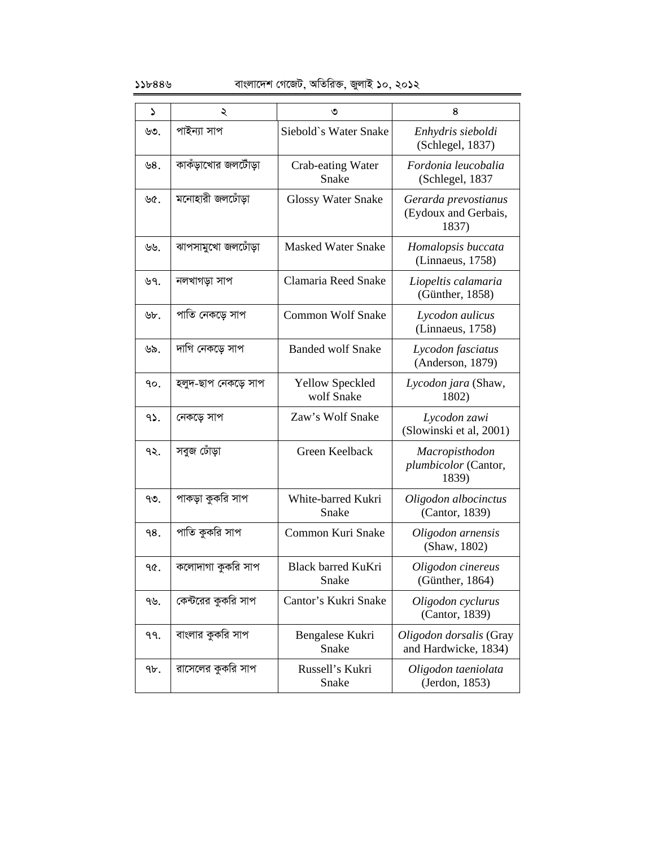### $55b888$  বাংলাদেশ গেজেট, অতিরিক্ত, জুলাই ১০, ২০১২

| ډ   | ২                   | ৩                                    | 8                                                     |
|-----|---------------------|--------------------------------------|-------------------------------------------------------|
| ৬৩. | পাইন্যা সাপ         | Siebold's Water Snake                | Enhydris sieboldi<br>(Schlegel, 1837)                 |
| 98. | কাকঁড়াখোর জলটোঁড়া | Crab-eating Water<br>Snake           | Fordonia leucobalia<br>(Schlegel, 1837                |
| ৬৫. | মনোহারী জলঢোঁডা     | <b>Glossy Water Snake</b>            | Gerarda prevostianus<br>(Eydoux and Gerbais,<br>1837) |
| ৬৬. | ঝাপসামুখো জলঢোঁড়া  | <b>Masked Water Snake</b>            | Homalopsis buccata<br>(Linnaeus, 1758)                |
| ৬৭. | নলখাগড়া সাপ        | Clamaria Reed Snake                  | Liopeltis calamaria<br>(Günther, 1858)                |
| ৬৮. | পাতি নেকড়ে সাপ     | <b>Common Wolf Snake</b>             | Lycodon aulicus<br>(Linnaeus, 1758)                   |
| ৬৯. | দাগি নেকডে সাপ      | <b>Banded wolf Snake</b>             | Lycodon fasciatus<br>(Anderson, 1879)                 |
| ٩ο. | হলুদ-ছাপ নেকড়ে সাপ | <b>Yellow Speckled</b><br>wolf Snake | Lycodon jara (Shaw,<br>1802)                          |
| 95. | নেকড়ে সাপ          | Zaw's Wolf Snake                     | Lycodon zawi<br>(Slowinski et al, 2001)               |
| ৭২. | সবুজ ঢোঁড়া         | Green Keelback                       | Macropisthodon<br>plumbicolor (Cantor,<br>1839)       |
| ৭৩. | পাকড়া কুকরি সাপ    | White-barred Kukri<br>Snake          | Oligodon albocinctus<br>(Cantor, 1839)                |
| 98. | পাতি কুকরি সাপ      | Common Kuri Snake                    | Oligodon arnensis<br>(Shaw, 1802)                     |
| ዓ৫. | কলোদাগা কুকরি সাপ   | Black barred KuKri<br>Snake          | Oligodon cinereus<br>(Günther, 1864)                  |
| ৭৬. | কেন্টরের কুকরি সাপ  | Cantor's Kukri Snake                 | Oligodon cyclurus<br>(Cantor, 1839)                   |
| ٩٩. | বাংলার কুকরি সাপ    | Bengalese Kukri<br>Snake             | Oligodon dorsalis (Gray<br>and Hardwicke, 1834)       |
| 9b. | রাসেলের কুকরি সাপ   | Russell's Kukri<br>Snake             | Oligodon taeniolata<br>(Jerdon, 1853)                 |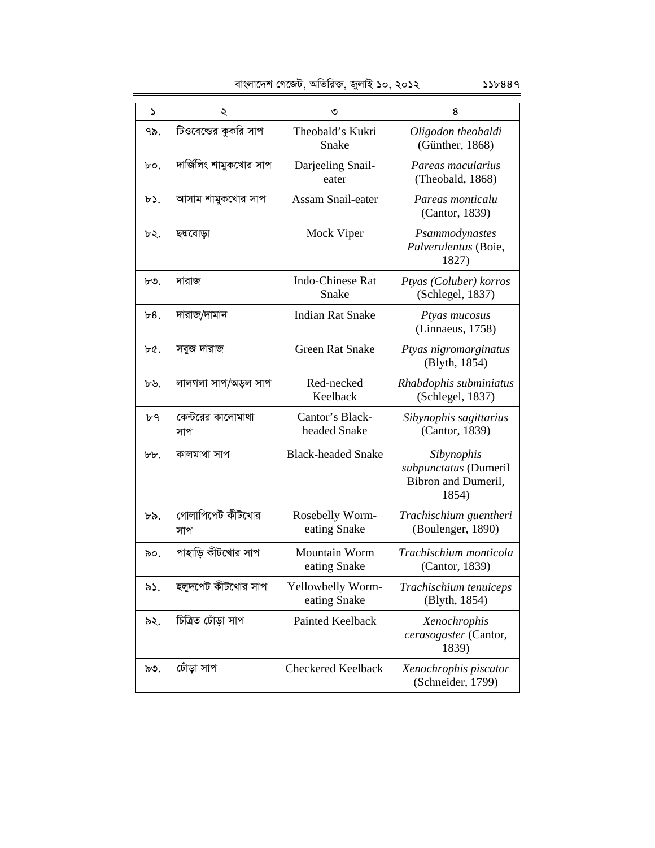| বাংলাদেশ গেজেট, অতিরিক্ত, জুলাই ১০, ২০১২ |  |  |  |  | 556889 |
|------------------------------------------|--|--|--|--|--------|
|------------------------------------------|--|--|--|--|--------|

| ډ   | ২                        | ৩                                    | 8                                                                   |  |
|-----|--------------------------|--------------------------------------|---------------------------------------------------------------------|--|
| ৭৯. | টিওবেল্ডের কুকরি সাপ     | Theobald's Kukri<br>Snake            | Oligodon theobaldi<br>(Günther, 1868)                               |  |
| ৮০. | দার্জিলিং শামুকখোর সাপ   | Darjeeling Snail-<br>eater           | Pareas macularius<br>(Theobald, 1868)                               |  |
| ৮১. | আসাম শামুকখোর সাপ        | <b>Assam Snail-eater</b>             | Pareas monticalu<br>(Cantor, 1839)                                  |  |
| ৮২. | ছদ্মবোড়া                | Mock Viper                           | Psammodynastes<br>Pulverulentus (Boie,<br>1827)                     |  |
| ৮৩. | দারাজ                    | <b>Indo-Chinese Rat</b><br>Snake     | Ptyas (Coluber) korros<br>(Schlegel, 1837)                          |  |
| b8. | দারাজ/দামান              | <b>Indian Rat Snake</b>              | Ptyas mucosus<br>(Linnaeus, 1758)                                   |  |
| ৮৫. | সবুজ দারাজ               | <b>Green Rat Snake</b>               | Ptyas nigromarginatus<br>(Blyth, 1854)                              |  |
| ৮৬. | লালগলা সাপ/অড়ল সাপ      | Red-necked<br>Keelback               | Rhabdophis subminiatus<br>(Schlegel, 1837)                          |  |
| ৮৭  | কেন্টরের কালোমাথা<br>সাপ | Cantor's Black-<br>headed Snake      | Sibynophis sagittarius<br>(Cantor, 1839)                            |  |
| bb. | কালমাথা সাপ              | <b>Black-headed Snake</b>            | Sibynophis<br>subpunctatus (Dumeril<br>Bibron and Dumeril,<br>1854) |  |
| ৮৯. | গোলাপিপেট কীটখোর<br>সাপ  | Rosebelly Worm-<br>eating Snake      | Trachischium guentheri<br>(Boulenger, 1890)                         |  |
| ৯০. | পাহাড়ি কীটখোর সাপ       | <b>Mountain Worm</b><br>eating Snake | Trachischium monticola<br>(Cantor, 1839)                            |  |
| ৯১. | হলুদপেট কীটখোর সাপ       | Yellowbelly Worm-<br>eating Snake    | Trachischium tenuiceps<br>(Blyth, 1854)                             |  |
| ৯২. | চিত্ৰিত ঢোঁড়া সাপ       | Painted Keelback                     | Xenochrophis<br>cerasogaster (Cantor,<br>1839)                      |  |
| ৯৩. | ঢোঁড়া সাপ               | <b>Checkered Keelback</b>            | Xenochrophis piscator<br>(Schneider, 1799)                          |  |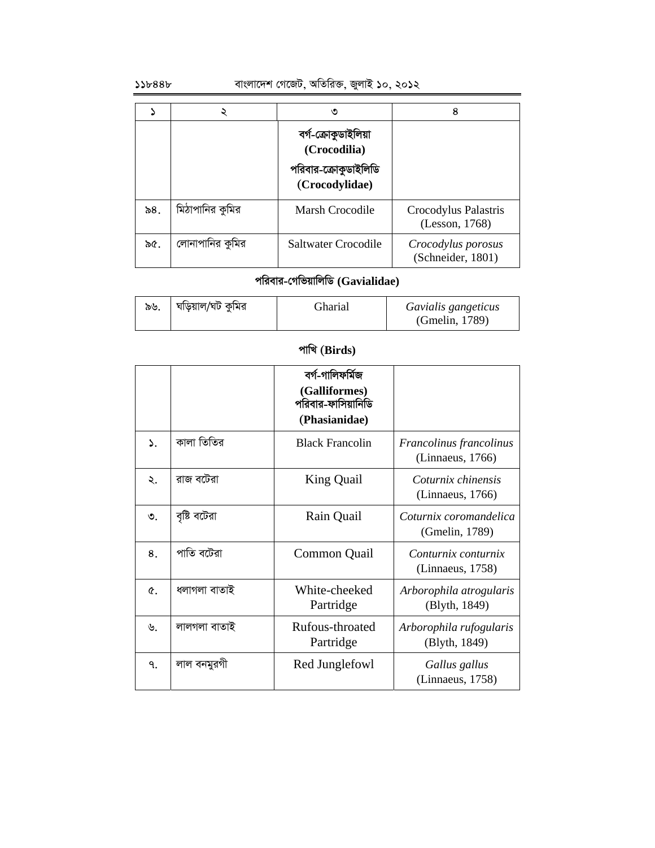# $\omega$ ১১৮৪৪৮ বাংলাদেশ গেজেট, অতিরিক্ত, জুলাই ১০, ২০১২

|        |                 | ৩                                                                             | 8                                       |
|--------|-----------------|-------------------------------------------------------------------------------|-----------------------------------------|
|        |                 | বৰ্গ-ক্ৰোকুডাইলিয়া<br>(Crocodilia)<br>পরিবার-ক্রোকুডাইলিডি<br>(Crocodylidae) |                                         |
| ৯ $8.$ | মিঠাপানির কুমির | Marsh Crocodile                                                               | Crocodylus Palastris<br>(Lesson, 1768)  |
| ৯৫.    | লোনাপানির কুমির | Saltwater Crocodile                                                           | Crocodylus porosus<br>(Schneider, 1801) |

# **cwievi-†MwfqvwjwW (Gavialidae)**

| ৯৬. | ঘড়িয়াল/ঘট কুমির | Gharial | Gavialis gangeticus |
|-----|-------------------|---------|---------------------|
|     |                   |         | (Gmelin, 1789)      |

# পাখি (Birds)

|            |              | বৰ্গ-গালিফৰ্মিজ<br>(Galliformes)<br>পরিবার-ফাসিয়ানিডি<br>(Phasianidae) |                                             |
|------------|--------------|-------------------------------------------------------------------------|---------------------------------------------|
| ۵.         | কালা তিতির   | <b>Black Francolin</b>                                                  | Francolinus francolinus<br>(Linnaeus, 1766) |
| ২.         | রাজ বটেরা    | King Quail                                                              | Coturnix chinensis<br>(Linnaeus, 1766)      |
| $\circ$ .  | বৃষ্টি বটেরা | Rain Quail                                                              | Coturnix coromandelica<br>(Gmelin, 1789)    |
| 8.         | পাতি বটেরা   | Common Quail                                                            | Conturnix conturnix<br>(Linnaeus, 1758)     |
| $\alpha$ . | ধলাগলা বাতাই | White-cheeked<br>Partridge                                              | Arborophila atrogularis<br>(Blyth, 1849)    |
| ৬.         | লালগলা বাতাই | Rufous-throated<br>Partridge                                            | Arborophila rufogularis<br>(Blyth, 1849)    |
| ٩.         | লাল বনমুরগী  | Red Junglefowl                                                          | Gallus gallus<br>(Linnaeus, 1758)           |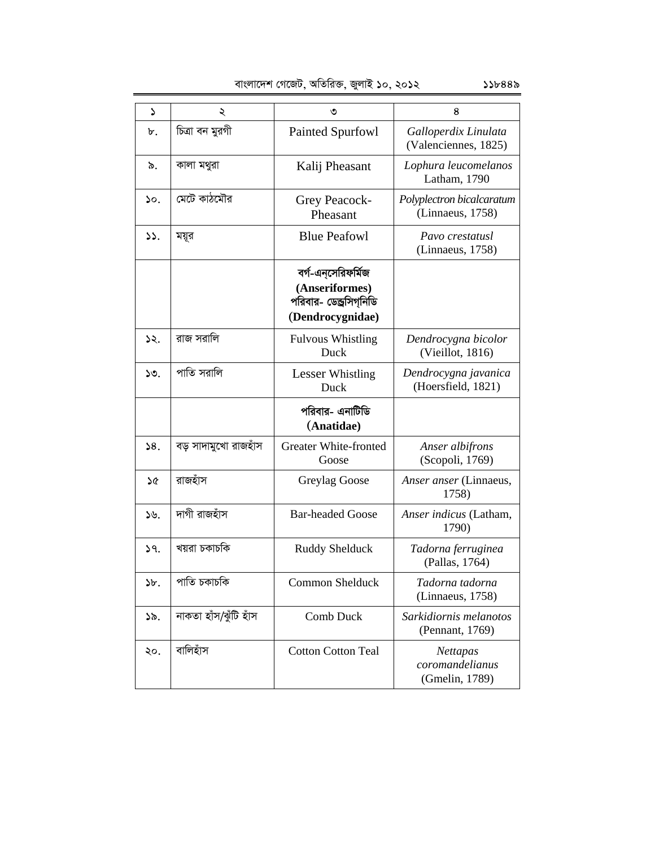|  | বাংলাদেশ গেজেট, অতিরিক্ত, জুলাই ১০, ২০১২ | ১১৮৪৪৯ |
|--|------------------------------------------|--------|
|  |                                          |        |

| S             | ২                     | ৩                                                                                   | 8                                                    |
|---------------|-----------------------|-------------------------------------------------------------------------------------|------------------------------------------------------|
| ৮.            | চিত্রা বন মুরগী       | Painted Spurfowl                                                                    | Galloperdix Linulata<br>(Valenciennes, 1825)         |
| ৯.            | কালা মথুরা            | Kalij Pheasant                                                                      | Lophura leucomelanos<br>Latham, 1790                 |
| ۵٥.           | মেটে কাঠমৌর           | Grey Peacock-<br>Pheasant                                                           | Polyplectron bicalcaratum<br>(Linnaeus, 1758)        |
| $\mathcal{L}$ | ময়ূর                 | <b>Blue Peafowl</b>                                                                 | Pavo crestatusl<br>(Linnaeus, 1758)                  |
|               |                       | বর্গ-এন্সেরিফর্মিজ<br>(Anseriformes)<br>পরিবার- ডেন্ড্রসিগ্নিডি<br>(Dendrocygnidae) |                                                      |
| ১২.           | রাজ সরালি             | <b>Fulvous Whistling</b><br>Duck                                                    | Dendrocygna bicolor<br>(Vieillot, 1816)              |
| ১৩.           | পাতি সরালি            | Lesser Whistling<br>Duck                                                            | Dendrocygna javanica<br>(Hoersfield, 1821)           |
|               |                       | পরিবার- এনাটিডি<br>(Anatidae)                                                       |                                                      |
| 58.           | বড় সাদামুখো রাজহাঁস  | <b>Greater White-fronted</b><br>Goose                                               | Anser albifrons<br>(Scopoli, 1769)                   |
| ১৫            | রাজহাঁস               | Greylag Goose                                                                       | Anser anser (Linnaeus,<br>1758)                      |
| ১৬.           | দাগী রাজহাঁস          | <b>Bar-headed Goose</b>                                                             | Anser indicus (Latham,<br>1790)                      |
| 59.           | খয়রা চকাচকি          | Ruddy Shelduck                                                                      | Tadorna ferruginea<br>(Pallas, 1764)                 |
| b.            | পাতি চকাচকি           | Common Shelduck                                                                     | Tadorna tadorna<br>(Linnaeus, 1758)                  |
| ১৯.           | নাকতা হাঁস/ঝুঁটি হাঁস | Comb Duck                                                                           | Sarkidiornis melanotos<br>(Pennant, 1769)            |
| ২০.           | বালিহাঁস              | <b>Cotton Cotton Teal</b>                                                           | <b>Nettapas</b><br>coromandelianus<br>(Gmelin, 1789) |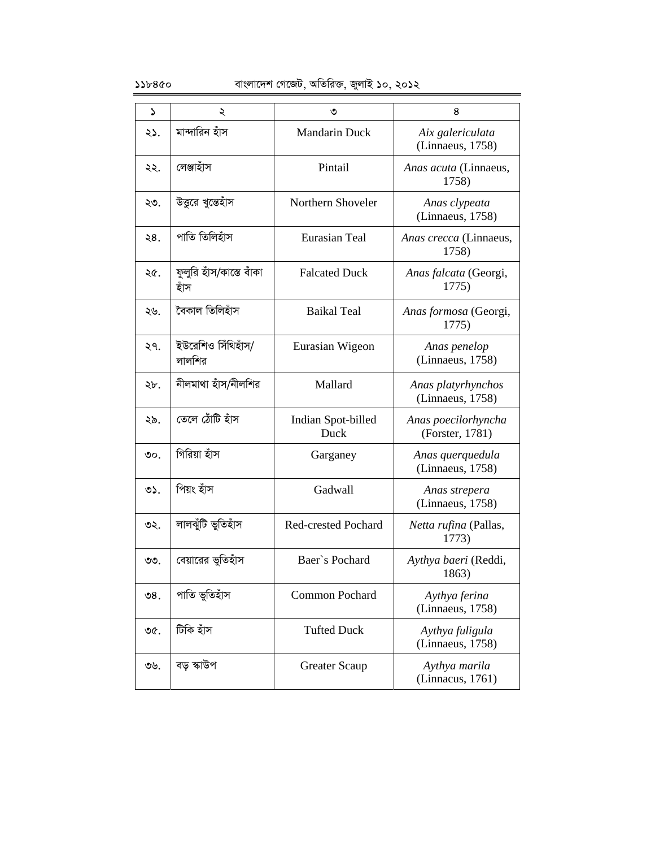### $\delta$ ১১৮৪৫০ বাংলাদেশ গেজেট, অতিরিক্ত, জুলাই ১০, ২০১২

| ډ               | ২                                | ৩                          | 8                                      |
|-----------------|----------------------------------|----------------------------|----------------------------------------|
| ২১.             | মান্দারিন হাঁস                   | <b>Mandarin Duck</b>       | Aix galericulata<br>(Linnaeus, 1758)   |
| ২২.             | লেঞ্জাহাঁস                       | Pintail                    | Anas acuta (Linnaeus,<br>1758)         |
| ২৩.             | উত্তরে খুন্তেহাঁস                | Northern Shoveler          | Anas clypeata<br>(Linnaeus, 1758)      |
| ২8.             | পাতি তিলিহাঁস                    | <b>Eurasian Teal</b>       | Anas crecca (Linnaeus,<br>1758)        |
| ২৫.             | ফুলুরি হাঁস/কাস্তে বাঁকা<br>হাঁস | <b>Falcated Duck</b>       | Anas falcata (Georgi,<br>1775)         |
| ২৬.             | বৈকাল তিলিহাঁস                   | <b>Baikal Teal</b>         | Anas formosa (Georgi,<br>1775)         |
| ২৭.             | ইউরেশিও সিঁথিহাঁস/<br>লালশির     | Eurasian Wigeon            | Anas penelop<br>(Linnaeus, 1758)       |
| ২৮.             | নীলমাথা হাঁস/নীলশির              | Mallard                    | Anas platyrhynchos<br>(Linnaeus, 1758) |
| ২৯.             | তেলে ঠোঁটি হাঁস                  | Indian Spot-billed<br>Duck | Anas poecilorhyncha<br>(Forster, 1781) |
| $\circ$ .       | গিরিয়া হাঁস                     | Garganey                   | Anas querquedula<br>(Linnaeus, 1758)   |
| $O2$ .          | পিয়ং হাঁস                       | Gadwall                    | Anas strepera<br>(Linnaeus, 1758)      |
| ৩২.             | লালঝুঁটি ভুতিহাঁস                | Red-crested Pochard        | Netta rufina (Pallas,<br>1773)         |
| ৩৩.             | বেয়ারের ভুতিহাঁস                | Baer's Pochard             | Aythya baeri (Reddi,<br>1863)          |
| $\mathcal{O}8.$ | পাতি ভুতিহাঁস                    | <b>Common Pochard</b>      | Aythya ferina<br>(Linnaeus, 1758)      |
| ৩৫.             | টিকি হাঁস                        | <b>Tufted Duck</b>         | Aythya fuligula<br>(Linnaeus, 1758)    |
| ৩৬.             | বড় স্কাউপ                       | Greater Scaup              | Aythya marila<br>(Linnacus, 1761)      |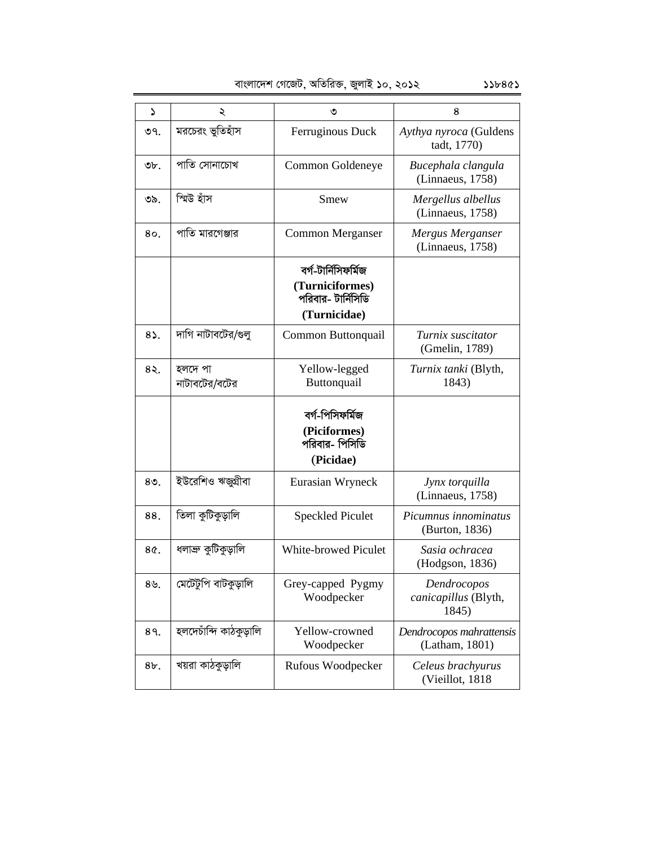|  | বাংলাদেশ গেজেট, অতিরিক্ত, জুলাই ১০, ২০১২ |  |
|--|------------------------------------------|--|
|  |                                          |  |

| د            | ২                        | ৩                                                              | 8                                            |
|--------------|--------------------------|----------------------------------------------------------------|----------------------------------------------|
| ৩৭.          | মরচেরং ভুতিহাঁস          | Ferruginous Duck                                               | Aythya nyroca (Guldens<br>tadt, 1770)        |
| ৩৮.          | পাতি সোনাচোখ             | Common Goldeneye                                               | Bucephala clangula<br>(Linnaeus, 1758)       |
| ৩৯.          | স্মিউ হাঁস               | Smew                                                           | Mergellus albellus<br>(Linnaeus, 1758)       |
| 80.          | পাতি মারগেঞ্জার          | Common Merganser                                               | Mergus Merganser<br>(Linnaeus, 1758)         |
|              |                          | বৰ্গ-টাৰ্নিসিফৰ্মিজ                                            |                                              |
|              |                          | (Turniciformes)<br>পরিবার- টার্নিসিডি<br>(Turnicidae)          |                                              |
| $8\lambda$ . | দাগি নাটাবটের/গুলু       | Common Buttonquail                                             | Turnix suscitator<br>(Gmelin, 1789)          |
| 85.          | হলদে পা<br>নাটাবটের/বটের | Yellow-legged<br>Buttonquail                                   | Turnix tanki (Blyth,<br>1843)                |
|              |                          | বৰ্গ-পিসিফৰ্মিজ<br>(Piciformes)<br>পরিবার- পিসিডি<br>(Picidae) |                                              |
| $80$ .       | ইউরেশিও ঋজুগ্রীবা        | Eurasian Wryneck                                               | Jynx torquilla<br>(Linnaeus, 1758)           |
| 88.          | তিলা কুটিকুড়ালি         | <b>Speckled Piculet</b>                                        | Picumnus innominatus<br>(Burton, 1836)       |
| 8¢.          | ধলাব্ৰু কুটিকুড়ালি      | <b>White-browed Piculet</b>                                    | Sasia ochracea<br>(Hodgson, 1836)            |
| 89.          | মেটেটুপি বাটকুড়ালি      | Grey-capped Pygmy<br>Woodpecker                                | Dendrocopos<br>canicapillus (Blyth,<br>1845) |
| 89.          | হলদেচাঁন্দি কাঠকুড়ালি   | Yellow-crowned<br>Woodpecker                                   | Dendrocopos mahrattensis<br>(Latham, 1801)   |
| 8b.          | খয়রা কাঠকুড়ালি         | Rufous Woodpecker                                              | Celeus brachyurus<br>(Vieillot, 1818)        |

 $556865$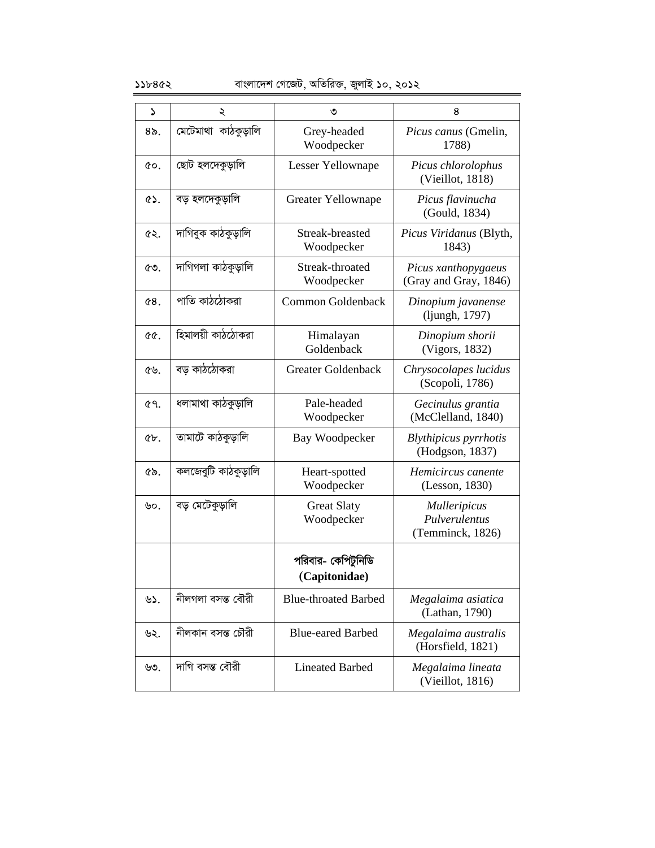### $\frac{1}{2}$ ১১৮৪৫২ বাংলাদেশ গেজেট, অতিরিক্ত, জুলাই ১০, ২০১২

| ډ         | ২                   | ৩                                   | 8                                                        |
|-----------|---------------------|-------------------------------------|----------------------------------------------------------|
| $8o$ .    | মেটেমাথা কাঠকুড়ালি | Grey-headed<br>Woodpecker           | Picus canus (Gmelin,<br>1788)                            |
| ¢о.       | ছোট হলদেকুড়ালি     | Lesser Yellownape                   | Picus chlorolophus<br>(Vieillot, 1818)                   |
| $\circ$ . | বড় হলদেকুড়ালি     | Greater Yellownape                  | Picus flavinucha<br>(Gould, 1834)                        |
| ৫২.       | দাগিবুক কাঠকুড়ালি  | Streak-breasted<br>Woodpecker       | Picus Viridanus (Blyth,<br>1843)                         |
| ৫৩.       | দাগিগলা কাঠকুড়ালি  | Streak-throated<br>Woodpecker       | Picus xanthopygaeus<br>(Gray and Gray, 1846)             |
| 68.       | পাতি কাঠঠোকরা       | Common Goldenback                   | Dinopium javanense<br>(ljungh, 1797)                     |
| ৫৫.       | হিমালয়ী কাঠঠোকরা   | Himalayan<br>Goldenback             | Dinopium shorii<br>(Vigors, 1832)                        |
| ৫৬.       | বড় কাঠঠোকরা        | <b>Greater Goldenback</b>           | Chrysocolapes lucidus<br>(Scopoli, 1786)                 |
| ৫৭.       | ধলামাথা কাঠকুড়ালি  | Pale-headed<br>Woodpecker           | Gecinulus grantia<br>(McClelland, 1840)                  |
| ¢b.       | তামাটে কাঠকুড়ালি   | <b>Bay Woodpecker</b>               | Blythipicus pyrrhotis<br>(Hodgson, 1837)                 |
| ৫৯.       | কলজেবুটি কাঠকুড়ালি | Heart-spotted<br>Woodpecker         | Hemicircus canente<br>(Lesson, 1830)                     |
| ৬০.       | বড় মেটেকুড়ালি     | <b>Great Slaty</b><br>Woodpecker    | <b>Mulleripicus</b><br>Pulverulentus<br>(Temminck, 1826) |
|           |                     | পরিবার- কেপিটুনিডি<br>(Capitonidae) |                                                          |
| ৬১.       | নীলগলা বসন্ত বৌরী   | <b>Blue-throated Barbed</b>         | Megalaima asiatica<br>(Lathan, 1790)                     |
| ৬২.       | নীলকান বসন্ত চৌরী   | <b>Blue-eared Barbed</b>            | Megalaima australis<br>(Horsfield, 1821)                 |
| ৬৩.       | দাগি বসন্ত বৌরী     | <b>Lineated Barbed</b>              | Megalaima lineata<br>(Vieillot, 1816)                    |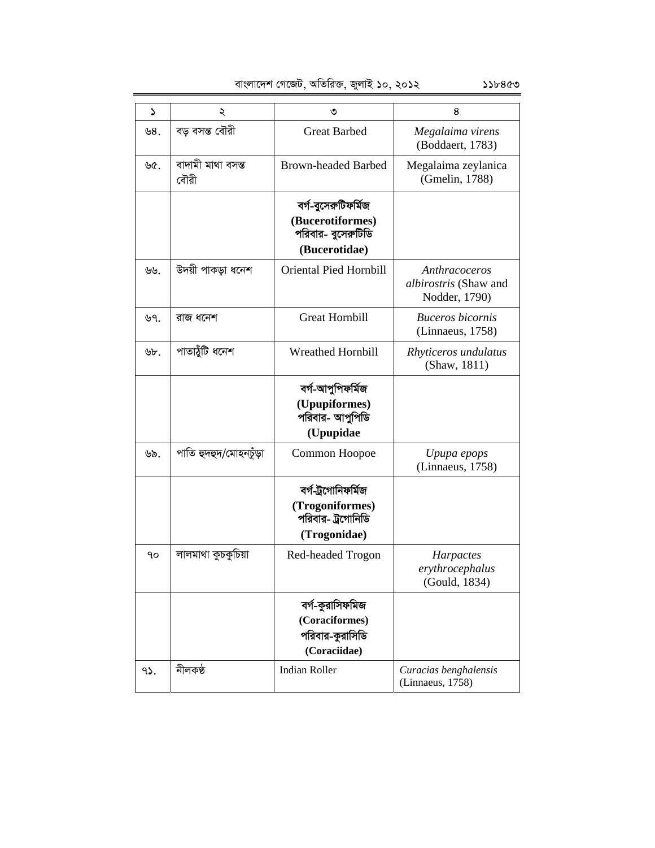| বাংলাদেশ গেজেট, অতিরিক্ত, জুলাই ১০, ২০১২ |  |  |  |
|------------------------------------------|--|--|--|

| د   | ২                         | ৩                                                                              | 8                                                              |
|-----|---------------------------|--------------------------------------------------------------------------------|----------------------------------------------------------------|
| ৬8. | বড় বসন্ত বৌরী            | <b>Great Barbed</b>                                                            | Megalaima virens<br>(Boddaert, 1783)                           |
| ৬৫. | বাদামী মাথা বসন্ত<br>বৌরী | <b>Brown-headed Barbed</b>                                                     | Megalaima zeylanica<br>(Gmelin, 1788)                          |
|     |                           | বৰ্গ-বুসেরুটিফর্মিজ<br>(Bucerotiformes)<br>পরিবার- বুসেরুটিডি<br>(Bucerotidae) |                                                                |
| ৬৬. | উদয়ী পাকড়া ধনেশ         | Oriental Pied Hornbill                                                         | Anthracoceros<br><i>albirostris</i> (Shaw and<br>Nodder, 1790) |
| ৬৭. | রাজ ধনেশ                  | <b>Great Hornbill</b>                                                          | <b>Buceros</b> bicornis<br>(Linnaeus, 1758)                    |
| ৬৮. | পাতাঠুঁটি ধনেশ            | <b>Wreathed Hornbill</b>                                                       | Rhyticeros undulatus<br>(Shaw, 1811)                           |
|     |                           | বৰ্গ-আপুপিফৰ্মিজ<br>(Upupiformes)<br>পরিবার- আপুপিডি<br>(Upupidae              |                                                                |
| ৬৯. | পাতি হুদহুদ/মোহনটুড়া     | Common Hoopoe                                                                  | Upupa epops<br>(Linnaeus, 1758)                                |
|     |                           | বৰ্গ-ট্ৰগোনিফৰ্মিজ<br>(Trogoniformes)<br>পরিবার- ট্রগোনিডি<br>(Trogonidae)     |                                                                |
| ٩o  | লালমাথা কুচকুচিয়া        | Red-headed Trogon                                                              | Harpactes<br>erythrocephalus<br>(Gould, 1834)                  |
|     |                           | বৰ্গ-কুৱাসিফমিজ<br>(Coraciformes)<br>পরিবার-কুরাসিডি<br>(Coraciidae)           |                                                                |
| 95. | নীলকণ্ঠ                   | <b>Indian Roller</b>                                                           | Curacias benghalensis<br>(Linnaeus, 1758)                      |

 $55b8$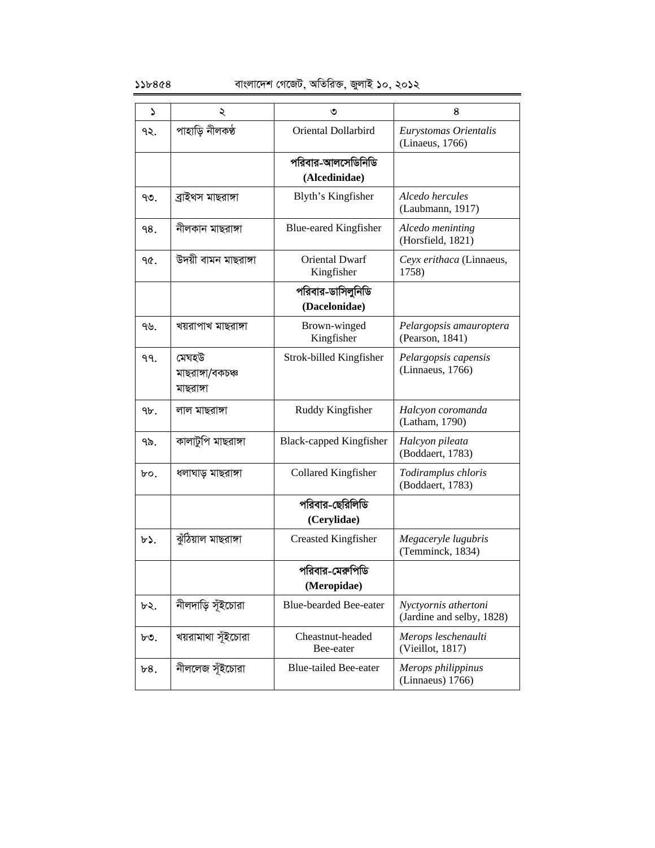| د      | ২                                      | ৩                                   | 8                                                 |
|--------|----------------------------------------|-------------------------------------|---------------------------------------------------|
| ৭২.    | পাহাড়ি নীলকণ্ঠ                        | Oriental Dollarbird                 | Eurystomas Orientalis<br>(Linaeus, 1766)          |
|        |                                        | পরিবার-আলসেডিনিডি<br>(Alcedinidae)  |                                                   |
| ৭৩.    | ব্ৰাইথস মাছরাঙ্গা                      | Blyth's Kingfisher                  | Alcedo hercules<br>(Laubmann, 1917)               |
| 98.    | নীলকান মাছরাঙ্গা                       | <b>Blue-eared Kingfisher</b>        | Alcedo meninting<br>(Horsfield, 1821)             |
| ዓ৫.    | উদয়ী বামন মাছরাঙ্গা                   | <b>Oriental Dwarf</b><br>Kingfisher | Ceyx erithaca (Linnaeus,<br>1758)                 |
|        |                                        | পরিবার-ডাসিলুনিডি<br>(Dacelonidae)  |                                                   |
| 915.   | খয়রাপাখ মাছরাঙ্গা                     | Brown-winged<br>Kingfisher          | Pelargopsis amauroptera<br>(Pearson, 1841)        |
| 99.    | মেঘহউ<br>মাছরাঙ্গা/বকচঞ্চ<br>মাছরাঙ্গা | Strok-billed Kingfisher             | Pelargopsis capensis<br>(Linnaeus, 1766)          |
| $9b$ . | লাল মাছরাঙ্গা                          | Ruddy Kingfisher                    | Halcyon coromanda<br>(Latham, 1790)               |
| ৭৯.    | কালাটুপি মাছরাঙ্গা                     | <b>Black-capped Kingfisher</b>      | Halcyon pileata<br>(Boddaert, 1783)               |
| $b$ o. | ধলাঘাড় মাছরাঙ্গা                      | Collared Kingfisher                 | Todiramplus chloris<br>(Boddaert, 1783)           |
|        |                                        | পরিবার-ছেরিলিডি<br>(Cerylidae)      |                                                   |
| $b$ ). | ঝুঁঠিয়াল মাছরাঙ্গা                    | <b>Creasted Kingfisher</b>          | Megaceryle lugubris<br>(Temminck, 1834)           |
|        |                                        | পরিবার-মেরুপিডি<br>(Meropidae)      |                                                   |
| ৮২.    | নীলদাড়ি সূঁইচোরা                      | Blue-bearded Bee-eater              | Nyctyornis athertoni<br>(Jardine and selby, 1828) |
| ৮৩.    | খয়রামাথা সূঁইচোরা                     | Cheastnut-headed<br>Bee-eater       | Merops leschenaulti<br>(Vieillot, 1817)           |
| b8.    | নীললেজ সূঁইচোরা                        | <b>Blue-tailed Bee-eater</b>        | Merops philippinus<br>(Linnaeus) 1766)            |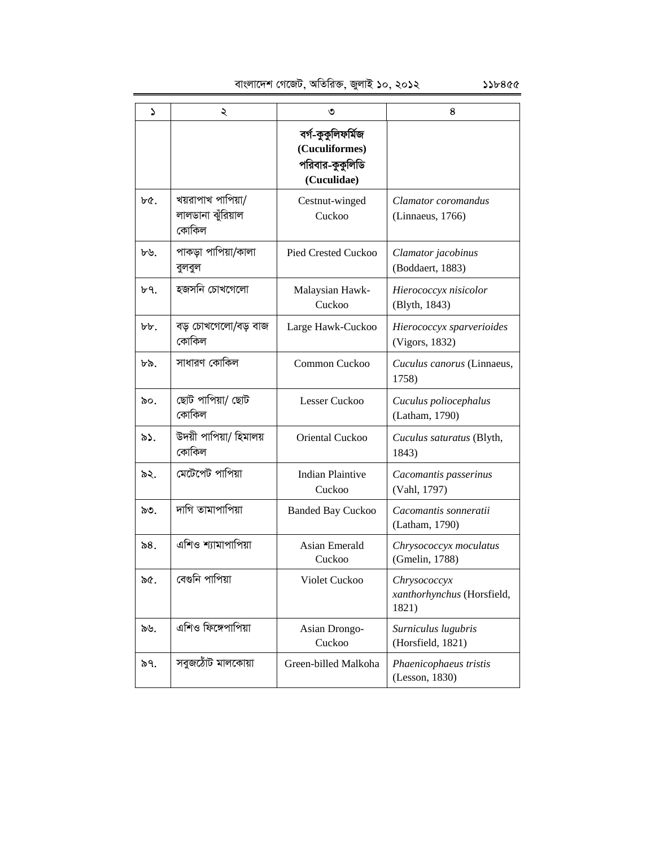evsjv‡`k †M‡RU, AwZwi³, RyjvB 10, 2012 118455

1 2 3 4 বৰ্গ-কুকুলিফৰ্মিজ **(Cuculiformes)** পরিবার-কুকুলিডি **(Cuculidae)**   $b\mathfrak{C}$ . | খয়রাপাখ পাপিয়া/ লালডানা ঝঁরিয়াল কোকিল Cestnut-winged Cuckoo *Clamator coromandus* (Linnaeus, 1766)  $b$ ৬. | পাকড়া পাপিয়া/কালা বুলবুল Pied Crested Cuckoo *Clamator jacobinus* (Boddaert, 1883)  $\mathfrak{b}$  9.  $\blacksquare$  **z**  $\blacksquare$  **z**  $\blacksquare$  **Malaysian Hawk-**Cuckoo *Hierococcyx nisicolor* (Blyth, 1843)  $b\cdot b$ . বিড় চোখগেলো/বড় বাজ কোকিল Large Hawk-Cuckoo *Hierococcyx sparverioides* (Vigors, 1832)  $\triangleright$ ৯. | সাধারণ কোকিল | Common Cuckoo | Cuculus canorus (Linnaeus, 1758)  $\delta$ ০.  $|$  ছোট পাপিয়া/ ছোট কোকিল Lesser Cuckoo *Cuculus poliocephalus* (Latham, 1790) ৯১. ভিদয়ী পাপিয়া/ হিমালয় কোকিল Oriental Cuckoo *Cuculus saturatus* (Blyth, 1843)  $\delta$ ২.  $\int$  মেটেপেট পাপিয়া  $\int$  Indian Plaintive Cuckoo *Cacomantis passerinus* (Vahl, 1797)  $\infty$ . | দাগি তামাপাপিয়া | Banded Bay Cuckoo | Cacomantis sonneratii (Latham, 1790)  $8.$   $\blacksquare$   $\blacksquare$   $\blacksquare$   $\blacksquare$   $\blacksquare$   $\blacksquare$   $\blacksquare$   $\blacksquare$   $\blacksquare$   $\blacksquare$   $\blacksquare$   $\blacksquare$   $\blacksquare$   $\blacksquare$   $\blacksquare$   $\blacksquare$   $\blacksquare$   $\blacksquare$   $\blacksquare$   $\blacksquare$   $\blacksquare$   $\blacksquare$   $\blacksquare$   $\blacksquare$   $\blacksquare$   $\blacksquare$   $\blacksquare$   $\blacksquare$   $\blacksquare$   $\blacksquare$   $\blacksquare$ Cuckoo *Chrysococcyx moculatus* (Gmelin, 1788) 95. †e¸wb cvwcqv Violet Cuckoo *Chrysococcyx xanthorhynchus* (Horsfield, 1821)  $\delta \psi$ . এশিও ফিঙ্গেপাপিয়া Asian Drongo-Cuckoo *Surniculus lugubris* (Horsfield, 1821) ১৭. | সবুজঠোঁট মালকোয়া | Green-billed Malkoha | *Phaenicophaeus tristis* (Lesson, 1830)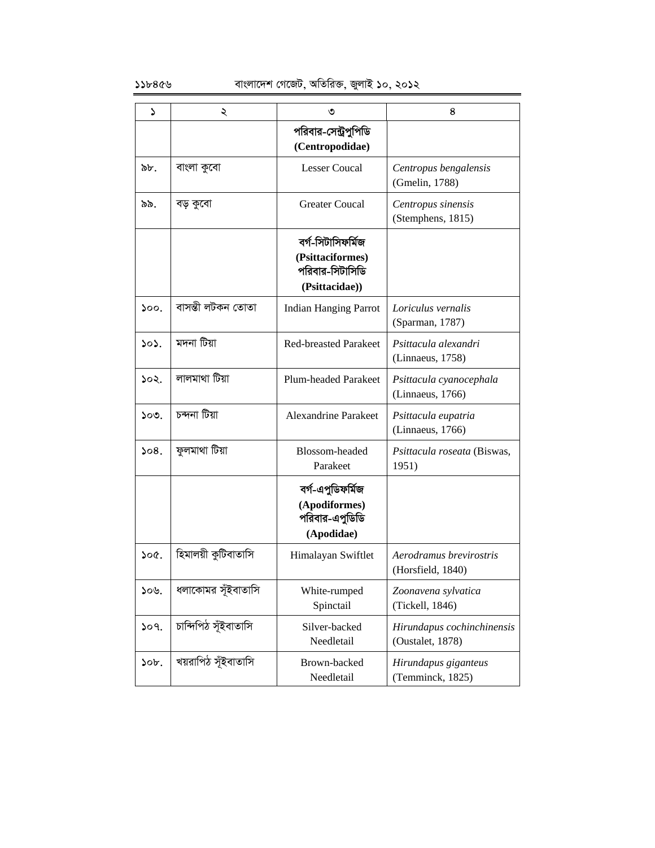| ۵       | ২                    | ৩                                                                          | 8                                              |
|---------|----------------------|----------------------------------------------------------------------------|------------------------------------------------|
|         |                      | পরিবার-সেন্ট্রপুপিডি<br>(Centropodidae)                                    |                                                |
| ৯৮.     | বাংলা কুবো           | <b>Lesser Coucal</b>                                                       | Centropus bengalensis<br>(Gmelin, 1788)        |
| ৯৯.     | বড় কুবো             | <b>Greater Coucal</b>                                                      | Centropus sinensis<br>(Stemphens, 1815)        |
|         |                      | বৰ্গ-সিটাসিফৰ্মিজ<br>(Psittaciformes)<br>পরিবার-সিটাসিডি<br>(Psittacidae)) |                                                |
| 500.    | বাসম্ভী লটকন তোতা    | <b>Indian Hanging Parrot</b>                                               | Loriculus vernalis<br>(Sparman, 1787)          |
| 303.    | মদনা টিয়া           | <b>Red-breasted Parakeet</b>                                               | Psittacula alexandri<br>(Linnaeus, 1758)       |
| ১০২.    | লালমাথা টিয়া        | <b>Plum-headed Parakeet</b>                                                | Psittacula cyanocephala<br>(Linnaeus, 1766)    |
| ১০৩.    | চন্দনা টিয়া         | <b>Alexandrine Parakeet</b>                                                | Psittacula eupatria<br>(Linnaeus, 1766)        |
| 508.    | ফুলমাথা টিয়া        | Blossom-headed<br>Parakeet                                                 | Psittacula roseata (Biswas,<br>1951)           |
|         |                      | বৰ্গ-এপুডিফৰ্মিজ<br>(Apodiformes)<br>পরিবার-এপুডিডি<br>(Apodidae)          |                                                |
| 500     | হিমালয়ী কুটিবাতাসি  | Himalayan Swiftlet                                                         | Aerodramus brevirostris<br>(Horsfield, 1840)   |
| ১০৬.    | ধলাকোমর সূঁইবাতাসি   | White-rumped<br>Spinctail                                                  | Zoonavena sylvatica<br>(Tickell, 1846)         |
| 509.    | চান্দিপিঠ সূঁইবাতাসি | Silver-backed<br>Needletail                                                | Hirundapus cochinchinensis<br>(Oustalet, 1878) |
| $50b$ . | খয়রাপিঠ সূঁইবাতাসি  | Brown-backed<br>Needletail                                                 | Hirundapus giganteus<br>(Temminck, 1825)       |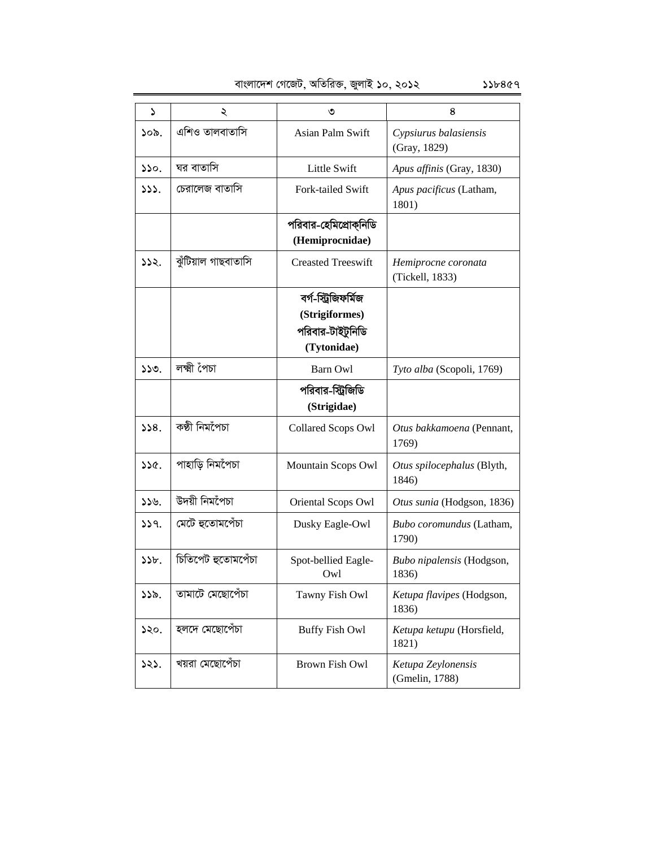| বাংলাদেশ গেজেট, অতিরিক্ত, জুলাই ১০, ২০১২ |  |  |  |
|------------------------------------------|--|--|--|

| <sup>2</sup>    | ২                   | ৩                                                                        | 8                                      |
|-----------------|---------------------|--------------------------------------------------------------------------|----------------------------------------|
| 30 <sub>b</sub> | এশিও তালবাতাসি      | Asian Palm Swift                                                         | Cypsiurus balasiensis<br>(Gray, 1829)  |
| 350.            | ঘর বাতাসি           | Little Swift                                                             | Apus affinis (Gray, 1830)              |
| 333.            | চেরালেজ বাতাসি      | Fork-tailed Swift                                                        | Apus pacificus (Latham,<br>1801)       |
|                 |                     | পরিবার-হেমিপ্রোক্নিডি<br>(Hemiprocnidae)                                 |                                        |
| 332.            | ঝুঁটিয়াল গাছবাতাসি | <b>Creasted Treeswift</b>                                                | Hemiprocne coronata<br>(Tickell, 1833) |
|                 |                     | বৰ্গ-স্ট্ৰিজিফৰ্মিজ<br>(Strigiformes)<br>পরিবার-টাইটুনিডি<br>(Tytonidae) |                                        |
| 330.            | লক্ষ্মী পৈচা        | Barn Owl                                                                 | Tyto alba (Scopoli, 1769)              |
|                 |                     | পরিবার-স্ট্রিজিডি<br>(Strigidae)                                         |                                        |
| 358.            | কণ্ঠী নিমগৈচা       | Collared Scops Owl                                                       | Otus bakkamoena (Pennant,<br>1769)     |
| ১১৫.            | পাহাড়ি নিমপৈচা     | Mountain Scops Owl                                                       | Otus spilocephalus (Blyth,<br>1846)    |
| 339.            | উদয়ী নিমপৈচা       | Oriental Scops Owl                                                       | Otus sunia (Hodgson, 1836)             |
| 339.            | মেটে হুতোমপেঁচা     | Dusky Eagle-Owl                                                          | Bubo coromundus (Latham,<br>1790)      |
| 55b.            | চিতিপেট হুতোমপেঁচা  | Spot-bellied Eagle-<br>Owl                                               | Bubo nipalensis (Hodgson,<br>1836)     |
| 555.            | তামাটে মেছোপেঁচা    | Tawny Fish Owl                                                           | Ketupa flavipes (Hodgson,<br>1836)     |
| ১২০.            | হলদে মেছোপেঁচা      | <b>Buffy Fish Owl</b>                                                    | Ketupa ketupu (Horsfield,<br>1821)     |
| ১২১.            | খয়রা মেছোপেঁচা     | Brown Fish Owl                                                           | Ketupa Zeylonensis<br>(Gmelin, 1788)   |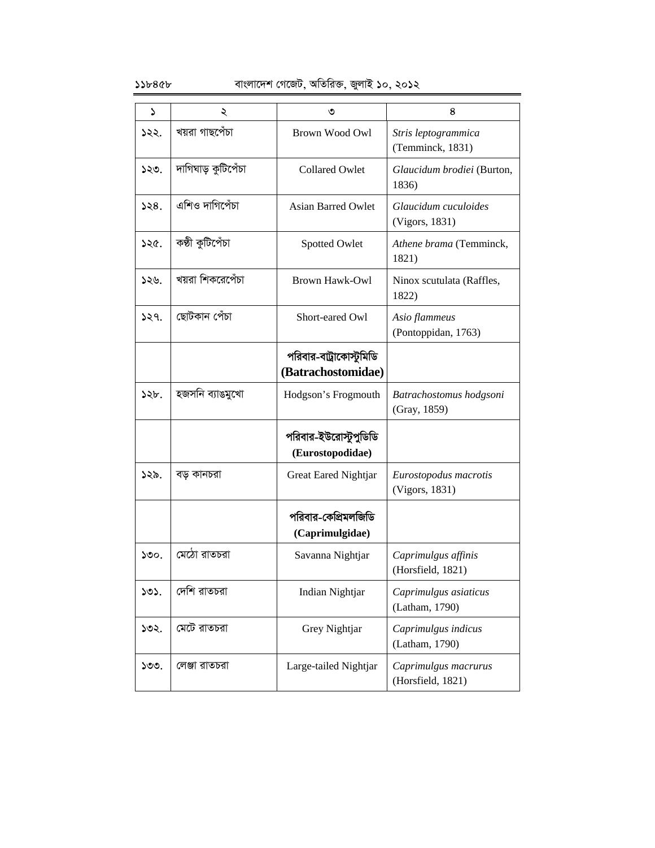| S    | ২                  | ৩                                             | 8                                         |
|------|--------------------|-----------------------------------------------|-------------------------------------------|
| ১২২. | খয়রা গাছপেঁচা     | Brown Wood Owl                                | Stris leptogrammica<br>(Temminck, 1831)   |
| ১২৩. | দাগিঘাড় কুটিপেঁচা | <b>Collared Owlet</b>                         | Glaucidum brodiei (Burton,<br>1836)       |
| 328. | এশিও দাগিপেঁচা     | <b>Asian Barred Owlet</b>                     | Glaucidum cuculoides<br>(Vigors, 1831)    |
| ১২৫. | কষ্ঠী কুটিপেঁচা    | Spotted Owlet                                 | Athene brama (Temminck,<br>1821)          |
| ১২৬. | খয়রা শিকরেপেঁচা   | Brown Hawk-Owl                                | Ninox scutulata (Raffles,<br>1822)        |
| 329. | ছোটকান পেঁচা       | Short-eared Owl                               | Asio flammeus<br>(Pontoppidan, 1763)      |
|      |                    | পরিবার-বাট্রাকোস্টুমিডি<br>(Batrachostomidae) |                                           |
| ১২৮. | হজসনি ব্যাঙমুখো    | Hodgson's Frogmouth                           | Batrachostomus hodgsoni<br>(Gray, 1859)   |
|      |                    | পরিবার-ইউরোস্টুপুডিডি<br>(Eurostopodidae)     |                                           |
| ১২৯. | বড় কানচরা         | Great Eared Nightjar                          | Eurostopodus macrotis<br>(Vigors, 1831)   |
|      |                    | পরিবার-কেপ্রিমলজিডি<br>(Caprimulgidae)        |                                           |
| 500. | মেঠো রাতচরা        | Savanna Nightjar                              | Caprimulgus affinis<br>(Horsfield, 1821)  |
| ১৩১. | দেশি রাতচরা        | Indian Nightjar                               | Caprimulgus asiaticus<br>(Latham, 1790)   |
| ১৩২. | মেটে রাতচরা        | Grey Nightjar                                 | Caprimulgus indicus<br>(Latham, 1790)     |
| ১৩৩. | লেঞ্জা রাতচরা      | Large-tailed Nightjar                         | Caprimulgus macrurus<br>(Horsfield, 1821) |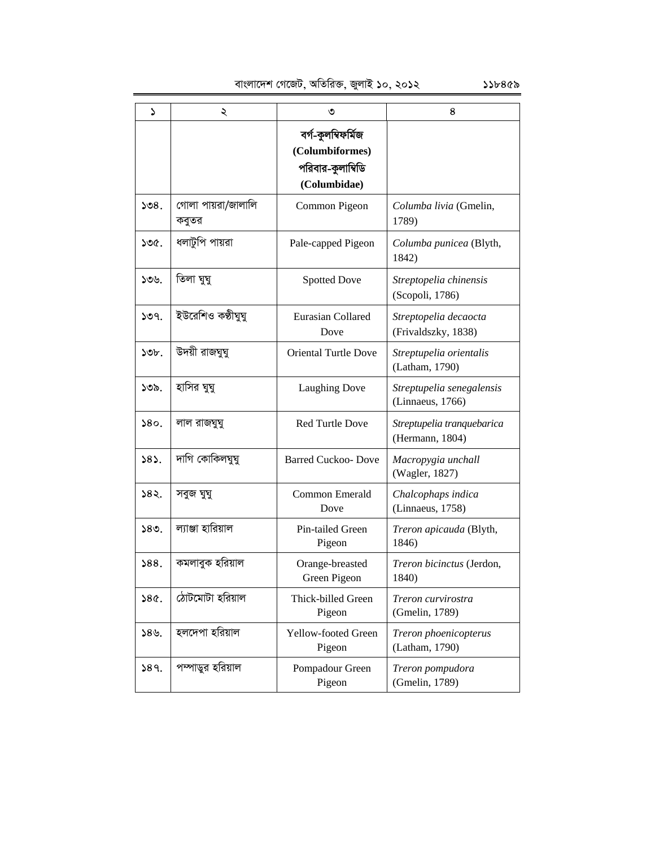evsjv‡`k †M‡RU, AwZwi³, RyjvB 10, 2012 118459

| ډ    | ২                           | ৩                                                                          | 8                                             |
|------|-----------------------------|----------------------------------------------------------------------------|-----------------------------------------------|
|      |                             | বৰ্গ-কুলম্বিফৰ্মিজ<br>(Columbiformes)<br>পরিবার-কুলাম্বিডি<br>(Columbidae) |                                               |
| ১৩৪. | গোলা পায়রা/জালালি<br>কবুতর | Common Pigeon                                                              | Columba livia (Gmelin,<br>1789)               |
| ১৩৫. | ধলাটুপি পায়রা              | Pale-capped Pigeon                                                         | Columba punicea (Blyth,<br>1842)              |
| ১৩৬. | তিলা ঘুঘু                   | <b>Spotted Dove</b>                                                        | Streptopelia chinensis<br>(Scopoli, 1786)     |
| ১৩৭. | ইউরেশিও কণ্ঠীঘুঘু           | Eurasian Collared<br>Dove                                                  | Streptopelia decaocta<br>(Frivaldszky, 1838)  |
| ১৩৮. | উদয়ী রাজঘুঘু               | <b>Oriental Turtle Dove</b>                                                | Streptupelia orientalis<br>(Latham, 1790)     |
| ১৩৯. | হাসির ঘুঘু                  | <b>Laughing Dove</b>                                                       | Streptupelia senegalensis<br>(Linnaeus, 1766) |
| 580. | লাল রাজঘুঘু                 | <b>Red Turtle Dove</b>                                                     | Streptupelia tranquebarica<br>(Hermann, 1804) |
| 585. | দাগি কোকিলঘুঘু              | <b>Barred Cuckoo- Dove</b>                                                 | Macropygia unchall<br>(Wagler, 1827)          |
| ১৪২. | সবুজ ঘুঘু                   | <b>Common Emerald</b><br>Dove                                              | Chalcophaps indica<br>(Linnaeus, 1758)        |
| ১৪৩. | ল্যাঞ্জা হারিয়াল           | Pin-tailed Green<br>Pigeon                                                 | Treron apicauda (Blyth,<br>1846)              |
| 588. | কমলাবুক হরিয়াল             | Orange-breasted<br>Green Pigeon                                            | Treron bicinctus (Jerdon,<br>1840)            |
| 380. | ঠোটমোটা হরিয়াল             | Thick-billed Green<br>Pigeon                                               | Treron curvirostra<br>(Gmelin, 1789)          |

Pigeon

Pigeon

*Treron phoenicopterus* 

(Latham, 1790)

*Treron pompudora*  (Gmelin, 1789)

 $\delta$ ১৪৬. | হলদেপা হরিয়াল | Yellow-footed Green

 $189.$  পম্পাডুর হরিয়াল Pompadour Green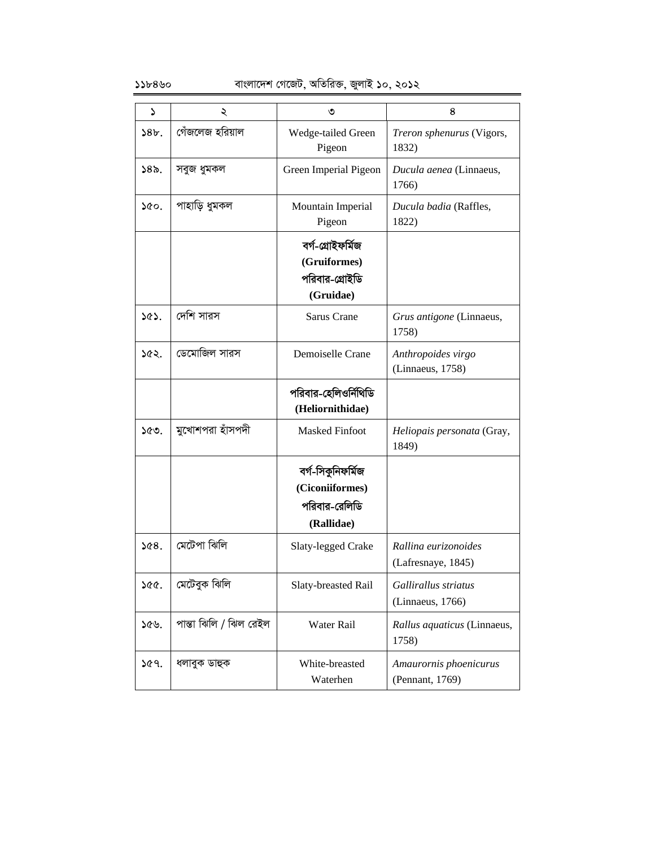### $\delta$ ১৮৪৬০ বাংলাদেশ গেজেট, অতিরিক্ত, জুলাই ১০, ২০১২

| د               | ২                      | ৩                                                                   | 8                                          |
|-----------------|------------------------|---------------------------------------------------------------------|--------------------------------------------|
| 38b.            | গেঁজলেজ হরিয়াল        | Wedge-tailed Green<br>Pigeon                                        | Treron sphenurus (Vigors,<br>1832)         |
| 58 <sub>o</sub> | সবুজ ধুমকল             | Green Imperial Pigeon                                               | Ducula aenea (Linnaeus,<br>1766)           |
| $\delta$        | পাহাড়ি ধুমকল          | Mountain Imperial<br>Pigeon                                         | Ducula badia (Raffles,<br>1822)            |
|                 |                        | বৰ্গ-গ্ৰোইফৰ্মিজ<br>(Gruiformes)<br>পরিবার-গ্রোইডি<br>(Gruidae)     |                                            |
| ১৫১.            | দেশি সারস              | Sarus Crane                                                         | Grus antigone (Linnaeus,<br>1758)          |
| ১৫২.            | ডেমোজিল সারস           | Demoiselle Crane                                                    | Anthropoides virgo<br>(Linnaeus, 1758)     |
|                 |                        | পরিবার-হেলিওর্নিথিডি<br>(Heliornithidae)                            |                                            |
| ১৫৩.            | মুখোশপরা হাঁসপদী       | <b>Masked Finfoot</b>                                               | Heliopais personata (Gray,<br>1849)        |
|                 |                        | বৰ্গ-সিকুনিফৰ্মিজ<br>(Ciconiiformes)<br>পরিবার-রেলিডি<br>(Rallidae) |                                            |
| 268.            | মেটেপা ঝিলি            | Slaty-legged Crake                                                  | Rallina eurizonoides<br>(Lafresnaye, 1845) |
| ১৫৫.            | মেটেবুক ঝিলি           | Slaty-breasted Rail                                                 | Gallirallus striatus<br>(Linnaeus, 1766)   |
| ১৫৬.            | পান্তা ঝিলি / ঝিল রেইল | Water Rail                                                          | Rallus aquaticus (Linnaeus,<br>1758)       |
| ১৫৭.            | ধলাবুক ডাহুক           | White-breasted<br>Waterhen                                          | Amaurornis phoenicurus<br>(Pennant, 1769)  |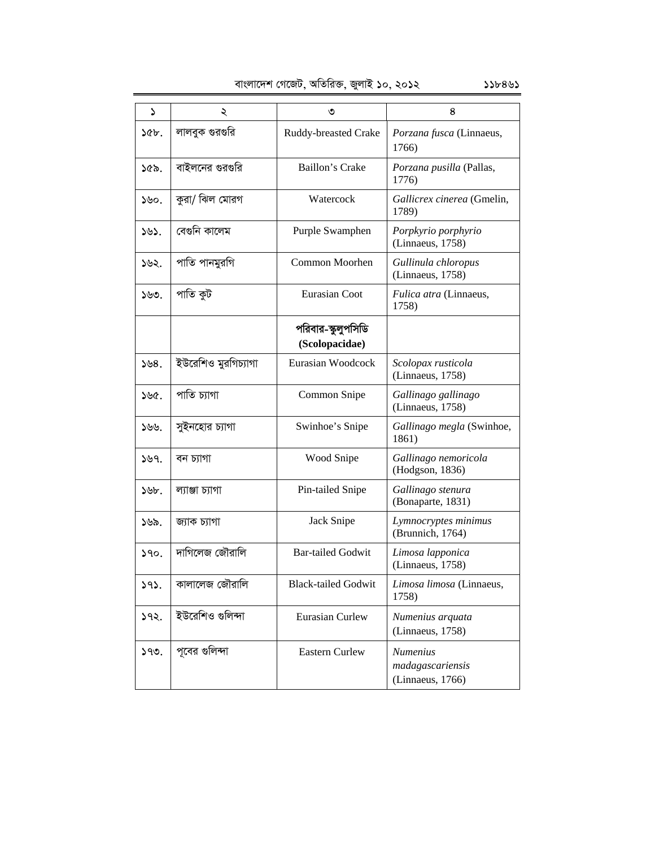|  | বাংলাদেশ গেজেট, অতিরিক্ত, জুলাই ১০, ২০১২ |  |
|--|------------------------------------------|--|
|  |                                          |  |

| বাংলাদেশ গেজেট, অতিরিক্ত, জুলাই ১০, ২০১২<br>১১৮৪৬১ |                     |                                      |                                                         |  |
|----------------------------------------------------|---------------------|--------------------------------------|---------------------------------------------------------|--|
| S                                                  | ২                   | ৩                                    | 8                                                       |  |
| ১৫৮.                                               | লালবুক গুরগুরি      | Ruddy-breasted Crake                 | Porzana fusca (Linnaeus,<br>1766)                       |  |
| ১৫৯.                                               | বাইলনের গুরগুরি     | Baillon's Crake                      | Porzana pusilla (Pallas,<br>1776)                       |  |
| ১৬০.                                               | কুরা/ ঝিল মোরগ      | Watercock                            | Gallicrex cinerea (Gmelin,<br>1789)                     |  |
| ১৬১.                                               | বেগুনি কালেম        | Purple Swamphen                      | Porpkyrio porphyrio<br>(Linnaeus, 1758)                 |  |
| ১৬২.                                               | পাতি পানমুরগি       | Common Moorhen                       | Gullinula chloropus<br>(Linnaeus, 1758)                 |  |
| ১৬৩.                                               | পাতি কুট            | <b>Eurasian Coot</b>                 | Fulica atra (Linnaeus,<br>1758)                         |  |
|                                                    |                     | পরিবার-স্কুলুপসিডি<br>(Scolopacidae) |                                                         |  |
| 558.                                               | ইউরেশিও মুরগিচ্যাগা | Eurasian Woodcock                    | Scolopax rusticola<br>(Linnaeus, 1758)                  |  |
| ১৬৫.                                               | পাতি চ্যাগা         | Common Snipe                         | Gallinago gallinago<br>(Linnaeus, 1758)                 |  |
| ১৬৬.                                               | সুইনহোর চ্যাগা      | Swinhoe's Snipe                      | Gallinago megla (Swinhoe,<br>1861)                      |  |
| ১৬৭.                                               | বন চ্যাগা           | Wood Snipe                           | Gallinago nemoricola<br>(Hodgson, 1836)                 |  |
| ১৬৮.                                               | ল্যাঞ্জা চ্যাগা     | Pin-tailed Snipe                     | Gallinago stenura<br>(Bonaparte, 1831)                  |  |
| ১৬৯.                                               | জ্যাক চ্যাগা        | Jack Snipe                           | Lymnocryptes minimus<br>(Brunnich, 1764)                |  |
| ১৭০.                                               | দাগিলেজ জৌরালি      | <b>Bar-tailed Godwit</b>             | Limosa lapponica<br>(Linnaeus, 1758)                    |  |
| 393.                                               | কালালেজ জৌরালি      | <b>Black-tailed Godwit</b>           | Limosa limosa (Linnaeus,<br>1758)                       |  |
| ১৭২.                                               | ইউরেশিও গুলিন্দা    | <b>Eurasian Curlew</b>               | Numenius arquata<br>(Linnaeus, 1758)                    |  |
| 599.                                               | পূবের গুলিন্দা      | <b>Eastern Curlew</b>                | <b>Numenius</b><br>madagascariensis<br>(Linnaeus, 1766) |  |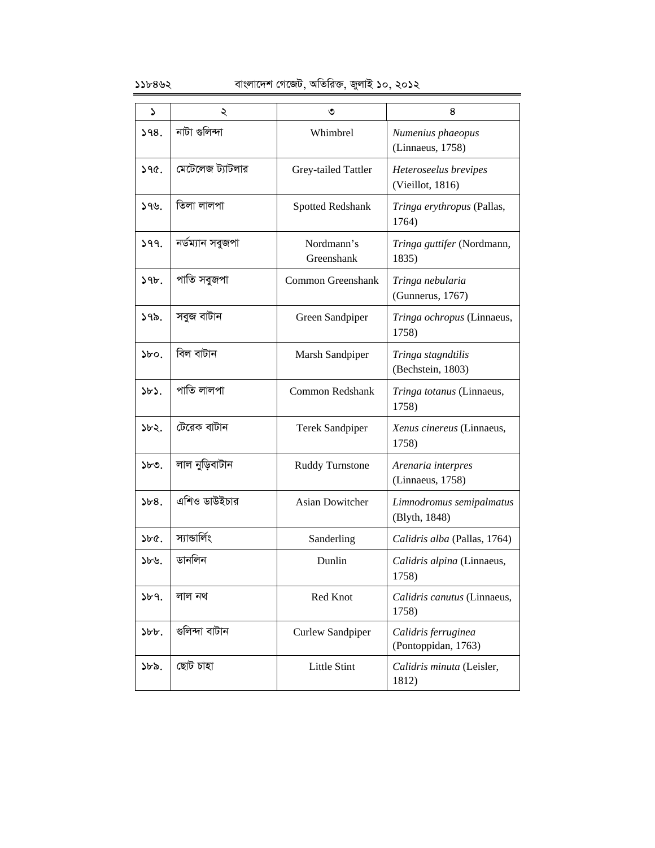### $55b892$  বাংলাদেশ গেজেট, অতিরিক্ত, জুলাই ১০, ২০১২

| ډ            | ২                | ৩                        | 8                                          |
|--------------|------------------|--------------------------|--------------------------------------------|
| 398.         | নাটা গুলিন্দা    | Whimbrel                 | Numenius phaeopus<br>(Linnaeus, 1758)      |
| 390.         | মেটেলেজ ট্যাটলার | Grey-tailed Tattler      | Heteroseelus brevipes<br>(Vieillot, 1816)  |
| ১৭৬.         | তিলা লালপা       | Spotted Redshank         | Tringa erythropus (Pallas,<br>1764)        |
| 399.         | নৰ্ডম্যান সবুজপা | Nordmann's<br>Greenshank | Tringa guttifer (Nordmann,<br>1835)        |
| 39b.         | পাতি সবুজপা      | Common Greenshank        | Tringa nebularia<br>(Gunnerus, 1767)       |
| ১৭৯.         | সবুজ বাটান       | Green Sandpiper          | Tringa ochropus (Linnaeus,<br>1758)        |
| $\delta$     | বিল বাটান        | Marsh Sandpiper          | Tringa stagndtilis<br>(Bechstein, 1803)    |
| $\delta b$   | পাতি লালপা       | <b>Common Redshank</b>   | Tringa totanus (Linnaeus,<br>1758)         |
| ১৮২.         | টেরেক বাটান      | <b>Terek Sandpiper</b>   | Xenus cinereus (Linnaeus,<br>1758)         |
| ১৮৩.         | লাল নুড়িবাটান   | <b>Ruddy Turnstone</b>   | Arenaria interpres<br>(Linnaeus, 1758)     |
| ১৮৪.         | এশিও ডাউইচার     | <b>Asian Dowitcher</b>   | Limnodromus semipalmatus<br>(Blyth, 1848)  |
| $\delta$     | স্যান্ডাৰ্লিং    | Sanderling               | Calidris alba (Pallas, 1764)               |
| ১৮৬.         | ডানলিন           | Dunlin                   | Calidris alpina (Linnaeus,<br>1758)        |
| 3b9.         | লাল নথ           | Red Knot                 | Calidris canutus (Linnaeus,<br>1758)       |
| $\delta b$ . | গুলিন্দা বাটান   | Curlew Sandpiper         | Calidris ferruginea<br>(Pontoppidan, 1763) |
| ১৮৯.         | ছোট চাহা         | Little Stint             | Calidris minuta (Leisler,<br>1812)         |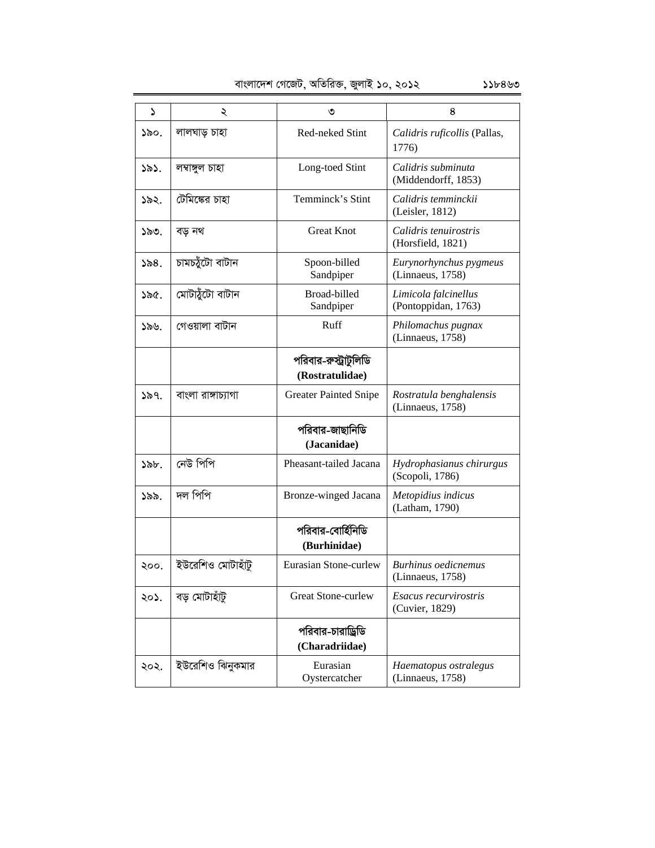| বাংলাদেশ গেজেট, অতিরিক্ত, জুলাই ১০, ২০১২<br>১১৮৪৬৩ |
|----------------------------------------------------|
|----------------------------------------------------|

| S    | ২                  | ৩                                        | 8                                              |
|------|--------------------|------------------------------------------|------------------------------------------------|
| ১৯০. | লালঘাড় চাহা       | Red-neked Stint                          | Calidris ruficollis (Pallas,<br>1776)          |
| ১৯১. | লম্বাঙ্গুল চাহা    | Long-toed Stint                          | Calidris subminuta<br>(Middendorff, 1853)      |
| ১৯২. | টেমিঙ্কের চাহা     | Temminck's Stint                         | Calidris temminckii<br>(Leisler, 1812)         |
| ১৯৩. | বড় নথ             | <b>Great Knot</b>                        | Calidris tenuirostris<br>(Horsfield, 1821)     |
| ১৯৪. | চামচয়ুঁটো বাটান   | Spoon-billed<br>Sandpiper                | Eurynorhynchus pygmeus<br>(Linnaeus, 1758)     |
| ১৯৫. | মোটায়ুঁটো বাটান   | Broad-billed<br>Sandpiper                | Limicola falcinellus<br>(Pontoppidan, 1763)    |
| ১৯৬. | গেওয়ালা বাটান     | Ruff                                     | Philomachus pugnax<br>(Linnaeus, 1758)         |
|      |                    | পরিবার-রুস্ট্রাটুলিডি<br>(Rostratulidae) |                                                |
| ১৯৭. | বাংলা রাঙ্গাচ্যাগা | <b>Greater Painted Snipe</b>             | Rostratula benghalensis<br>(Linnaeus, 1758)    |
|      |                    | পরিবার-জাছানিডি<br>(Jacanidae)           |                                                |
| ১৯৮. | নেউ পিপি           | Pheasant-tailed Jacana                   | Hydrophasianus chirurgus<br>(Scopoli, 1786)    |
| ১৯৯. | দল পিপি            | Bronze-winged Jacana                     | Metopidius indicus<br>(Latham, 1790)           |
|      |                    | পরিবার-বোর্হিনিডি<br>(Burhinidae)        |                                                |
| ২০০. | ইউরেশিও মোটাহাঁটু  | Eurasian Stone-curlew                    | <b>Burhinus oedicnemus</b><br>(Linnaeus, 1758) |
| ২০১. | বড় মোটাহাঁটু      | <b>Great Stone-curlew</b>                | Esacus recurvirostris<br>(Cuvier, 1829)        |
|      |                    | পরিবার-চারাড্রিডি<br>(Charadriidae)      |                                                |
| ২০২. | ইউরেশিও ঝিনুকমার   | Eurasian<br>Oystercatcher                | Haematopus ostralegus<br>(Linnaeus, 1758)      |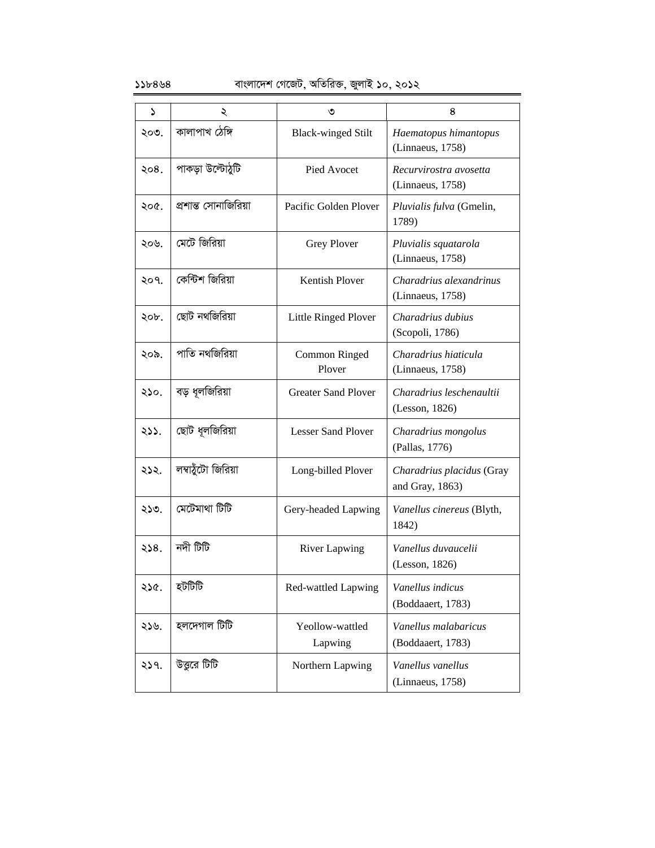| S    | ২                    | ৩                          | 8                                            |
|------|----------------------|----------------------------|----------------------------------------------|
| ২০৩. | কালাপাখ ঠেঙ্গি       | <b>Black-winged Stilt</b>  | Haematopus himantopus<br>(Linnaeus, 1758)    |
| ২০৪. | পাকড়া উল্টোঠুটি     | Pied Avocet                | Recurvirostra avosetta<br>(Linnaeus, 1758)   |
| ২০৫. | প্রশান্ত সোনাজিরিয়া | Pacific Golden Plover      | Pluvialis fulva (Gmelin,<br>1789)            |
| ২০৬. | মেটে জিরিয়া         | Grey Plover                | Pluvialis squatarola<br>(Linnaeus, 1758)     |
| ২০৭. | কেন্টিশ জিরিয়া      | <b>Kentish Plover</b>      | Charadrius alexandrinus<br>(Linnaeus, 1758)  |
| ২০৮. | ছোট নথজিরিয়া        | Little Ringed Plover       | Charadrius dubius<br>(Scopoli, 1786)         |
| ২০৯. | পাতি নথজিরিয়া       | Common Ringed<br>Plover    | Charadrius hiaticula<br>(Linnaeus, 1758)     |
| ২১০. | বড় ধূলজিরিয়া       | <b>Greater Sand Plover</b> | Charadrius leschenaultii<br>(Lesson, 1826)   |
| ২১১. | ছোট ধূলজিরিয়া       | <b>Lesser Sand Ployer</b>  | Charadrius mongolus<br>(Pallas, 1776)        |
| ২১২. | লম্বাঠুঁটো জিরিয়া   | Long-billed Plover         | Charadrius placidus (Gray<br>and Gray, 1863) |
| ২১৩. | মেটেমাথা টিটি        | Gery-headed Lapwing        | Vanellus cinereus (Blyth,<br>1842)           |
| 328. | নদী টিটি             | <b>River Lapwing</b>       | Vanellus duvaucelii<br>(Lesson, 1826)        |
| ২১৫. | হটটিটি               | Red-wattled Lapwing        | Vanellus indicus<br>(Boddaaert, 1783)        |
| ২১৬. | হলদেগাল টিটি         | Yeollow-wattled<br>Lapwing | Vanellus malabaricus<br>(Boddaaert, 1783)    |
| 259. | উত্তুরে টিটি         | Northern Lapwing           | Vanellus vanellus<br>(Linnaeus, 1758)        |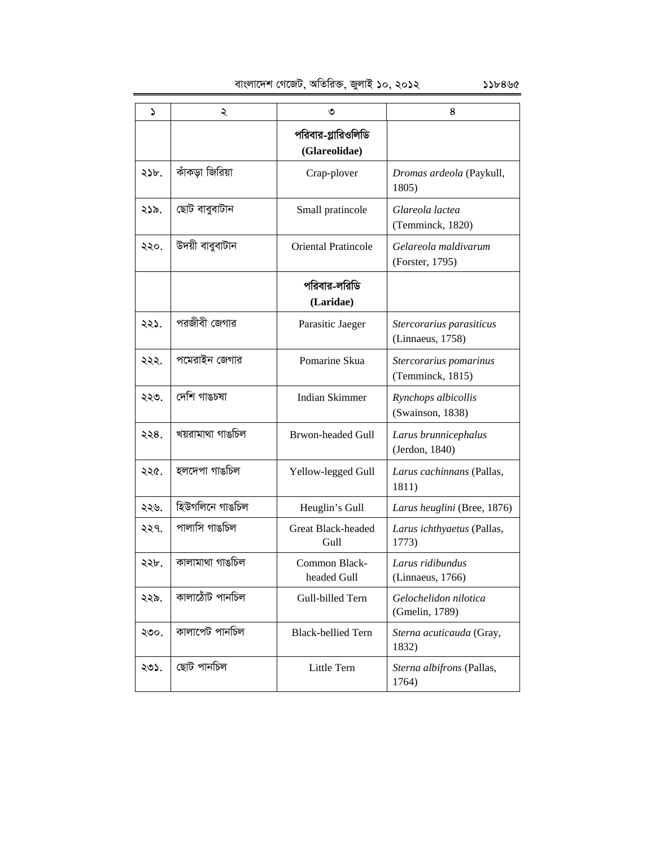1 2 3 4 পরিবার-গ্লারিওলিডি **(Glareolidae)**  218. KuvKov wRwiqv Crap-plover *Dromas ardeola* (Paykull, 1805) ২১৯. | ছোট বাবুবাটান Small pratincole *Glareola lactea* (Temminck, 1820) ২২০. | উদয়ী বাবুবাটান | Oriental Pratincole | Gelareola maldivarum (Forster, 1795) পরিবার-লরিডি **(Laridae)** ২২১. | পরজীবী জেগার Parasitic Jaeger *| Stercorarius parasiticus* (Linnaeus, 1758) ২২২. | পমেরাইন জেগার Pomarine Skua *Stercorarius pomarinus* (Temminck, 1815) ২২৩. | দেশি গাঙচষা Indian Skimmer *Rynchops albicollis* (Swainson, 1838) ২২৪. | খয়রামাথা গাঙচিল | Brwon-headed Gull *| Larus brunnicephalus* (Jerdon, 1840) ২২৫. | হলদেপা গাঙচিল | Yellow-legged Gull | Larus cachinnans (Pallas, 1811) ২২৬. | হিউগলিনে গাঙচিল | Heuglin's Gull *Larus heuglini* (Bree, 1876) ২২৭. | পালাসি গাঙচিল | Great Black-headed Gull *Larus ichthyaetus* (Pallas, 1773) ২২৮. | কালামাথা গাঙচিল  $\qquad$  Common Blackheaded Gull *Larus ridibundus* (Linnaeus, 1766) ২২৯. | কালাঠোঁট পানচিল Gull-billed Tern *Gelochelidon nilotica* (Gmelin, 1789) ২৩০. | কালাপেট পানচিল Black-bellied Tern *Sterna acuticauda* (Gray, 1832) ২৩১. | ছোট পানচিল Little Tern *| Sterna albifrons* (Pallas, 1764)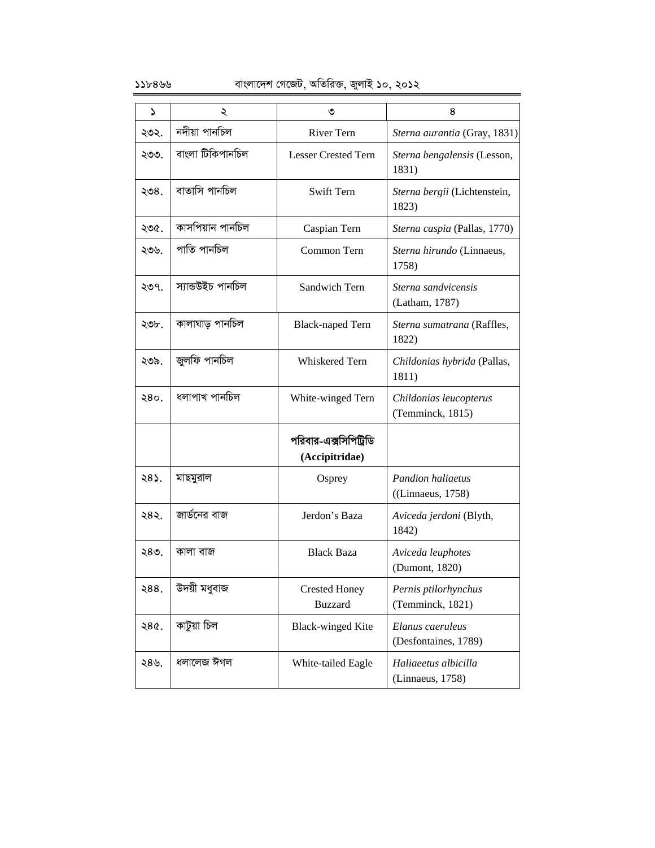### $55b899$  বাংলাদেশ গেজেট, অতিরিক্ত, জুলাই ১০, ২০১২

| د    | ২                 | ৩                                       | 8                                                |
|------|-------------------|-----------------------------------------|--------------------------------------------------|
| ২৩২. | নদীয়া পানচিল     | <b>River Tern</b>                       | Sterna aurantia (Gray, 1831)                     |
| ২৩৩. | বাংলা টিকিপানচিল  | <b>Lesser Crested Tern</b>              | Sterna bengalensis (Lesson,<br>1831)             |
| ২৩৪. | বাতাসি পানচিল     | Swift Tern                              | Sterna bergii (Lichtenstein,<br>1823)            |
| ২৩৫. | কাসপিয়ান পানচিল  | Caspian Tern                            | Sterna caspia (Pallas, 1770)                     |
| ২৩৬. | পাতি পানচিল       | Common Tern                             | Sterna hirundo (Linnaeus,<br>1758)               |
| ২৩৭. | স্যান্ডউইচ পানচিল | Sandwich Tern                           | Sterna sandvicensis<br>(Latham, 1787)            |
| ২৩৮. | কালাঘাড় পানচিল   | <b>Black-naped Tern</b>                 | Sterna sumatrana (Raffles,<br>1822)              |
| ২৩৯. | জুলফি পানচিল      | Whiskered Tern                          | Childonias hybrida (Pallas,<br>1811)             |
| २8०. | ধলাপাখ পানচিল     | White-winged Tern                       | Childonias leucopterus<br>(Temminck, 1815)       |
|      |                   | পরিবার-এক্সসিপিট্রিডি<br>(Accipitridae) |                                                  |
| ২৪১. | মাছমুরাল          | Osprey                                  | <b>Pandion haliaetus</b><br>$($ (Linnaeus, 1758) |
| ২৪২. | জার্ডনের বাজ      | Jerdon's Baza                           | Aviceda jerdoni (Blyth,<br>1842)                 |
| ২৪৩. | কালা বাজ          | <b>Black Baza</b>                       | Aviceda leuphotes<br>(Dumont, 1820)              |
| ২88. | উদয়ী মধুবাজ      | <b>Crested Honey</b><br><b>Buzzard</b>  | Pernis ptilorhynchus<br>(Temminck, 1821)         |
| २8¢. | কাটুয়া চিল       | <b>Black-winged Kite</b>                | Elanus caeruleus<br>(Desfontaines, 1789)         |
| ২৪৬. | ধলালেজ ঈগল        | White-tailed Eagle                      | Haliaeetus albicilla<br>(Linnaeus, 1758)         |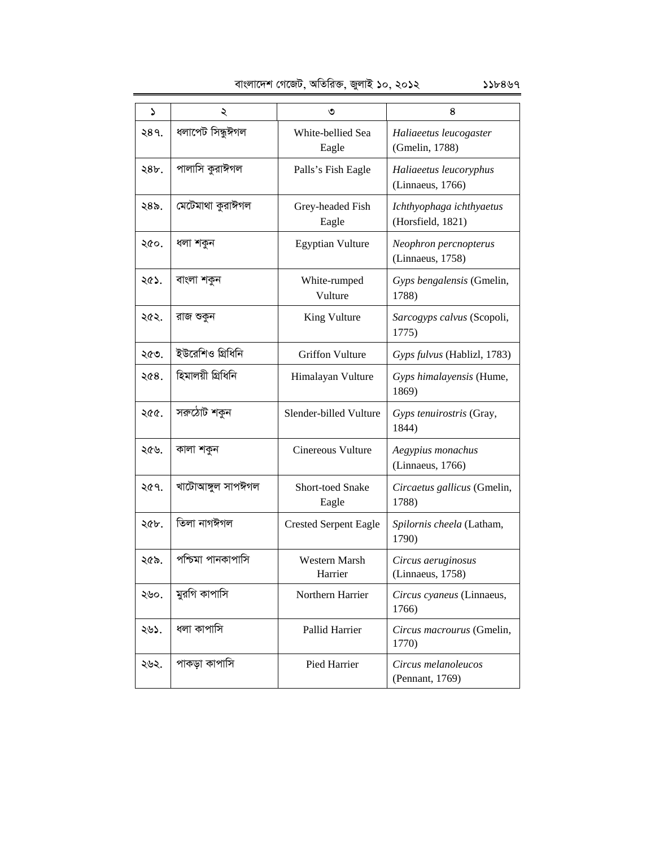|  | বাংলাদেশ গেজেট, অতিরিক্ত, জুলাই ১০, ২০১২ | ১১৮৪৬৭ |
|--|------------------------------------------|--------|
|  |                                          |        |

| ډ    | ২                 | ৩                            | 8                                             |
|------|-------------------|------------------------------|-----------------------------------------------|
| २४१. | ধলাপেট সিন্ধুঈগল  | White-bellied Sea<br>Eagle   | Haliaeetus leucogaster<br>(Gmelin, 1788)      |
| 28b. | পালাসি কুরাঈগল    | Palls's Fish Eagle           | Haliaeetus leucoryphus<br>(Linnaeus, 1766)    |
| ২৪৯. | মেটেমাথা কুরাঈগল  | Grey-headed Fish<br>Eagle    | Ichthyophaga ichthyaetus<br>(Horsfield, 1821) |
| ২৫০. | ধলা শকুন          | <b>Egyptian Vulture</b>      | Neophron percnopterus<br>(Linnaeus, 1758)     |
| ২৫১. | বাংলা শকুন        | White-rumped<br>Vulture      | Gyps bengalensis (Gmelin,<br>1788)            |
| ২৫২. | রাজ শুকুন         | King Vulture                 | Sarcogyps calvus (Scopoli,<br>1775)           |
| ২৫৩. | ইউরেশিও গ্রিধিনি  | <b>Griffon Vulture</b>       | Gyps fulvus (Hablizl, 1783)                   |
| ২৫৪. | হিমালয়ী গ্ৰিধিনি | Himalayan Vulture            | Gyps himalayensis (Hume,<br>1869)             |
| ২৫৫. | সরুঠোট শকুন       | Slender-billed Vulture       | Gyps tenuirostris (Gray,<br>1844)             |
| ২৫৬. | কালা শকুন         | Cinereous Vulture            | Aegypius monachus<br>(Linnaeus, 1766)         |
| ২৫৭. | খাটোআঙ্গুল সাপঈগল | Short-toed Snake<br>Eagle    | Circaetus gallicus (Gmelin,<br>1788)          |
| ২৫৮. | তিলা নাগঈগল       | <b>Crested Serpent Eagle</b> | Spilornis cheela (Latham,<br>1790)            |
| ২৫৯. | পশ্চিমা পানকাপাসি | Western Marsh<br>Harrier     | Circus aeruginosus<br>(Linnaeus, 1758)        |
| ২৬০. | মুরগি কাপাসি      | Northern Harrier             | Circus cyaneus (Linnaeus,<br>1766)            |
| ২৬১. | ধলা কাপাসি        | Pallid Harrier               | Circus macrourus (Gmelin,<br>1770)            |
| ২৬২. | পাকড়া কাপাসি     | Pied Harrier                 | Circus melanoleucos<br>(Pennant, 1769)        |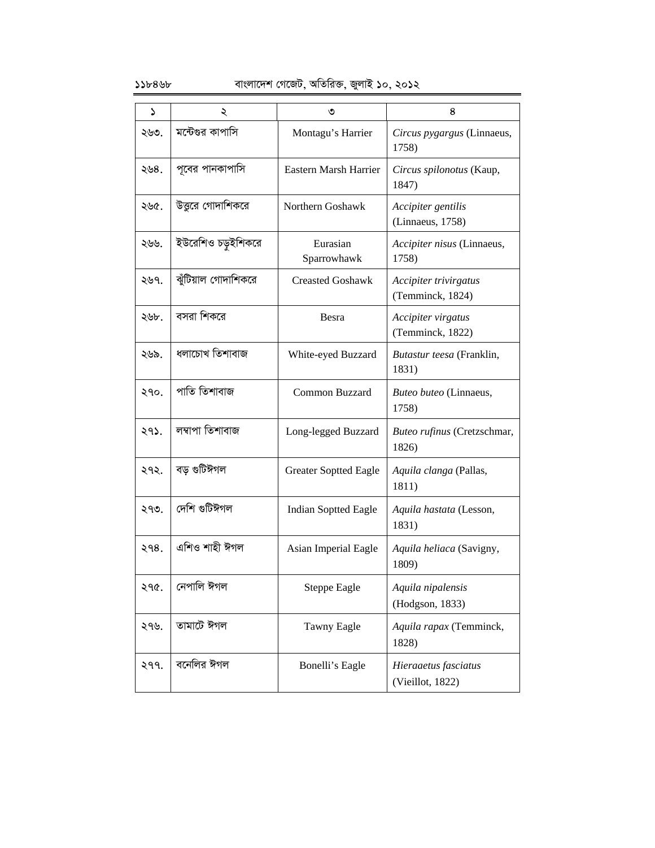| د    | ২                   | ৩                            | 8                                         |
|------|---------------------|------------------------------|-------------------------------------------|
| ২৬৩. | মন্টেগুর কাপাসি     | Montagu's Harrier            | Circus pygargus (Linnaeus,<br>1758)       |
| ২৬৪. | পূবের পানকাপাসি     | Eastern Marsh Harrier        | Circus spilonotus (Kaup,<br>1847)         |
| ২৬৫. | উত্তরে গোদাশিকরে    | Northern Goshawk             | Accipiter gentilis<br>(Linnaeus, 1758)    |
| ২৬৬. | ইউরেশিও চড়ুইশিকরে  | Eurasian<br>Sparrowhawk      | Accipiter nisus (Linnaeus,<br>1758)       |
| ২৬৭. | ঝুঁটিয়াল গোদাশিকরে | <b>Creasted Goshawk</b>      | Accipiter trivirgatus<br>(Temminck, 1824) |
| ২৬৮. | বসরা শিকরে          | Besra                        | Accipiter virgatus<br>(Temminck, 1822)    |
| ২৬৯. | ধলাচোখ তিশাবাজ      | White-eyed Buzzard           | Butastur teesa (Franklin,<br>1831)        |
| ২৭০. | পাতি তিশাবাজ        | Common Buzzard               | Buteo buteo (Linnaeus,<br>1758)           |
| ২৭১. | লম্বাপা তিশাবাজ     | Long-legged Buzzard          | Buteo rufinus (Cretzschmar,<br>1826)      |
| ২৭২. | বড় গুটিঈগল         | <b>Greater Soptted Eagle</b> | Aquila clanga (Pallas,<br>1811)           |
| ২৭৩. | দেশি গুটিঈগল        | <b>Indian Soptted Eagle</b>  | Aquila hastata (Lesson,<br>1831)          |
| २१८. | এশিও শাহী ঈগল       | Asian Imperial Eagle         | Aquila heliaca (Savigny,<br>1809)         |
| २१৫. | নেপালি ঈগল          | <b>Steppe Eagle</b>          | Aquila nipalensis<br>(Hodgson, 1833)      |
| ২৭৬. | তামাটে ঈগল          | <b>Tawny Eagle</b>           | Aquila rapax (Temminck,<br>1828)          |
| २११. | বনেলির ঈগল          | Bonelli's Eagle              | Hieraaetus fasciatus<br>(Vieillot, 1822)  |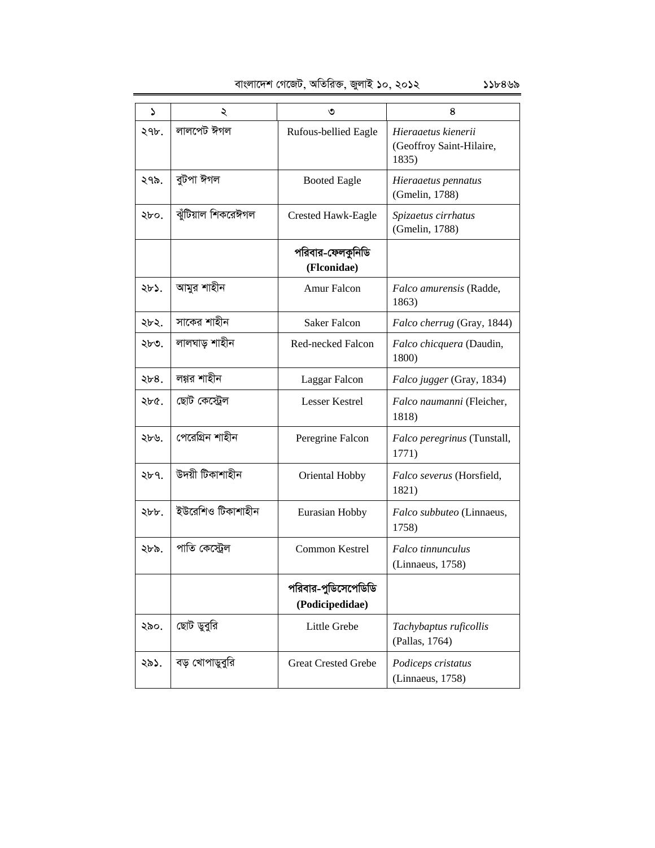| S             | ২                  | ৩                                      | 8                                                        |
|---------------|--------------------|----------------------------------------|----------------------------------------------------------|
| ২৭৮.          | লালপেট ঈগল         | Rufous-bellied Eagle                   | Hieraaetus kienerii<br>(Geoffroy Saint-Hilaire,<br>1835) |
| ২৭৯.          | বুটপা ঈগল          | <b>Booted Eagle</b>                    | Hieraaetus pennatus<br>(Gmelin, 1788)                    |
| ২৮০.          | ঝুঁটিয়াল শিকরেঈগল | <b>Crested Hawk-Eagle</b>              | Spizaetus cirrhatus<br>(Gmelin, 1788)                    |
|               |                    | পরিবার-ফেলকুনিডি<br>(Flconidae)        |                                                          |
| ২৮১.          | আমুর শাহীন         | Amur Falcon                            | Falco amurensis (Radde,<br>1863)                         |
| ২৮২.          | সাকের শাহীন        | <b>Saker Falcon</b>                    | Falco cherrug (Gray, 1844)                               |
| ২৮৩.          | লালঘাড় শাহীন      | <b>Red-necked Falcon</b>               | Falco chicquera (Daudin,<br>1800)                        |
| $\lambda b8.$ | লগ্গর শাহীন        | Laggar Falcon                          | Falco jugger (Gray, 1834)                                |
| ২৮৫.          | ছোট কেন্ট্ৰেল      | <b>Lesser Kestrel</b>                  | Falco naumanni (Fleicher,<br>1818)                       |
| ২৮৬.          | পেরেগ্রিন শাহীন    | Peregrine Falcon                       | Falco peregrinus (Tunstall,<br>1771)                     |
| ২৮৭.          | উদয়ী টিকাশাহীন    | Oriental Hobby                         | Falco severus (Horsfield,<br>1821)                       |
| ২৮৮.          | ইউরেশিও টিকাশাহীন  | Eurasian Hobby                         | Falco subbuteo (Linnaeus,<br>1758)                       |
| ২৮৯.          | পাতি কেস্ট্রেল     | Common Kestrel                         | Falco tinnunculus<br>(Linnaeus, 1758)                    |
|               |                    | পরিবার-পুডিসেপেডিডি<br>(Podicipedidae) |                                                          |
| ২৯০.          | ছোট ডুবুরি         | Little Grebe                           | Tachybaptus ruficollis<br>(Pallas, 1764)                 |
| ২৯১.          | বড় খোপাডুবুরি     | <b>Great Crested Grebe</b>             | Podiceps cristatus<br>(Linnaeus, 1758)                   |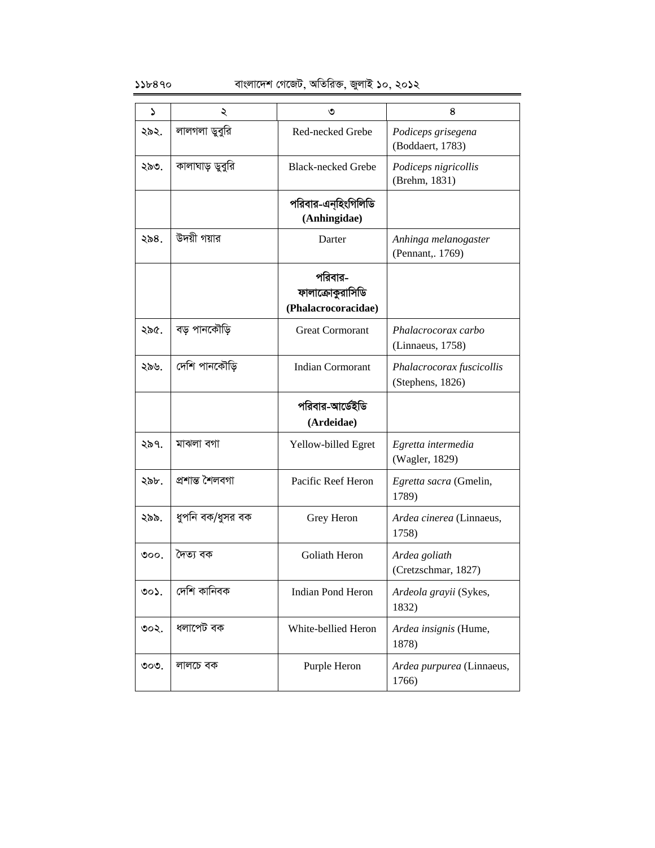| ډ               | ২                | ৩                                                  | 8                                             |
|-----------------|------------------|----------------------------------------------------|-----------------------------------------------|
| ২৯২.            | লালগলা ডুবুরি    | Red-necked Grebe                                   | Podiceps grisegena<br>(Boddaert, 1783)        |
| ২৯৩.            | কালাঘাড় ডুবুরি  | <b>Black-necked Grebe</b>                          | Podiceps nigricollis<br>(Brehm, 1831)         |
|                 |                  | পরিবার-এনহিংগিলিডি<br>(Anhingidae)                 |                                               |
| ২৯৪.            | উদয়ী গয়ার      | Darter                                             | Anhinga melanogaster<br>(Pennant, 1769)       |
|                 |                  | পরিবার-<br>ফালাক্রোকুরাসিডি<br>(Phalacrocoracidae) |                                               |
| ২৯৫.            | বড় পানকৌড়ি     | <b>Great Cormorant</b>                             | Phalacrocorax carbo<br>(Linnaeus, 1758)       |
| ২৯৬.            | দেশি পানকৌড়ি    | <b>Indian Cormorant</b>                            | Phalacrocorax fuscicollis<br>(Stephens, 1826) |
|                 |                  | পরিবার-আর্ডেইডি<br>(Ardeidae)                      |                                               |
| ২৯৭.            | মাঝলা বগা        | Yellow-billed Egret                                | Egretta intermedia<br>(Wagler, 1829)          |
| ২৯৮.            | প্ৰশান্ত শৈলবগা  | Pacific Reef Heron                                 | Egretta sacra (Gmelin,<br>1789)               |
| ২৯৯.            | ধুপনি বক/ধুসর বক | Grey Heron                                         | Ardea cinerea (Linnaeus,<br>1758)             |
| $\circ \circ$ . | দৈত্য বক         | Goliath Heron                                      | Ardea goliath<br>(Cretzschmar, 1827)          |
| ৩০১.            | দেশি কানিবক      | <b>Indian Pond Heron</b>                           | Ardeola grayii (Sykes,<br>1832)               |
| ৩০২.            | ধলাপেট বক        | White-bellied Heron                                | Ardea insignis (Hume,<br>1878)                |
| ৩০৩.            | লালচে বক         | Purple Heron                                       | Ardea purpurea (Linnaeus,<br>1766)            |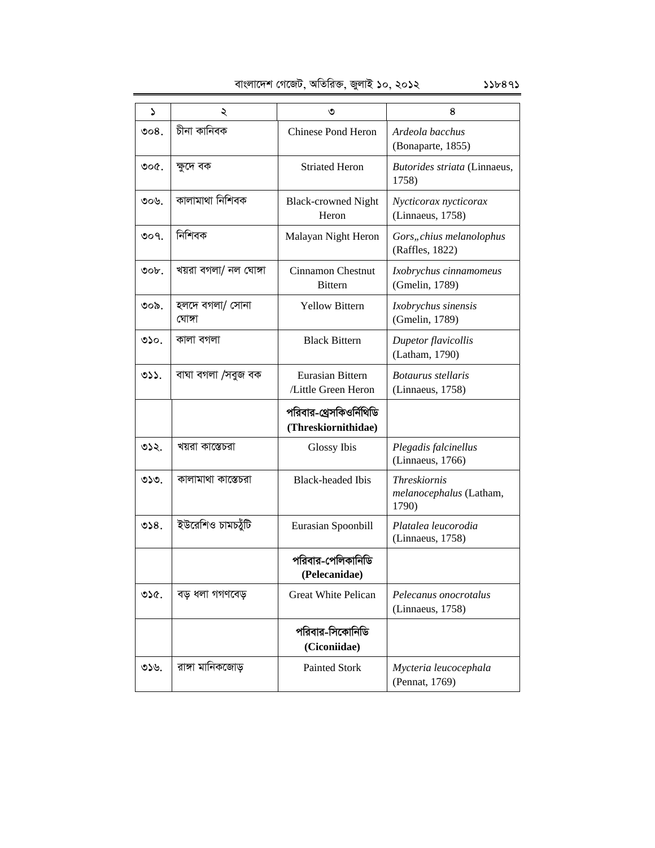| বাংলাদেশ গেজেট, অতিরিক্ত, জুলাই ১০, ২০১২<br>556895 |
|----------------------------------------------------|
|----------------------------------------------------|

| ډ        | ২                         | ৩                                              | 8                                                       |
|----------|---------------------------|------------------------------------------------|---------------------------------------------------------|
| ಲಿಂ $8.$ | চীনা কানিবক               | <b>Chinese Pond Heron</b>                      | Ardeola bacchus<br>(Bonaparte, 1855)                    |
| ৩০৫.     | ক্ষুদে বক                 | <b>Striated Heron</b>                          | Butorides striata (Linnaeus,<br>1758)                   |
| ৩০৬.     | কালামাথা নিশিবক           | <b>Black-crowned Night</b><br>Heron            | Nycticorax nycticorax<br>(Linnaeus, 1758)               |
| 009.     | নিশিবক                    | Malayan Night Heron                            | Gors, chius melanolophus<br>(Raffles, 1822)             |
| ৩০৮.     | খয়রা বগলা/ নল ঘোঙ্গা     | Cinnamon Chestnut<br><b>Bittern</b>            | Ixobrychus cinnamomeus<br>(Gmelin, 1789)                |
| ৩০৯.     | হলদে বগলা/ সোনা<br>ঘোঙ্গা | <b>Yellow Bittern</b>                          | Ixobrychus sinensis<br>(Gmelin, 1789)                   |
| ৩১০.     | কালা বগলা                 | <b>Black Bittern</b>                           | Dupetor flavicollis<br>(Latham, 1790)                   |
| 32.      | বাঘা বগলা /সবুজ বক        | Eurasian Bittern<br>/Little Green Heron        | Botaurus stellaris<br>(Linnaeus, 1758)                  |
|          |                           | পরিবার-থ্রেসকিওর্নিথিডি<br>(Threskiornithidae) |                                                         |
| ৩১২.     | খয়রা কাস্তেচরা           | Glossy Ibis                                    | Plegadis falcinellus<br>(Linnaeus, 1766)                |
| ৩১৩.     | কালামাথা কাস্তেচরা        | <b>Black-headed Ibis</b>                       | <b>Threskiornis</b><br>melanocephalus (Latham,<br>1790) |
| 928.     | ইউরেশিও চামচয়ঁটি         | Eurasian Spoonbill                             | Platalea leucorodia<br>(Linnaeus, 1758)                 |
|          |                           | পরিবার-পেলিকানিডি<br>(Pelecanidae)             |                                                         |
| ৩১৫.     | বড় ধলা গগণবেড়           | <b>Great White Pelican</b>                     | Pelecanus onocrotalus<br>(Linnaeus, 1758)               |
|          |                           | পরিবার-সিকোনিডি<br>(Ciconiidae)                |                                                         |
| ৩১৬.     | রাঙ্গা মানিকজোড়          | Painted Stork                                  | Mycteria leucocephala<br>(Pennat, 1769)                 |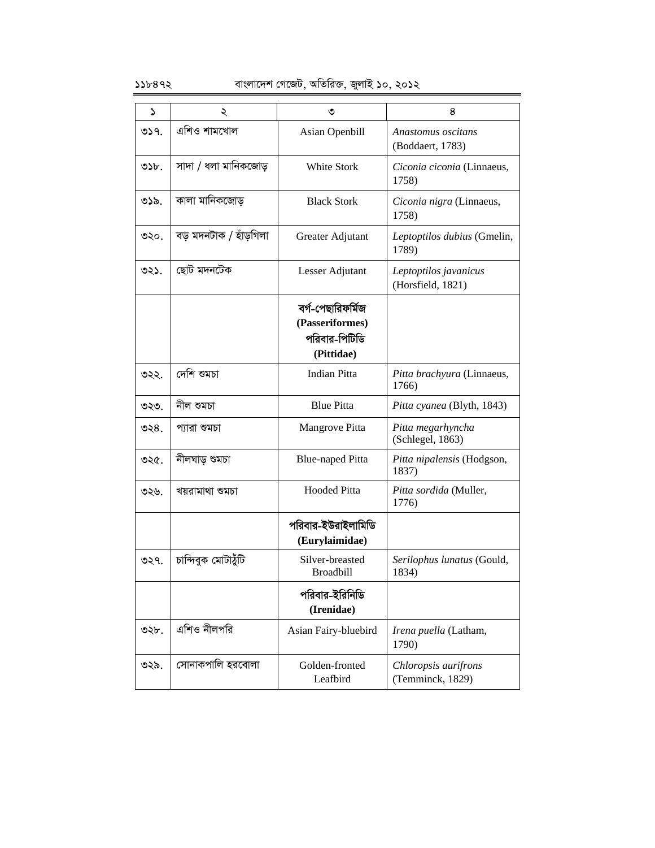### $55b892$  বাংলাদেশ গেজেট, অতিরিক্ত, জুলাই ১০, ২০১২

| د            | ২                      | ৩                                                                   | 8                                          |
|--------------|------------------------|---------------------------------------------------------------------|--------------------------------------------|
| 059.         | এশিও শামখোল            | Asian Openbill                                                      | Anastomus oscitans<br>(Boddaert, 1783)     |
| $S_{\rm 2b}$ | সাদা / ধলা মানিকজোড়   | White Stork                                                         | Ciconia ciconia (Linnaeus,<br>1758)        |
| ৩১৯.         | কালা মানিকজোড়         | <b>Black Stork</b>                                                  | Ciconia nigra (Linnaeus,<br>1758)          |
| ৩২০.         | বড় মদনটাক / হাঁড়গিলা | Greater Adjutant                                                    | Leptoptilos dubius (Gmelin,<br>1789)       |
| ৩২১.         | ছোট মদনটেক             | Lesser Adjutant                                                     | Leptoptilos javanicus<br>(Horsfield, 1821) |
|              |                        | বৰ্গ-পেছারিফর্মিজ<br>(Passeriformes)<br>পরিবার-পিটিডি<br>(Pittidae) |                                            |
| ৩২২.         | দেশি শুমচা             | <b>Indian Pitta</b>                                                 | Pitta brachyura (Linnaeus,<br>1766)        |
| ৩২৩.         | নীল শুমচা              | <b>Blue Pitta</b>                                                   | Pitta cyanea (Blyth, 1843)                 |
| ৩২ $8.$      | প্যারা শুমচা           | Mangrove Pitta                                                      | Pitta megarhyncha<br>(Schlegel, 1863)      |
| ৩২৫.         | নীলঘাড় শুমচা          | <b>Blue-naped Pitta</b>                                             | Pitta nipalensis (Hodgson,<br>1837)        |
| ৩২৬.         | খয়রামাথা শুমচা        | <b>Hooded Pitta</b>                                                 | Pitta sordida (Muller,<br>1776)            |
|              |                        | পরিবার-ইউরাইলামিডি<br>(Eurylaimidae)                                |                                            |
| ৩২৭.         | চান্দিবুক মোটাযুঁটি    | Silver-breasted<br><b>Broadbill</b>                                 | Serilophus lunatus (Gould,<br>1834)        |
|              |                        | পরিবার-ইরিনিডি<br>(Irenidae)                                        |                                            |
| ৩২৮.         | এশিও নীলপরি            | Asian Fairy-bluebird                                                | Irena puella (Latham,<br>1790)             |
| ৩২৯.         | সোনাকপালি হরবোলা       | Golden-fronted<br>Leafbird                                          | Chloropsis aurifrons<br>(Temminck, 1829)   |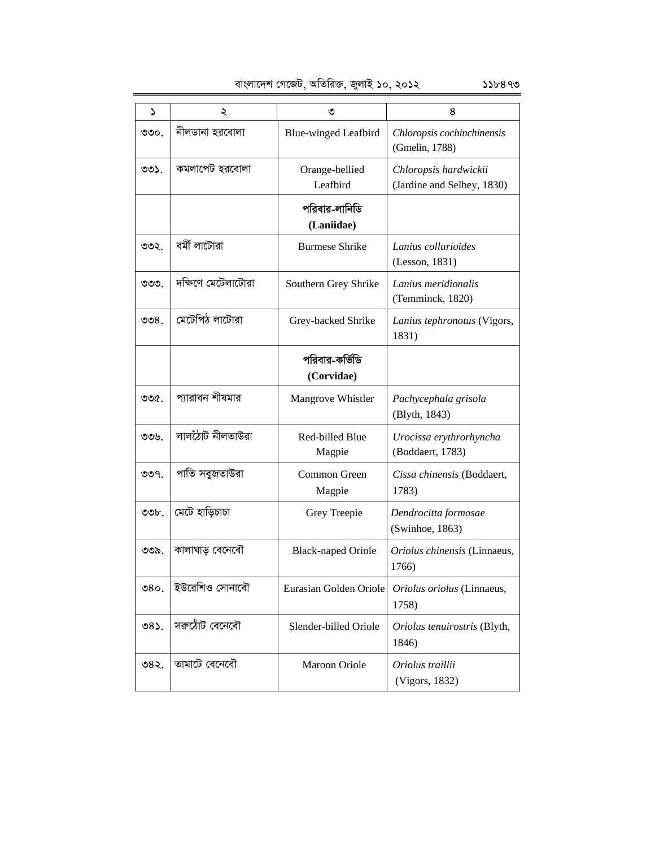| বাংলাদেশ গেজেট, অতিরিক্ত, জুলাই ১০, ২০১২ |  |  |  |  | 55b899 |
|------------------------------------------|--|--|--|--|--------|
|------------------------------------------|--|--|--|--|--------|

1 2 3 4 ৩৩০. | নীলডানা হরবোলা Blue-winged Leafbird *Chloropsis cochinchinensis* (Gmelin, 1788) ৩৩১.  $\vert$  কমলাপেট হরবোলা  $\vert$  Orange-bellied Leafbird *Chloropsis hardwickii* (Jardine and Selbey, 1830) পরিবার-লানিডি **(Laniidae)** ৩৩২. কৰ্মী লাটোৱা Burmese Shrike *Lanius collurioides* (Lesson, 1831) ৩৩৩. | দক্ষিণে মেটেলাটোরা | Southern Grey Shrike *| Lanius meridionalis* (Temminck, 1820) 334. †g‡UwcV jv‡Uviv Grey-backed Shrike *Lanius tephronotus* (Vigors, 1831) পরিবার-কর্<del>ভি</del>ডি **(Corvidae)** ৩৩৫. | প্যারাবন শীষমার | Mangrove Whistler | *Pachycephala grisola* (Blyth, 1843) ৩৩৬.  $|$  লালঠোট নীলতাউরা $|$  Red-billed Blue Magpie *Urocissa erythrorhyncha* (Boddaert, 1783) ৩৩৭. | পাতি সবুজতাউরা $\qquad \qquad \qquad \text{Common Green}$ Magpie *Cissa chinensis* (Boddaert, 1783) 338. †g‡U nvwoPvPv Grey Treepie *Dendrocitta formosae*  (Swinhoe, 1863) 339. KvjvNvo †e‡b‡eŠ Black-naped Oriole *Oriolus chinensis* (Linnaeus, 1766) ৩৪০. |ইউরেশিও সোনাবৌ | Eurasian Golden Oriole *| Oriolus oriolus* (Linnaeus, 1758) ৩৪১. |সরুঠোঁট বেনেবৌ | Slender-billed Oriole | Oriolus tenuirostris (Blyth, 1846) 342. Zvgv‡U †e‡b‡eŠ Maroon Oriole *Oriolus traillii*  (Vigors, 1832)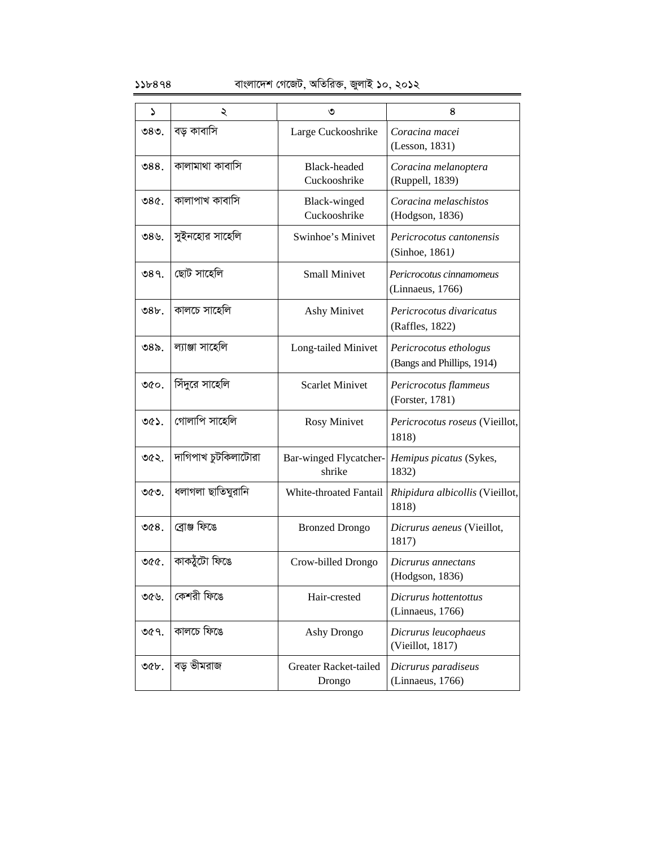| S    | ২                   | ৩                                | 8                                                    |
|------|---------------------|----------------------------------|------------------------------------------------------|
| ৩৪৩. | বড় কাবাসি          | Large Cuckooshrike               | Coracina macei<br>(Lesson, 1831)                     |
| 988. | কালামাথা কাবাসি     | Black-headed<br>Cuckooshrike     | Coracina melanoptera<br>(Ruppell, 1839)              |
| 980. | কালাপাখ কাবাসি      | Black-winged<br>Cuckooshrike     | Coracina melaschistos<br>(Hodgson, 1836)             |
| ৩৪৬. | সুইনহোর সাহেলি      | Swinhoe's Minivet                | Pericrocotus cantonensis<br>(Sinhoe, 1861)           |
| 089. | ছোট সাহেলি          | <b>Small Minivet</b>             | Pericrocotus cinnamomeus<br>(Linnaeus, 1766)         |
| 98b. | কালচে সাহেলি        | <b>Ashy Minivet</b>              | Pericrocotus divaricatus<br>(Raffles, 1822)          |
| ৩৪৯. | ল্যাঞ্জা সাহেলি     | Long-tailed Minivet              | Pericrocotus ethologus<br>(Bangs and Phillips, 1914) |
| ৩৫০. | সিঁদুরে সাহেলি      | <b>Scarlet Minivet</b>           | Pericrocotus flammeus<br>(Forster, 1781)             |
| ৩৫১. | গোলাপি সাহেলি       | <b>Rosy Minivet</b>              | Pericrocotus roseus (Vieillot,<br>1818)              |
| ৩৫২. | দাগিপাখ চুটকিলাটোরা | Bar-winged Flycatcher-<br>shrike | Hemipus picatus (Sykes,<br>1832)                     |
| ৩৫৩. | ধলাগলা ছাতিঘুরানি   | White-throated Fantail           | Rhipidura albicollis (Vieillot,<br>1818)             |
| @68. | ব্ৰোঞ্জ ফিঙে        | <b>Bronzed Drongo</b>            | Dicrurus aeneus (Vieillot,<br>1817)                  |
| ৩৫৫. | কাকঠুঁটো ফিঙে       | Crow-billed Drongo               | Dicrurus annectans<br>(Hodgson, 1836)                |
| ৩৫৬. | কেশরী ফিঙে          | Hair-crested                     | Dicrurus hottentottus<br>(Linnaeus, 1766)            |
| ৩৫৭. | কালচে ফিঙে          | Ashy Drongo                      | Dicrurus leucophaeus<br>(Vieillot, 1817)             |
| ৩৫৮. | বড ভীমরাজ           | Greater Racket-tailed<br>Drongo  | Dicrurus paradiseus<br>(Linnaeus, 1766)              |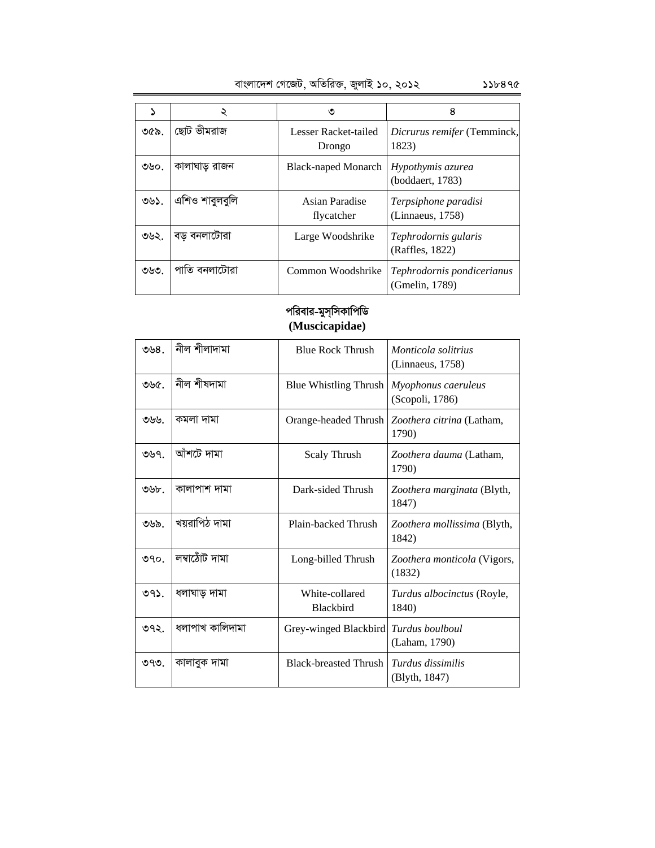|  | বাংলাদেশ গেজেট, অতিরিক্ত, জুলাই ১০, ২০১২ | ১১৮৪৭৫ |
|--|------------------------------------------|--------|

|      | ২              | ৩                              | 8                                            |
|------|----------------|--------------------------------|----------------------------------------------|
| ৩৫৯. | ছোট ভীমরাজ     | Lesser Racket-tailed<br>Drongo | <i>Dicrurus remifer</i> (Temminck,<br>1823)  |
| ৩৬০. | কালাঘাড় রাজন  | <b>Black-naped Monarch</b>     | Hypothymis azurea<br>(boddaert, 1783)        |
| ৩৬১. | এশিও শাবুলবুলি | Asian Paradise<br>flycatcher   | Terpsiphone paradisi<br>(Linnaeus, 1758)     |
| ৩৬২. | বড় বনলাটোরা   | Large Woodshrike               | Tephrodornis gularis<br>(Raffles, 1822)      |
| ৩৬৩. | পাতি বনলাটোরা  | Common Woodshrike              | Tephrodornis pondicerianus<br>(Gmelin, 1789) |

### পরিবার-মুস্সিকাপিডি **(Muscicapidae)**

| ৩৬ $81$ | নীল শীলাদামা    | <b>Blue Rock Thrush</b>            | Monticola solitrius<br>(Linnaeus, 1758)    |
|---------|-----------------|------------------------------------|--------------------------------------------|
| ৩৬৫.    | নীল শীষদামা     | <b>Blue Whistling Thrush</b>       | Myophonus caeruleus<br>(Scopoli, 1786)     |
| ৩৬৬.    | কমলা দামা       | Orange-headed Thrush               | Zoothera citrina (Latham,<br>1790)         |
| ৩৬৭.    | আঁশটে দামা      | <b>Scaly Thrush</b>                | Zoothera dauma (Latham,<br>1790)           |
| ৩৬৮.    | কালাপাশ দামা    | Dark-sided Thrush                  | Zoothera marginata (Blyth,<br>1847)        |
| ৩৬৯.    | খয়রাপিঠ দামা   | Plain-backed Thrush                | Zoothera mollissima (Blyth,<br>1842)       |
| 990.    | লম্বাঠোঁট দামা  | Long-billed Thrush                 | Zoothera monticola (Vigors,<br>(1832)      |
| $99$ .  | ধলাঘাড় দামা    | White-collared<br><b>Blackbird</b> | <i>Turdus albocinctus</i> (Royle,<br>1840) |
| ৩৭২.    | ধলাপাখ কালিদামা | Grey-winged Blackbird              | Turdus boulboul<br>(Laham, 1790)           |
| ৩৭৩.    | কালাবুক দামা    | <b>Black-breasted Thrush</b>       | Turdus dissimilis<br>(Blyth, 1847)         |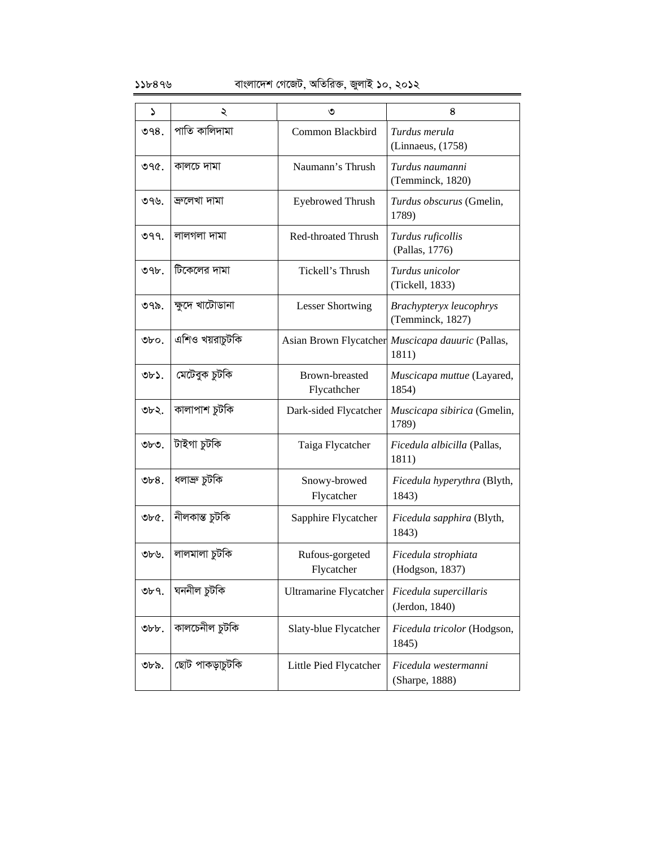| S        | ২                   | ৩                             | 8                                                          |
|----------|---------------------|-------------------------------|------------------------------------------------------------|
| 998.     | পাতি কালিদামা       | Common Blackbird              | Turdus merula<br>(Linnaeus, (1758)                         |
| ৩৭৫.     | কালচে দামা          | Naumann's Thrush              | Turdus naumanni<br>(Temminck, 1820)                        |
| ৩৭৬.     | জ্ৰলেখা দামা        | <b>Eyebrowed Thrush</b>       | Turdus obscurus (Gmelin,<br>1789)                          |
| 099.     | লালগলা দামা         | Red-throated Thrush           | Turdus ruficollis<br>(Pallas, 1776)                        |
| ৩৭৮.     | টিকেলের দামা        | Tickell's Thrush              | Turdus unicolor<br>(Tickell, 1833)                         |
| ৩৭৯.     | ক্ষুদে খাটোডানা     | <b>Lesser Shortwing</b>       | Brachypteryx leucophrys<br>(Temminck, 1827)                |
| Obo.     | এশিও খয়রাচুটকি     |                               | Asian Brown Flycatcher Muscicapa dauuric (Pallas,<br>1811) |
| ৩৮১.     | কেতিবুক চুটকি       | Brown-breasted<br>Flycathcher | Muscicapa muttue (Layared,<br>1854)                        |
| ৩৮২.     | কালাপাশ চুটকি       | Dark-sided Flycatcher         | Muscicapa sibirica (Gmelin,<br>1789)                       |
| ৩৮৩.     | টাইগা চুটকি         | Taiga Flycatcher              | Ficedula albicilla (Pallas,<br>1811)                       |
| $v_68$ . | ধলাব্ৰু চুটকি       | Snowy-browed<br>Flycatcher    | Ficedula hyperythra (Blyth,<br>1843)                       |
| $ObC$ .  | নীলকান্ত চুটকি      | Sapphire Flycatcher           | Ficedula sapphira (Blyth,<br>1843)                         |
| ৩৮৬.     | লালমালা চুটকি       | Rufous-gorgeted<br>Flycatcher | Ficedula strophiata<br>(Hodgson, 1837)                     |
| ৩৮৭.     | ঘননীল চুটকি         | <b>Ultramarine Flycatcher</b> | Ficedula supercillaris<br>(Jerdon, 1840)                   |
| Obb.     | কালচেনীল চুটকি      | Slaty-blue Flycatcher         | Ficedula tricolor (Hodgson,<br>1845)                       |
| ৩৮৯.     | কেতিবা্তৃকাপ তাঁছ্য | Little Pied Flycatcher        | Ficedula westermanni<br>(Sharpe, 1888)                     |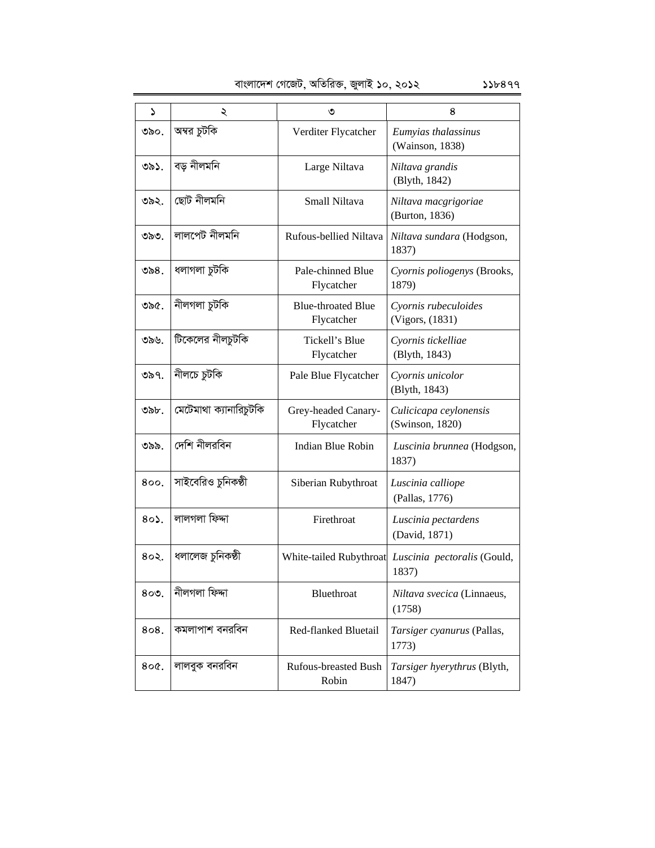| বাংলাদেশ গেজেট, অতিরিক্ত, জুলাই ১০, ২০১২ | 556899 |
|------------------------------------------|--------|

| S       | ২                      | ৩                                       | 8                                                            |
|---------|------------------------|-----------------------------------------|--------------------------------------------------------------|
| ৩৯০.    | অম্বর চুটকি            | Verditer Flycatcher                     | Eumyias thalassinus<br>(Wainson, 1838)                       |
| ৩৯১.    | বড় নীলমনি             | Large Niltava                           | Niltava grandis<br>(Blyth, 1842)                             |
| ৩৯২.    | ছোট নীলমনি             | Small Niltava                           | Niltava macgrigoriae<br>(Burton, 1836)                       |
| ৩৯৩.    | লালপেট নীলমনি          | Rufous-bellied Niltava                  | Niltava sundara (Hodgson,<br>1837)                           |
| ৩৯৪.    | ধলাগলা চুটকি           | Pale-chinned Blue<br>Flycatcher         | Cyornis poliogenys (Brooks,<br>1879)                         |
| ৩৯৫.    | নীলগলা চুটকি           | <b>Blue-throated Blue</b><br>Flycatcher | Cyornis rubeculoides<br>(Vigors, (1831)                      |
| ৩৯৬.    | টিকেলের নীলচুটকি       | Tickell's Blue<br>Flycatcher            | Cyornis tickelliae<br>(Blyth, 1843)                          |
| ৩৯৭.    | নীলচে চুটকি            | Pale Blue Flycatcher                    | Cyornis unicolor<br>(Blyth, 1843)                            |
| ৩৯৮.    | মেটেমাথা ক্যানারিচুটকি | Grey-headed Canary-<br>Flycatcher       | Culicicapa ceylonensis<br>(Swinson, 1820)                    |
| ৩৯৯.    | দেশি নীলরবিন           | Indian Blue Robin                       | Luscinia brunnea (Hodgson,<br>1837)                          |
| 800.    | সাইবেরিও চুনিকষ্ঠী     | Siberian Rubythroat                     | Luscinia calliope<br>(Pallas, 1776)                          |
| $80$ .  | লালগলা ফিদ্দা          | Firethroat                              | Luscinia pectardens<br>(David, 1871)                         |
| 802.    | ধলালেজ চুনিকষ্ঠী       |                                         | White-tailed Rubythroat Luscinia pectoralis (Gould,<br>1837) |
| 800.    | নীলগলা ফিদ্দা          | Bluethroat                              | Niltava svecica (Linnaeus,<br>(1758)                         |
| 808.    | কমলাপাশ বনরবিন         | Red-flanked Bluetail                    | Tarsiger cyanurus (Pallas,<br>1773)                          |
| $80C$ . | লালবুক বনরবিন          | <b>Rufous-breasted Bush</b><br>Robin    | Tarsiger hyerythrus (Blyth,<br>1847)                         |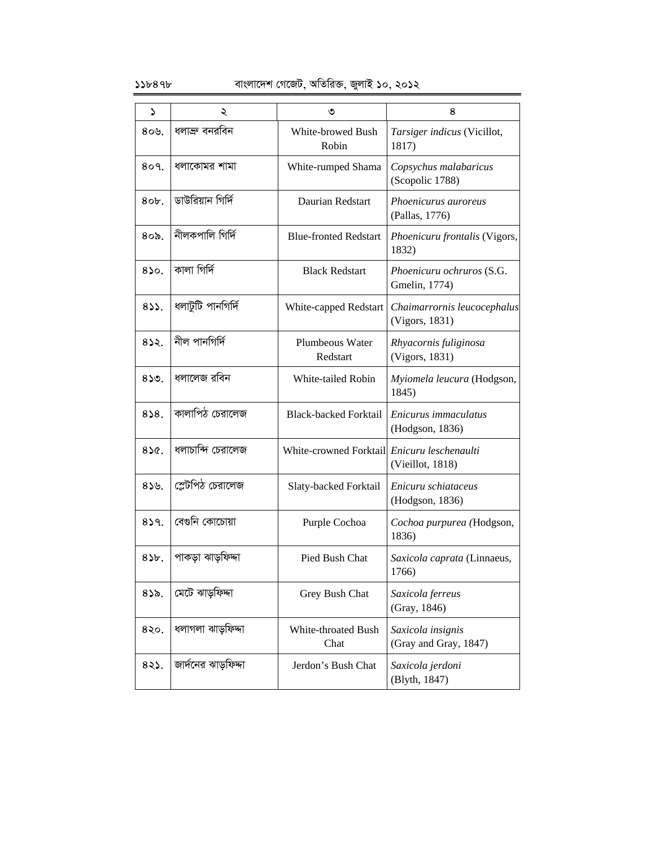| ډ               | ২                   | ৩                            | 8                                             |
|-----------------|---------------------|------------------------------|-----------------------------------------------|
| $80$ ৬.         | ধলাক্ৰু বনরবিন      | White-browed Bush<br>Robin   | Tarsiger indicus (Vicillot,<br>1817)          |
| 809.            | ধলাকোমর শামা        | White-rumped Shama           | Copsychus malabaricus<br>(Scopolic 1788)      |
| $80b$ .         | ডাউরিয়ান গির্দি    | Daurian Redstart             | Phoenicurus auroreus<br>(Pallas, 1776)        |
| $8$ ০৯.         | নীলকপালি গিৰ্দি     | <b>Blue-fronted Redstart</b> | Phoenicuru frontalis (Vigors,<br>1832)        |
| 850.            | কালা গিৰ্দি         | <b>Black Redstart</b>        | Phoenicuru ochruros (S.G.<br>Gmelin, 1774)    |
| 833.            | ধলাটুটি পানগিৰ্দি   | White-capped Redstart        | Chaimarrornis leucocephalus<br>(Vigors, 1831) |
| 832.            | নীল পানগিৰ্দি       | Plumbeous Water<br>Redstart  | Rhyacornis fuliginosa<br>(Vigors, 1831)       |
| 850.            | ধলালেজ রবিন         | White-tailed Robin           | Myiomela leucura (Hodgson,<br>1845)           |
| 858.            | কালাপিঠ চেরালেজ     | <b>Black-backed Forktail</b> | Enicurus immaculatus<br>(Hodgson, 1836)       |
| 856.            | ধলাচান্দি চেরালেজ   | White-crowned Forktail       | Enicuru leschenaulti<br>(Vieillot, 1818)      |
| 839.            | স্লেটপিঠ চেরালেজ    | Slaty-backed Forktail        | Enicuru schiataceus<br>(Hodgson, 1836)        |
| 839.            | বেগুনি কোচোয়া      | Purple Cochoa                | Cochoa purpurea (Hodgson,<br>1836)            |
| $85b$ .         | পাকড়া ঝাড়ফিদ্দা   | Pied Bush Chat               | Saxicola caprata (Linnaeus,<br>1766)          |
| 832.            | মেটে ঝাডফিদ্দা      | Grey Bush Chat               | Saxicola ferreus<br>(Gray, 1846)              |
| 8 <sub>20</sub> | ধলাগলা ঝাড়ফিদ্দা   | White-throated Bush<br>Chat  | Saxicola insignis<br>(Gray and Gray, 1847)    |
| $82$ .          | জার্দনের ঝাড়ফিদ্দা | Jerdon's Bush Chat           | Saxicola jerdoni<br>(Blyth, 1847)             |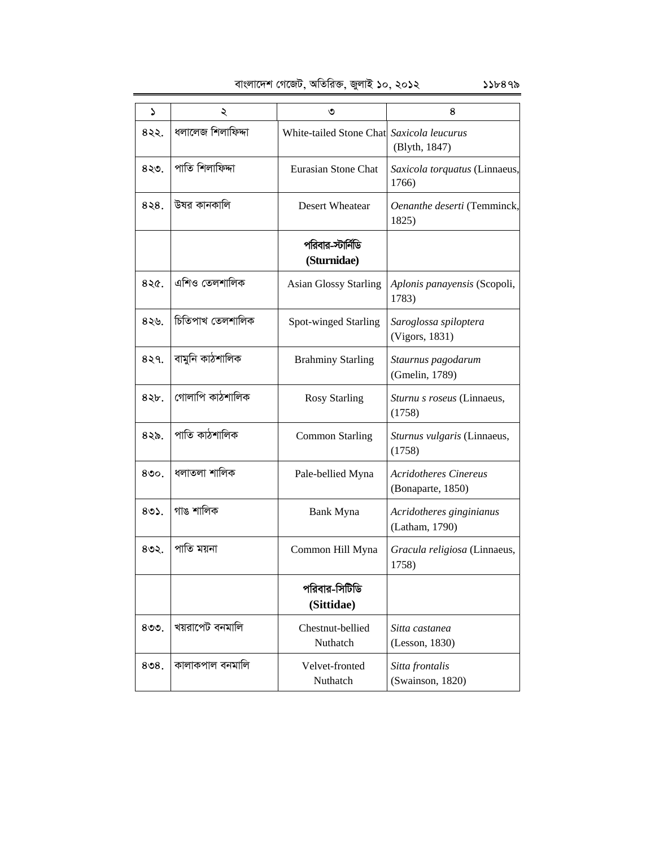| বাংলাদেশ গেজেট, অতিরিক্ত, জুলাই ১০, ২০১২ | ১১৮৪৭৯ |
|------------------------------------------|--------|
|------------------------------------------|--------|

1 2 3 4 8২২. | ধলালেজ শিলাফিদ্দা | White-tailed Stone Chat *Saxicola leucurus*  (Blyth, 1847) 8২৩. | পাতি শিলাফিদ্দা Eurasian Stone Chat | Saxicola torquatus (Linnaeus, 1766) 8২৪. | উষর কানকালি | Desert Wheatear | *Oenanthe deserti* (Temminck, 1825) পরিবার-স্<del>টার্নি</del>ডি **(Sturnidae)** 8২৫. | এশিও তেলশালিক | Asian Glossy Starling *| Aplonis panayensis* (Scopoli, 1783) 8২৬. *চি*তিপাখ তেলশালিক | Spot-winged Starling *Saroglossa spiloptera* (Vigors, 1831) 8২৭. বামুনি কাঠশালিক Brahminy Starling *Staurnus pagodarum* (Gmelin, 1789) 8২৮. (গোলাপি কাঠশালিক  $\vert$  Rosy Starling *Sturnu s roseus* (Linnaeus, (1758) 8২৯. পাতি কাঠশালিক <sup>common Starling *Sturnus vulgaris* (Linnaeus,</sup> (1758) 430. ajvZjv kvwjK Pale-bellied Myna *Acridotheres Cinereus* (Bonaparte, 1850) 8৩১. গাঙ শালিক Bank Myna *Acridotheres ginginianus* (Latham, 1790) 8৩২. | পাতি ময়না Common Hill Myna *| Gracula religiosa* (Linnaeus, 1758) পরিবার-সিটিডি **(Sittidae)**  $8$ ৩৩.  $\sqrt{2\pi}$  ব্যৱাপেট বনমালি $\qquad \qquad$  Chestnut-bellied Nuthatch *Sitta castanea*  (Lesson, 1830)  $8$ ৩৪. কালাকপাল বনমালি  $V$ elvet-fronted Nuthatch *Sitta frontalis*  (Swainson, 1820)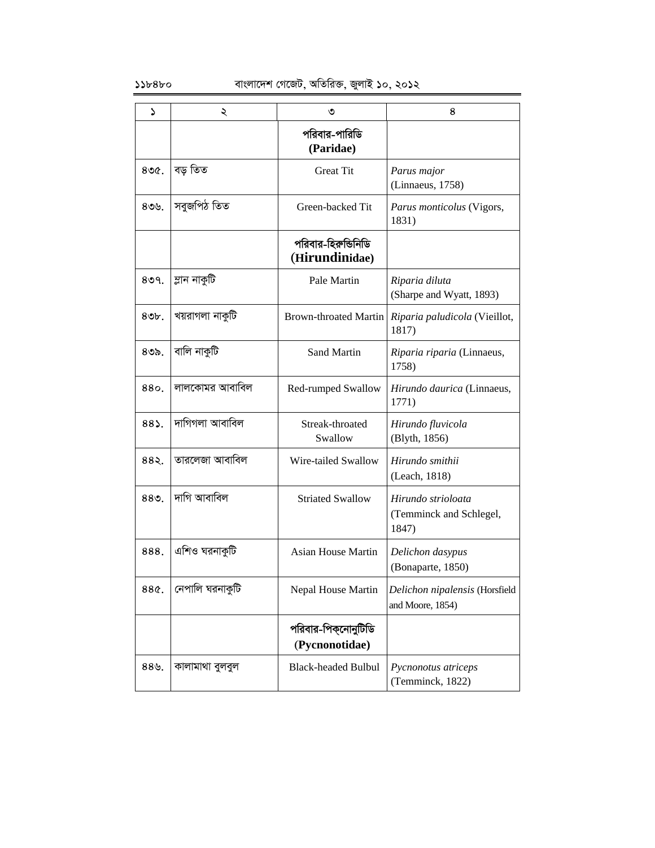| د                | ২               | ৩                                     | 8                                                      |
|------------------|-----------------|---------------------------------------|--------------------------------------------------------|
|                  |                 | পরিবার-পারিডি<br>(Paridae)            |                                                        |
| 800 <sub>c</sub> | বড় তিত         | <b>Great Tit</b>                      | Parus major<br>(Linnaeus, 1758)                        |
| $80$ ৬.          | সবুজপিঠ তিত     | Green-backed Tit                      | Parus monticolus (Vigors,<br>1831)                     |
|                  |                 | পরিবার-হিরুন্ডিনিডি<br>(Hirundinidae) |                                                        |
| 809.             | ম্লান নাকুটি    | Pale Martin                           | Riparia diluta<br>(Sharpe and Wyatt, 1893)             |
| $80b$ .          | খয়রাগলা নাকুটি | Brown-throated Martin                 | Riparia paludicola (Vieillot,<br>1817)                 |
| $8$ ৩৯.          | বালি নাকুটি     | Sand Martin                           | Riparia riparia (Linnaeus,<br>1758)                    |
| 880              | লালকোমর আবাবিল  | Red-rumped Swallow                    | Hirundo daurica (Linnaeus,<br>1771)                    |
| $88$ ).          | দাগিগলা আবাবিল  | Streak-throated<br>Swallow            | Hirundo fluvicola<br>(Blyth, 1856)                     |
| 882.             | তারলেজা আবাবিল  | Wire-tailed Swallow                   | Hirundo smithii<br>(Leach, 1818)                       |
| 889.             | দাগি আবাবিল     | <b>Striated Swallow</b>               | Hirundo strioloata<br>(Temminck and Schlegel,<br>1847) |
| 888              | এশিও ঘরনাকুটি   | <b>Asian House Martin</b>             | Delichon dasypus<br>(Bonaparte, 1850)                  |
| 88¢.             | নেপালি ঘরনাকুটি | Nepal House Martin                    | Delichon nipalensis (Horsfield<br>and Moore, 1854)     |
|                  |                 | পরিবার-পিক্নোনুটিডি<br>(Pycnonotidae) |                                                        |
| $88$ ৬.          | কালামাথা বুলবুল | <b>Black-headed Bulbul</b>            | Pycnonotus atriceps<br>(Temminck, 1822)                |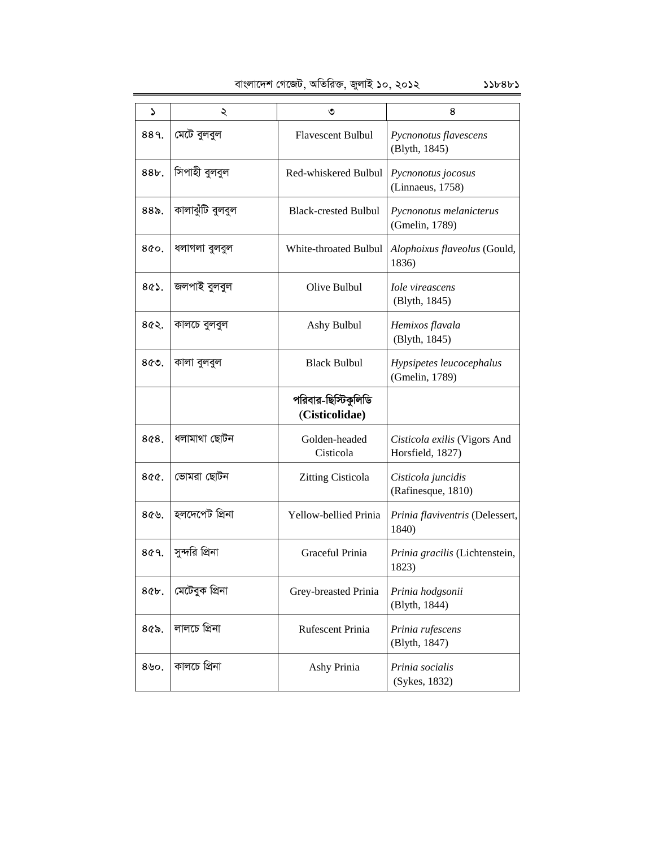|  | বাংলাদেশ গেজেট, অতিরিক্ত, জুলাই ১০, ২০১২ | 55b8b5 |
|--|------------------------------------------|--------|
|  |                                          |        |

| د       | ২                | ৩                                     | 8                                                |
|---------|------------------|---------------------------------------|--------------------------------------------------|
| 889.    | মেটে বুলবুল      | <b>Flavescent Bulbul</b>              | Pycnonotus flavescens<br>(Blyth, 1845)           |
| 88b.    | সিপাহী বুলবুল    | Red-whiskered Bulbul                  | Pycnonotus jocosus<br>(Linnaeus, 1758)           |
| $88o$ . | কালাঝুঁটি বুলবুল | <b>Black-crested Bulbul</b>           | Pycnonotus melanicterus<br>(Gmelin, 1789)        |
| 800.    | ধলাগলা বুলবুল    | White-throated Bulbul                 | Alophoixus flaveolus (Gould,<br>1836)            |
| $8@$ .  | জলপাই বুলবুল     | Olive Bulbul                          | <b>Iole</b> vireascens<br>(Blyth, 1845)          |
| ८৫২.    | কালচে বুলবুল     | Ashy Bulbul                           | Hemixos flavala<br>(Blyth, 1845)                 |
| $8$ ৫৩. | কালা বুলবুল      | <b>Black Bulbul</b>                   | Hypsipetes leucocephalus<br>(Gmelin, 1789)       |
|         |                  | পরিবার-ছিস্টিকুলিডি<br>(Cisticolidae) |                                                  |
| 8¢8.    | ধলামাথা ছোটন     | Golden-headed<br>Cisticola            | Cisticola exilis (Vigors And<br>Horsfield, 1827) |
| $800$ . | ভোমরা ছোটন       | <b>Zitting Cisticola</b>              | Cisticola juncidis<br>(Rafinesque, 1810)         |
| 869.    | হলদেপেট প্ৰিনা   | Yellow-bellied Prinia                 | Prinia flaviventris (Delessert,<br>1840)         |
| 800.    | সুন্দরি প্রিনা   | Graceful Prinia                       | Prinia gracilis (Lichtenstein,<br>1823)          |
| $86b$ . | মেটেবুক প্ৰিনা   | Grey-breasted Prinia                  | Prinia hodgsonii<br>(Blyth, 1844)                |
| $8$ ৫৯. | লালচে প্ৰিনা     | Rufescent Prinia                      | Prinia rufescens<br>(Blyth, 1847)                |
| 8,00.   | কালচে প্ৰিনা     | Ashy Prinia                           | Prinia socialis<br>(Sykes, 1832)                 |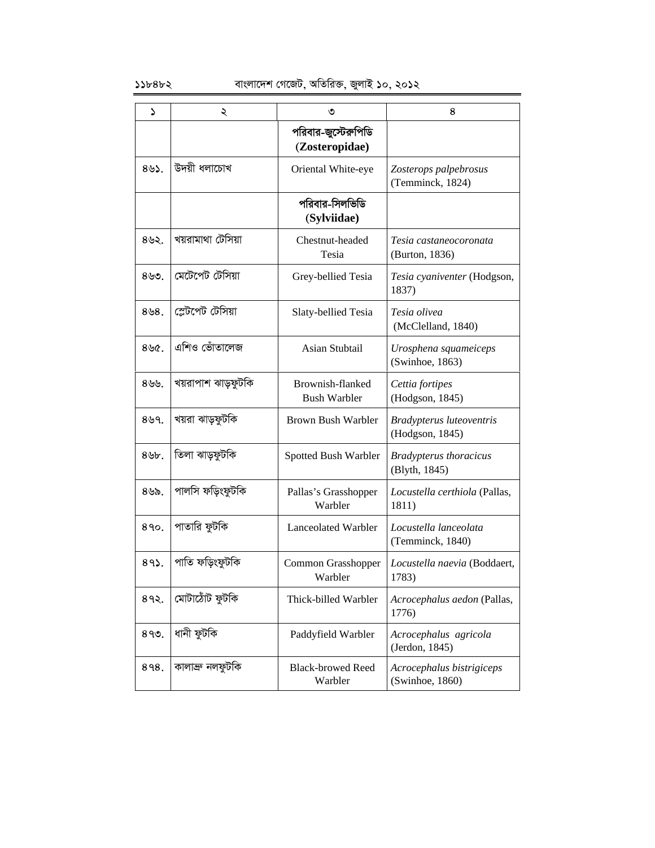| د         | ২                  | ৩                                       | 8                                              |
|-----------|--------------------|-----------------------------------------|------------------------------------------------|
|           |                    | পরিবার-জুস্টেরুপিডি<br>(Zosteropidae)   |                                                |
| 893.      | উদয়ী ধলাচোখ       | Oriental White-eye                      | Zosterops palpebrosus<br>(Temminck, 1824)      |
|           |                    | পরিবার-সিলভিডি<br>(Sylviidae)           |                                                |
| 892.      | খয়রামাথা টেসিয়া  | Chestnut-headed<br>Tesia                | Tesia castaneocoronata<br>(Burton, 1836)       |
| $8$ ৬৩.   | মেটেপেট টেসিয়া    | Grey-bellied Tesia                      | Tesia cyaniventer (Hodgson,<br>1837)           |
| $8\,98$ . | স্লেটপেট টেপিয়া   | Slaty-bellied Tesia                     | Tesia olivea<br>(McClelland, 1840)             |
| 896.      | এশিও ভোঁতালেজ      | Asian Stubtail                          | Urosphena squameiceps<br>(Swinhoe, 1863)       |
| 899.      | খয়রাপাশ ঝাড়ফুটকি | Brownish-flanked<br><b>Bush Warbler</b> | Cettia fortipes<br>(Hodgson, 1845)             |
| 899.      | খয়রা ঝাড়ফুটকি    | Brown Bush Warbler                      | Bradypterus luteoventris<br>(Hodgson, 1845)    |
| $8$ $b$ . | তিলা ঝাড়ফুটকি     | Spotted Bush Warbler                    | <b>Bradypterus thoracicus</b><br>(Blyth, 1845) |
| ৪৬৯.      | পালসি ফড়িংফুটকি   | Pallas's Grasshopper<br>Warbler         | Locustella certhiola (Pallas,<br>1811)         |
| 890.      | পাতারি ফুটকি       | Lanceolated Warbler                     | Locustella lanceolata<br>(Temminck, 1840)      |
| $89$ .    | পাতি ফড়িংফুটকি    | Common Grasshopper<br>Warbler           | Locustella naevia (Boddaert,<br>1783)          |
| 892.      | মোটাঠোঁট ফুটকি     | Thick-billed Warbler                    | Acrocephalus aedon (Pallas,<br>1776)           |
| 899.      | ধানী ফুটকি         | Paddyfield Warbler                      | Acrocephalus agricola<br>(Jerdon, 1845)        |
| 898.      | কালাব্ৰু নলফুটকি   | <b>Black-browed Reed</b><br>Warbler     | Acrocephalus bistrigiceps<br>(Swinhoe, 1860)   |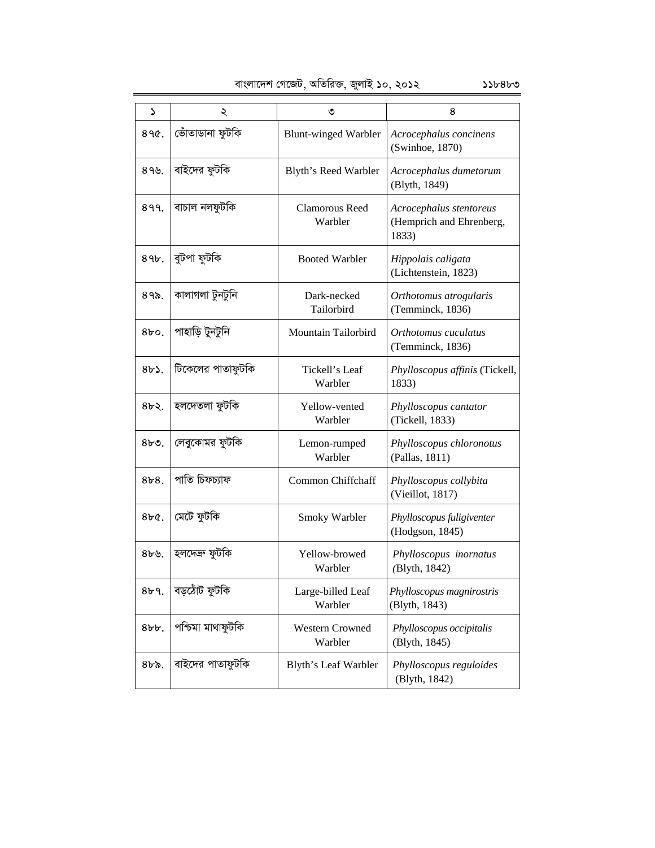| বাংলাদেশ গেজেট, অতিরিক্ত, জুলাই ১০, ২০১২ |  |  |  |  | $55b8b$ ৩ |
|------------------------------------------|--|--|--|--|-----------|
|------------------------------------------|--|--|--|--|-----------|

| ۵            | ২                 | ৩                                 | 8                                                            |
|--------------|-------------------|-----------------------------------|--------------------------------------------------------------|
| $890c$ .     | ভোঁতাডানা ফুটকি   | <b>Blunt-winged Warbler</b>       | Acrocephalus concinens<br>(Swinhoe, 1870)                    |
| 899.         | বাইদের ফুটকি      | Blyth's Reed Warbler              | Acrocephalus dumetorum<br>(Blyth, 1849)                      |
| 899.         | বাচাল নলফুটকি     | Clamorous Reed<br>Warbler         | Acrocephalus stentoreus<br>(Hemprich and Ehrenberg,<br>1833) |
| 89b.         | বুটপা ফুটকি       | <b>Booted Warbler</b>             | Hippolais caligata<br>(Lichtenstein, 1823)                   |
| $89$ .       | কালাগলা টুনটুনি   | Dark-necked<br>Tailorbird         | Orthotomus atrogularis<br>(Temminck, 1836)                   |
| $8b$ o.      | পাহাড়ি টুনটুনি   | Mountain Tailorbird               | Orthotomus cuculatus<br>(Temminck, 1836)                     |
| 8b.          | টিকেলের পাতাফুটকি | Tickell's Leaf<br>Warbler         | Phylloscopus affinis (Tickell,<br>1833)                      |
| 8b           | হলদেতলা ফুটকি     | Yellow-vented<br>Warbler          | Phylloscopus cantator<br>(Tickell, 1833)                     |
| $8b$ .       | লেবুকোমর ফুটকি    | Lemon-rumped<br>Warbler           | Phylloscopus chloronotus<br>(Pallas, 1811)                   |
| 8b8.         | পাতি চিফচ্যাফ     | Common Chiffchaff                 | Phylloscopus collybita<br>(Vieillot, 1817)                   |
| 8bC.         | মেটে ফুটকি        | Smoky Warbler                     | Phylloscopus fuligiventer<br>(Hodgson, 1845)                 |
| 8b9.         | হলদেশ্ৰু ফুটকি    | Yellow-browed<br>Warbler          | Phylloscopus inornatus<br>(Blyth, 1842)                      |
| 8b9.         | বড়ঠোঁট ফুটকি     | Large-billed Leaf<br>Warbler      | Phylloscopus magnirostris<br>(Blyth, 1843)                   |
| $8bb$ .      | পশ্চিমা মাথাফুটকি | <b>Western Crowned</b><br>Warbler | Phylloscopus occipitalis<br>(Blyth, 1845)                    |
| $8b\delta$ . | বাইদের পাতাফুটকি  | Blyth's Leaf Warbler              | Phylloscopus reguloides<br>(Blyth, 1842)                     |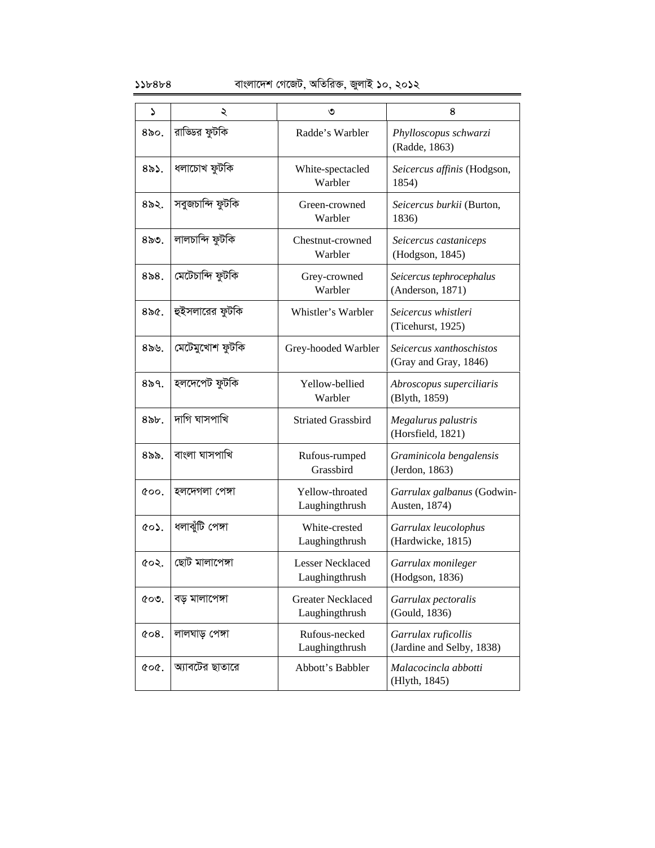### $55b8b8$  বাংলাদেশ গেজেট, অতিরিক্ত, জুলাই ১০, ২০১২

| S                  | ২                | ৩                                          | 8                                                 |
|--------------------|------------------|--------------------------------------------|---------------------------------------------------|
| $80$ ი.            | রাড্ডির ফুটকি    | Radde's Warbler                            | Phylloscopus schwarzi<br>(Radde, 1863)            |
| $8\delta$ ১.       | ধলাচোখ ফুটকি     | White-spectacled<br>Warbler                | Seicercus affinis (Hodgson,<br>1854)              |
| $8o$ ২.            | সবুজচান্দি ফুটকি | Green-crowned<br>Warbler                   | Seicercus burkii (Burton,<br>1836)                |
| 850.               | লালচান্দি ফুটকি  | Chestnut-crowned<br>Warbler                | Seicercus castaniceps<br>(Hodgson, 1845)          |
| 858.               | মেটেচান্দি ফুটকি | Grey-crowned<br>Warbler                    | Seicercus tephrocephalus<br>(Anderson, 1871)      |
| $8\delta$ :        | হুইসলারের ফুটকি  | Whistler's Warbler                         | Seicercus whistleri<br>(Ticehurst, 1925)          |
| $8\delta$ ৬.       | মেটেমুখোশ ফুটকি  | Grey-hooded Warbler                        | Seicercus xanthoschistos<br>(Gray and Gray, 1846) |
| 859.               | হলদেপেট ফুটকি    | Yellow-bellied<br>Warbler                  | Abroscopus superciliaris<br>(Blyth, 1859)         |
| $8$ $b$ .          | দাগি ঘাসপাখি     | <b>Striated Grassbird</b>                  | Megalurus palustris<br>(Horsfield, 1821)          |
| $8$ ৯৯.            | বাংলা ঘাসপাখি    | Rufous-rumped<br>Grassbird                 | Graminicola bengalensis<br>(Jerdon, 1863)         |
| $\&00.$            | হলদেগলা পেঙ্গা   | Yellow-throated<br>Laughingthrush          | Garrulax galbanus (Godwin-<br>Austen, 1874)       |
| ৫০১.               | ধলাঝুঁটি পেঙ্গা  | White-crested<br>Laughingthrush            | Garrulax leucolophus<br>(Hardwicke, 1815)         |
| ৫০২.               | ছোট মালাপেঙ্গা   | <b>Lesser Necklaced</b><br>Laughingthrush  | Garrulax monileger<br>(Hodgson, 1836)             |
| $\mathfrak{C}$ 09. | বড় মালাপেঙ্গা   | <b>Greater Necklaced</b><br>Laughingthrush | Garrulax pectoralis<br>(Gould, 1836)              |
| $\&$ 08.           | লালঘাড় পেঙ্গা   | Rufous-necked<br>Laughingthrush            | Garrulax ruficollis<br>(Jardine and Selby, 1838)  |
| coc.               | অ্যাবটের ছাতারে  | Abbott's Babbler                           | Malacocincla abbotti<br>(Hlyth, 1845)             |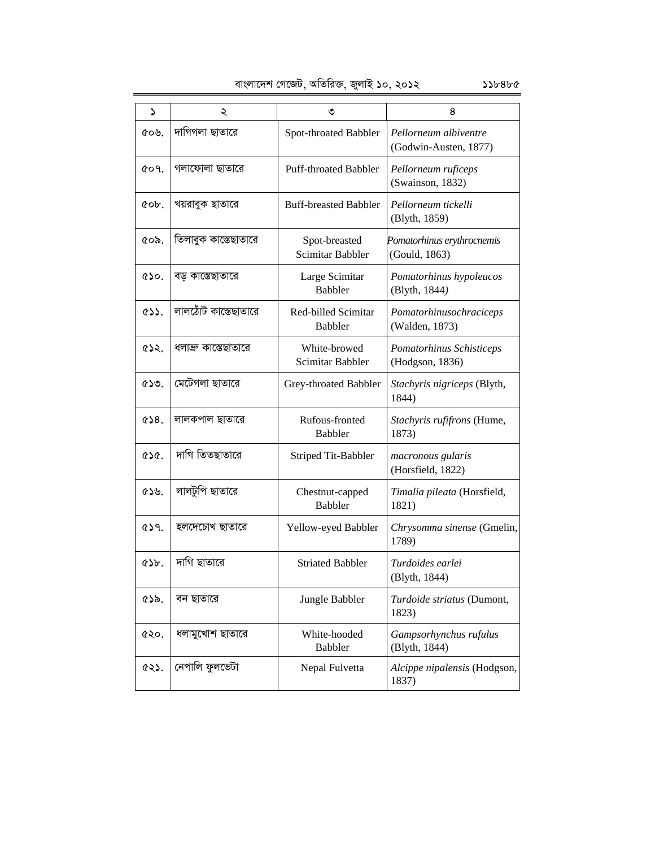| বাংলাদেশ গেজেট, অতিরিক্ত, জুলাই ১০, ২০১২ |  |  |  |
|------------------------------------------|--|--|--|
|                                          |  |  |  |
|                                          |  |  |  |

| বাংলাদেশ গেজেট, অতিরিক্ত, জুলাই ১০, ২০১২<br>১১৮৪৮৫ |                      |                                       |                                                |  |  |
|----------------------------------------------------|----------------------|---------------------------------------|------------------------------------------------|--|--|
| ډ                                                  | ২                    | ৩                                     | 8                                              |  |  |
| ৫০৬.                                               | দাগিগলা ছাতারে       | Spot-throated Babbler                 | Pellorneum albiventre<br>(Godwin-Austen, 1877) |  |  |
| GO9.                                               | গলাফোলা ছাতারে       | <b>Puff-throated Babbler</b>          | Pellorneum ruficeps<br>(Swainson, 1832)        |  |  |
| cob.                                               | খয়রাবুক ছাতারে      | <b>Buff-breasted Babbler</b>          | Pellorneum tickelli<br>(Blyth, 1859)           |  |  |
| ৫০৯.                                               | তিলাবুক কাস্তেছাতারে | Spot-breasted<br>Scimitar Babbler     | Pomatorhinus erythrocnemis<br>(Gould, 1863)    |  |  |
| 650.                                               | বড় কাস্তেছাতারে     | Large Scimitar<br><b>Babbler</b>      | Pomatorhinus hypoleucos<br>(Blyth, 1844)       |  |  |
| $\circ$                                            | লালঠোঁট কাস্তেছাতারে | Red-billed Scimitar<br><b>Babbler</b> | Pomatorhinusochraciceps<br>(Walden, 1873)      |  |  |
| 632.                                               | ধলাব্রু কাস্তেছাতারে | White-browed<br>Scimitar Babbler      | Pomatorhinus Schisticeps<br>(Hodgson, 1836)    |  |  |
| $\mathcal{C}$                                      | মেটেগলা ছাতারে       | Grey-throated Babbler                 | Stachyris nigriceps (Blyth,<br>1844)           |  |  |
| 658.                                               | লালকপাল ছাতারে       | Rufous-fronted<br><b>Babbler</b>      | Stachyris rufifrons (Hume,<br>1873)            |  |  |
| 656.                                               | দাগি তিতছাতারে       | Striped Tit-Babbler                   | macronous gularis<br>(Horsfield, 1822)         |  |  |
| ৫১৬.                                               | লালটুপি ছাতারে       | Chestnut-capped<br><b>Babbler</b>     | Timalia pileata (Horsfield,<br>1821)           |  |  |
| GS9.                                               | হলদেচোখ ছাতারে       | Yellow-eyed Babbler                   | Chrysomma sinense (Gmelin,<br>1789)            |  |  |
| Q                                                  | দাগি ছাতারে          | <b>Striated Babbler</b>               | Turdoides earlei<br>(Blyth, 1844)              |  |  |
| ৫১৯.                                               | বন ছাতারে            | Jungle Babbler                        | Turdoide striatus (Dumont,<br>1823)            |  |  |
| ৫২০.                                               | ধলামুখোশ ছাতারে      | White-hooded<br><b>Babbler</b>        | Gampsorhynchus rufulus<br>(Blyth, 1844)        |  |  |
| ৫২১.                                               | নেপালি ফুলভেটা       | Nepal Fulvetta                        | Alcippe nipalensis (Hodgson,<br>1837)          |  |  |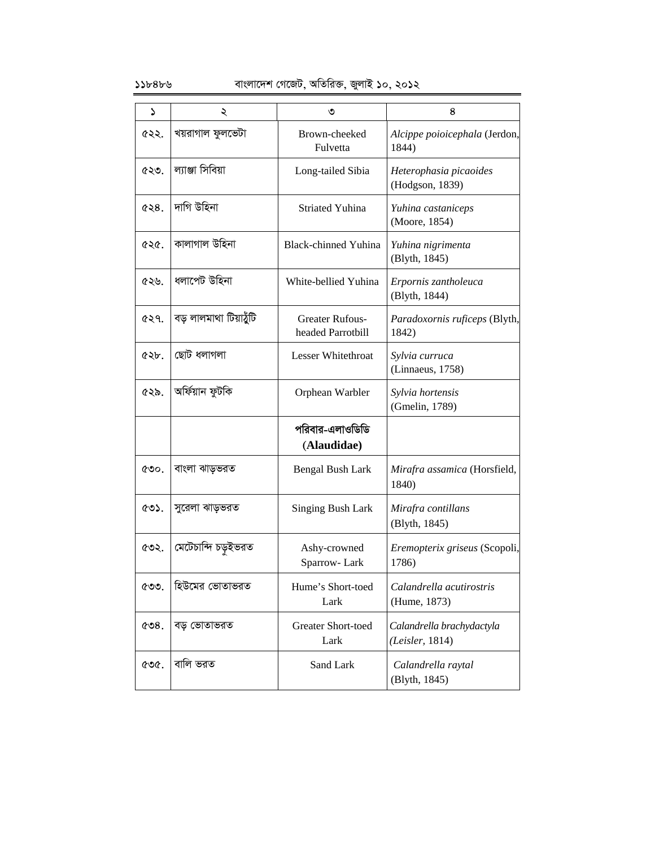### $\delta$ ১১৮৪৮৬ বাংলাদেশ গেজেট, অতিরিক্ত, জুলাই ১০, ২০১২

| د    | ২                      | ৩                                           | 8                                            |
|------|------------------------|---------------------------------------------|----------------------------------------------|
| ৫২২. | খয়রাগাল ফুলভেটা       | Brown-cheeked<br>Fulvetta                   | Alcippe poioicephala (Jerdon,<br>1844)       |
| ৫২৩. | ল্যাঞ্জা সিবিয়া       | Long-tailed Sibia                           | Heterophasia picaoides<br>(Hodgson, 1839)    |
| &8.8 | দাগি উহিনা             | <b>Striated Yuhina</b>                      | Yuhina castaniceps<br>(Moore, 1854)          |
| ৫২৫. | কালাগাল উহিনা          | <b>Black-chinned Yuhina</b>                 | Yuhina nigrimenta<br>(Blyth, 1845)           |
| ৫২৬. | ধলাপেট উহিনা           | White-bellied Yuhina                        | Erpornis zantholeuca<br>(Blyth, 1844)        |
| ৫২৭. | বড় লালমাথা টিয়াঠুঁটি | <b>Greater Rufous-</b><br>headed Parrotbill | Paradoxornis ruficeps (Blyth,<br>1842)       |
| QQb. | ছোট ধলাগলা             | <b>Lesser Whitethroat</b>                   | Sylvia curruca<br>(Linnaeus, 1758)           |
| ৫২৯. | অৰ্ফিয়ান ফুটকি        | Orphean Warbler                             | Sylvia hortensis<br>(Gmelin, 1789)           |
|      |                        | পরিবার-এলাওডিডি<br>(Alaudidae)              |                                              |
| ৫৩০. | বাংলা ঝাড়ভরত          | Bengal Bush Lark                            | Mirafra assamica (Horsfield,<br>1840)        |
| ৫৩১. | সুরেলা ঝাড়ভরত         | <b>Singing Bush Lark</b>                    | Mirafra contillans<br>(Blyth, 1845)          |
| ৫৩২. | মেটেচান্দি চড়ুইভরত    | Ashy-crowned<br>Sparrow-Lark                | Eremopterix griseus (Scopoli,<br>1786)       |
| ৫৩৩. | হিউমের ভোতাভরত         | Hume's Short-toed<br>Lark                   | Calandrella acutirostris<br>(Hume, 1873)     |
| C3.  | বড় ভোতাভরত            | <b>Greater Short-toed</b><br>Lark           | Calandrella brachydactyla<br>(Leisler, 1814) |
| ৫৩৫. | বালি ভরত               | Sand Lark                                   | Calandrella raytal<br>(Blyth, 1845)          |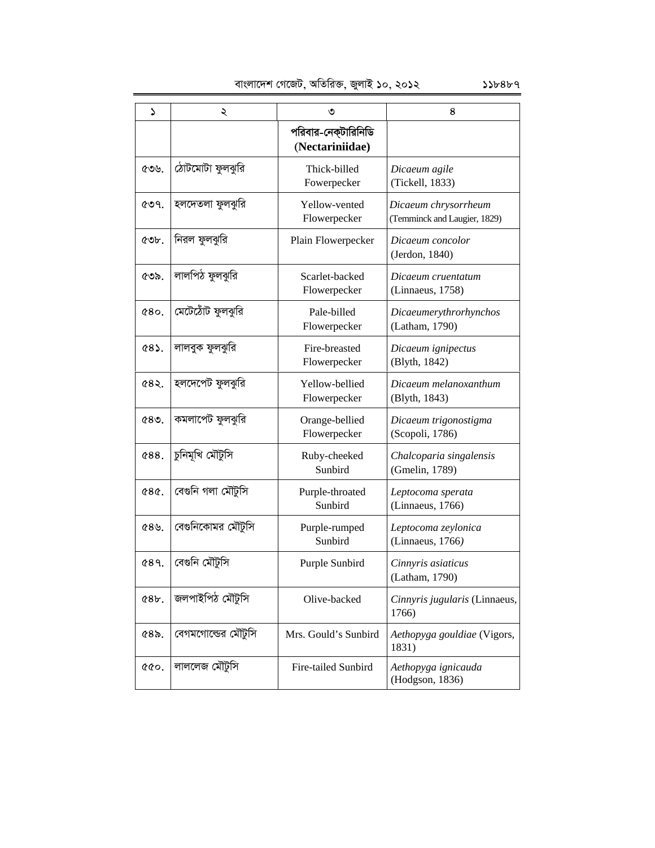| $\mathbf{v}$ | ২                  | ৩                                      | 8                                                    |
|--------------|--------------------|----------------------------------------|------------------------------------------------------|
|              |                    | পরিবার-নেক্টারিনিডি<br>(Nectariniidae) |                                                      |
| ৫৩৬.         | ঠোটমোটা ফুলঝুরি    | Thick-billed<br>Fowerpecker            | Dicaeum agile<br>(Tickell, 1833)                     |
| ৫৩৭.         | হলদেতলা ফুলঝুরি    | Yellow-vented<br>Flowerpecker          | Dicaeum chrysorrheum<br>(Temminck and Laugier, 1829) |
| $\circ$      | নিরল ফুলঝুরি       | Plain Flowerpecker                     | Dicaeum concolor<br>(Jerdon, 1840)                   |
| ৫৩৯.         | লালপিঠ ফুলঝুরি     | Scarlet-backed<br>Flowerpecker         | Dicaeum cruentatum<br>(Linnaeus, 1758)               |
| 080.         | মেটেঠোঁট ফুলঝুরি   | Pale-billed<br>Flowerpecker            | Dicaeumerythrorhynchos<br>(Latham, 1790)             |
| <b>¢8).</b>  | লালবুক ফুলঝুরি     | Fire-breasted<br>Flowerpecker          | Dicaeum ignipectus<br>(Blyth, 1842)                  |
| ৫৪২.         | হলদেপেট ফুলঝুরি    | Yellow-bellied<br>Flowerpecker         | Dicaeum melanoxanthum<br>(Blyth, 1843)               |
| ৫৪৩.         | কমলাপেট ফুলঝুরি    | Orange-bellied<br>Flowerpecker         | Dicaeum trigonostigma<br>(Scopoli, 1786)             |
| <b>¢88.</b>  | চুনিমূখি মৌটুসি    | Ruby-cheeked<br>Sunbird                | Chalcoparia singalensis<br>(Gmelin, 1789)            |
| <b>¢8¢.</b>  | বেগুনি গলা মৌটুসি  | Purple-throated<br>Sunbird             | Leptocoma sperata<br>(Linnaeus, 1766)                |
| 89.          | বেগুনিকোমর মৌটুসি  | Purple-rumped<br>Sunbird               | Leptocoma zeylonica<br>(Linnaeus, 1766)              |
| G89.         | বেগুনি মৌটুসি      | Purple Sunbird                         | Cinnyris asiaticus<br>(Latham, 1790)                 |
| 68b.         | জলপাইপিঠ মৌটুসি    | Olive-backed                           | Cinnyris jugularis (Linnaeus,<br>1766)               |
| $68$ .       | বেগমগোল্ডের মৌটুসি | Mrs. Gould's Sunbird                   | Aethopyga gouldiae (Vigors,<br>1831)                 |
| 000          | লাললেজ মৌটুসি      | Fire-tailed Sunbird                    | Aethopyga ignicauda<br>(Hodgson, 1836)               |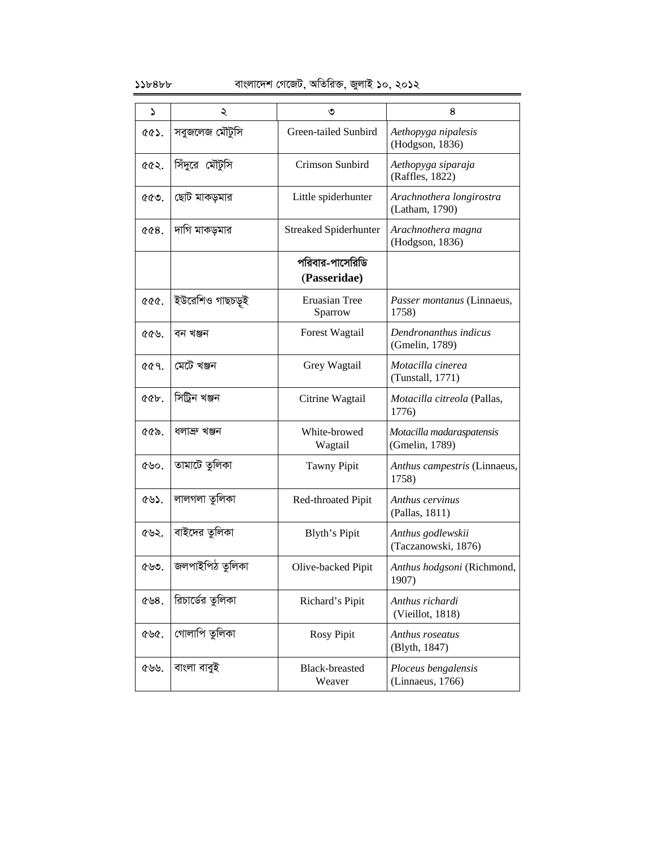### $\delta$ ১১৮৪৮ $\epsilon$  + 11848 চাংলাদেশ গেজেট, অতিরিক্ত, জুলাই ১০, ২০১২

| ډ                       | ২                | ৩                            | 8                                           |
|-------------------------|------------------|------------------------------|---------------------------------------------|
| <b>৫৫১.</b>             | সবুজলেজ মৌটুসি   | Green-tailed Sunbird         | Aethopyga nipalesis<br>(Hodgson, 1836)      |
| <b>ccs.</b>             | সিঁদুরে মৌটুসি   | Crimson Sunbird              | Aethopyga siparaja<br>(Raffles, 1822)       |
| ৫৫৩.                    | ছোট মাকড়মার     | Little spiderhunter          | Arachnothera longirostra<br>(Latham, 1790)  |
| 008.                    | দাগি মাকড়মার    | <b>Streaked Spiderhunter</b> | Arachnothera magna<br>(Hodgson, 1836)       |
|                         |                  | পরিবার-পাসেরিডি              |                                             |
|                         |                  | (Passeridae)                 |                                             |
| <b>&amp;&amp;&amp;.</b> | ইউরেশিও গাছচড়ই  | Eruasian Tree<br>Sparrow     | Passer montanus (Linnaeus,<br>1758)         |
| ৫৫৬.                    | বন খঞ্জন         | <b>Forest Wagtail</b>        | Dendronanthus indicus<br>(Gmelin, 1789)     |
| <b>৫৫৭.</b>             | মেটে খঞ্জন       | Grey Wagtail                 | Motacilla cinerea<br>(Tunstall, 1771)       |
| @b.                     | সিট্রিন খঞ্জন    | Citrine Wagtail              | <i>Motacilla citreola</i> (Pallas,<br>1776) |
| ৫৫৯.                    | ধলাক্ৰু খঞ্জন    | White-browed<br>Wagtail      | Motacilla madaraspatensis<br>(Gmelin, 1789) |
| ৫৬০.                    | তামাটে তুলিকা    | <b>Tawny Pipit</b>           | Anthus campestris (Linnaeus,<br>1758)       |
| ৫৬১.                    | লালগলা তুলিকা    | Red-throated Pipit           | Anthus cervinus<br>(Pallas, 1811)           |
| ৫৬২.                    | বাইদের তুলিকা    | Blyth's Pipit                | Anthus godlewskii<br>(Taczanowski, 1876)    |
| ৫৬৩.                    | জলপাইপিঠ তুলিকা  | Olive-backed Pipit           | Anthus hodgsoni (Richmond,<br>1907)         |
| ৫৬ $8.$                 | রিচার্ডের তুলিকা | Richard's Pipit              | Anthus richardi<br>(Vieillot, 1818)         |
| ৫৬৫.                    | গোলাপি তুলিকা    | <b>Rosy Pipit</b>            | Anthus roseatus<br>(Blyth, 1847)            |
| ৫৬৬.                    | বাংলা বাবুই      | Black-breasted<br>Weaver     | Ploceus bengalensis<br>(Linnaeus, 1766)     |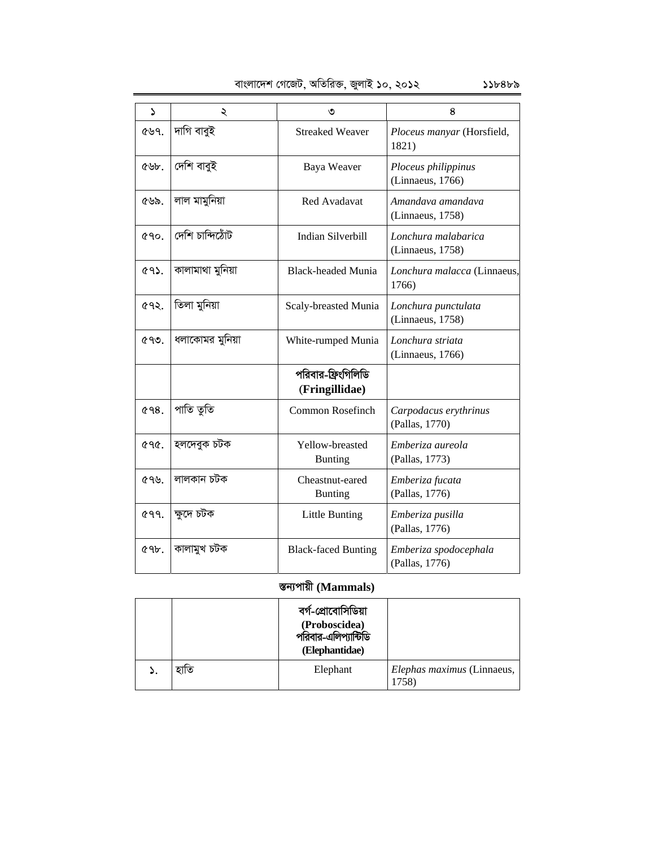| বাংলাদেশ গেজেট, অতিরিক্ত, জুলাই ১০, ২০১২ | ১১৮৪৮৯ |
|------------------------------------------|--------|
|------------------------------------------|--------|

| $\mathbf{v}$ | ২                | ৩                                    | 8                                       |
|--------------|------------------|--------------------------------------|-----------------------------------------|
| 699.         | দাগি বাবুই       | <b>Streaked Weaver</b>               | Ploceus manyar (Horsfield,<br>1821)     |
| ৫৬৮.         | দেশি বাবুই       | Baya Weaver                          | Ploceus philippinus<br>(Linnaeus, 1766) |
| ৫৬৯.         | লাল মামুনিয়া    | <b>Red Avadavat</b>                  | Amandaya amandaya<br>(Linnaeus, 1758)   |
| <b>090.</b>  | ৰ্টোমলীৱ শিন্য   | <b>Indian Silverbill</b>             | Lonchura malabarica<br>(Linnaeus, 1758) |
| <b>692.</b>  | কালামাথা মুনিয়া | <b>Black-headed Munia</b>            | Lonchura malacca (Linnaeus,<br>1766)    |
| ৫৭২.         | তিলা মুনিয়া     | Scaly-breasted Munia                 | Lonchura punctulata<br>(Linnaeus, 1758) |
| CQQ          | ধলাকোমর মুনিয়া  | White-rumped Munia                   | Lonchura striata<br>(Linnaeus, 1766)    |
|              |                  | পরিবার-ফ্রিংগিলিডি<br>(Fringillidae) |                                         |
| G98.         | পাতি তুতি        | Common Rosefinch                     | Carpodacus erythrinus<br>(Pallas, 1770) |
| ৫৭৫.         | হলদেবুক চটক      | Yellow-breasted<br><b>Bunting</b>    | Emberiza aureola<br>(Pallas, 1773)      |
| ৫৭৬.         | লালকান চটক       | Cheastnut-eared<br><b>Bunting</b>    | Emberiza fucata<br>(Pallas, 1776)       |
| <b>699.</b>  | ক্ষদে চটক        | <b>Little Bunting</b>                | Emberiza pusilla<br>(Pallas, 1776)      |
| 69b.         | কালামুখ চটক      | <b>Black-faced Bunting</b>           | Emberiza spodocephala<br>(Pallas, 1776) |

# **¯Íb¨cvqx (Mammals)**

|    |      | বৰ্গ-প্ৰোবোসিডিয়া<br>(Proboscidea)<br>পরিবার-এলিপ্যান্টিডি<br>(Elephantidae) |                                     |
|----|------|-------------------------------------------------------------------------------|-------------------------------------|
| ۵. | হাতি | Elephant                                                                      | Elephas maximus (Linnaeus,<br>1758) |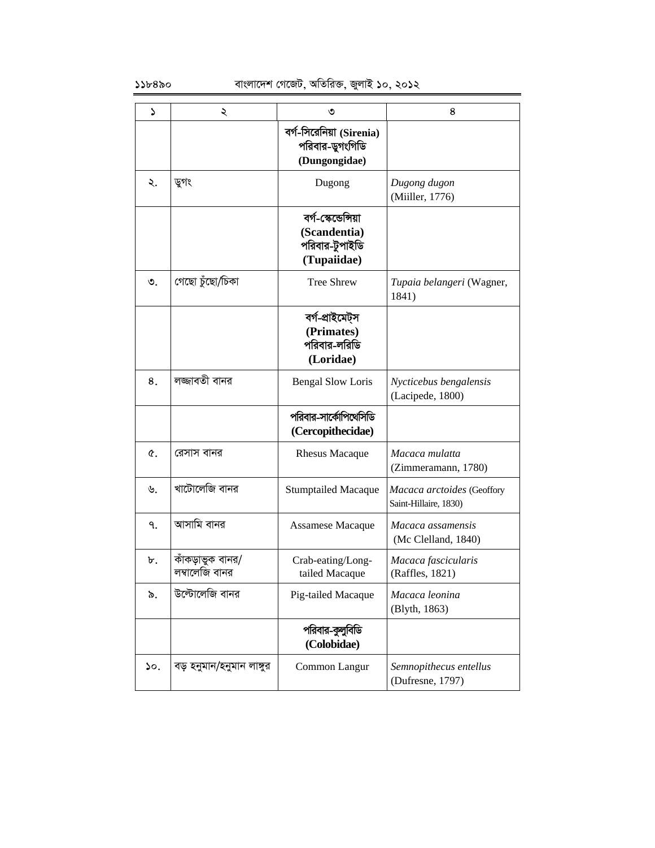| S         | ২                                  | ৩                                                                     | 8                                                   |
|-----------|------------------------------------|-----------------------------------------------------------------------|-----------------------------------------------------|
|           |                                    | বর্গ-সিরেনিয়া (Sirenia)<br>পরিবার-ডুগংগিডি<br>(Dungongidae)          |                                                     |
| ২.        | ডুগং                               | Dugong                                                                | Dugong dugon<br>(Miiller, 1776)                     |
|           |                                    | বৰ্গ-স্কেন্ডেন্সিয়া<br>(Scandentia)<br>পরিবার-টুপাইডি<br>(Tupaiidae) |                                                     |
| $\circ$ . | গেছো চুঁছো/চিকা                    | <b>Tree Shrew</b>                                                     | Tupaia belangeri (Wagner,<br>1841)                  |
|           |                                    | বৰ্গ-প্ৰাইমেট্স<br>(Primates)<br>পরিবার-লরিডি<br>(Loridae)            |                                                     |
| 8.        | লজ্জাবতী বানর                      | <b>Bengal Slow Loris</b>                                              | Nycticebus bengalensis<br>(Lacipede, 1800)          |
|           |                                    | পরিবার-সার্কোপিথেসিডি<br>(Cercopithecidae)                            |                                                     |
| Q.        | রেসাস বানর                         | <b>Rhesus Macaque</b>                                                 | Macaca mulatta<br>(Zimmeramann, 1780)               |
| ৬.        | খাটোলেজি বানর                      | <b>Stumptailed Macaque</b>                                            | Macaca arctoides (Geoffory<br>Saint-Hillaire, 1830) |
| ٩.        | আসামি বানর                         | Assamese Macaque                                                      | Macaca assamensis<br>(Mc Clelland, 1840)            |
| ৮.        | কাঁকড়াভুক বানর/<br>লম্বালেজি বানর | Crab-eating/Long-<br>tailed Macaque                                   | Macaca fascicularis<br>(Raffles, 1821)              |
| ৯.        | উল্টোলেজি বানর                     | Pig-tailed Macaque                                                    | Macaca leonina<br>(Blyth, 1863)                     |
|           |                                    | পরিবার-কুলুবিডি<br>(Colobidae)                                        |                                                     |
| ১০.       | বড় হনুমান/হনুমান লাঙ্গুর          | Common Langur                                                         | Semnopithecus entellus<br>(Dufresne, 1797)          |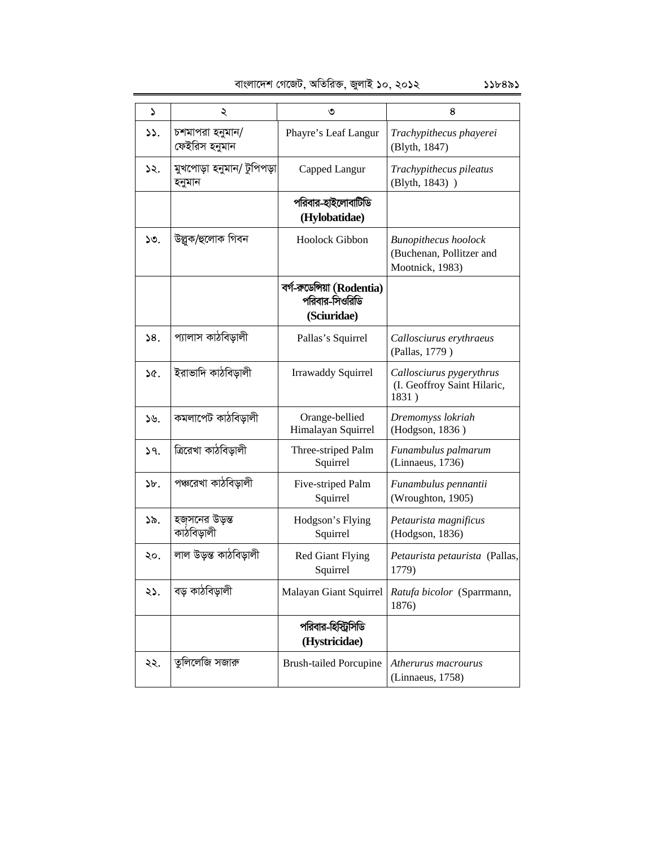| ډ               | ২                                   | ৩                                                            | 8                                                                          |
|-----------------|-------------------------------------|--------------------------------------------------------------|----------------------------------------------------------------------------|
| 33.             | চশমাপরা হনুমান/<br>ফেইরিস হনুমান    | Phayre's Leaf Langur                                         | Trachypithecus phayerei<br>(Blyth, 1847)                                   |
| ১২.             | মুখপোড়া হনুমান/ টুপিপড়া<br>হনুমান | Capped Langur                                                | Trachypithecus pileatus<br>(Blyth, 1843) )                                 |
|                 |                                     | পরিবার-হাইলোবাটিডি<br>(Hylobatidae)                          |                                                                            |
| 50.             | উল্লুক/হুলোক গিবন                   | Hoolock Gibbon                                               | <b>Bunopithecus</b> hoolock<br>(Buchenan, Pollitzer and<br>Mootnick, 1983) |
|                 |                                     | বর্গ-রুডেন্সিয়া (Rodentia)<br>পরিবার-সিওরিডি<br>(Sciuridae) |                                                                            |
| 58.             | প্যালাস কাঠবিড়ালী                  | Pallas's Squirrel                                            | Callosciurus erythraeus<br>(Pallas, 1779)                                  |
| 36.             | ইরাভাদি কাঠবিড়ালী                  | <b>Irrawaddy Squirrel</b>                                    | Callosciurus pygerythrus<br>(I. Geoffroy Saint Hilaric,<br>1831)           |
| $\mathcal{Y}$ . | কমলাপেট কাঠবিড়ালী                  | Orange-bellied<br>Himalayan Squirrel                         | Dremomyss lokriah<br>(Hodgson, 1836)                                       |
| 29.             | ত্ৰিৱেখা কাঠবিড়ালী                 | Three-striped Palm<br>Squirrel                               | Funambulus palmarum<br>(Linnaeus, 1736)                                    |
| $\mathcal{F}$ . | পঞ্চরেখা কাঠবিড়ালী                 | Five-striped Palm<br>Squirrel                                | Funambulus pennantii<br>(Wroughton, 1905)                                  |
| ১৯.             | হজসনের উড়ন্ত<br>কাঠবিড়ালী         | Hodgson's Flying<br>Squirrel                                 | Petaurista magnificus<br>(Hodgson, 1836)                                   |
| ২০.             | লাল উড়স্ত কাঠবিড়ালী               | <b>Red Giant Flying</b><br>Squirrel                          | Petaurista petaurista (Pallas,<br>1779)                                    |
| ২১.             | বড় কাঠবিড়ালী                      | Malayan Giant Squirrel                                       | Ratufa bicolor (Sparrmann,<br>1876)                                        |
|                 |                                     | পরিবার-হিস্ট্রিসিডি<br>(Hystricidae)                         |                                                                            |
| ২২.             | তুলিলেজি সজারু                      | <b>Brush-tailed Porcupine</b>                                | Atherurus macrourus<br>(Linnaeus, 1758)                                    |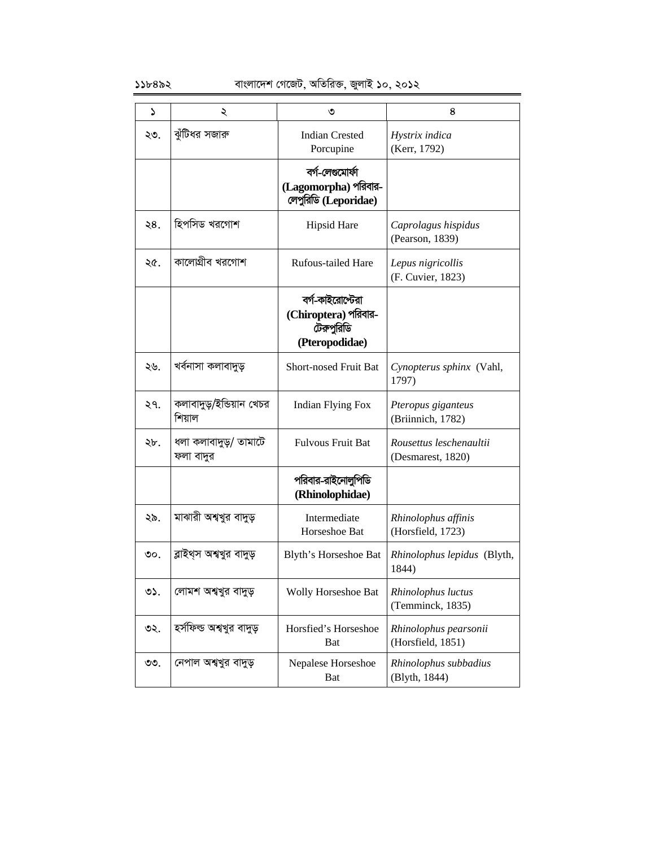### $\frac{1}{2}$ ১১৮৪৯২ বাংলাদেশ গেজেট, অতিরিক্ত, জুলাই ১০, ২০১২

| د   | ২                                  | ৩                                                                        | 8                                            |
|-----|------------------------------------|--------------------------------------------------------------------------|----------------------------------------------|
| ২৩. | ঝুঁটিধর সজারু                      | <b>Indian Crested</b><br>Porcupine                                       | Hystrix indica<br>(Kerr, 1792)               |
|     |                                    | বৰ্গ-লেগুমোৰ্ফা<br>(Lagomorpha) পরিবার-<br>লেপুরিডি (Leporidae)          |                                              |
| ২8. | হিপসিড খরগোশ                       | <b>Hipsid Hare</b>                                                       | Caprolagus hispidus<br>(Pearson, 1839)       |
| ২৫. | কালোগ্রীব খরগোশ                    | <b>Rufous-tailed Hare</b>                                                | Lepus nigricollis<br>(F. Cuvier, 1823)       |
|     |                                    | বর্গ-কাইরোস্টেরা<br>(Chiroptera) পরিবার-<br>টেরুপুরিডি<br>(Pteropodidae) |                                              |
| ২৬. | খৰ্বনাসা কলাবাদুড়                 | <b>Short-nosed Fruit Bat</b>                                             | Cynopterus sphinx (Vahl,<br>1797)            |
| ২৭. | কলাবাদুড়/ইন্ডিয়ান খেচর<br>শিয়াল | <b>Indian Flying Fox</b>                                                 | Pteropus giganteus<br>(Briinnich, 1782)      |
| ২৮. | ধলা কলাবাদুড়/ তামাটে<br>ফলা বাদুর | <b>Fulvous Fruit Bat</b>                                                 | Rousettus leschenaultii<br>(Desmarest, 1820) |
|     |                                    | পরিবার-রাইনোলুপিডি<br>(Rhinolophidae)                                    |                                              |
| ২৯. | মাঝারী অশ্বখুর বাদুড়              | Intermediate<br>Horseshoe Bat                                            | Rhinolophus affinis<br>(Horsfield, 1723)     |
| ৩০. | ব্লাইথ্স অশ্বখুর বাদুড়            | Blyth's Horseshoe Bat                                                    | Rhinolophus lepidus (Blyth,<br>1844)         |
| ৩১. | লোমশ অশ্বখুর বাদুড়                | Wolly Horseshoe Bat                                                      | Rhinolophus luctus<br>(Temminck, 1835)       |
| ৩২. | হর্সফিল্ড অশ্বখুর বাদুড়           | Horsfied's Horseshoe<br>Bat                                              | Rhinolophus pearsonii<br>(Horsfield, 1851)   |
| ৩৩. | নেপাল অশ্বখুর বাদুড়               | Nepalese Horseshoe<br><b>B</b> at                                        | Rhinolophus subbadius<br>(Blyth, 1844)       |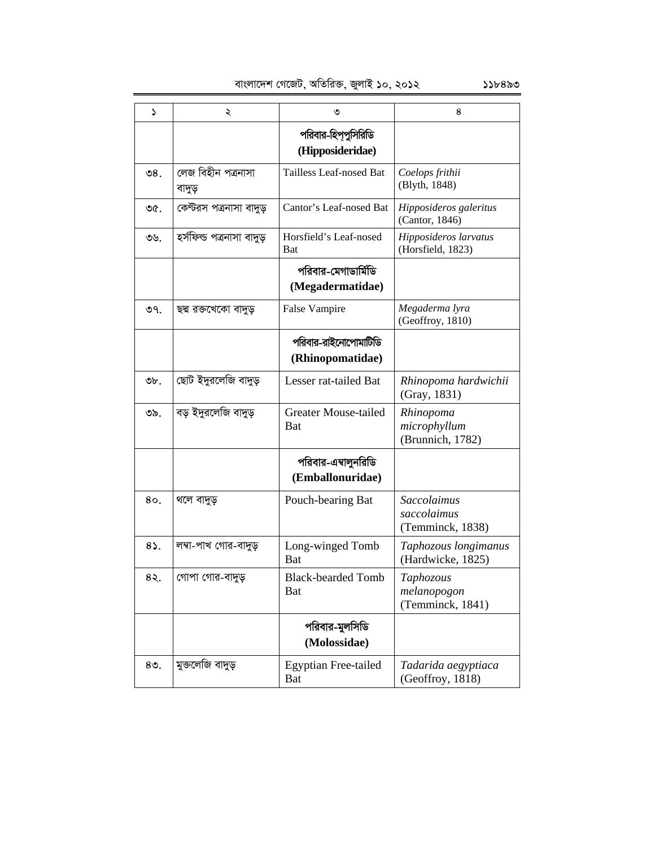| ډ            | ২                            | ৩                                         | 8                                                     |
|--------------|------------------------------|-------------------------------------------|-------------------------------------------------------|
|              |                              | পরিবার-হিপ্পুসিরিডি<br>(Hipposideridae)   |                                                       |
| ৩8.          | লেজ বিহীন পত্ৰনাসা<br>বাদুড় | Tailless Leaf-nosed Bat                   | Coelops frithii<br>(Blyth, 1848)                      |
| ৩৫.          | কেন্টরস পত্রনাসা বাদুড়      | Cantor's Leaf-nosed Bat                   | Hipposideros galeritus<br>(Cantor, 1846)              |
| ৩৬.          | হৰ্সফিল্ড পত্ৰনাসা বাদুড়    | Horsfield's Leaf-nosed<br><b>Bat</b>      | Hipposideros larvatus<br>(Horsfield, 1823)            |
|              |                              | পরিবার-মেগাডার্মিডি<br>(Megadermatidae)   |                                                       |
| ৩৭.          | ছদ্ম রক্তখেকো বাদুড়         | False Vampire                             | Megaderma lyra<br>(Geoffroy, 1810)                    |
|              |                              | পরিবার-রাইনোপোমাটিডি<br>(Rhinopomatidae)  |                                                       |
| ৩৮.          | ছোট ইদুরলেজি বাদুড়          | Lesser rat-tailed Bat                     | Rhinopoma hardwichii<br>(Gray, 1831)                  |
| ৩৯.          | বড় ইদুরলেজি বাদুড়          | <b>Greater Mouse-tailed</b><br><b>Bat</b> | Rhinopoma<br>microphyllum<br>(Brunnich, 1782)         |
|              |                              | পরিবার-এম্বালুনরিডি<br>(Emballonuridae)   |                                                       |
| 80.          | থলে বাদুড়                   | Pouch-bearing Bat                         | <b>Saccolaimus</b><br>saccolaimus<br>(Temminck, 1838) |
| $8\lambda$ . | লম্বা-পাখ গোর-বাদুড়         | Long-winged Tomb<br><b>Bat</b>            | Taphozous longimanus<br>(Hardwicke, 1825)             |
| 8२.          | গোপা গোর-বাদুড়              | <b>Black-bearded Tomb</b><br><b>Bat</b>   | Taphozous<br>melanopogon<br>(Temminck, 1841)          |
|              |                              | পরিবার-মুলসিডি<br>(Molossidae)            |                                                       |
| $80$ .       | মুক্তলেজি বাদুড়             | <b>Egyptian Free-tailed</b><br><b>Bat</b> | Tadarida aegyptiaca<br>(Geoffroy, 1818)               |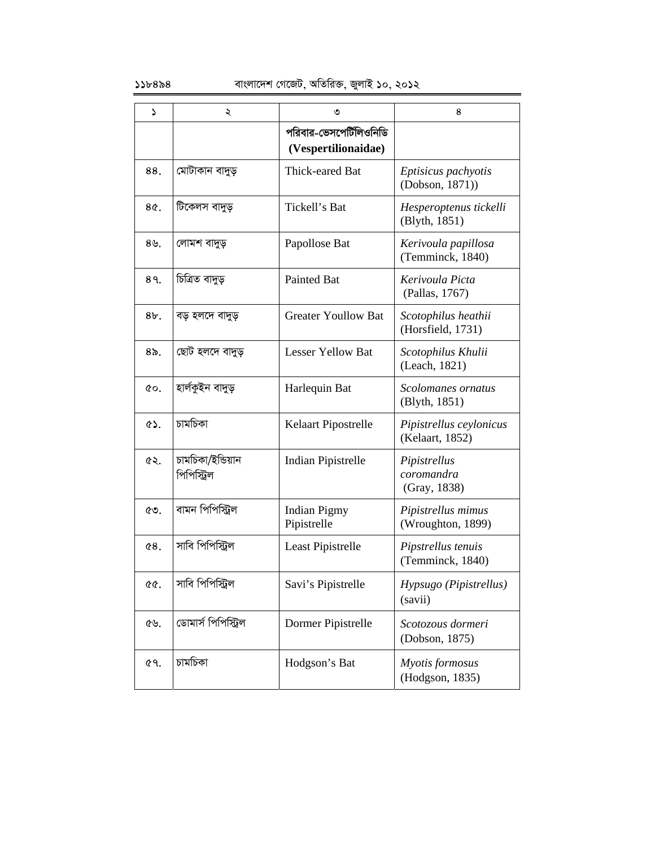| د           | ২                                | ৩                                              | 8                                          |
|-------------|----------------------------------|------------------------------------------------|--------------------------------------------|
|             |                                  | পরিবার-ভেসপের্টিলিওনিডি<br>(Vespertilionaidae) |                                            |
| 88.         | মোটাকান বাদুড়                   | Thick-eared Bat                                | Eptisicus pachyotis<br>(Dobson, 1871))     |
| 8¢.         | টিকেলস বাদুড়                    | Tickell's Bat                                  | Hesperoptenus tickelli<br>(Blyth, 1851)    |
| 89.         | লোমশ বাদুড়                      | Papollose Bat                                  | Kerivoula papillosa<br>(Temminck, 1840)    |
| 89.         | চিত্ৰিত বাদুড়                   | <b>Painted Bat</b>                             | Kerivoula Picta<br>(Pallas, 1767)          |
| $8b$ .      | বড় হলদে বাদুড়                  | <b>Greater Youllow Bat</b>                     | Scotophilus heathii<br>(Horsfield, 1731)   |
| ৪৯          | ছোট হলদে বাদুড়                  | <b>Lesser Yellow Bat</b>                       | Scotophilus Khulii<br>(Leach, 1821)        |
| QO.         | হাৰ্লকুইন বাদুড়                 | Harlequin Bat                                  | Scolomanes ornatus<br>(Blyth, 1851)        |
| <b>ES.</b>  | চামচিকা                          | Kelaart Pipostrelle                            | Pipistrellus ceylonicus<br>(Kelaart, 1852) |
| ৫২.         | চামচিকা/ইন্ডিয়ান<br>পিপিস্ট্রিল | Indian Pipistrelle                             | Pipistrellus<br>coromandra<br>(Gray, 1838) |
| ৫৩.         | বামন পিপিস্ট্রিল                 | <b>Indian Pigmy</b><br>Pipistrelle             | Pipistrellus mimus<br>(Wroughton, 1899)    |
| 68.         | সাবি পিপিস্ট্রিল                 | Least Pipistrelle                              | Pipstrellus tenuis<br>(Temminck, 1840)     |
| <u> ৫৫.</u> | সাবি পিপিস্ট্রিল                 | Savi's Pipistrelle                             | Hypsugo (Pipistrellus)<br>(savii)          |
| ৫৬.         | ডোমাৰ্স পিপিস্ট্ৰিল              | Dormer Pipistrelle                             | Scotozous dormeri<br>(Dobson, 1875)        |
| ৫৭.         | চামচিকা                          | Hodgson's Bat                                  | Myotis formosus<br>(Hodgson, 1835)         |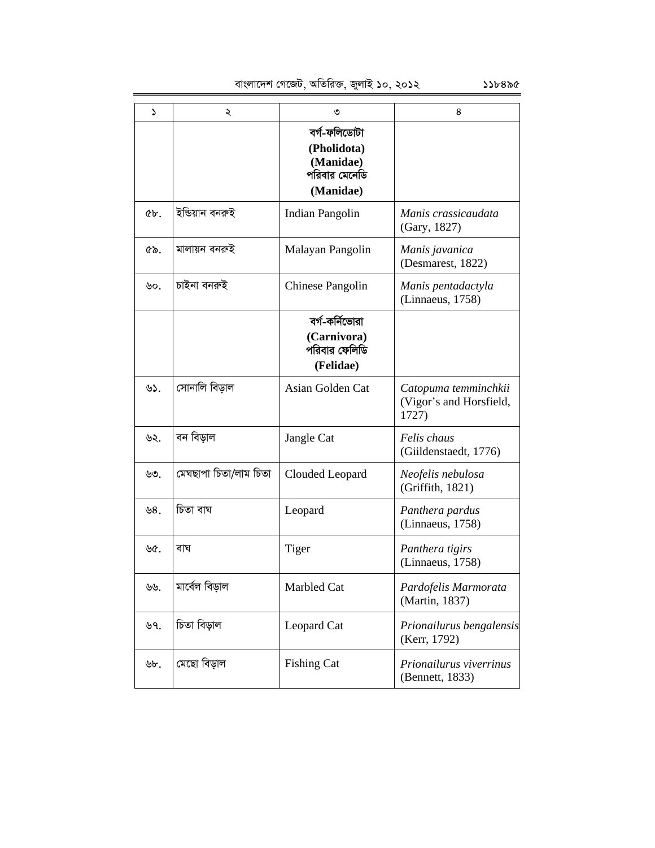| د      | ২                     | ৩                                                                      | 8                                                        |
|--------|-----------------------|------------------------------------------------------------------------|----------------------------------------------------------|
|        |                       | বৰ্গ-ফলিডোটা<br>(Pholidota)<br>(Manidae)<br>পরিবার মেনেডি<br>(Manidae) |                                                          |
| $6b$ . | ইন্ডিয়ান বনরুই       | Indian Pangolin                                                        | Manis crassicaudata<br>(Gary, 1827)                      |
| ৫৯.    | মালায়ন বনরুই         | Malayan Pangolin                                                       | Manis javanica<br>(Desmarest, 1822)                      |
| ৬০.    | চাইনা বনরুই           | Chinese Pangolin                                                       | Manis pentadactyla<br>(Linnaeus, 1758)                   |
|        |                       | বর্গ-কর্নিভোরা<br>(Carnivora)<br>পরিবার ফেলিডি<br>(Felidae)            |                                                          |
| ৬১.    | সোনালি বিড়াল         | Asian Golden Cat                                                       | Catopuma temminchkii<br>(Vigor's and Horsfield,<br>1727) |
| ৬২.    | বন বিড়াল             | Jangle Cat                                                             | Felis chaus<br>(Giildenstaedt, 1776)                     |
| ৬৩.    | মেঘছাপা চিতা/লাম চিতা | Clouded Leopard                                                        | Neofelis nebulosa<br>(Griffith, 1821)                    |
| ৬8.    | চিতা বাঘ              | Leopard                                                                | Panthera pardus<br>(Linnaeus, 1758)                      |
| ৬৫.    | বাঘ                   | Tiger                                                                  | Panthera tigirs<br>(Linnaeus, 1758)                      |
| ৬৬.    | মাৰ্বেল বিড়াল        | Marbled Cat                                                            | Pardofelis Marmorata<br>(Martin, 1837)                   |
| ৬৭.    | চিতা বিড়াল           | Leopard Cat                                                            | Prionailurus bengalensis<br>(Kerr, 1792)                 |
| ৬৮.    | মেছো বিড়াল           | <b>Fishing Cat</b>                                                     | Prionailurus viverrinus<br>(Bennett, 1833)               |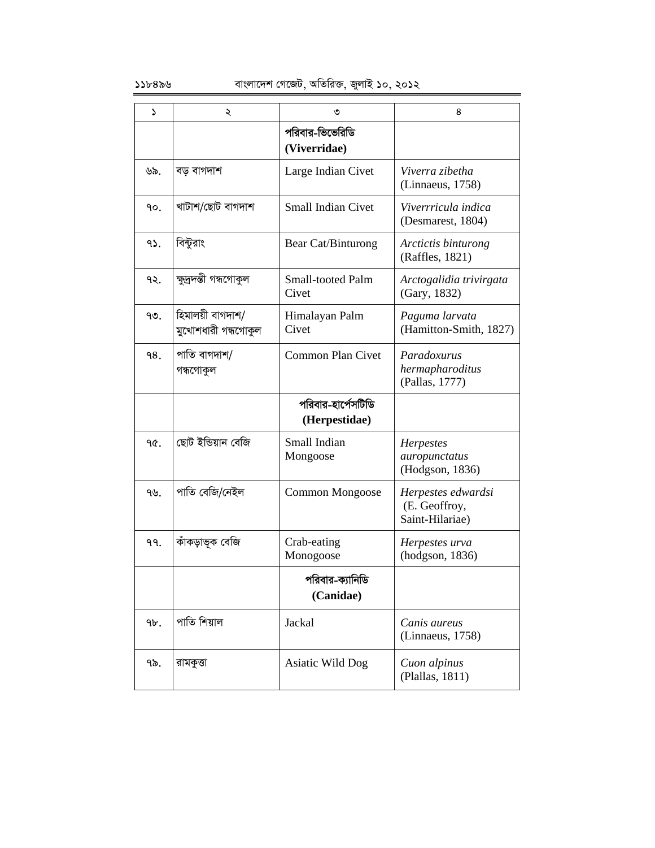| د   | ২                                       | ৩                                   | 8                                                      |
|-----|-----------------------------------------|-------------------------------------|--------------------------------------------------------|
|     |                                         | পরিবার-ভিভেরিডি<br>(Viverridae)     |                                                        |
| ৬৯. | বড় বাগদাশ                              | Large Indian Civet                  | Viverra zibetha<br>(Linnaeus, 1758)                    |
| ۹о. | খাটাশ/ছোট বাগদাশ                        | <b>Small Indian Civet</b>           | Viverrricula indica<br>(Desmarest, 1804)               |
| 95. | বিন্টুরাং                               | Bear Cat/Binturong                  | Arctictis binturong<br>(Raffles, 1821)                 |
| ۹২. | ক্ষুদ্রদন্তী গন্ধগোকুল                  | <b>Small-tooted Palm</b><br>Civet   | Arctogalidia trivirgata<br>(Gary, 1832)                |
| ৭৩. | হিমালয়ী বাগদাশ/<br>মুখোশধারী গন্ধগোকুল | Himalayan Palm<br>Civet             | Paguma larvata<br>(Hamitton-Smith, 1827)               |
| 98. | পাতি বাগদাশ/<br>গন্ধগোকুল               | <b>Common Plan Civet</b>            | Paradoxurus<br>hermapharoditus<br>(Pallas, 1777)       |
|     |                                         | পরিবার-হার্পেসটিডি<br>(Herpestidae) |                                                        |
| ዓ৫. | ছোট ইন্ডিয়ান বেজি                      | Small Indian<br>Mongoose            | <b>Herpestes</b><br>auropunctatus<br>(Hodgson, 1836)   |
| ৭৬. | পাতি বেজি/নেইল                          | Common Mongoose                     | Herpestes edwardsi<br>(E. Geoffroy,<br>Saint-Hilariae) |
| 99. | কাঁকড়াভূক বেজি                         | Crab-eating<br>Monogoose            | Herpestes urva<br>(hodgson, 1836)                      |
|     |                                         | পরিবার-ক্যানিডি<br>(Canidae)        |                                                        |
| 9b. | পাতি শিয়াল                             | Jackal                              | Canis aureus<br>(Linnaeus, 1758)                       |
| ৭৯. | রামকুত্তা                               | Asiatic Wild Dog                    | Cuon alpinus<br>(Plallas, 1811)                        |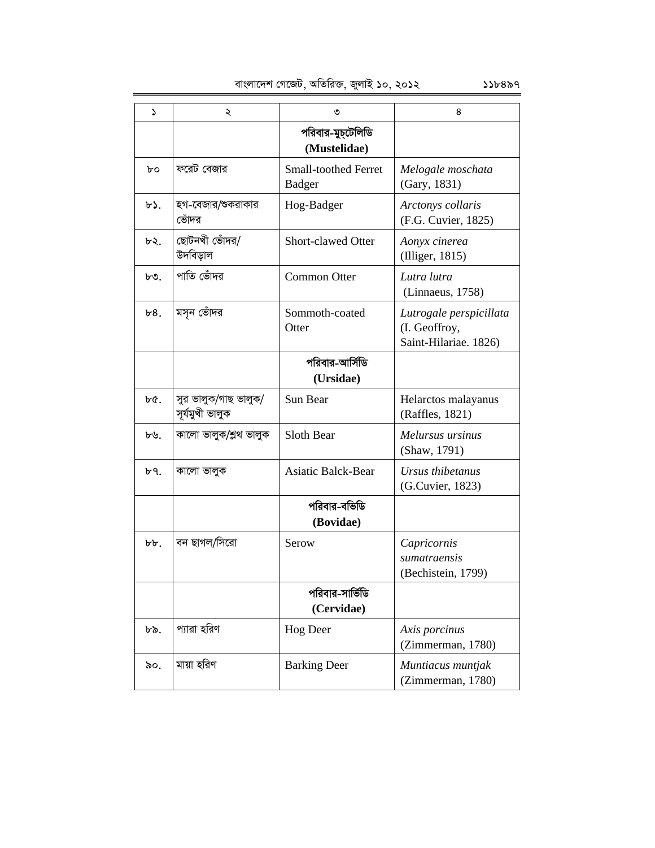| S        | ২                                       | ৩                                            | 8                                                                 |
|----------|-----------------------------------------|----------------------------------------------|-------------------------------------------------------------------|
|          |                                         | পরিবার-মুচ্টেলিডি<br>(Mustelidae)            |                                                                   |
| bο       | ফরেট বেজার                              | <b>Small-toothed Ferret</b><br><b>Badger</b> | Melogale moschata<br>(Gary, 1831)                                 |
| ৮১.      | হগ-বেজার/শুকরাকার<br>ভোঁদর              | Hog-Badger                                   | Arctonys collaris<br>(F.G. Cuvier, 1825)                          |
| ৮২.      | ছোটনখী ভোঁদর/<br>উদবিড়াল               | <b>Short-clawed Otter</b>                    | Aonyx cinerea<br>(Illiger, 1815)                                  |
| ৮৩.      | পাতি ভোঁদর                              | Common Otter                                 | Lutra lutra<br>(Linnaeus, 1758)                                   |
| b8.      | মসূন ভোঁদর                              | Sommoth-coated<br>Otter                      | Lutrogale perspicillata<br>(I. Geoffroy,<br>Saint-Hilariae. 1826) |
|          |                                         | পরিবার-আর্সিডি<br>(Ursidae)                  |                                                                   |
| ৮৫.      | সুর ভালুক/গাছ ভালুক/<br>সূৰ্যমুখী ভালুক | Sun Bear                                     | Helarctos malayanus<br>(Raffles, 1821)                            |
| ৮৬.      | কালো ভালুক/শ্লুথ ভালুক                  | Sloth Bear                                   | Melursus ursinus<br>(Shaw, 1791)                                  |
| ৮৭.      | কালো ভালুক                              | <b>Asiatic Balck-Bear</b>                    | Ursus thibetanus<br>(G.Cuvier, 1823)                              |
|          |                                         | পরিবার-বভিডি<br>(Bovidae)                    |                                                                   |
| $b\,b$ . | বন ছাগল/সিরো                            | Serow                                        | Capricornis<br>sumatraensis<br>(Bechistein, 1799)                 |
|          |                                         | পরিবার-সার্ভিডি<br>(Cervidae)                |                                                                   |
| ৮৯.      | প্যারা হরিণ                             | <b>Hog Deer</b>                              | Axis porcinus<br>(Zimmerman, 1780)                                |
| ৯০.      | মায়া হরিণ                              | <b>Barking Deer</b>                          | Muntiacus muntjak<br>(Zimmerman, 1780)                            |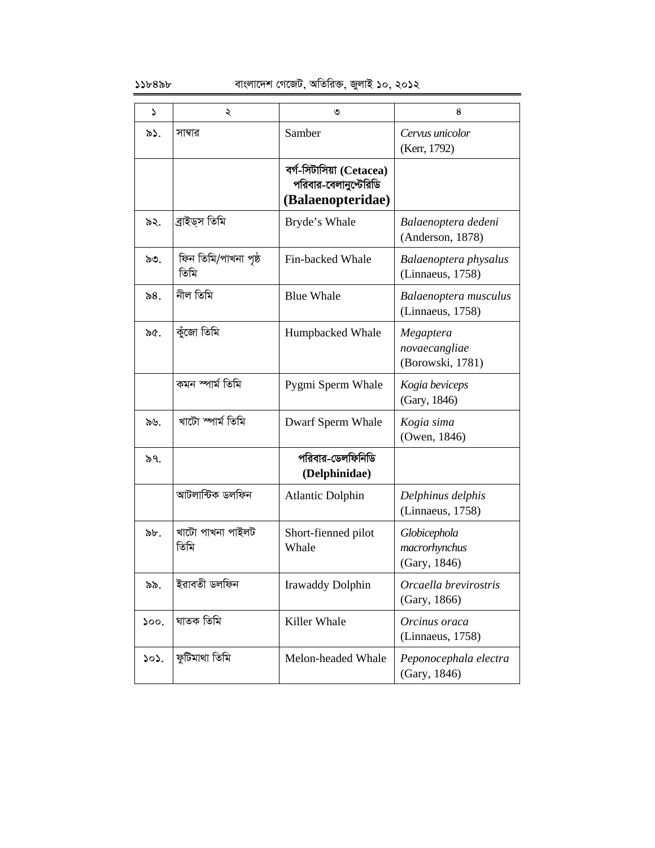| ډ    | ২                            | ৩                                                                      | 8                                              |
|------|------------------------------|------------------------------------------------------------------------|------------------------------------------------|
| ৯১.  | সাম্বার                      | Samber                                                                 | Cervus unicolor<br>(Kerr, 1792)                |
|      |                              | বৰ্গ-সিটাসিয়া (Cetacea)<br>পরিবার-বেলানুপ্টেরিডি<br>(Balaenopteridae) |                                                |
| ৯২.  | ব্ৰাইড্স তিমি                | Bryde's Whale                                                          | Balaenoptera dedeni<br>(Anderson, 1878)        |
| ৯৩.  | ফিন তিমি/পাখনা পৃষ্ঠ<br>তিমি | Fin-backed Whale                                                       | Balaenoptera physalus<br>(Linnaeus, 1758)      |
| ৯৪.  | নীল তিমি                     | <b>Blue Whale</b>                                                      | Balaenoptera musculus<br>(Linnaeus, 1758)      |
| ৯৫.  | কুঁজো তিমি                   | Humpbacked Whale                                                       | Megaptera<br>novaecangliae<br>(Borowski, 1781) |
|      | কমন স্পাৰ্ম তিমি             | Pygmi Sperm Whale                                                      | Kogia beviceps<br>(Gary, 1846)                 |
| ৯৬.  | খাটো স্পাৰ্ম তিমি            | Dwarf Sperm Whale                                                      | Kogia sima<br>(Owen, 1846)                     |
| ৯৭.  |                              | পরিবার-ডেলফিনিডি<br>(Delphinidae)                                      |                                                |
|      | আটলান্টিক ডলফিন              | <b>Atlantic Dolphin</b>                                                | Delphinus delphis<br>(Linnaeus, 1758)          |
| ৯৮.  | খাটো পাখনা পাইলট<br>তিমি     | Short-fienned pilot<br>Whale                                           | Globicephola<br>macrorhynchus<br>(Gary, 1846)  |
| ৯৯.  | ইরাবতী ডলফিন                 | <b>Irawaddy Dolphin</b>                                                | Orcaella brevirostris<br>(Gary, 1866)          |
| 500. | ঘাতক তিমি                    | Killer Whale                                                           | Orcinus oraca<br>(Linnaeus, 1758)              |
| ১০১. | ফুটিমাথা তিমি                | Melon-headed Whale                                                     | Peponocephala electra<br>(Gary, 1846)          |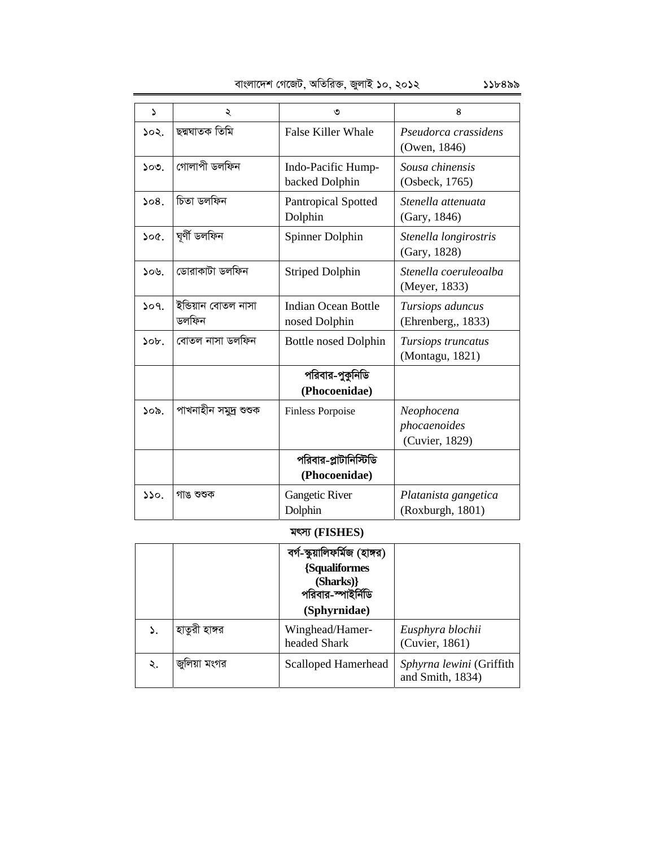| বাংলাদেশ গেজেট, অতিরিক্ত, জুলাই ১০, ২০১২ | ১১৮৪৯৯ |
|------------------------------------------|--------|
|------------------------------------------|--------|

| 2             | ২                            | ৩                                      | 8                                            |
|---------------|------------------------------|----------------------------------------|----------------------------------------------|
| ১০২.          | ছদ্মঘাতক তিমি                | <b>False Killer Whale</b>              | Pseudorca crassidens<br>(Owen, 1846)         |
| ১০৩.          | গোলাপী ডলফিন                 | Indo-Pacific Hump-<br>backed Dolphin   | Sousa chinensis<br>(Osbeck, 1765)            |
| 508.          | চিতা ডলফিন                   | <b>Pantropical Spotted</b><br>Dolphin  | Stenella attenuata<br>(Gary, 1846)           |
| 500.          | ঘূৰ্ণী ডলফিন                 | Spinner Dolphin                        | Stenella longirostris<br>(Gary, 1828)        |
| ১০৬.          | ডোৱাকাটা ডলফিন               | <b>Striped Dolphin</b>                 | Stenella coeruleoalba<br>(Meyer, 1833)       |
| 509.          | ইন্ডিয়ান বোতল নাসা<br>ডলফিন | Indian Ocean Bottle<br>nosed Dolphin   | Tursiops aduncus<br>(Ehrenberg, 1833)        |
| $\delta$      | বোতল নাসা ডলফিন              | <b>Bottle nosed Dolphin</b>            | Tursiops truncatus<br>(Montagu, 1821)        |
|               |                              | পরিবার-পুকুনিডি<br>(Phocoenidae)       |                                              |
| ১০৯.          | পাখনাহীন সমুদ্ৰ শুশুক        | <b>Finless Porpoise</b>                | Neophocena<br>phocaenoides<br>(Cuvier, 1829) |
|               |                              | পরিবার-প্লাটানিস্টিডি<br>(Phocoenidae) |                                              |
| $\mathcal{L}$ | গাঙ শুশুক                    | <b>Gangetic River</b><br>Dolphin       | Platanista gangetica<br>(Roxburgh, 1801)     |

### **grm¨ (FISHES)**

|    |               | বর্গ-স্কুয়ালিফর্মিজ (হাঙ্গর)<br>{Squaliformes<br>(Sharks)}<br>পরিবার-স্পাইর্নিডি<br>(Sphyrnidae) |                                              |
|----|---------------|---------------------------------------------------------------------------------------------------|----------------------------------------------|
|    | হাতুরী হাঙ্গর | Winghead/Hamer-<br>headed Shark                                                                   | Eusphyra blochii<br>(Cuvier, 1861)           |
| ২. | জুলিয়া মংগর  | <b>Scalloped Hamerhead</b>                                                                        | Sphyrna lewini (Griffith<br>and Smith, 1834) |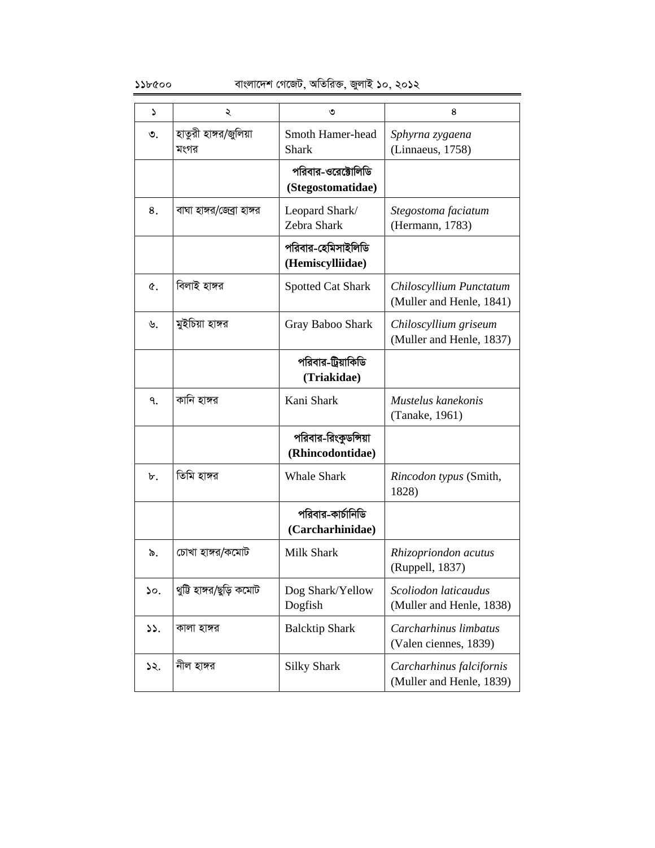| Z               | ২                             | ৩                                        | 8                                                    |
|-----------------|-------------------------------|------------------------------------------|------------------------------------------------------|
| ৩.              | হাতুরী হাঙ্গর/জুলিয়া<br>মংগর | <b>Smoth Hamer-head</b><br><b>Shark</b>  | Sphyrna zygaena<br>(Linnaeus, 1758)                  |
|                 |                               | পরিবার-ওরেক্টোলিডি<br>(Stegostomatidae)  |                                                      |
| 8.              | বাঘা হাঙ্গর/জেব্রা হাঙ্গর     | Leopard Shark/<br>Zebra Shark            | Stegostoma faciatum<br>(Hermann, 1783)               |
|                 |                               | পরিবার-হেমিসাইলিডি<br>(Hemiscylliidae)   |                                                      |
| Q.              | বিলাই হাঙ্গর                  | <b>Spotted Cat Shark</b>                 | Chiloscyllium Punctatum<br>(Muller and Henle, 1841)  |
| ৬.              | মুইচিয়া হাঙ্গর               | Gray Baboo Shark                         | Chiloscyllium griseum<br>(Muller and Henle, 1837)    |
|                 |                               | পরিবার-ট্রিয়াকিডি<br>(Triakidae)        |                                                      |
| ٩.              | কানি হাঙ্গর                   | Kani Shark                               | Mustelus kanekonis<br>(Tanake, 1961)                 |
|                 |                               | পরিবার-রিংকুডন্সিয়া<br>(Rhincodontidae) |                                                      |
| ৮.              | তিমি হাঙ্গর                   | <b>Whale Shark</b>                       | Rincodon typus (Smith,<br>1828)                      |
|                 |                               | পরিবার-কার্চানিডি<br>(Carcharhinidae)    |                                                      |
| ৯.              | চোখা হাঙ্গর/কমোট              | <b>Milk Shark</b>                        | Rhizopriondon acutus<br>(Ruppell, 1837)              |
| $\mathcal{L}$ . | থুটি হাঙ্গর/ছুড়ি কমোট        | Dog Shark/Yellow<br>Dogfish              | Scoliodon laticaudus<br>(Muller and Henle, 1838)     |
| ১১.             | কালা হাঙ্গর                   | <b>Balcktip Shark</b>                    | Carcharhinus limbatus<br>(Valen ciennes, 1839)       |
| ১২.             | নীল হাঙ্গর                    | <b>Silky Shark</b>                       | Carcharhinus falcifornis<br>(Muller and Henle, 1839) |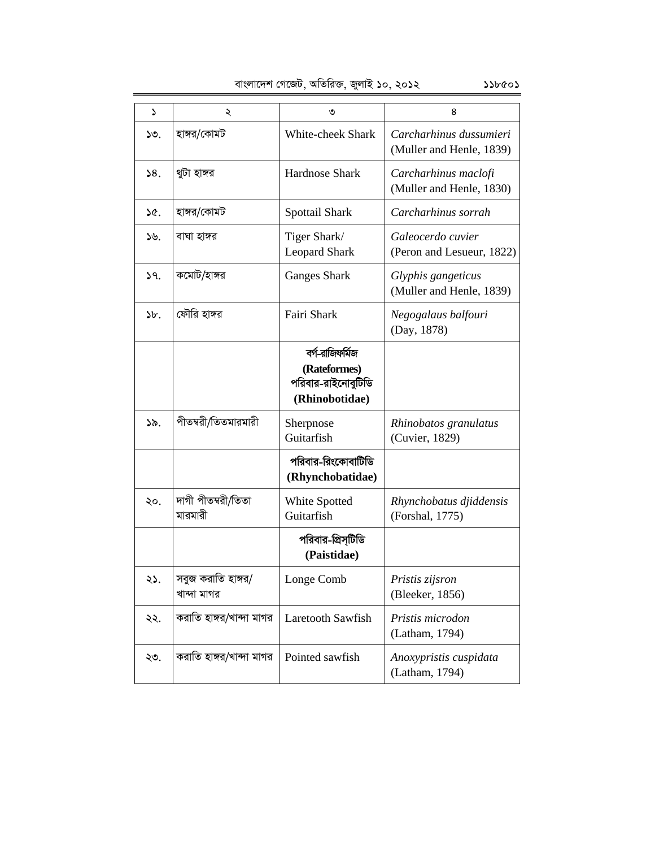| বাংলাদেশ গেজেট, অতিরিক্ত, জুলাই ১০, ২০১২<br>১১৮৫০১ |
|----------------------------------------------------|
|----------------------------------------------------|

| د     | ২                                 | ৩                                                                       | 8                                                   |
|-------|-----------------------------------|-------------------------------------------------------------------------|-----------------------------------------------------|
| ১৩.   | হাঙ্গর/কোমট                       | White-cheek Shark                                                       | Carcharhinus dussumieri<br>(Muller and Henle, 1839) |
| 38.   | থুটা হাঙ্গর                       | <b>Hardnose Shark</b>                                                   | Carcharhinus maclofi<br>(Muller and Henle, 1830)    |
| ১৫.   | হাঙ্গর/কোমট                       | Spottail Shark                                                          | Carcharhinus sorrah                                 |
| ১৬.   | বাঘা হাঙ্গর                       | Tiger Shark/<br><b>Leopard Shark</b>                                    | Galeocerdo cuvier<br>(Peron and Lesueur, 1822)      |
| 39.   | কমোট/হাঙ্গর                       | <b>Ganges Shark</b>                                                     | Glyphis gangeticus<br>(Muller and Henle, 1839)      |
| $b$ . | ফৌরি হাঙ্গর                       | Fairi Shark                                                             | Negogalaus balfouri<br>(Day, 1878)                  |
|       |                                   | বর্গ-রাজিফর্মিজ<br>(Rateformes)<br>পরিবার-রাইনোবুটিডি<br>(Rhinobotidae) |                                                     |
| ১৯.   | পীতম্বরী/তিতমারমারী               | Sherpnose<br>Guitarfish                                                 | Rhinobatos granulatus<br>(Cuvier, 1829)             |
|       |                                   | পরিবার-রিংকোবাটিডি<br>(Rhynchobatidae)                                  |                                                     |
| ২০.   | দাগী পীতম্বরী/তিতা<br>মারমারী     | White Spotted<br>Guitarfish                                             | Rhynchobatus djiddensis<br>(Forshal, 1775)          |
|       |                                   | পরিবার-প্রিস্টিডি<br>(Paistidae)                                        |                                                     |
| ২১.   | সবুজ করাতি হাঙ্গর/<br>খান্দা মাগর | Longe Comb                                                              | Pristis zijsron<br>(Bleeker, 1856)                  |
| ২২.   | করাতি হাঙ্গর/খান্দা মাগর          | Laretooth Sawfish                                                       | Pristis microdon<br>(Latham, 1794)                  |
| ২৩.   | করাতি হাঙ্গর/খান্দা মাগর          | Pointed sawfish                                                         | Anoxypristis cuspidata<br>(Latham, 1794)            |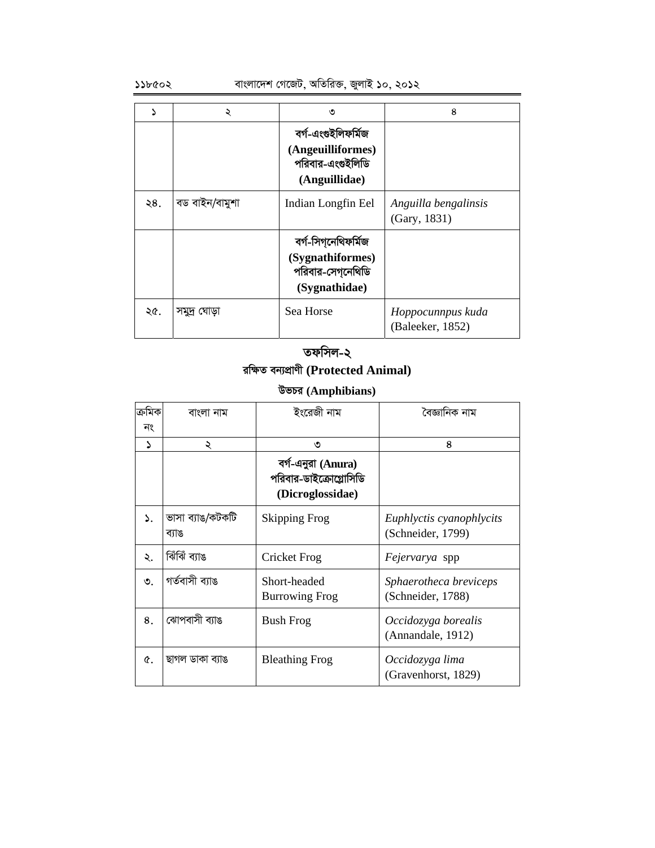### $\delta$ ১১৮৫০২ বাংলাদেশ গেজেট, অতিরিক্ত, জুলাই ১০, ২০১২

|     | ২              | ৩                                                                            | 8                                     |
|-----|----------------|------------------------------------------------------------------------------|---------------------------------------|
|     |                | বৰ্গ-এংগুইলিফৰ্মিজ<br>(Angeuilliformes)<br>পরিবার-এংগুইলিডি<br>(Anguillidae) |                                       |
| ২8. | বড বাইন/বামুশা | Indian Longfin Eel                                                           | Anguilla bengalinsis<br>(Gary, 1831)  |
|     |                | বৰ্গ-সিগ্নেথিফৰ্মিজ<br>(Sygnathiformes)<br>পরিবার-সেগনেথিডি<br>(Sygnathidae) |                                       |
| ২৫. | সমুদ্ৰ ঘোড়া   | Sea Horse                                                                    | Hoppocunnpus kuda<br>(Baleeker, 1852) |

## **তফসিল-২ iwÿZ eb¨cÖvYx (Protected Animal)**

# **DfPi (Amphibians)**

| ক্ৰমিক | বাংলা নাম                 | ইংরেজী নাম                                                       | বৈজ্ঞানিক নাম                                 |
|--------|---------------------------|------------------------------------------------------------------|-----------------------------------------------|
| নং     |                           |                                                                  |                                               |
| ۵      | ২                         | ৩                                                                | 8                                             |
|        |                           | বর্গ-এনুরা (Anura)<br>পরিবার-ডাইক্রোগ্লোসিডি<br>(Dicroglossidae) |                                               |
| ۵.     | ভাসা ব্যাঙ/কটকটি<br>ব্যাঙ | Skipping Frog                                                    | Euphlyctis cyanophlycits<br>(Schneider, 1799) |
| ২.     | ৰ্মিঝিঁ ব্যাঙ             | Cricket Frog                                                     | <i>Fejervarya</i> spp                         |
| ৩      | গৰ্তবাসী ব্যাঙ            | Short-headed<br><b>Burrowing Frog</b>                            | Sphaerotheca breviceps<br>(Schneider, 1788)   |
| 8.     | ঝোপবাসী ব্যাঙ             | <b>Bush Frog</b>                                                 | Occidozyga borealis<br>(Annandale, 1912)      |
| Q.     | ছাগল ডাকা ব্যাঙ           | <b>Bleathing Frog</b>                                            | Occidozyga lima<br>(Gravenhorst, 1829)        |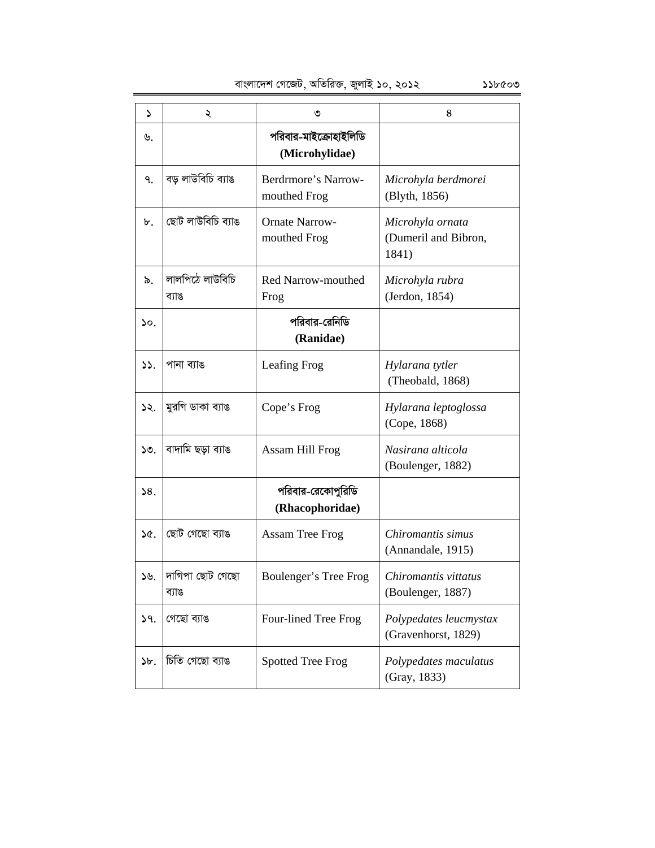| ډ               | ২                        | ৩                                       | 8                                                 |
|-----------------|--------------------------|-----------------------------------------|---------------------------------------------------|
| ৬.              |                          | পরিবার-মাইক্রোহাইলিডি<br>(Microhylidae) |                                                   |
| ٩.              | বড় লাউবিচি ব্যাঙ        | Berdrmore's Narrow-<br>mouthed Frog     | Microhyla berdmorei<br>(Blyth, 1856)              |
| ৮.              | ছোট লাউবিচি ব্যাঙ        | <b>Ornate Narrow-</b><br>mouthed Frog   | Microhyla ornata<br>(Dumeril and Bibron,<br>1841) |
| ৯.              | লালপিঠে লাউবিচি<br>ব্যাঙ | Red Narrow-mouthed<br>Frog              | Microhyla rubra<br>(Jerdon, 1854)                 |
| $\mathcal{L}$ . |                          | পরিবার-রেনিডি<br>(Ranidae)              |                                                   |
| 55.             | পানা ব্যাঙ               | Leafing Frog                            | Hylarana tytler<br>(Theobald, 1868)               |
| ১২.             | মুরগি ডাকা ব্যাঙ         | Cope's Frog                             | Hylarana leptoglossa<br>(Cope, 1868)              |
| ১৩.             | বাদামি ছড়া ব্যাঙ        | Assam Hill Frog                         | Nasirana alticola<br>(Boulenger, 1882)            |
| 58.             |                          | পরিবার-রেকোপুরিডি<br>(Rhacophoridae)    |                                                   |
| ১৫.             | ছোট গেছো ব্যাঙ           | <b>Assam Tree Frog</b>                  | Chiromantis simus<br>(Annandale, 1915)            |
| 56.             | দাগিপা ছোট গেছো<br>ব্যাঙ | Boulenger's Tree Frog                   | Chiromantis vittatus<br>(Boulenger, 1887)         |
| 9.              | গেছো ব্যাঙ               | Four-lined Tree Frog                    | Polypedates leucmystax<br>(Gravenhorst, 1829)     |
| $b$ .           | চিতি গেছো ব্যাঙ          | <b>Spotted Tree Frog</b>                | Polypedates maculatus<br>(Gray, 1833)             |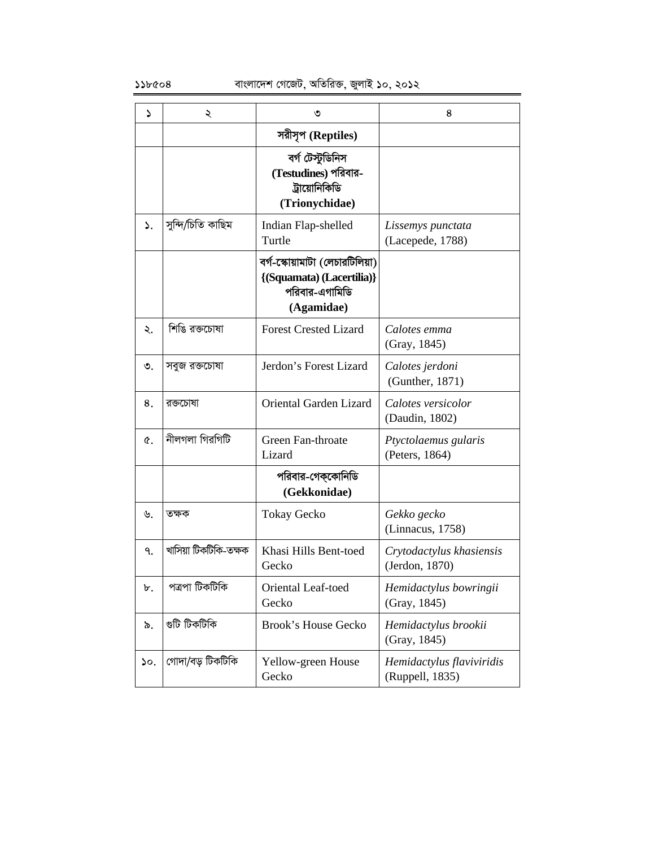| د   | ২                     | ৩                                                                                            | 8                                            |
|-----|-----------------------|----------------------------------------------------------------------------------------------|----------------------------------------------|
|     |                       | সরীসৃপ (Reptiles)                                                                            |                                              |
|     |                       | বৰ্গ টেস্টুডিনিস<br>(Testudines) পরিবার-<br>ট্রায়োনিকিডি<br>(Trionychidae)                  |                                              |
| ۵.  | সুন্দি/চিতি কাছিম     | Indian Flap-shelled<br>Turtle                                                                | Lissemys punctata<br>(Lacepede, 1788)        |
|     |                       | বর্গ-স্কোয়ামাটা (লেচারটিলিয়া)<br>{(Squamata) (Lacertilia)}<br>পরিবার-এগামিডি<br>(Agamidae) |                                              |
| ২.  | শিঙি রক্তচোষা         | <b>Forest Crested Lizard</b>                                                                 | Calotes emma<br>(Gray, 1845)                 |
| ৩.  | সবুজ রক্তচোষা         | Jerdon's Forest Lizard                                                                       | Calotes jerdoni<br>(Gunther, 1871)           |
| 8.  | রক্তচোষা              | <b>Oriental Garden Lizard</b>                                                                | Calotes versicolor<br>(Daudin, 1802)         |
| Q.  | নীলগলা গিরগিটি        | Green Fan-throate<br>Lizard                                                                  | Ptyctolaemus gularis<br>(Peters, 1864)       |
|     |                       | পরিবার-গেক্কোনিডি<br>(Gekkonidae)                                                            |                                              |
| ৬.  | তক্ষক                 | <b>Tokay Gecko</b>                                                                           | Gekko gecko<br>(Linnacus, 1758)              |
| ٩.  | খাসিয়া টিকটিকি-তক্ষক | Khasi Hills Bent-toed<br>Gecko                                                               | Crytodactylus khasiensis<br>(Jerdon, 1870)   |
| ৮.  | পত্ৰপা টিকটিকি        | Oriental Leaf-toed<br>Gecko                                                                  | Hemidactylus bowringii<br>(Gray, 1845)       |
| ৯.  | গুটি টিকটিকি          | <b>Brook's House Gecko</b>                                                                   | Hemidactylus brookii<br>(Gray, 1845)         |
| ১০. | গোদা/বড় টিকটিকি      | Yellow-green House<br>Gecko                                                                  | Hemidactylus flaviviridis<br>(Ruppell, 1835) |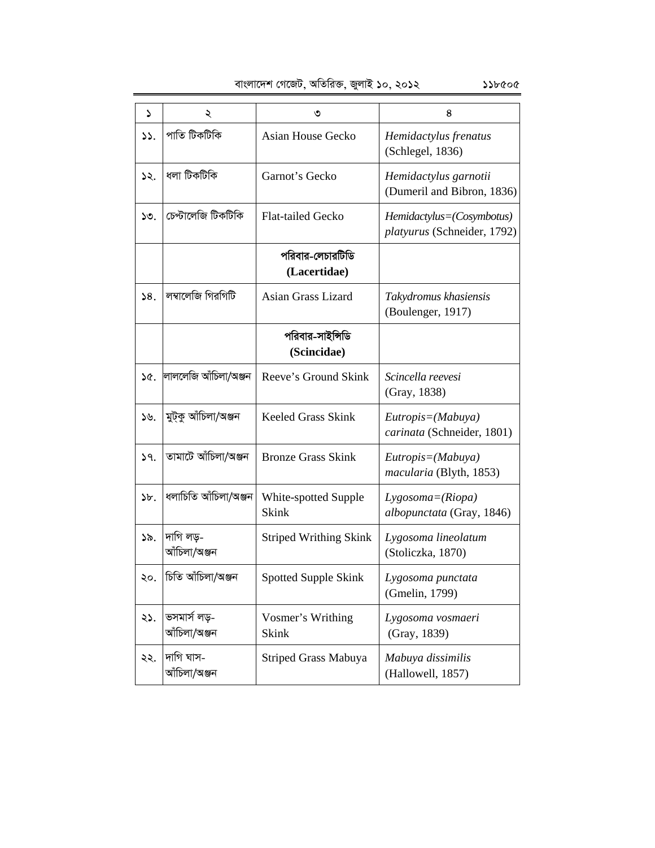| ډ     | ২                            | ৩                                    | 8                                                        |
|-------|------------------------------|--------------------------------------|----------------------------------------------------------|
| 55.   | পাতি টিকটিকি                 | Asian House Gecko                    | Hemidactylus frenatus<br>(Schlegel, 1836)                |
| ১২.   | ধলা টিকটিকি                  | Garnot's Gecko                       | Hemidactylus garnotii<br>(Dumeril and Bibron, 1836)      |
| ১৩.   | চেপ্টালেজি টিকটিকি           | <b>Flat-tailed Gecko</b>             | Hemidactylus=(Cosymbotus)<br>platyurus (Schneider, 1792) |
|       |                              | পরিবার-লেচারটিডি<br>(Lacertidae)     |                                                          |
| 58.   | লম্বালেজি গিরগিটি            | Asian Grass Lizard                   | Takydromus khasiensis<br>(Boulenger, 1917)               |
|       |                              | পরিবার-সাইন্সিডি<br>(Scincidae)      |                                                          |
| ১৫.   | লাললেজি আঁচিলা/অঞ্জন         | Reeve's Ground Skink                 | Scincella reevesi<br>(Gray, 1838)                        |
| ১৬.   | মুট্কু আঁচিলা/অঞ্জন          | Keeled Grass Skink                   | $Eutropis = (Mabuya)$<br>carinata (Schneider, 1801)      |
| 39.   | তামাটে আঁচিলা/অঞ্জন          | <b>Bronze Grass Skink</b>            | Eutropis=(Mabuya)<br>macularia (Blyth, 1853)             |
| $b$ . | ধলাচিতি আঁচিলা/অঞ্জন         | White-spotted Supple<br><b>Skink</b> | $Lygosoma = (Riopa)$<br>albopunctata (Gray, 1846)        |
| ১৯.   | দাগি লড়-<br>আঁচিলা/অঞ্জন    | <b>Striped Writhing Skink</b>        | Lygosoma lineolatum<br>(Stoliczka, 1870)                 |
| ২০.   | চিতি আঁচিলা/অঞ্জন            | <b>Spotted Supple Skink</b>          | Lygosoma punctata<br>(Gmelin, 1799)                      |
| ২১.   | ভসমাৰ্স লড়-<br>আঁচিলা/অঞ্জন | Vosmer's Writhing<br><b>Skink</b>    | Lygosoma vosmaeri<br>(Gray, 1839)                        |
| ২২.   | দাগি ঘাস-<br>আঁচিলা/অঞ্জন    | Striped Grass Mabuya                 | Mabuya dissimilis<br>(Hallowell, 1857)                   |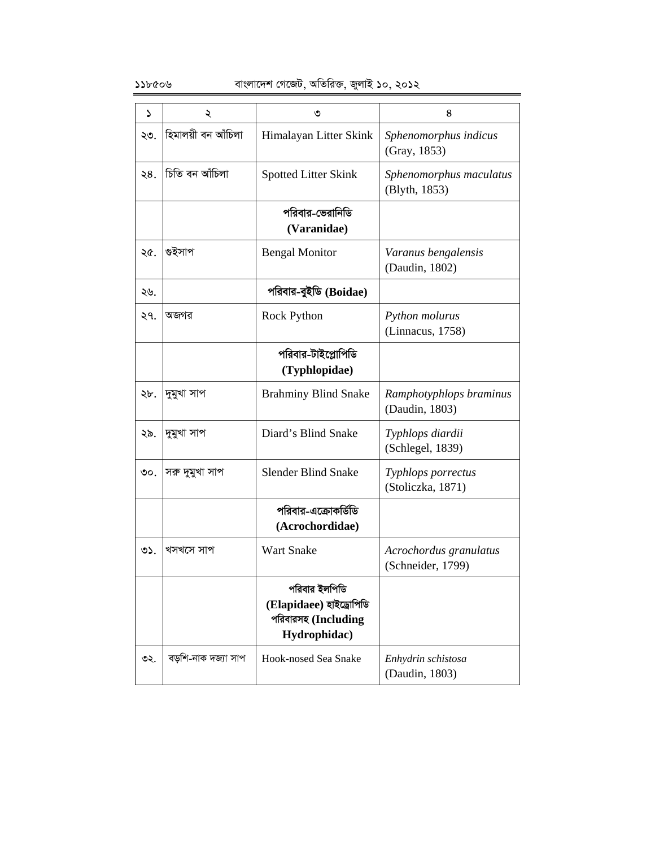| S   | ২                   | ৩                                                                               | 8                                           |
|-----|---------------------|---------------------------------------------------------------------------------|---------------------------------------------|
| ২৩. | হিমালয়ী বন আঁচিলা  | Himalayan Litter Skink                                                          | Sphenomorphus indicus<br>(Gray, 1853)       |
| ২৪. | চিতি বন আঁচিলা      | <b>Spotted Litter Skink</b>                                                     | Sphenomorphus maculatus<br>(Blyth, 1853)    |
|     |                     | পরিবার-ভেরানিডি<br>(Varanidae)                                                  |                                             |
| ২৫. | গুইসাপ              | <b>Bengal Monitor</b>                                                           | Varanus bengalensis<br>(Daudin, 1802)       |
| ২৬. |                     | পরিবার-বুইডি (Boidae)                                                           |                                             |
| ২৭. | অজগর                | Rock Python                                                                     | Python molurus<br>(Linnacus, 1758)          |
|     |                     | পরিবার-টাইপ্লোপিডি<br>(Typhlopidae)                                             |                                             |
| ২৮. | দুমুখা সাপ          | <b>Brahminy Blind Snake</b>                                                     | Ramphotyphlops braminus<br>(Daudin, 1803)   |
| ২৯. | দুমুখা সাপ          | Diard's Blind Snake                                                             | Typhlops diardii<br>(Schlegel, 1839)        |
| ৩০. | সরু দুমুখা সাপ      | <b>Slender Blind Snake</b>                                                      | Typhlops porrectus<br>(Stoliczka, 1871)     |
|     |                     | পরিবার-এক্রোকর্ডিডি<br>(Acrochordidae)                                          |                                             |
| ৩১. | খসখসে সাপ           | <b>Wart Snake</b>                                                               | Acrochordus granulatus<br>(Schneider, 1799) |
|     |                     | পরিবার ইলপিডি<br>(Elapidaee) হাইড্ৰোপিডি<br>পরিবারসহ (Including<br>Hydrophidac) |                                             |
| ৩২. | বড়শি-নাক দজ্যা সাপ | Hook-nosed Sea Snake                                                            | Enhydrin schistosa<br>(Daudin, 1803)        |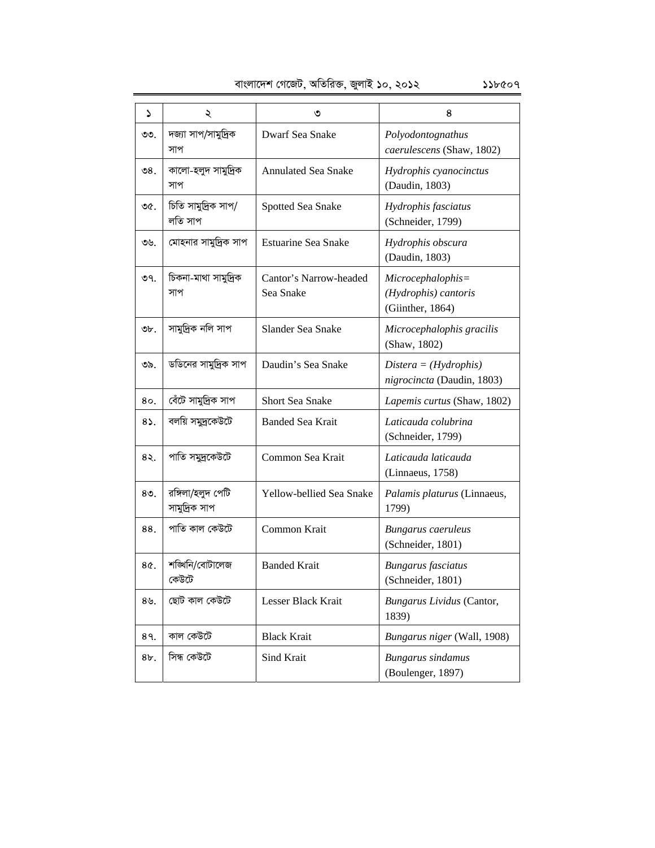| ډ                | ২                                  | ৩                                   | 8                                                             |
|------------------|------------------------------------|-------------------------------------|---------------------------------------------------------------|
| ৩৩.              | দজ্যা সাপ/সামুদ্রিক<br>সাপ         | Dwarf Sea Snake                     | Polyodontognathus<br>caerulescens (Shaw, 1802)                |
| ৩৪.              | কালো-হলুদ সামুদ্ৰিক<br>সাপ         | <b>Annulated Sea Snake</b>          | Hydrophis cyanocinctus<br>(Daudin, 1803)                      |
| ৩৫.              | চিতি সামুদ্রিক সাপ/<br>লতি সাপ     | Spotted Sea Snake                   | Hydrophis fasciatus<br>(Schneider, 1799)                      |
| ৩৬.              | মোহনার সামুদ্রিক সাপ               | <b>Estuarine Sea Snake</b>          | Hydrophis obscura<br>(Daudin, 1803)                           |
| ৩৭.              | চিকনা-মাথা সামুদ্ৰিক<br>সাপ        | Cantor's Narrow-headed<br>Sea Snake | Microcephalophis=<br>(Hydrophis) cantoris<br>(Giinther, 1864) |
| ৩৮.              | সামুদ্ৰিক নলি সাপ                  | Slander Sea Snake                   | Microcephalophis gracilis<br>(Shaw, 1802)                     |
| ৩৯.              | ডডিনের সামুদ্রিক সাপ               | Daudin's Sea Snake                  | $Distance = (Hydrophis)$<br>nigrocincta (Daudin, 1803)        |
| 80.              | বেঁটে সামুদ্রিক সাপ                | Short Sea Snake                     | Lapemis curtus (Shaw, 1802)                                   |
| $8\lambda$ .     | বলয়ি সমুদ্রকেউটে                  | <b>Banded Sea Krait</b>             | Laticauda colubrina<br>(Schneider, 1799)                      |
| 8२.              | পাতি সমুদ্রকেউটে                   | Common Sea Krait                    | Laticauda laticauda<br>(Linnaeus, 1758)                       |
| $80$ .           | রঙ্গিলা/হলুদ পেটি<br>সামুদ্রিক সাপ | Yellow-bellied Sea Snake            | Palamis platurus (Linnaeus,<br>1799)                          |
| 88.              | পাতি কাল কেউটে                     | Common Krait                        | <b>Bungarus</b> caeruleus<br>(Schneider, 1801)                |
| 8¢.              | শঙ্খিনি/বোটালেজ<br>কেউটে           | <b>Banded Krait</b>                 | <b>Bungarus</b> fasciatus<br>(Schneider, 1801)                |
| $8\mathcal{Y}$ . | ছোট কাল কেউটে                      | Lesser Black Krait                  | Bungarus Lividus (Cantor,<br>1839)                            |
| 8१.              | কাল কেউটে                          | <b>Black Krait</b>                  | Bungarus niger (Wall, 1908)                                   |
| 8b.              | সিন্ধ কেউটে                        | Sind Krait                          | <b>Bungarus</b> sindamus<br>(Boulenger, 1897)                 |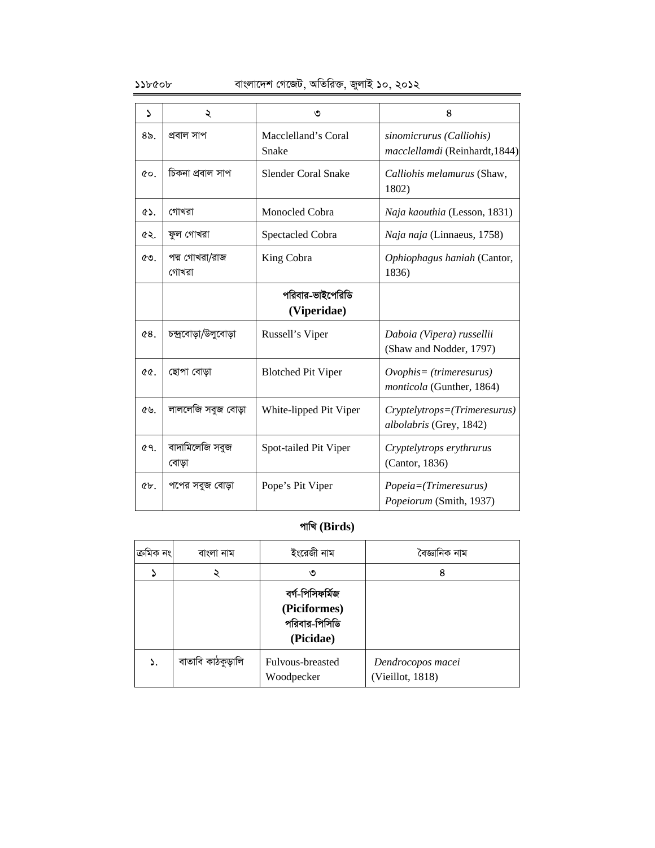### $\mathcal{L}$ ১১৮৫০৮ বাংলাদেশ গেজেট, অতিরিক্ত, জুলাই ১০, ২০১২

| S           | ২                        | ৩                               | 8                                                            |
|-------------|--------------------------|---------------------------------|--------------------------------------------------------------|
| $8\delta$ . | প্ৰবাল সাপ               | Macclelland's Coral<br>Snake    | sinomicrurus (Calliohis)<br>macclellamdi (Reinhardt, 1844)   |
| CO.         | চিকনা প্ৰবাল সাপ         | <b>Slender Coral Snake</b>      | Calliohis melamurus (Shaw,<br>1802)                          |
| <b>ES.</b>  | গোখরা                    | Monocled Cobra                  | Naja kaouthia (Lesson, 1831)                                 |
| ৫২.         | ফুল গোখরা                | Spectacled Cobra                | Naja naja (Linnaeus, 1758)                                   |
| ৫৩.         | পদ্ম গোখরা/রাজ<br>গোখরা  | King Cobra                      | Ophiophagus haniah (Cantor,<br>1836)                         |
|             |                          | পরিবার-ভাইপেরিডি<br>(Viperidae) |                                                              |
| 68.         | চন্দ্ৰবোড়া/উলুবোড়া     | Russell's Viper                 | Daboia (Vipera) russellii<br>(Shaw and Nodder, 1797)         |
| ৫৫.         | ছোপা বোড়া               | <b>Blotched Pit Viper</b>       | $Ovophis = (trimeresurus)$<br>monticola (Gunther, 1864)      |
| ৫৬.         | লাললেজি সবুজ বোড়া       | White-lipped Pit Viper          | $Cryptely trops = (Trimeresurus)$<br>albolabris (Grey, 1842) |
| 69.         | বাদামিলেজি সবুজ<br>বোড়া | Spot-tailed Pit Viper           | Cryptelytrops erythrurus<br>(Cantor, 1836)                   |
| $6b$ .      | পপের সবুজ বোড়া          | Pope's Pit Viper                | Popeia=(Trimeresurus)<br>Popeiorum (Smith, 1937)             |

### **cvwL (Birds)**

| ক্ৰমিক নং | বাংলা নাম         | ইংরেজী নাম                                                    | বৈজ্ঞানিক নাম                         |
|-----------|-------------------|---------------------------------------------------------------|---------------------------------------|
|           |                   | ৩                                                             | 8                                     |
|           |                   | বৰ্গ-পিসিফৰ্মিজ<br>(Piciformes)<br>পরিবার-পিসিডি<br>(Picidae) |                                       |
| ۵.        | বাতাবি কাঠকুড়ালি | Fulvous-breasted<br>Woodpecker                                | Dendrocopos macei<br>(Vieillot, 1818) |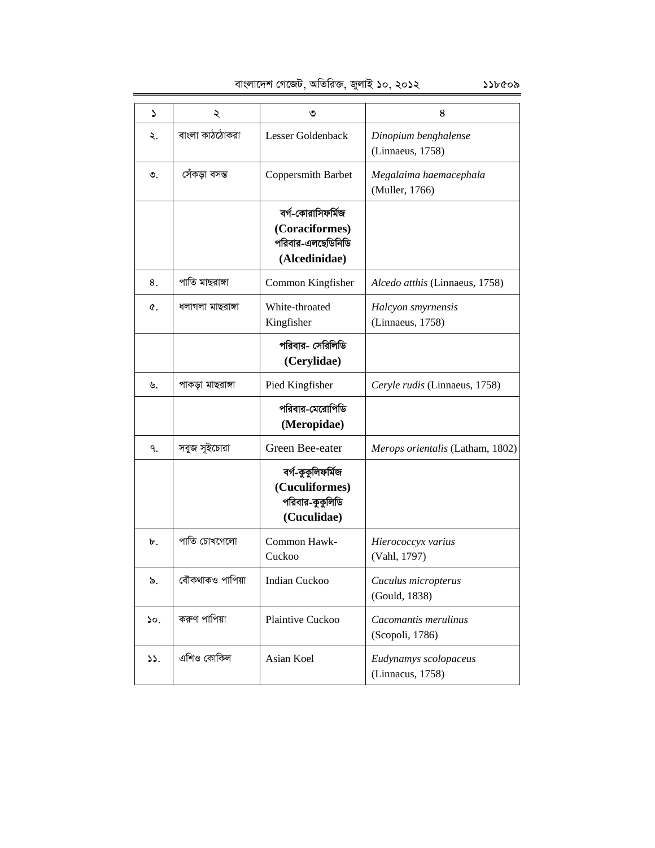| বাংলাদেশ গেজেট, অতিরিক্ত, জুলাই ১০, ২০১২<br>১১৮৫০৯ |
|----------------------------------------------------|
|----------------------------------------------------|

| د   | ২                | ৩                                                                         | 8                                         |
|-----|------------------|---------------------------------------------------------------------------|-------------------------------------------|
| ২.  | বাংলা কাঠঠোকরা   | Lesser Goldenback                                                         | Dinopium benghalense<br>(Linnaeus, 1758)  |
| ৩.  | সেঁকড়া বসন্ত    | Coppersmith Barbet                                                        | Megalaima haemacephala<br>(Muller, 1766)  |
|     |                  | বর্গ-কোরাসিফর্মিজ<br>(Coraciformes)<br>পরিবার-এলছেডিনিডি<br>(Alcedinidae) |                                           |
| 8.  | পাতি মাছরাঙ্গা   | Common Kingfisher                                                         | Alcedo atthis (Linnaeus, 1758)            |
| Q.  | ধলাগলা মাছরাঙ্গা | White-throated<br>Kingfisher                                              | Halcyon smyrnensis<br>(Linnaeus, 1758)    |
|     |                  | পরিবার- সেরিলিডি<br>(Cerylidae)                                           |                                           |
| ৬.  | পাকড়া মাছরাঙ্গা | Pied Kingfisher                                                           | Ceryle rudis (Linnaeus, 1758)             |
|     |                  | পরিবার-মেরোপিডি<br>(Meropidae)                                            |                                           |
| ٩.  | সবুজ সূইচোরা     | Green Bee-eater                                                           | Merops orientalis (Latham, 1802)          |
|     |                  | বৰ্গ-কুকুলিফৰ্মিজ<br>(Cuculiformes)<br>পরিবার-কুকুলিডি<br>(Cuculidae)     |                                           |
| ৮.  | পাতি চোখগেলো     | Common Hawk-<br>Cuckoo                                                    | Hierococcyx varius<br>(Vahl, 1797)        |
| ৯.  | বৌকথাকও পাপিয়া  | Indian Cuckoo                                                             | Cuculus micropterus<br>(Gould, 1838)      |
| ১০. | করুণ পাপিয়া     | Plaintive Cuckoo                                                          | Cacomantis merulinus<br>(Scopoli, 1786)   |
| 33. | এশিও কোকিল       | Asian Koel                                                                | Eudynamys scolopaceus<br>(Linnacus, 1758) |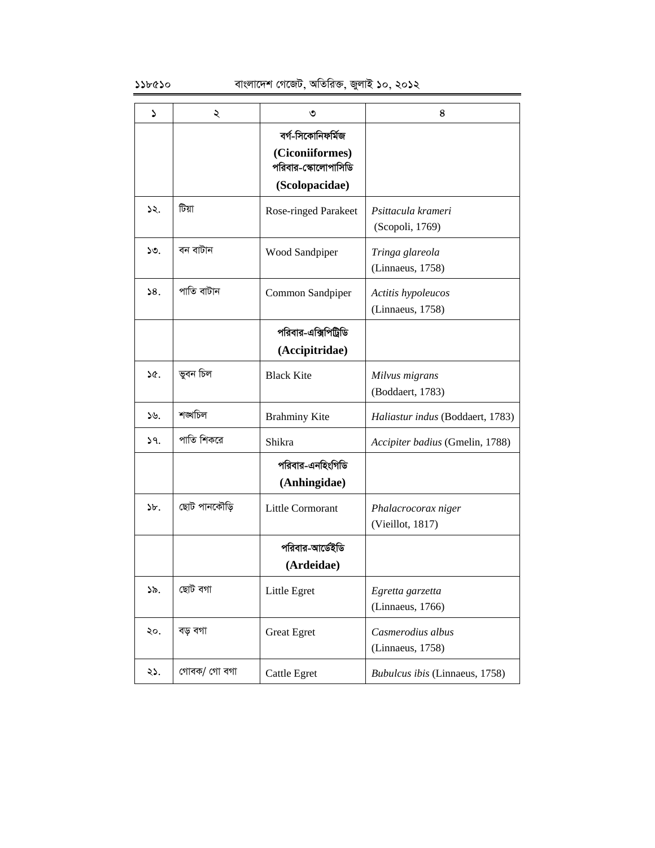| ۵     | ২            | ৩                                                                             | 8                                       |
|-------|--------------|-------------------------------------------------------------------------------|-----------------------------------------|
|       |              | বর্গ-সিকোনিফর্মিজ<br>(Ciconiiformes)<br>পরিবার-স্কোলোপাসিডি<br>(Scolopacidae) |                                         |
| 52.   | টিয়া        | <b>Rose-ringed Parakeet</b>                                                   | Psittacula krameri<br>(Scopoli, 1769)   |
| 50.   | বন বাটান     | Wood Sandpiper                                                                | Tringa glareola<br>(Linnaeus, 1758)     |
| 58.   | পাতি বাটান   | Common Sandpiper                                                              | Actitis hypoleucos<br>(Linnaeus, 1758)  |
|       |              | পরিবার-এক্সিপিট্রিডি<br>(Accipitridae)                                        |                                         |
| ১৫.   | ভুবন চিল     | <b>Black Kite</b>                                                             | Milvus migrans<br>(Boddaert, 1783)      |
| ১৬.   | শঙ্খচিল      | <b>Brahminy Kite</b>                                                          | Haliastur indus (Boddaert, 1783)        |
| 39.   | পাতি শিকরে   | Shikra                                                                        | Accipiter badius (Gmelin, 1788)         |
|       |              | পরিবার-এনহিংগিডি<br>(Anhingidae)                                              |                                         |
| $b$ . | ছোট পানকৌড়ি | Little Cormorant                                                              | Phalacrocorax niger<br>(Vieillot, 1817) |
|       |              | পরিবার-আর্ডেইডি<br>(Ardeidae)                                                 |                                         |
| ১৯.   | ছোট বগা      | Little Egret                                                                  | Egretta garzetta<br>(Linnaeus, 1766)    |
| ২০.   | বড় বগা      | <b>Great Egret</b>                                                            | Casmerodius albus<br>(Linnaeus, 1758)   |
| ২১.   | গোবক/ গো বগা | <b>Cattle Egret</b>                                                           | Bubulcus ibis (Linnaeus, 1758)          |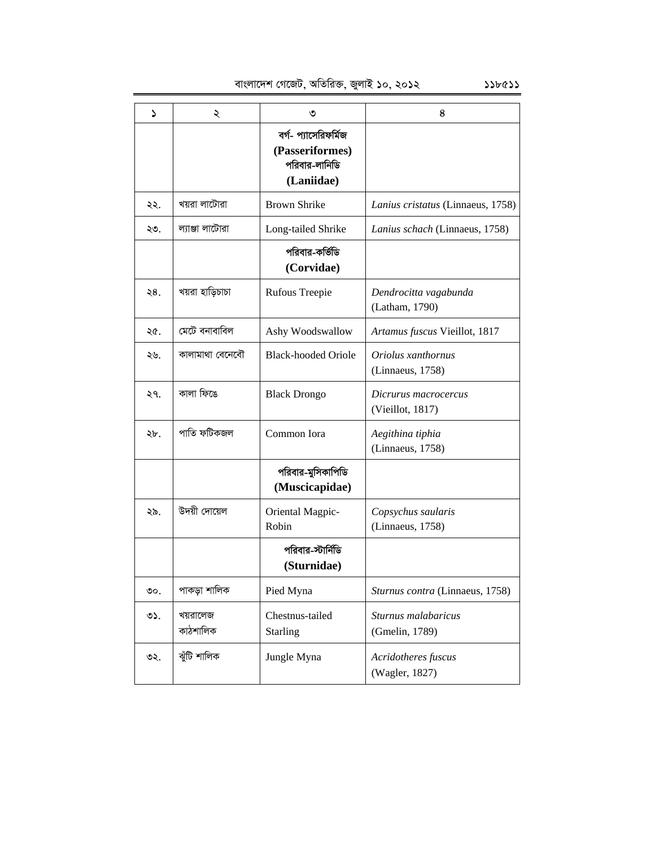বাংলাদেশ গেজেট, অতিরিক্ত, জুলাই ১০, ২০১২ ১১৮৫১১

| ۵    | ২                    | ৩                                                                      | 8                                        |
|------|----------------------|------------------------------------------------------------------------|------------------------------------------|
|      |                      | বর্গ- প্যাসেরিফর্মিজ<br>(Passeriformes)<br>পরিবার-লানিডি<br>(Laniidae) |                                          |
| ২২.  | খয়রা লাটোরা         | <b>Brown Shrike</b>                                                    | Lanius cristatus (Linnaeus, 1758)        |
| ২৩.  | ল্যাঞ্জা লাটোরা      | Long-tailed Shrike                                                     | Lanius schach (Linnaeus, 1758)           |
|      |                      | পরিবার-কর্ভিডি<br>(Corvidae)                                           |                                          |
| ২8.  | খয়রা হাড়িচাচা      | Rufous Treepie                                                         | Dendrocitta vagabunda<br>(Latham, 1790)  |
| ২৫.  | মেটে বনাবাবিল        | Ashy Woodswallow                                                       | Artamus fuscus Vieillot, 1817            |
| ২৬.  | কালামাথা বেনেবৌ      | <b>Black-hooded Oriole</b>                                             | Oriolus xanthornus<br>(Linnaeus, 1758)   |
| ২৭.  | কালা ফিঙে            | <b>Black Drongo</b>                                                    | Dicrurus macrocercus<br>(Vieillot, 1817) |
| ২৮.  | পাতি ফটিকজল          | Common Iora                                                            | Aegithina tiphia<br>(Linnaeus, 1758)     |
|      |                      | পরিবার-মুসিকাপিডি<br>(Muscicapidae)                                    |                                          |
| ২৯.  | উদয়ী দোয়েল         | Oriental Magpic-<br>Robin                                              | Copsychus saularis<br>(Linnaeus, 1758)   |
|      |                      | পরিবার-স্টার্নিডি<br>(Sturnidae)                                       |                                          |
| ಲಿಂ. | পাকড়া শালিক         | Pied Myna                                                              | Sturnus contra (Linnaeus, 1758)          |
| ৩১.  | খয়রালেজ<br>কাঠশালিক | Chestnus-tailed<br><b>Starling</b>                                     | Sturnus malabaricus<br>(Gmelin, 1789)    |
| ৩২.  | ঝুঁটি শালিক          | Jungle Myna                                                            | Acridotheres fuscus<br>(Wagler, 1827)    |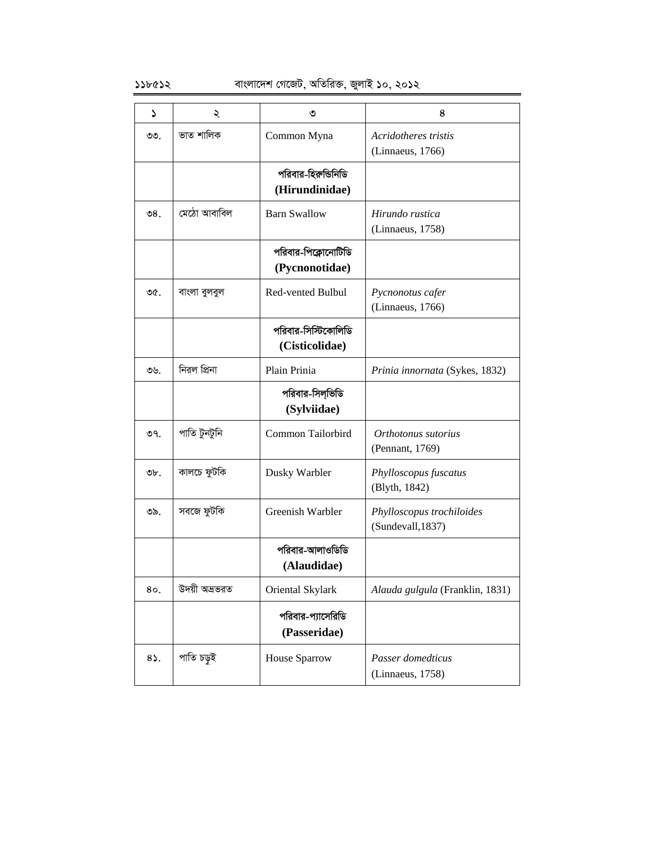| ۵      | ২             | ৩                   | 8                               |
|--------|---------------|---------------------|---------------------------------|
| ৩৩.    | ভাত শালিক     | Common Myna         | Acridotheres tristis            |
|        |               |                     | (Linnaeus, 1766)                |
|        |               | পরিবার-হিরুন্ডিনিডি |                                 |
|        |               | (Hirundinidae)      |                                 |
|        |               |                     |                                 |
| ৩ $8.$ | মেঠো আবাবিল   | <b>Barn Swallow</b> | Hirundo rustica                 |
|        |               |                     | (Linnaeus, 1758)                |
|        |               | পরিবার-পিক্লোনোটিডি |                                 |
|        |               | (Pycnonotidae)      |                                 |
| ৩৫.    | বাংলা বুলবুল  | Red-vented Bulbul   | Pycnonotus cafer                |
|        |               |                     | (Linnaeus, 1766)                |
|        |               |                     |                                 |
|        |               | পরিবার-সিস্টিকোলিডি |                                 |
|        |               | (Cisticolidae)      |                                 |
| ৩৬.    | নিরল প্রিনা   | Plain Prinia        | Prinia innornata (Sykes, 1832)  |
|        |               | পরিবার-সিল্ভিডি     |                                 |
|        |               | (Sylviidae)         |                                 |
| ৩৭.    | পাতি টুনটুনি  | Common Tailorbird   | Orthotonus sutorius             |
|        |               |                     | (Pennant, 1769)                 |
|        |               |                     |                                 |
| ৩৮.    | কালচে ফুটকি   | Dusky Warbler       | Phylloscopus fuscatus           |
|        |               |                     | (Blyth, 1842)                   |
| ৩৯.    | সবজে ফুটকি    | Greenish Warbler    | Phylloscopus trochiloides       |
|        |               |                     | (Sundevall, 1837)               |
|        |               | পরিবার-আলাওডিডি     |                                 |
|        |               | (Alaudidae)         |                                 |
|        |               |                     |                                 |
| 80.    | উদয়ী অভ্ৰভৱত | Oriental Skylark    | Alauda gulgula (Franklin, 1831) |
|        |               | পরিবার-প্যাসেরিডি   |                                 |
|        |               | (Passeridae)        |                                 |
|        |               |                     |                                 |
| 85.    | পাতি চড়ই     | House Sparrow       | Passer domedticus               |
|        |               |                     | (Linnaeus, 1758)                |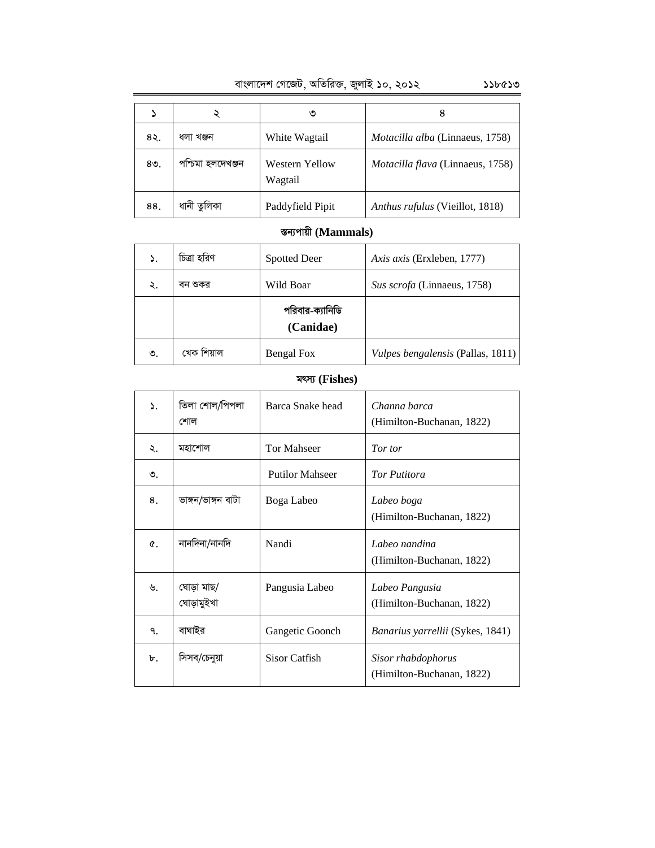|        |                   | ৩                                | 8                                       |
|--------|-------------------|----------------------------------|-----------------------------------------|
| ৪২.    | ধলা খঞ্জন         | White Wagtail                    | Motacilla alba (Linnaeus, 1758)         |
| $80$ . | পশ্চিমা হলদেখঞ্জন | <b>Western Yellow</b><br>Wagtail | <i>Motacilla flava</i> (Linnaeus, 1758) |
| 88.    | ধানী তুলিকা       | Paddyfield Pipit                 | Anthus rufulus (Vieillot, 1818)         |

### ক্তন্যপায়ী (Mammals)

| ۵. | চিত্রা হরিণ | <b>Spotted Deer</b>          | Axis axis (Erxleben, 1777)        |
|----|-------------|------------------------------|-----------------------------------|
| ২. | বন শুকর     | Wild Boar                    | Sus scrofa (Linnaeus, 1758)       |
|    |             | পরিবার-ক্যানিডি<br>(Canidae) |                                   |
| ৩. | খেক শিয়াল  | Bengal Fox                   | Vulpes bengalensis (Pallas, 1811) |

### **grm¨ (Fishes)**

| ۵. | তিলা শোল/পিপলা<br>শোল    | Barca Snake head       | Channa barca<br>(Himilton-Buchanan, 1822)       |
|----|--------------------------|------------------------|-------------------------------------------------|
| ২. | মহাশোল                   | <b>Tor Mahseer</b>     | Tor tor                                         |
| ৩. |                          | <b>Putilor Mahseer</b> | <b>Tor Putitora</b>                             |
| 8. | ভাঙ্গন/ভাঙ্গন বাটা       | Boga Labeo             | Labeo boga<br>(Himilton-Buchanan, 1822)         |
| ¢. | নানদিনা/নানদি            | Nandi                  | Labeo nandina<br>(Himilton-Buchanan, 1822)      |
| ৬. | ঘোড়া মাছ/<br>ঘোড়ামুইখা | Pangusia Labeo         | Labeo Pangusia<br>(Himilton-Buchanan, 1822)     |
| ٩. | বাঘাইর                   | Gangetic Goonch        | <i>Banarius yarrellii</i> (Sykes, 1841)         |
| ৮. | সিসব/চেনুয়া             | Sisor Catfish          | Sisor rhabdophorus<br>(Himilton-Buchanan, 1822) |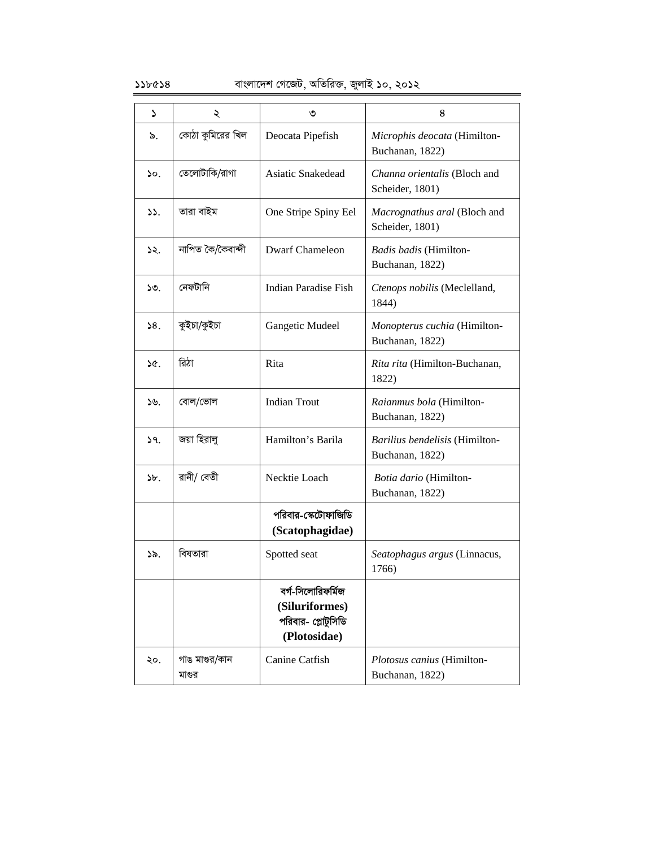### ১১৮৫১৪ বাংলাদেশ গেজেট, অতিরিক্ত, জুলাই ১০, ২০১২

| Z.              | ২                       | ৩                                                                         | 8                                                      |
|-----------------|-------------------------|---------------------------------------------------------------------------|--------------------------------------------------------|
| ৯.              | কোঠা কুমিরের খিল        | Deocata Pipefish                                                          | Microphis deocata (Himilton-<br>Buchanan, 1822)        |
| $\mathcal{L}$ . | তেলোটাকি/রাগা           | Asiatic Snakedead                                                         | <i>Channa orientalis</i> (Bloch and<br>Scheider, 1801) |
| ১১.             | তারা বাইম               | One Stripe Spiny Eel                                                      | Macrognathus aral (Bloch and<br>Scheider, 1801)        |
| ১২.             | নাপিত কৈ/কৈবান্দী       | <b>Dwarf Chameleon</b>                                                    | Badis badis (Himilton-<br>Buchanan, 1822)              |
| ১৩.             | নেফটানি                 | <b>Indian Paradise Fish</b>                                               | Ctenops nobilis (Meclelland,<br>1844)                  |
| 58.             | কুইচা/কুইচা             | Gangetic Mudeel                                                           | Monopterus cuchia (Himilton-<br>Buchanan, 1822)        |
| ১৫.             | রিঠা                    | Rita                                                                      | Rita rita (Himilton-Buchanan,<br>1822)                 |
| $\mathcal{W}_1$ | বোল/ভোল                 | <b>Indian Trout</b>                                                       | Raianmus bola (Himilton-<br>Buchanan, 1822)            |
| 9.              | জয়া হিরালু             | Hamilton's Barila                                                         | Barilius bendelisis (Himilton-<br>Buchanan, 1822)      |
| $\delta b$ .    | রানী/ বেতী              | Necktie Loach                                                             | Botia dario (Himilton-<br>Buchanan, 1822)              |
|                 |                         | পরিবার-স্কেটোফাজিডি<br>(Scatophagidae)                                    |                                                        |
| ১৯.             | বিষতারা                 | Spotted seat                                                              | Seatophagus argus (Linnacus,<br>1766)                  |
|                 |                         | বর্গ-সিলোরিফর্মিজ<br>(Siluriformes)<br>পরিবার- প্লোটুসিডি<br>(Plotosidae) |                                                        |
| ২০.             | গাঙ মাগুর/কান<br>মাণ্ডর | Canine Catfish                                                            | Plotosus canius (Himilton-<br>Buchanan, 1822)          |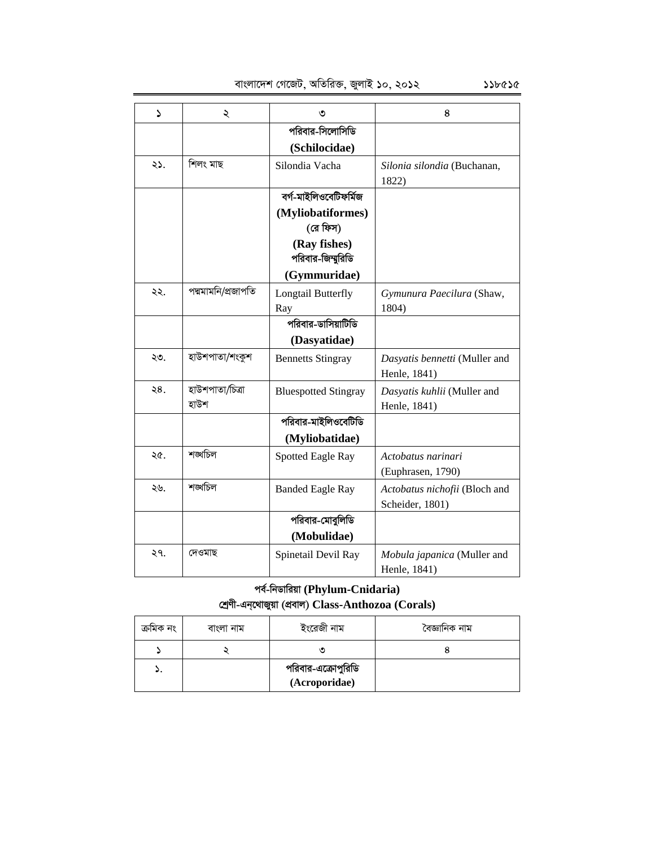| S   | ২                       | ৩                           | 8                                                |
|-----|-------------------------|-----------------------------|--------------------------------------------------|
|     |                         | পরিবার-সিলোসিডি             |                                                  |
|     |                         | (Schilocidae)               |                                                  |
| ২১. | শিলং মাছ                | Silondia Vacha              | Silonia silondia (Buchanan,<br>1822)             |
|     |                         | বৰ্গ-মাইলিওবেটিফৰ্মিজ       |                                                  |
|     |                         | (Myliobatiformes)           |                                                  |
|     |                         | (রে ফিস)                    |                                                  |
|     |                         | (Ray fishes)                |                                                  |
|     |                         | পরিবার-জিম্মুরিডি           |                                                  |
|     |                         | (Gymmuridae)                |                                                  |
| ২২. | পদ্মমামনি/প্ৰজাপতি      | Longtail Butterfly          | Gymunura Paecilura (Shaw,                        |
|     |                         | Ray                         | 1804)                                            |
|     |                         | পরিবার-ডাসিয়াটিডি          |                                                  |
|     |                         | (Dasyatidae)                |                                                  |
| ২৩. | হাউশপাতা/শংকুশ          | <b>Bennetts Stingray</b>    | Dasyatis bennetti (Muller and<br>Henle, 1841)    |
| ২8. | হাউশপাতা/চিত্ৰা<br>হাউশ | <b>Bluespotted Stingray</b> | Dasyatis kuhlii (Muller and<br>Henle, 1841)      |
|     |                         | পরিবার-মাইলিওবেটিডি         |                                                  |
|     |                         | (Myliobatidae)              |                                                  |
| ২৫. | শঙ্খচিল                 | Spotted Eagle Ray           | Actobatus narinari<br>(Euphrasen, 1790)          |
| ২৬. | শঙ্খচিল                 | <b>Banded Eagle Ray</b>     | Actobatus nichofii (Bloch and<br>Scheider, 1801) |
|     |                         | পরিবার-মোবুলিডি             |                                                  |
|     |                         | (Mobulidae)                 |                                                  |
| ২৭. | দেওমাছ                  | Spinetail Devil Ray         | Mobula japanica (Muller and<br>Henle, 1841)      |

### **ce©-wbWvwiqv (Phylum-Cnidaria) †kªYx-Gb&‡\_vRyqv (cÖevj) Class-Anthozoa (Corals)**

| ক্ৰামক নং | বাংলা নাম | ইংরেজী নাম                          | বৈজ্ঞানিক নাম |
|-----------|-----------|-------------------------------------|---------------|
|           |           |                                     |               |
|           |           | পরিবার-এক্রোপুরিডি<br>(Acroporidae) |               |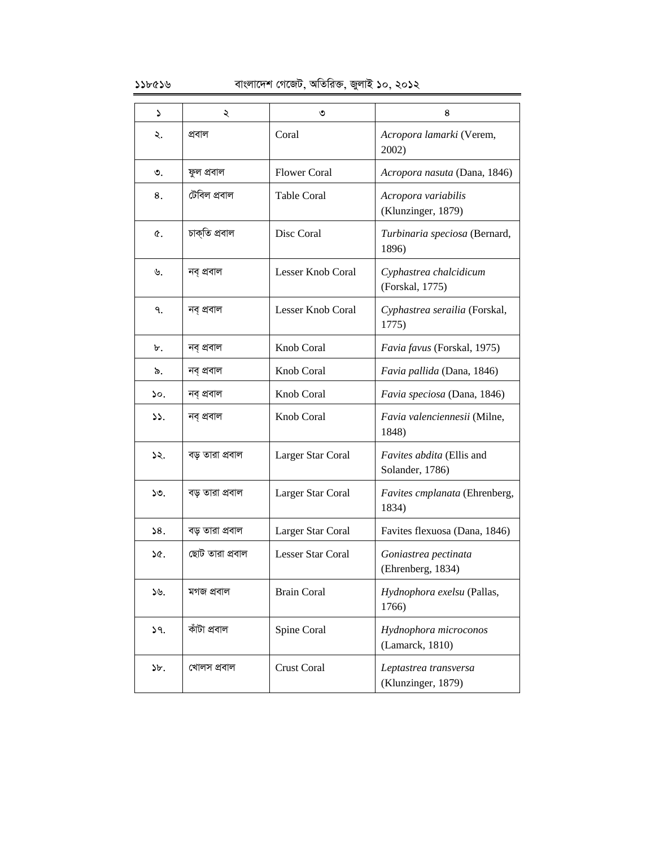| Z               | ২               | ৩                   | 8                                            |
|-----------------|-----------------|---------------------|----------------------------------------------|
| ২.              | প্ৰবাল          | Coral               | Acropora lamarki (Verem,<br>2002)            |
| ৩.              | ফুল প্ৰবাল      | <b>Flower Coral</b> | Acropora nasuta (Dana, 1846)                 |
| 8.              | টেবিল প্ৰবাল    | Table Coral         | Acropora variabilis<br>(Klunzinger, 1879)    |
| Q.              | চাক্তি প্ৰবাল   | Disc Coral          | Turbinaria speciosa (Bernard,<br>1896)       |
| ৬.              | নব প্ৰবাল       | Lesser Knob Coral   | Cyphastrea chalcidicum<br>(Forskal, 1775)    |
| ٩.              | নব্ প্ৰবাল      | Lesser Knob Coral   | Cyphastrea serailia (Forskal,<br>1775)       |
| ৮.              | নব প্ৰবাল       | Knob Coral          | Favia favus (Forskal, 1975)                  |
| ৯.              | নব্ প্ৰবাল      | Knob Coral          | Favia pallida (Dana, 1846)                   |
| ১০.             | নব প্ৰবাল       | Knob Coral          | Favia speciosa (Dana, 1846)                  |
| $\mathcal{L}$ . | নব্ প্ৰবাল      | Knob Coral          | Favia valenciennesii (Milne,<br>1848)        |
| ১২.             | বড় তারা প্রবাল | Larger Star Coral   | Favites abdita (Ellis and<br>Solander, 1786) |
| ১৩.             | বড় তারা প্রবাল | Larger Star Coral   | Favites cmplanata (Ehrenberg,<br>1834)       |
| 58.             | বড় তারা প্রবাল | Larger Star Coral   | Favites flexuosa (Dana, 1846)                |
| ১৫.             | ছোট তারা প্রবাল | Lesser Star Coral   | Goniastrea pectinata<br>(Ehrenberg, 1834)    |
| ১৬.             | মগজ প্ৰবাল      | <b>Brain Coral</b>  | Hydnophora exelsu (Pallas,<br>1766)          |
| 59.             | কাঁটা প্ৰবাল    | Spine Coral         | Hydnophora microconos<br>(Lamarck, 1810)     |
| $\delta b$ .    | খোলস প্ৰবাল     | <b>Crust Coral</b>  | Leptastrea transversa<br>(Klunzinger, 1879)  |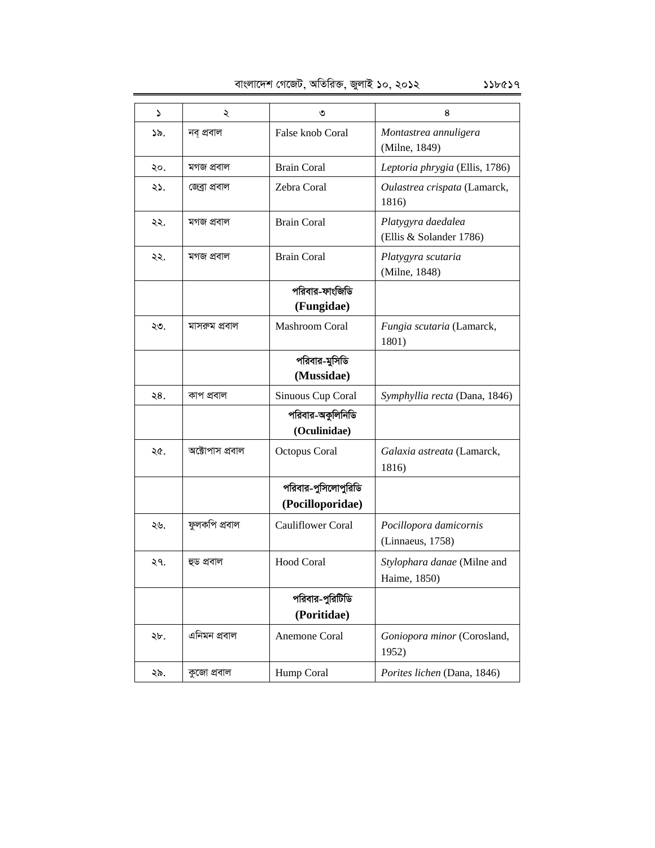| د   | ২               | ৩                                       | 8                                             |
|-----|-----------------|-----------------------------------------|-----------------------------------------------|
| ১৯. | নব প্ৰবাল       | False knob Coral                        | Montastrea annuligera<br>(Milne, 1849)        |
| ২০. | মগজ প্ৰবাল      | <b>Brain Coral</b>                      | Leptoria phrygia (Ellis, 1786)                |
| ২১. | জেব্ৰা প্ৰবাল   | Zebra Coral                             | Oulastrea crispata (Lamarck,<br>1816)         |
| ২২. | মগজ প্ৰবাল      | <b>Brain Coral</b>                      | Platygyra daedalea<br>(Ellis & Solander 1786) |
| ২২. | মগজ প্ৰবাল      | <b>Brain Coral</b>                      | Platygyra scutaria<br>(Milne, 1848)           |
|     |                 | পরিবার-ফাংজিডি<br>(Fungidae)            |                                               |
| ২৩. | মাসরুম প্রবাল   | <b>Mashroom Coral</b>                   | Fungia scutaria (Lamarck,<br>1801)            |
|     |                 | পরিবার-মুসিডি<br>(Mussidae)             |                                               |
| ২8. | কাপ প্ৰবাল      | Sinuous Cup Coral                       | Symphyllia recta (Dana, 1846)                 |
|     |                 | পরিবার-অকুলিনিডি<br>(Oculinidae)        |                                               |
| ২৫. | অক্টোপাস প্রবাল | Octopus Coral                           | Galaxia astreata (Lamarck,<br>1816)           |
|     |                 | পরিবার-পুসিলোপুরিডি<br>(Pocilloporidae) |                                               |
| ২৬. | ফুলকপি প্ৰবাল   | <b>Cauliflower Coral</b>                | Pocillopora damicornis<br>(Linnaeus, 1758)    |
| ২৭. | হুড প্ৰবাল      | <b>Hood Coral</b>                       | Stylophara danae (Milne and<br>Haime, 1850)   |
|     |                 | পরিবার-পুরিটিডি<br>(Poritidae)          |                                               |
| ২৮. | এনিমন প্ৰবাল    | Anemone Coral                           | Goniopora minor (Corosland,<br>1952)          |
| ২৯. | কুজো প্ৰবাল     | Hump Coral                              | Porites lichen (Dana, 1846)                   |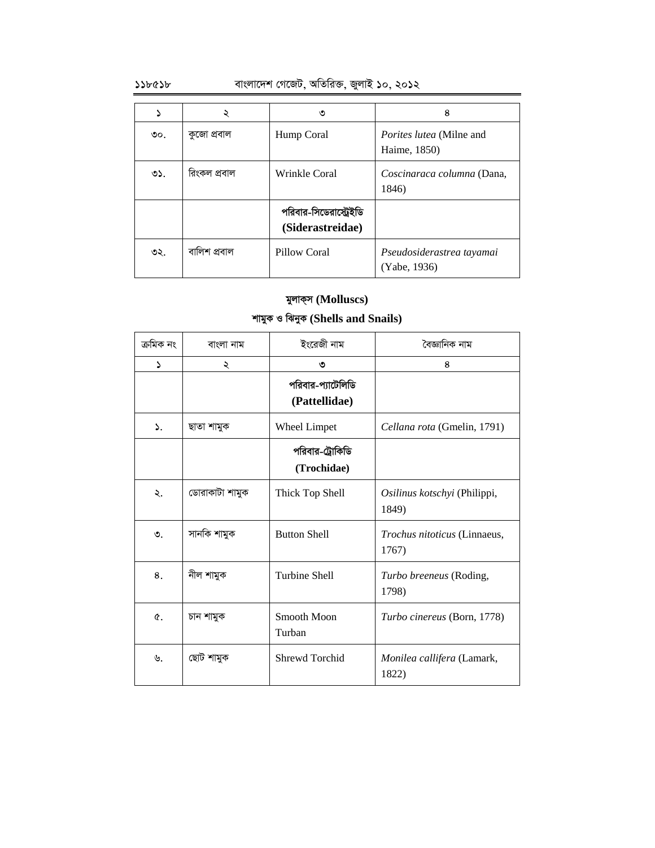### $\mathcal{L}$ ১১৮৫১৮ বাংলাদেশ গেজেট, অতিরিক্ত, জুলাই ১০, ২০১২

|     |              | ৩                                          | 8                                               |
|-----|--------------|--------------------------------------------|-------------------------------------------------|
| ৩০. | কুজো প্ৰবাল  | Hump Coral                                 | <i>Porites lutea</i> (Milne and<br>Haime, 1850) |
| ৩১. | রিংকল প্রবাল | Wrinkle Coral                              | Coscinaraca columna (Dana,<br>1846)             |
|     |              | পরিবার-সিডেরাস্ট্রেইডি<br>(Siderastreidae) |                                                 |
| ৩২. | বালিশ প্ৰবাল | <b>Pillow Coral</b>                        | Pseudosiderastrea tayamai<br>(Yabe, 1936)       |

## মুলাক্স (Molluscs)

### **kvgyK I wSbyK (Shells and Snails)**

| ক্ৰমিক নং        | বাংলা নাম      | ইংরেজী নাম                         | বৈজ্ঞানিক নাম                                |
|------------------|----------------|------------------------------------|----------------------------------------------|
| S                | ২              | ৩                                  | 8                                            |
|                  |                | পরিবার-প্যাটেলিডি<br>(Pattellidae) |                                              |
| $\mathbf{S}_{n}$ | ছাতা শামুক     | Wheel Limpet                       | Cellana rota (Gmelin, 1791)                  |
|                  |                | পরিবার-ট্রোকিডি<br>(Trochidae)     |                                              |
| ২.               | ডোরাকাটা শামুক | Thick Top Shell                    | Osilinus kotschyi (Philippi,<br>1849)        |
| ৩.               | সানকি শামুক    | <b>Button Shell</b>                | <i>Trochus nitoticus</i> (Linnaeus,<br>1767) |
| 8.               | নীল শামুক      | <b>Turbine Shell</b>               | <i>Turbo breeneus</i> (Roding,<br>1798)      |
| $\mathfrak{C}$ . | চান শামুক      | Smooth Moon<br>Turban              | Turbo cinereus (Born, 1778)                  |
| ৬.               | ছোট শামুক      | Shrewd Torchid                     | <i>Monilea callifera</i> (Lamark,<br>1822)   |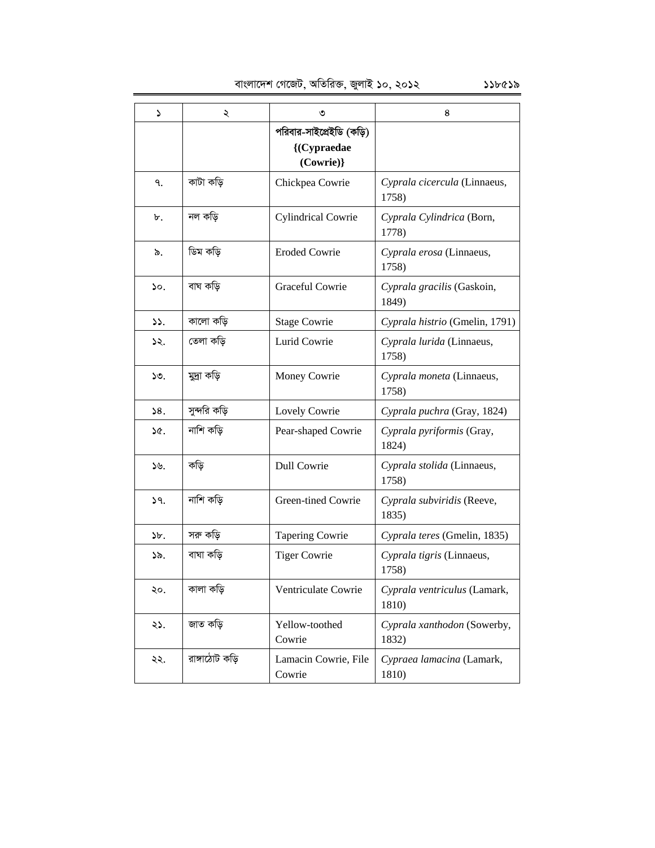| د               | ২              | ৩                                                    | 8                                     |
|-----------------|----------------|------------------------------------------------------|---------------------------------------|
|                 |                | পরিবার-সাইপ্রেইডি (কড়ি)<br>{(Cypraedae<br>(Cowrie)} |                                       |
| ٩.              | কাটা কডি       | Chickpea Cowrie                                      | Cyprala cicercula (Linnaeus,<br>1758) |
| ৮.              | নল কড়ি        | <b>Cylindrical Cowrie</b>                            | Cyprala Cylindrica (Born,<br>1778)    |
| ৯.              | ডিম কড়ি       | <b>Eroded Cowrie</b>                                 | Cyprala erosa (Linnaeus,<br>1758)     |
| $\mathcal{S}$ . | বাঘ কড়ি       | Graceful Cowrie                                      | Cyprala gracilis (Gaskoin,<br>1849)   |
| $\mathcal{L}$ . | কালো কড়ি      | <b>Stage Cowrie</b>                                  | Cyprala histrio (Gmelin, 1791)        |
| 52.             | তেলা কড়ি      | Lurid Cowrie                                         | Cyprala lurida (Linnaeus,<br>1758)    |
| ১৩.             | মুদ্ৰা কড়ি    | Money Cowrie                                         | Cyprala moneta (Linnaeus,<br>1758)    |
| 58.             | সুন্দরি কড়ি   | Lovely Cowrie                                        | Cyprala puchra (Gray, 1824)           |
| ነ৫.             | নাশি কড়ি      | Pear-shaped Cowrie                                   | Cyprala pyriformis (Gray,<br>1824)    |
| ১৬.             | কড়ি           | <b>Dull Cowrie</b>                                   | Cyprala stolida (Linnaeus,<br>1758)   |
| 9.              | নাশি কড়ি      | Green-tined Cowrie                                   | Cyprala subviridis (Reeve,<br>1835)   |
| $b$ .           | সরু কড়ি       | <b>Tapering Cowrie</b>                               | Cyprala teres (Gmelin, 1835)          |
| ১৯.             | বাঘা কডি       | <b>Tiger Cowrie</b>                                  | Cyprala tigris (Linnaeus,<br>1758)    |
| ২০.             | কালা কড়ি      | Ventriculate Cowrie                                  | Cyprala ventriculus (Lamark,<br>1810) |
| ২১.             | জাত কড়ি       | Yellow-toothed<br>Cowrie                             | Cyprala xanthodon (Sowerby,<br>1832)  |
| ২২.             | রাঙ্গাঠোট কড়ি | Lamacin Cowrie, File<br>Cowrie                       | Cypraea lamacina (Lamark,<br>1810)    |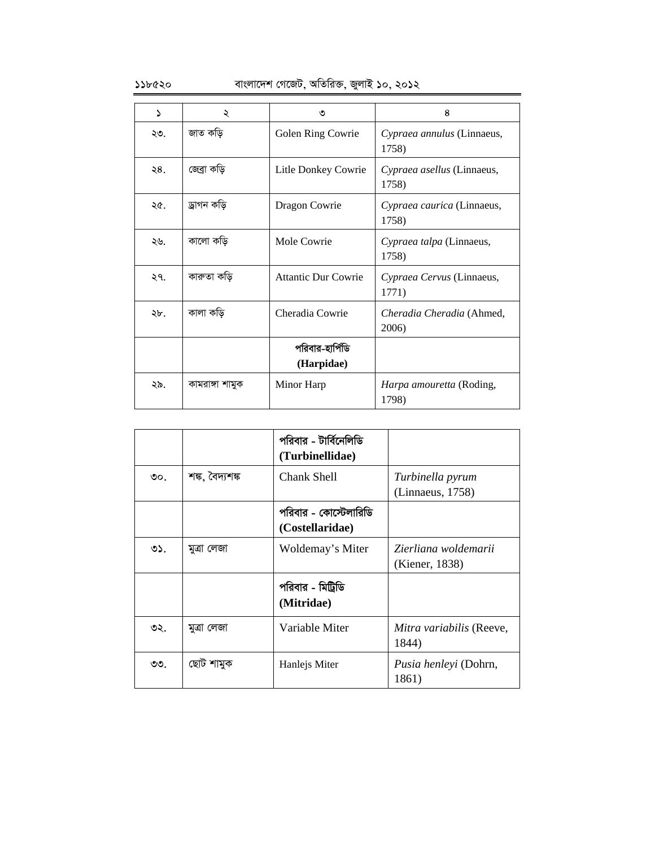### $\mathcal{L}$ ১১৮৫২০ বাংলাদেশ গেজেট, অতিরিক্ত, জুলাই ১০, ২০১২

| ۵   | ২               | ৩                             | 8                                        |
|-----|-----------------|-------------------------------|------------------------------------------|
| ২৩. | জাত কড়ি        | Golen Ring Cowrie             | Cypraea annulus (Linnaeus,<br>1758)      |
| ২8. | জেব্ৰা কড়ি     | Litle Donkey Cowrie           | Cypraea asellus (Linnaeus,<br>1758)      |
| ২৫. | ড্ৰাগন কড়ি     | Dragon Cowrie                 | Cypraea caurica (Linnaeus,<br>1758)      |
| ২৬. | কালো কড়ি       | Mole Cowrie                   | Cypraea talpa (Linnaeus,<br>1758)        |
| ২৭. | কারুতা কড়ি     | <b>Attantic Dur Cowrie</b>    | Cypraea Cervus (Linnaeus,<br>1771)       |
| ২৮. | কালা কড়ি       | Cheradia Cowrie               | Cheradia Cheradia (Ahmed,<br>2006)       |
|     |                 | পরিবার-হার্পিডি<br>(Harpidae) |                                          |
| ২৯. | কামরাঙ্গা শামুক | Minor Harp                    | <i>Harpa amouretta</i> (Roding,<br>1798) |

|                 |                 | পরিবার - টার্বিনেলিডি<br>(Turbinellidae) |                                        |
|-----------------|-----------------|------------------------------------------|----------------------------------------|
| $\mathcal{O}$ . | শঙ্ক, বৈদ্যশঙ্ক | Chank Shell                              | Turbinella pyrum<br>(Linnaeus, 1758)   |
|                 |                 | পরিবার - কোস্টেলারিডি<br>(Costellaridae) |                                        |
| ৩১.             | মুত্ৰা লেজা     | Woldemay's Miter                         | Zierliana woldemarii<br>(Kiener, 1838) |
|                 |                 | পরিবার - মিট্রিডি<br>(Mitridae)          |                                        |
| ৩২.             | মুত্ৰা লেজা     | Variable Miter                           | Mitra variabilis (Reeve,<br>1844)      |
| ৩৩.             | ছোট শামুক       | Hanlejs Miter                            | Pusia henleyi (Dohrn,<br>1861)         |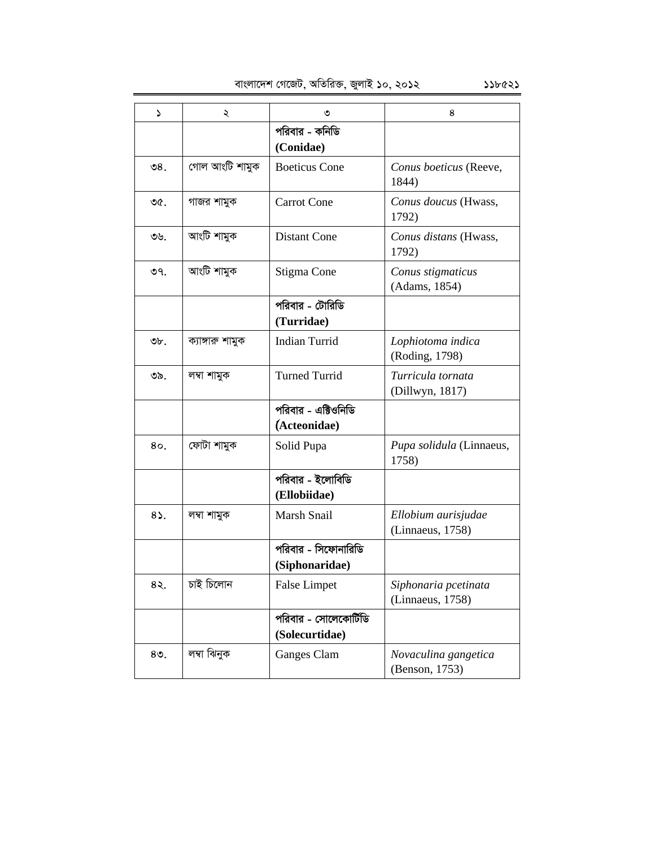বাংলাদেশ গেজেট, অতিরিক্ত, জুলাই ১০, ২০১২ ১১৮৫২১

| د            | ২                | ৩                                       | 8                                        |
|--------------|------------------|-----------------------------------------|------------------------------------------|
|              |                  | পরিবার - কনিডি<br>(Conidae)             |                                          |
| ಲಿ $81$      | গোল আংটি শামুক   | <b>Boeticus</b> Cone                    | Conus boeticus (Reeve,<br>1844)          |
| ৩৫.          | গাজর শামুক       | <b>Carrot Cone</b>                      | Conus doucus (Hwass,<br>1792)            |
| ৩৬.          | আংটি শামুক       | <b>Distant Cone</b>                     | Conus distans (Hwass,<br>1792)           |
| ৩৭.          | আংটি শামুক       | Stigma Cone                             | Conus stigmaticus<br>(Adams, 1854)       |
|              |                  | পরিবার - টোরিডি<br>(Turridae)           |                                          |
| ৩৮.          | ক্যাঙ্গারু শামুক | <b>Indian Turrid</b>                    | Lophiotoma indica<br>(Roding, 1798)      |
| ৩৯.          | লম্বা শামুক      | <b>Turned Turrid</b>                    | Turricula tornata<br>(Dillwyn, 1817)     |
|              |                  | পরিবার - এক্টিওনিডি<br>(Acteonidae)     |                                          |
| 80.          | ফোটা শামুক       | Solid Pupa                              | Pupa solidula (Linnaeus,<br>1758)        |
|              |                  | পরিবার - ইলোবিডি<br>(Ellobiidae)        |                                          |
| $8\lambda$ . | লম্বা শামুক      | Marsh Snail                             | Ellobium aurisjudae<br>(Linnaeus, 1758)  |
|              |                  | পরিবার - সিফোনারিডি<br>(Siphonaridae)   |                                          |
| ८२.          | চাই চিলোন        | <b>False Limpet</b>                     | Siphonaria pcetinata<br>(Linnaeus, 1758) |
|              |                  | পরিবার - সোলেকোর্টিডি<br>(Solecurtidae) |                                          |
| $80$ .       | লম্বা ঝিনুক      | Ganges Clam                             | Novaculina gangetica<br>(Benson, 1753)   |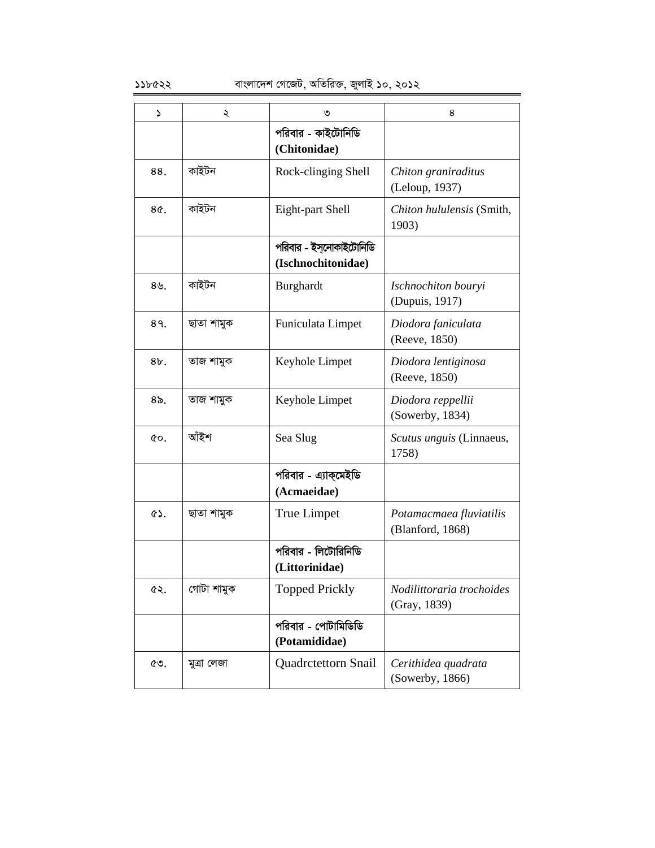### ১১৮৫২২ বাংলাদেশ গেজেট, অতিরিক্ত, জুলাই ১০, ২০১২

| د                | ২           | ৩                                             | 8                                           |
|------------------|-------------|-----------------------------------------------|---------------------------------------------|
|                  |             | পরিবার - কাইটোনিডি<br>(Chitonidae)            |                                             |
| 88.              | কাইটন       | Rock-clinging Shell                           | Chiton graniraditus<br>(Leloup, 1937)       |
| 8¢.              | কাইটন       | Eight-part Shell                              | Chiton hululensis (Smith,<br>1903)          |
|                  |             | পরিবার - ইস্নোকাইটোনিডি<br>(Ischnochitonidae) |                                             |
| $8\mathcal{Y}$ . | কাইটন       | Burghardt                                     | Ischnochiton bouryi<br>(Dupuis, 1917)       |
| 89.              | ছাতা শামুক  | Funiculata Limpet                             | Diodora faniculata<br>(Reeve, 1850)         |
| 8b.              | তাজ শামুক   | Keyhole Limpet                                | Diodora lentiginosa<br>(Reeve, 1850)        |
| $8o$ .           | তাজ শামুক   | Keyhole Limpet                                | Diodora reppellii<br>(Sowerby, 1834)        |
| $Q_0$ .          | আঁইশ        | Sea Slug                                      | Scutus unguis (Linnaeus,<br>1758)           |
|                  |             | পরিবার - এ্যাক্মেইডি<br>(Acmaeidae)           |                                             |
| $\circ$ .        | ছাতা শামুক  | True Limpet                                   | Potamacmaea fluviatilis<br>(Blanford, 1868) |
|                  |             | পরিবার - লিটোরিনিডি<br>(Littorinidae)         |                                             |
| ৫২.              | গোটা শামুক  | <b>Topped Prickly</b>                         | Nodilittoraria trochoides<br>(Gray, 1839)   |
|                  |             | পরিবার - পোটামিডিডি<br>(Potamididae)          |                                             |
| ৫৩.              | মুত্ৰা লেজা | Quadrctettorn Snail                           | Cerithidea quadrata<br>(Sowerby, 1866)      |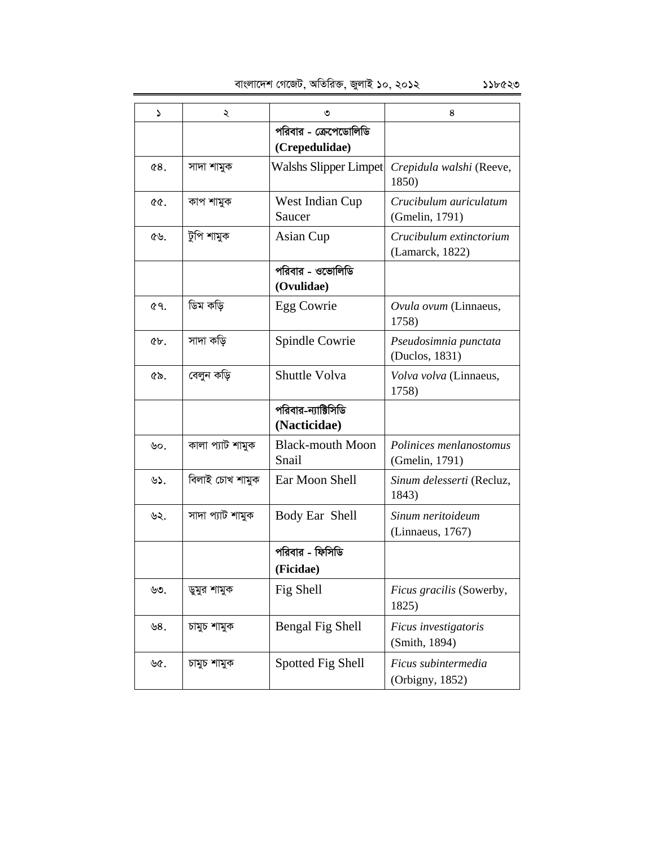| S      | ২                | ৩                                       | 8                                          |
|--------|------------------|-----------------------------------------|--------------------------------------------|
|        |                  | পরিবার - ক্রেপেডোলিডি<br>(Crepedulidae) |                                            |
| 68.    | সাদা শামুক       | Walshs Slipper Limpet                   | Crepidula walshi (Reeve,<br>1850)          |
| QQ.    | কাপ শামুক        | West Indian Cup<br>Saucer               | Crucibulum auriculatum<br>(Gmelin, 1791)   |
| ৫৬.    | টুপি শামুক       | Asian Cup                               | Crucibulum extinctorium<br>(Lamarck, 1822) |
|        |                  | পরিবার - ওভোলিডি<br>(Ovulidae)          |                                            |
| 69.    | ডিম কড়ি         | Egg Cowrie                              | Ovula ovum (Linnaeus,<br>1758)             |
| $6b$ . | সাদা কড়ি        | Spindle Cowrie                          | Pseudosimnia punctata<br>(Duclos, 1831)    |
| ৫৯.    | বেলুন কড়ি       | Shuttle Volva                           | Volva volva (Linnaeus,<br>1758)            |
|        |                  | পরিবার-ন্যাক্টিসিডি<br>(Nacticidae)     |                                            |
| ৬০.    | কালা প্যাট শামুক | <b>Black-mouth Moon</b><br>Snail        | Polinices menlanostomus<br>(Gmelin, 1791)  |
| ৬১.    | বিলাই চোখ শামুক  | Ear Moon Shell                          | Sinum delesserti (Recluz,<br>1843)         |
| ৬২.    | সাদা প্যাট শামুক | Body Ear Shell                          | Sinum neritoideum<br>(Linnaeus, 1767)      |
|        |                  | পরিবার - ফিসিডি<br>(Ficidae)            |                                            |
| ৬৩.    | ডুমুর শামুক      | Fig Shell                               | Ficus gracilis (Sowerby,<br>1825)          |
| ৬৪.    | চামুচ শামুক      | Bengal Fig Shell                        | Ficus investigatoris<br>(Smith, 1894)      |
| ৬৫.    | চামুচ শামুক      | Spotted Fig Shell                       | Ficus subintermedia<br>(Orbigny, 1852)     |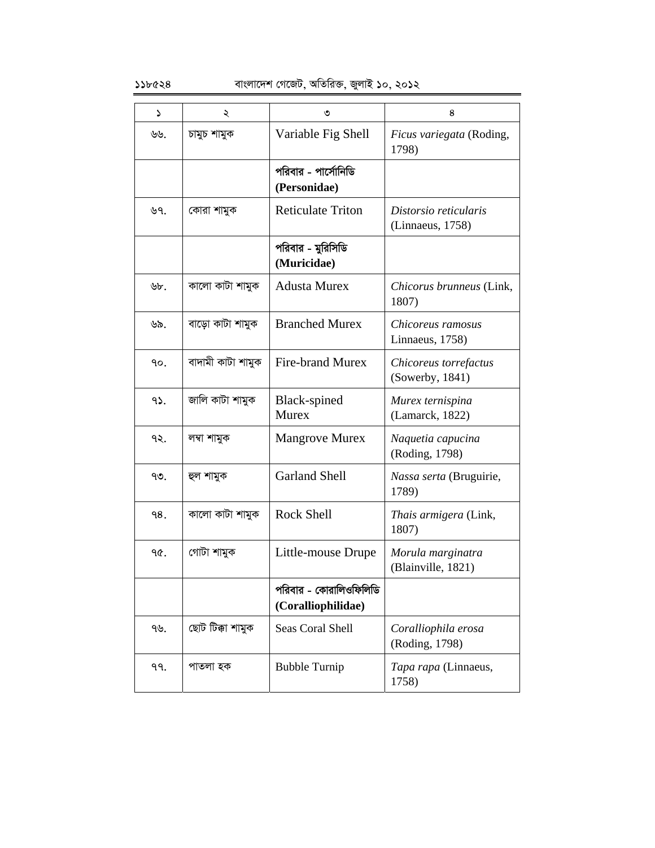| ډ             | ২                 | ৩                                            | 8                                         |
|---------------|-------------------|----------------------------------------------|-------------------------------------------|
| ৬৬.           | চামুচ শামুক       | Variable Fig Shell                           | Ficus variegata (Roding,<br>1798)         |
|               |                   | পরিবার - পার্সোনিডি<br>(Personidae)          |                                           |
| ৬৭.           | কোরা শামুক        | <b>Reticulate Triton</b>                     | Distorsio reticularis<br>(Linnaeus, 1758) |
|               |                   | পরিবার - মুরিসিডি<br>(Muricidae)             |                                           |
| $\forall b$ . | কালো কাটা শামুক   | <b>Adusta Murex</b>                          | Chicorus brunneus (Link,<br>1807)         |
| ৬৯.           | বাড়ো কাটা শামুক  | <b>Branched Murex</b>                        | Chicoreus ramosus<br>Linnaeus, 1758)      |
| ۹о.           | বাদামী কাটা শামুক | <b>Fire-brand Murex</b>                      | Chicoreus torrefactus<br>(Sowerby, 1841)  |
| 95.           | জালি কাটা শামুক   | Black-spined<br><b>Murex</b>                 | Murex ternispina<br>(Lamarck, 1822)       |
| ৭২.           | লম্বা শামুক       | <b>Mangrove Murex</b>                        | Naquetia capucina<br>(Roding, 1798)       |
| ৭৩.           | হুল শামুক         | <b>Garland Shell</b>                         | Nassa serta (Bruguirie,<br>1789)          |
| 98.           | কালো কাটা শামুক   | <b>Rock Shell</b>                            | Thais armigera (Link,<br>1807)            |
| ዓ৫.           | গোটা শামুক        | Little-mouse Drupe                           | Morula marginatra<br>(Blainville, 1821)   |
|               |                   | পরিবার - কোরালিওফিলিডি<br>(Coralliophilidae) |                                           |
| ৭৬.           | ছোট টিক্কা শামুক  | Seas Coral Shell                             | Coralliophila erosa<br>(Roding, 1798)     |
| 99.           | পাতলা হক          | <b>Bubble Turnip</b>                         | Tapa rapa (Linnaeus,<br>1758)             |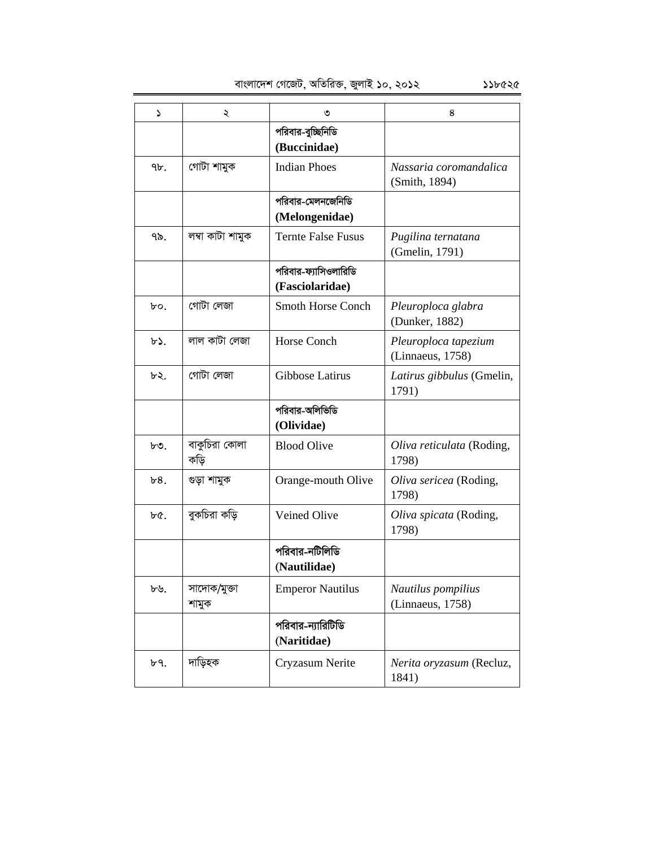বাংলাদেশ গেজেট, অতিরিক্ত, জুলাই ১০, ২০১২ ১১৮৫২৫

1 2 3 4 পরিবার-বুচ্ছিনিডি **(Buccinidae)** ৭৮. | গোটা শামুক Indian Phoes *Nassaria coromandalica* (Smith, 1894) পরিবার-মেলনজেনিডি **(Melongenidae)** 79. j¤^v KvUv kvgyK Ternte False Fusus *Pugilina ternatana*  (Gmelin, 1791) পরিবার-ফ্যাসিওলারিডি **(Fasciolaridae)**  $\mathbf{b}$   $\circ$ .  $\mathbf{c}$  **†** (গাটা লেজা  $\mathbf{b}$  Smoth Horse Conch *Pleuroploca glabra* (Dunker, 1882) b>. | লাল কাটা লেজা | Horse Conch | Pleuroploca tapezium (Linnaeus, 1758)  $\forall x$ . | গোটা লেজা | Gibbose Latirus | Latirus gibbulus (Gmelin, 1791) পরিবার-অলিভিডি **(Olividae)**  $b$ ৩.  $|$  বাকুচিরা কোলা কড়ি Blood Olive *Oliva reticulata* (Roding, 1798)  $\mathcal{B}$ 8. | গুড়া শামুক | Orange-mouth Olive | Oliva sericea (Roding, 1798) b*৫*.  $\int \vec{B}$  and  $\vec{B}$  and  $\vec{B}$  Veined Olive *Qliva spicata* (Roding, 1798) পরিবার-নটিলিডি **(Nautilidae)**  $b$ ৬. সাদোক/মুজা শামুক Emperor Nautilus *Nautilus pompilius*  (Linnaeus, 1758) পরিবার-ন্যারিটিডি **(Naritidae)** ৮৭. | দাড়িহক | Cryzasum Nerite | *Nerita oryzasum* (Recluz,

1841)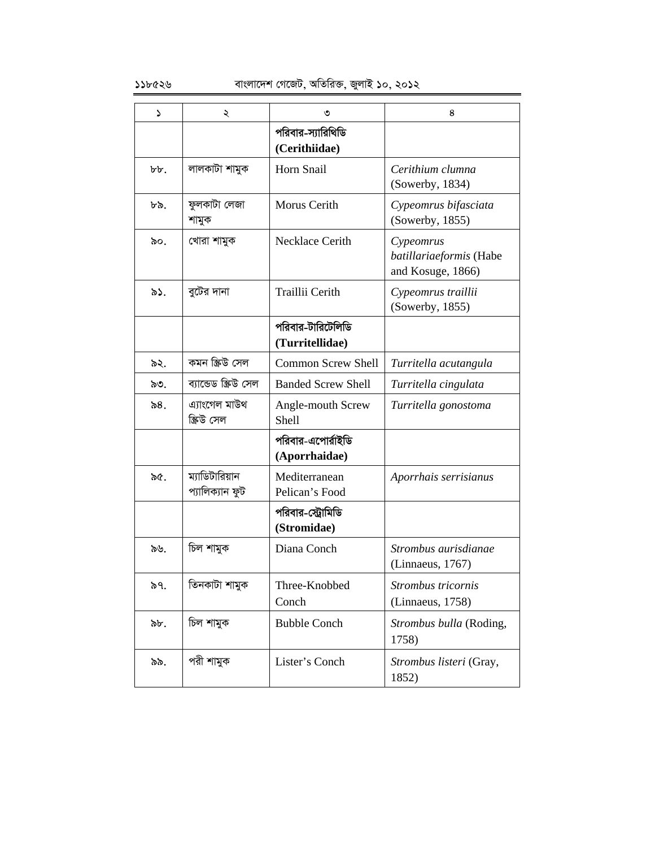| د        | ২                                 | ৩                                    | 8                                                         |
|----------|-----------------------------------|--------------------------------------|-----------------------------------------------------------|
|          |                                   | পরিবার-স্যারিথিডি<br>(Cerithiidae)   |                                                           |
| $b\,b$ . | লালকাটা শামুক                     | Horn Snail                           | Cerithium clumna<br>(Sowerby, 1834)                       |
| ৮৯.      | ফুলকাটা লেজা<br>শামুক             | Morus Cerith                         | Cypeomrus bifasciata<br>(Sowerby, 1855)                   |
| ৯০.      | খোৱা শামুক                        | Necklace Cerith                      | Cypeomrus<br>batillariaeformis (Habe<br>and Kosuge, 1866) |
| ৯১.      | বুটের দানা                        | Traillii Cerith                      | Cypeomrus traillii<br>(Sowerby, 1855)                     |
|          |                                   | পরিবার-টারিটেলিডি<br>(Turritellidae) |                                                           |
| ৯২.      | কমন স্ক্ৰিউ সেল                   | <b>Common Screw Shell</b>            | Turritella acutangula                                     |
| ৯৩.      | ব্যান্ডেড স্ক্ৰিউ সেল             | <b>Banded Screw Shell</b>            | Turritella cingulata                                      |
| ৯ $81$   | এ্যাংগেল মাউথ<br>স্ক্ৰিউ সেল      | Angle-mouth Screw<br>Shell           | Turritella gonostoma                                      |
|          |                                   | পরিবার-এপোর্রাইডি<br>(Aporrhaidae)   |                                                           |
| ৯৫.      | ম্যাডিটারিয়ান<br>প্যালিক্যান ফুট | Mediterranean<br>Pelican's Food      | Aporrhais serrisianus                                     |
|          |                                   | পরিবার-স্ট্রোমিডি<br>(Stromidae)     |                                                           |
| ৯৬.      | চিল শামুক                         | Diana Conch                          | Strombus aurisdianae<br>(Linnaeus, 1767)                  |
| ৯৭.      | তিনকাটা শামুক                     | Three-Knobbed<br>Conch               | Strombus tricornis<br>(Linnaeus, 1758)                    |
| ৯৮.      | চিল শামুক                         | <b>Bubble Conch</b>                  | Strombus bulla (Roding,<br>1758)                          |
| ৯৯.      | পরী শামুক                         | Lister's Conch                       | Strombus listeri (Gray,<br>1852)                          |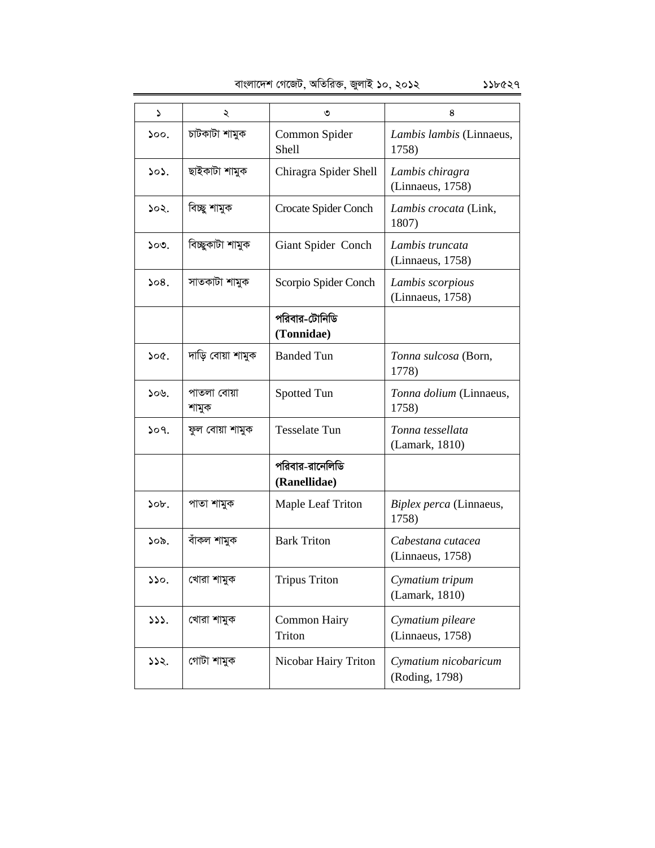|  | বাংলাদেশ গেজেট, অতিরিক্ত, জুলাই ১০, ২০১২ | ১১৮৫২৭ |
|--|------------------------------------------|--------|
|  |                                          |        |

| ډ    | ২                    | ৩                               | 8                                      |
|------|----------------------|---------------------------------|----------------------------------------|
| 500. | চাটকাটা শামুক        | Common Spider<br>Shell          | Lambis lambis (Linnaeus,<br>1758)      |
| 505. | ছাইকাটা শামুক        | Chiragra Spider Shell           | Lambis chiragra<br>(Linnaeus, 1758)    |
| ১০২. | বিচ্ছু শামুক         | Crocate Spider Conch            | Lambis crocata (Link,<br>1807)         |
| ১০৩. | বিচ্ছুকাটা শামুক     | Giant Spider Conch              | Lambis truncata<br>(Linnaeus, 1758)    |
| 508. | সাতকাটা শামুক        | Scorpio Spider Conch            | Lambis scorpious<br>(Linnaeus, 1758)   |
|      |                      | পরিবার-টোনিডি<br>(Tonnidae)     |                                        |
| ১০৫. | দাড়ি বোয়া শামুক    | <b>Banded Tun</b>               | Tonna sulcosa (Born,<br>1778)          |
| ১০৬. | পাতলা বোয়া<br>শামুক | Spotted Tun                     | Tonna dolium (Linnaeus,<br>1758)       |
| 509. | ফুল বোয়া শামুক      | <b>Tesselate Tun</b>            | Tonna tessellata<br>(Lamark, 1810)     |
|      |                      | পরিবার-রানেলিডি<br>(Ranellidae) |                                        |
| 50b. | পাতা শামুক           | <b>Maple Leaf Triton</b>        | Biplex perca (Linnaeus,<br>1758)       |
| ১০৯. | বাঁকল শামুক          | <b>Bark Triton</b>              | Cabestana cutacea<br>(Linnaeus, 1758)  |
| 550. | খোরা শামুক           | <b>Tripus Triton</b>            | Cymatium tripum<br>(Lamark, 1810)      |
| 333. | খোরা শামুক           | <b>Common Hairy</b><br>Triton   | Cymatium pileare<br>(Linnaeus, 1758)   |
| ১১২. | গোটা শামুক           | Nicobar Hairy Triton            | Cymatium nicobaricum<br>(Roding, 1798) |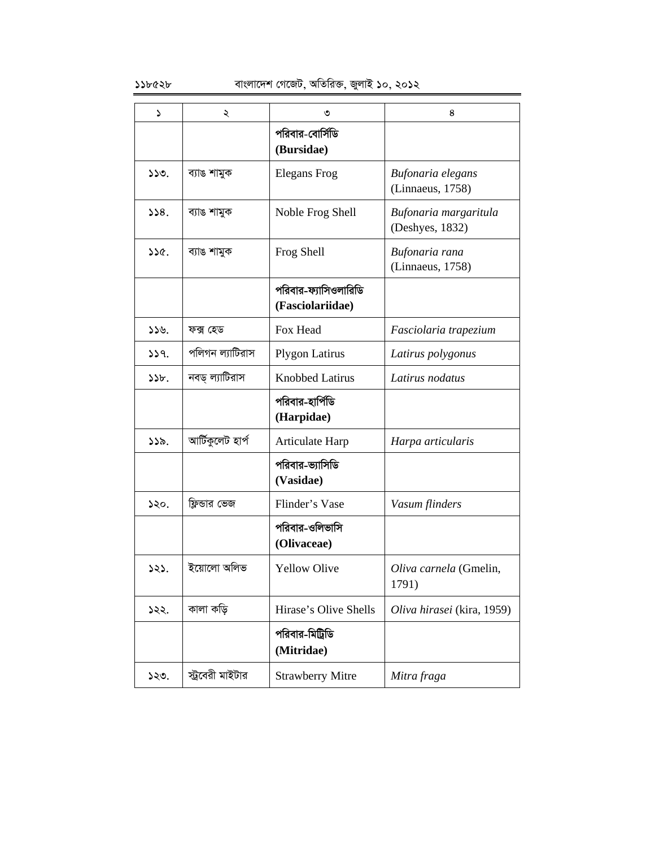| د    | ২                | ৩                                        | 8                                        |
|------|------------------|------------------------------------------|------------------------------------------|
|      |                  | পরিবার-বোর্সিডি<br>(Bursidae)            |                                          |
| 550. | ব্যাঙ শামুক      | <b>Elegans</b> Frog                      | Bufonaria elegans<br>(Linnaeus, 1758)    |
| 338. | ব্যাঙ শামুক      | Noble Frog Shell                         | Bufonaria margaritula<br>(Deshyes, 1832) |
| 356. | ব্যাঙ শামুক      | Frog Shell                               | Bufonaria rana<br>(Linnaeus, 1758)       |
|      |                  | পরিবার-ফ্যাসিওলারিডি<br>(Fasciolariidae) |                                          |
| ১১৬. | ফক্স হেড         | Fox Head                                 | Fasciolaria trapezium                    |
| 339. | পলিগন ল্যাটিরাস  | <b>Plygon Latirus</b>                    | Latirus polygonus                        |
| 55b. | নবড্ ল্যাটিরাস   | <b>Knobbed Latirus</b>                   | Latirus nodatus                          |
|      |                  | পরিবার-হার্পিডি<br>(Harpidae)            |                                          |
| ১১৯. | আৰ্টিকুলেট হাৰ্প | Articulate Harp                          | Harpa articularis                        |
|      |                  | পরিবার-ভ্যাসিডি<br>(Vasidae)             |                                          |
| ১২০. | ফ্লিন্ডার ভেজ    | Flinder's Vase                           | Vasum flinders                           |
|      |                  | পরিবার-ওলিভাসি<br>(Olivaceae)            |                                          |
| ১২১. | ইয়োলো অলিভ      | <b>Yellow Olive</b>                      | Oliva carnela (Gmelin,<br>1791)          |
| ১২২. | কালা কড়ি        | Hirase's Olive Shells                    | Oliva hirasei (kira, 1959)               |
|      |                  | পরিবার-মিট্রিডি<br>(Mitridae)            |                                          |
| ১২৩. | স্ট্রবেরী মাইটার | <b>Strawberry Mitre</b>                  | Mitra fraga                              |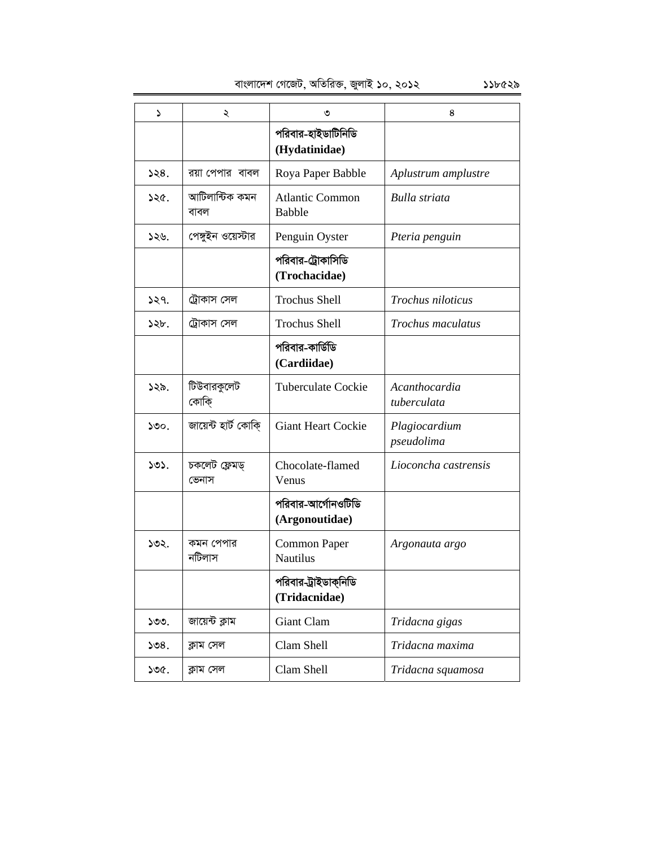1 2 3 4 পরিবার-হাইডাটিনিডি **(Hydatinidae)**  $128.$  | রয়া পেপার বাবল | Roya Paper Babble | Aplustrum amplustre  $526.$  আটিলান্টিক কমন বাবল Atlantic Common Babble *Bulla striata*  126. †c½yBb I‡q÷vi Penguin Oyster *Pteria penguin*  পরিবার-ট্রোকাসিডি **(Trochacidae)**  $1239.$  | ট্রোকাস সেল | Trochus Shell | Trochus niloticus  $128$ ৮. | ট্রোকাস সেল | Trochus Shell *| Trochus maculatus* পরিবার-কার্ডিডি **(Cardiidae)**  $|2\rangle$ ১২৯.  $|$  টিউবারকুলেট কোকি Tuberculate Cockie *Acanthocardia tuberculata*  130. Rv‡q›U nvU© †KvwK& Giant Heart Cockie *Plagiocardium pseudolima*   $505.$  চকলেট ফ্লেমড্ জেনাস Chocolate-flamed Venus *Lioconcha castrensis*  পরিবার-আর্গোনওটিডি **(Argonoutidae)**  $502.$  | কমন পেপার নটিলাস Common Paper Nautilus *Argonauta argo*  পরিবার-ট্রাইডাকনিডি **(Tridacnidae)** 133. Rv‡q›U K¬vg Giant Clam *Tridacna gigas*  134. K¬vg †mj Clam Shell *Tridacna maxima*  135. K¬vg †mj Clam Shell *Tridacna squamosa*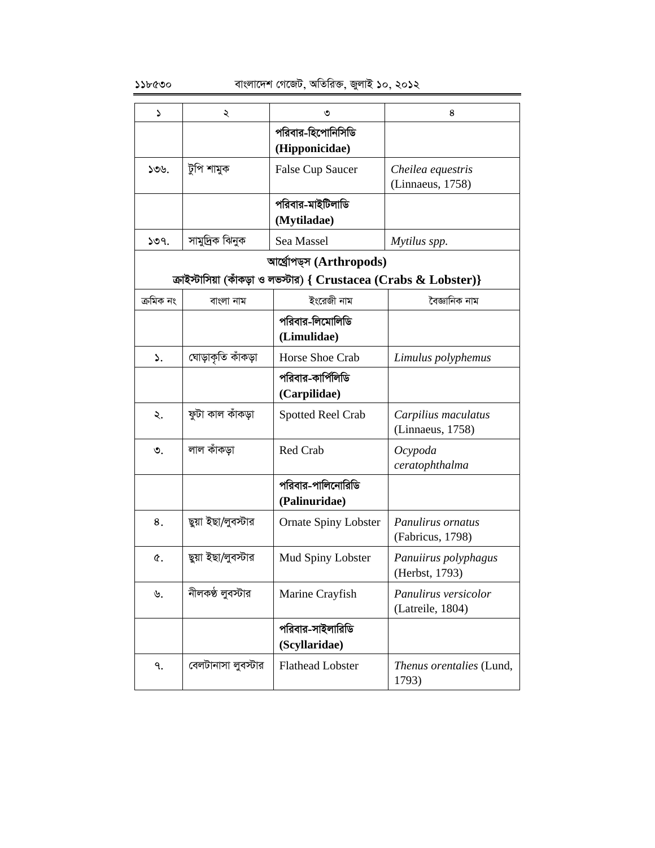| ډ         | ২                  | ৩                                                                   | 8                                        |
|-----------|--------------------|---------------------------------------------------------------------|------------------------------------------|
|           |                    | পরিবার-হিপোনিসিডি<br>(Hipponicidae)                                 |                                          |
| ১৩৬.      | টুপি শামুক         | <b>False Cup Saucer</b>                                             | Cheilea equestris<br>(Linnaeus, 1758)    |
|           |                    | পরিবার-মাইটিলাডি<br>(Mytiladae)                                     |                                          |
| 509.      | সামুদ্রিক ঝিনুক    | Sea Massel                                                          | Mytilus spp.                             |
|           |                    | আৰ্থ্ৰোপড্স (Arthropods)                                            |                                          |
|           |                    | ক্রাইস্টাসিয়া (কাঁকড়া ও লভস্টার) { $Crustacea(Crabs & Lobster)$ } |                                          |
| ক্ৰমিক নং | বাংলা নাম          | ইংরেজী নাম                                                          | বৈজ্ঞানিক নাম                            |
|           |                    | পরিবার-লিমোলিডি<br>(Limulidae)                                      |                                          |
| ۵.        | ঘোড়াকৃতি কাঁকড়া  | Horse Shoe Crab                                                     | Limulus polyphemus                       |
|           |                    | পরিবার-কার্পিলিডি<br>(Carpilidae)                                   |                                          |
| ২.        | ফুটা কাল কাঁকড়া   | <b>Spotted Reel Crab</b>                                            | Carpilius maculatus<br>(Linnaeus, 1758)  |
| ৩.        | লাল কাঁকডা         | Red Crab                                                            | Ocypoda<br>ceratophthalma                |
|           |                    | পরিবার-পালিনোরিডি<br>(Palinuridae)                                  |                                          |
| 8.        | ছুয়া ইছা/লুবস্টার | <b>Ornate Spiny Lobster</b>                                         | Panulirus ornatus<br>(Fabricus, 1798)    |
| Q.        | ছুয়া ইছা/লুবস্টার | Mud Spiny Lobster                                                   | Panuiirus polyphagus<br>(Herbst, 1793)   |
| ৬.        | নীলকণ্ঠ লুবস্টার   | Marine Crayfish                                                     | Panulirus versicolor<br>(Latreile, 1804) |
|           |                    | পরিবার-সাইলারিডি<br>(Scyllaridae)                                   |                                          |
| ٩.        | বেলটানাসা লুবস্টার | <b>Flathead Lobster</b>                                             | Thenus orentalies (Lund,<br>1793)        |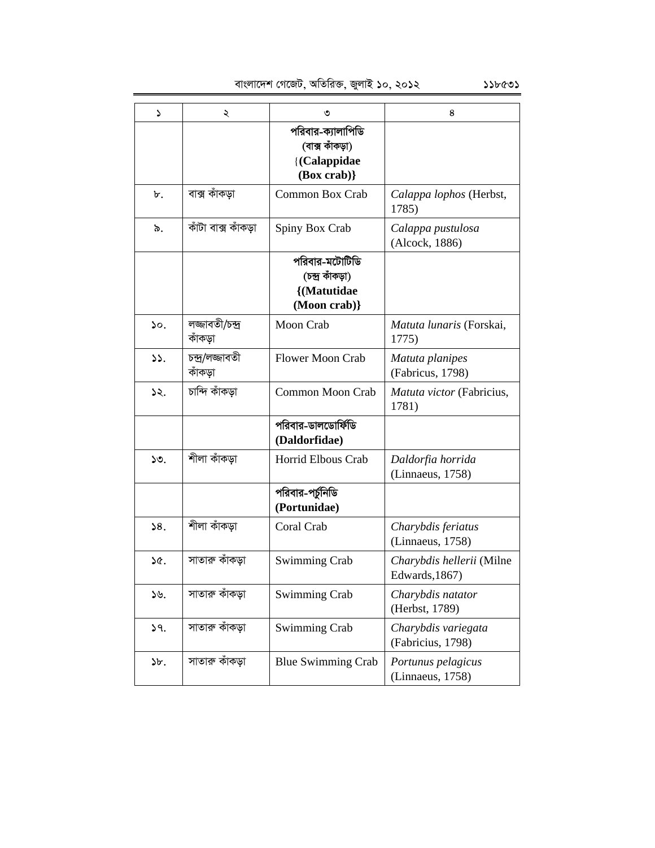| ډ               | ২                          | ৩                                                                     | 8                                           |
|-----------------|----------------------------|-----------------------------------------------------------------------|---------------------------------------------|
|                 |                            | পরিবার-ক্যালাপিডি<br>(বাক্স কাঁকড়া)<br>{(Calappidae<br>$(Box\;crab)$ |                                             |
| ৮.              | বাক্স কাঁকড়া              | Common Box Crab                                                       | Calappa lophos (Herbst,<br>1785)            |
| ৯.              | কাঁটা বাক্স কাঁকডা         | Spiny Box Crab                                                        | Calappa pustulosa<br>(Alcock, 1886)         |
|                 |                            | পরিবার-মটোটিডি<br>(চন্দ্ৰ কাঁকড়া)<br>{(Matutidae<br>(Moon crab)}     |                                             |
| $\mathcal{L}$ . | লজ্জাবতী/চন্দ্ৰ<br>কাঁকড়া | Moon Crab                                                             | Matuta lunaris (Forskai,<br>1775)           |
| 55.             | চন্দ্ৰ/লজ্জাবতী<br>কাঁকড়া | <b>Flower Moon Crab</b>                                               | Matuta planipes<br>(Fabricus, 1798)         |
| ১২.             | চান্দি কাঁকড়া             | <b>Common Moon Crab</b>                                               | Matuta victor (Fabricius,<br>1781)          |
|                 |                            | পরিবার-ডালডোর্ফিডি<br>(Daldorfidae)                                   |                                             |
| ১৩.             | শীলা কাঁকডা                | Horrid Elbous Crab                                                    | Daldorfia horrida<br>(Linnaeus, 1758)       |
|                 |                            | পরিবার-পর্চুনিডি<br>(Portunidae)                                      |                                             |
| 58.             | শীলা কাঁকডা                | Coral Crab                                                            | Charybdis feriatus<br>(Linnaeus, 1758)      |
| ১৫.             | সাতারু কাঁকড়া             | <b>Swimming Crab</b>                                                  | Charybdis hellerii (Milne<br>Edwards, 1867) |
| ১৬.             | সাতারু কাঁকড়া             | <b>Swimming Crab</b>                                                  | Charybdis natator<br>(Herbst, 1789)         |
| 9.              | সাতারু কাঁকড়া             | <b>Swimming Crab</b>                                                  | Charybdis variegata<br>(Fabricius, 1798)    |
| ১৮.             | সাতারু কাঁকড়া             | <b>Blue Swimming Crab</b>                                             | Portunus pelagicus<br>(Linnaeus, 1758)      |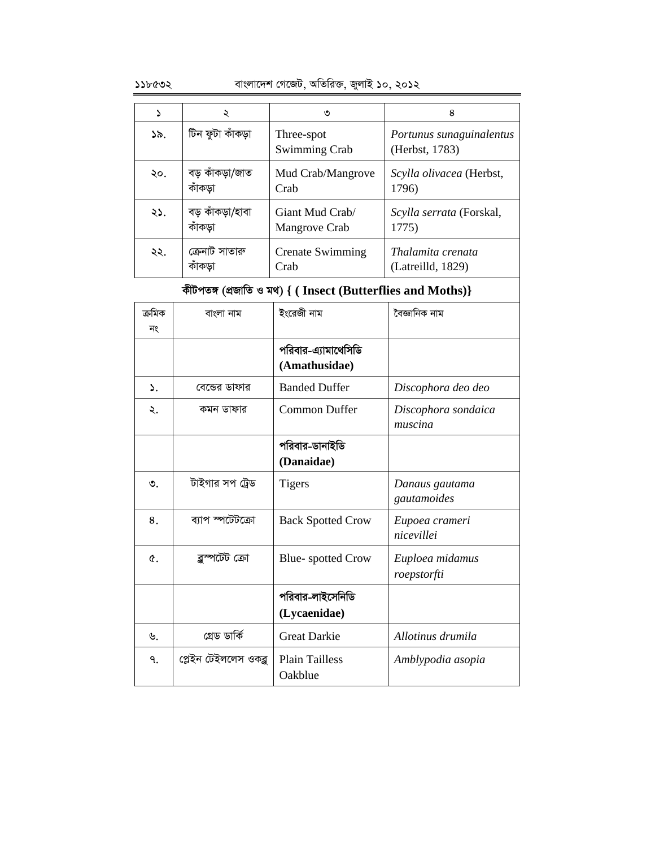|     | ২                | ৩                           | 8                                          |
|-----|------------------|-----------------------------|--------------------------------------------|
| ১৯. | টিন ফুটা কাঁকড়া | Three-spot<br>Swimming Crab | Portunus sunaguinalentus<br>(Herbst, 1783) |
| ২০. | বড় কাঁকড়া/জাত  | Mud Crab/Mangrove           | Scylla olivacea (Herbst,                   |
|     | কাঁকড়া          | Crab                        | 1796)                                      |
| ২১. | বড় কাঁকড়া/হাবা | Giant Mud Crab/             | Scylla serrata (Forskal,                   |
|     | কাঁকড়া          | Mangrove Crab               | 1775)                                      |
| ২২. | ক্রেনাট সাতারু   | <b>Crenate Swimming</b>     | Thalamita crenata                          |
|     | কাকডা            | Crab                        | (Latreilld, 1829)                          |

# **KxUcZ½ (cÖRvwZ I g\_) { ( Insect (Butterflies and Moths)}**

| ক্ৰমিক     | বাংলা নাম             | ইংরেজী নাম                           | বৈজ্ঞানিক নাম                  |
|------------|-----------------------|--------------------------------------|--------------------------------|
| নং         |                       | পরিবার-এ্যামাথেসিডি<br>(Amathusidae) |                                |
| ۵.         | বেন্ডের ডাফার         | <b>Banded Duffer</b>                 | Discophora deo deo             |
| ২.         | কমন ডাফার             | <b>Common Duffer</b>                 | Discophora sondaica<br>muscina |
|            |                       | পরিবার-ডানাইডি<br>(Danaidae)         |                                |
| ৩.         | টাইগার সপ ট্রেড       | <b>Tigers</b>                        | Danaus gautama<br>gautamoides  |
| 8.         | ব্যাপ স্পটেটক্রো      | <b>Back Spotted Crow</b>             | Eupoea crameri<br>nicevillei   |
| $\alpha$ . | ব্লুস্পটেট ক্ৰো       | <b>Blue-spotted Crow</b>             | Euploea midamus<br>roepstorfti |
|            |                       | পরিবার-লাইসেনিডি<br>(Lycaenidae)     |                                |
| ৬.         | গ্ৰেড ডাৰ্কি          | <b>Great Darkie</b>                  | Allotinus drumila              |
| ٩.         | প্লেইন টেইললেস ওকব্লু | <b>Plain Tailless</b><br>Oakblue     | Amblypodia asopia              |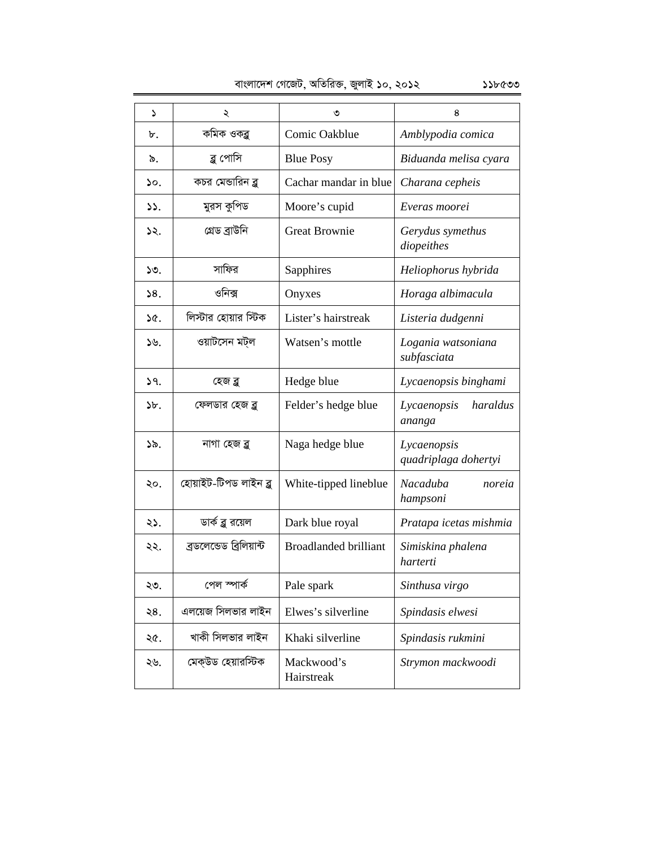| ډ             | ২                        | ৩                            | 8                                   |
|---------------|--------------------------|------------------------------|-------------------------------------|
| ৮.            | কমিক ওকব্লু              | Comic Oakblue                | Amblypodia comica                   |
| ৯.            | ব্লু পোসি                | <b>Blue Posy</b>             | Biduanda melisa cyara               |
| ১ο.           | কচর মেন্ডারিন ব্ল        | Cachar mandar in blue        | Charana cepheis                     |
| $\mathcal{L}$ | মুরস কুপিড               | Moore's cupid                | Everas moorei                       |
| ১২.           | গ্ৰেড ব্ৰাউনি            | <b>Great Brownie</b>         | Gerydus symethus<br>diopeithes      |
| 50.           | সাফির                    | Sapphires                    | Heliophorus hybrida                 |
| 38.           | ওনিক্স                   | Onyxes                       | Horaga albimacula                   |
| ১৫.           | লিস্টার হোয়ার স্টিক     | Lister's hairstreak          | Listeria dudgenni                   |
| $\mathcal{Y}$ | ওয়াটসেন মট্ল            | Watsen's mottle              | Logania watsoniana<br>subfasciata   |
| 59.           | হেজ ব্লু                 | Hedge blue                   | Lycaenopsis binghami                |
| ১৮.           | ফেলডার হেজ ব্লু          | Felder's hedge blue          | haraldus<br>Lycaenopsis<br>ananga   |
| ১৯.           | নাগা হেজ ব্লু            | Naga hedge blue              | Lycaenopsis<br>quadriplaga dohertyi |
| ২০.           | হোয়াইট-টিপড লাইন ব্লু   | White-tipped lineblue        | Nacaduba<br>noreia<br>hampsoni      |
| ২১.           | ডার্ক ব্লু রয়েল         | Dark blue royal              | Pratapa icetas mishmia              |
| ২২.           | ব্ৰডলেন্ডেড ব্ৰিলিয়ান্ট | <b>Broadlanded brilliant</b> | Simiskina phalena<br>harterti       |
| ২৩.           | পেল স্পার্ক              | Pale spark                   | Sinthusa virgo                      |
| ২8.           | এলয়েজ সিলভার লাইন       | Elwes's silverline           | Spindasis elwesi                    |
| ২৫.           | খাকী সিলভার লাইন         | Khaki silverline             | Spindasis rukmini                   |
| ২৬.           | মেক্উড হেয়ারস্টিক       | Mackwood's<br>Hairstreak     | Strymon mackwoodi                   |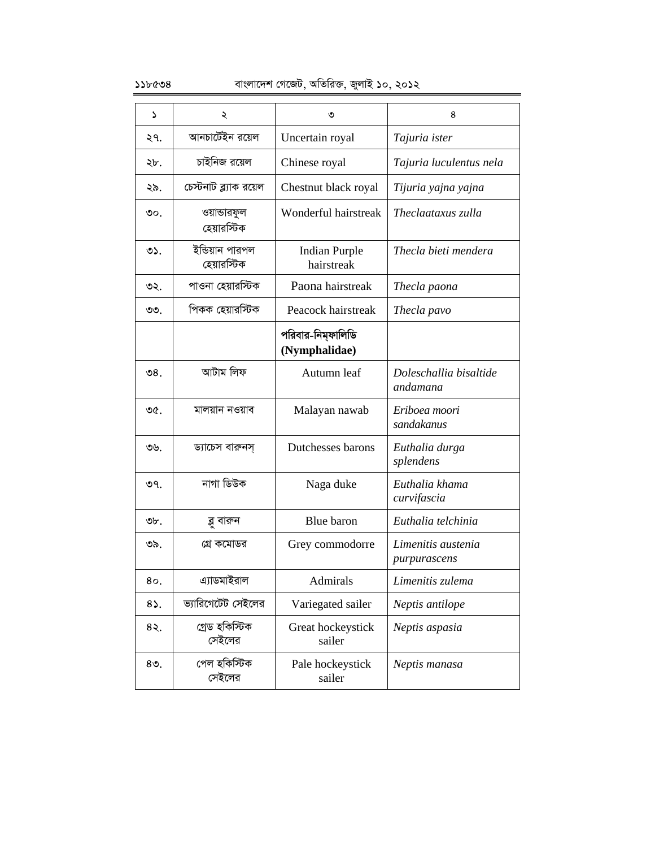### ১১৮৫৩৪ বাংলাদেশ গেজেট, অতিরিক্ত, জুলাই ১০, ২০১২

| د              | ২                              | ৩                                  | 8                                  |
|----------------|--------------------------------|------------------------------------|------------------------------------|
| ২৭.            | আনচার্টেইন রয়েল               | Uncertain royal                    | Tajuria ister                      |
| ২৮.            | চাইনিজ রয়েল                   | Chinese royal                      | Tajuria luculentus nela            |
| ২৯.            | চেস্টনাট ব্ল্যাক রয়েল         | Chestnut black royal               | Tijuria yajna yajna                |
| ৩০.            | ওয়ান্ডারফুল<br>হেয়ারস্টিক    | Wonderful hairstreak               | Theclaataxus zulla                 |
| O <sub>2</sub> | ইন্ডিয়ান পারপল<br>হেয়ারস্টিক | <b>Indian Purple</b><br>hairstreak | Thecla bieti mendera               |
| ৩২.            | পাওনা হেয়ারস্টিক              | Paona hairstreak                   | Thecla paona                       |
| ৩৩.            | পিকক হেয়ারস্টিক               | Peacock hairstreak                 | Thecla pavo                        |
|                |                                | পরিবার-নিম্ফালিডি<br>(Nymphalidae) |                                    |
| ৩৪.            | আটাম লিফ                       | Autumn leaf                        | Doleschallia bisaltide<br>andamana |
| ৩৫.            | মালয়ান নওয়াব                 | Malayan nawab                      | Eriboea moori<br>sandakanus        |
| ৩৬.            | ড্যাচেস বারুনস্                | Dutchesses barons                  | Euthalia durga<br>splendens        |
| ৩৭.            | নাগা ডিউক                      | Naga duke                          | Euthalia khama<br>curvifascia      |
| ৩৮.            | ব্লু বারুন                     | Blue baron                         | Euthalia telchinia                 |
| ৩৯.            | গ্রে কমোডর                     | Grey commodorre                    | Limenitis austenia<br>purpurascens |
| 80.            | এ্যাডমাইরাল                    | Admirals                           | Limenitis zulema                   |
| 85.            | ভ্যারিগেটেট সেইলের             | Variegated sailer                  | Neptis antilope                    |
| 85.            | গ্ৰেড হকিস্টিক<br>সেইলের       | Great hockeystick<br>sailer        | Neptis aspasia                     |
| $80$ .         | পেল হকিস্টিক<br>সেইলের         | Pale hockeystick<br>sailer         | Neptis manasa                      |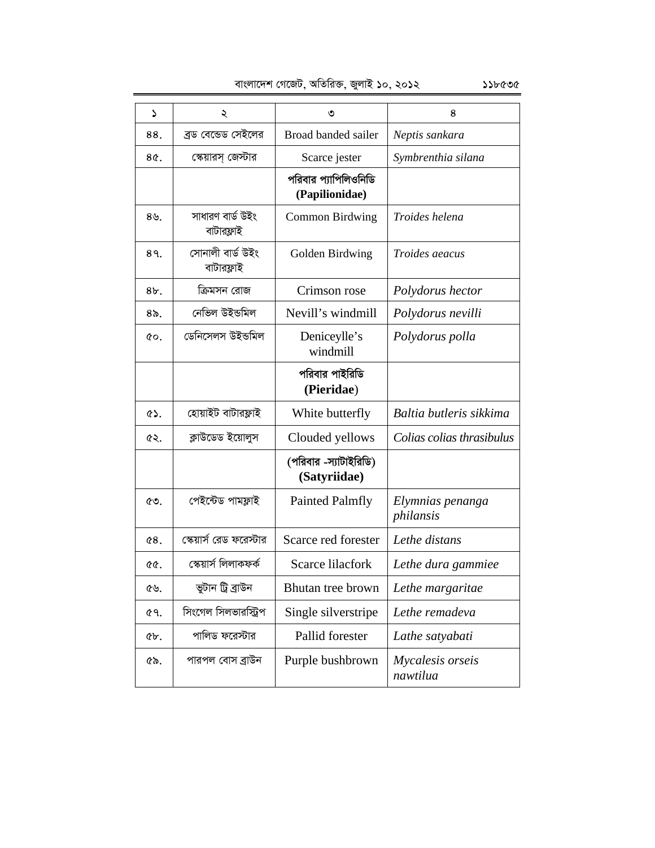| বাংলাদেশ গেজেট, অতিরিক্ত, জুলাই ১০, ২০১২ |  |  |  |  | ১১৮৫৩৫ |
|------------------------------------------|--|--|--|--|--------|
|------------------------------------------|--|--|--|--|--------|

 $\begin{array}{|c|c|c|c|c|c|}\hline \text{~~} & \text{~~} & \text{~~} & \text{~~} & \text{~~} & \text{~~} & \text{~~} & \text{~~} & \text{~~} & \text{~~} & \text{~~} & \text{~~} & \text{~~} & \text{~~} & \text{~~} & \text{~~} & \text{~~} & \text{~~} & \text{~~} & \text{~~} & \text{~~} & \text{~~} & \text{~~} & \text{~~} & \text{~~} & \text{~~} & \text{~~} & \text{~~} & \text{~~} & \text{~~} & \text{~~} & \text{~~} & \text{~~} & \$ 88. | ব্ৰড বেডেড সেইলের | Broad banded sailer *| Neptis sankara* 8৫. | কেয়ারস্ জেস্টার | Scarce jester | Symbrenthia silana পরিবার প্যাপিলিওনিডি **(Papilionidae)**  $8$ ৬.  $\overline{\phantom{a}}$  সাধারণ বার্ড উইং বাটারফ্লাই Common Birdwing *Troides helena*   $89.$  | সোনালী বার্ড উইং বাটারফ্লাই Golden Birdwing *Troides aeacus*  8৮. **• ক্রিমসন রোজ । Crimson rose** *Polydorus hector* 8৯. | নেভিল উইভমিল | Nevill's windmill *| Polydorus nevilli*  $\infty$  | ডেনিসেলস উইভমিল | Deniceylle's windmill *Polydorus polla*  পরিবার পাইরিডি **(Pieridae**) 51. †nvqvBU evUvid¬vB White butterfly *Baltia butleris sikkima*  <u>*es.* | ক্লাউডেড ইয়োলুস | Clouded yellows | Colias colias thrasibulus in the section of the colias thrasibulus in the section of the section of the section of the section of the section of the section of the section of </u> (পরিবার -স্যাটাইরিডি) **(Satyriidae)**  53. †cB‡›UW cvgd¬vB Painted Palmfly *Elymnias penanga philansis*  54. †¯‹qvm© †iW d‡i÷vi Scarce red forester *Lethe distans*  55. †¯‹qvm© wjjvKdK© Scarce lilacfork *Lethe dura gammiee*  <u>৫৬.</u> | ভুটান ট্ৰিবাউন | Bhutan tree brown | Lethe margaritae 57. wms‡Mj wmjfviw÷ªc Single silverstripe *Lethe remadeva*  58. cvwjW d‡i÷vi Pallid forester *Lathe satyabati*  59. cvicj †evm eªvDb Purple bushbrown *Mycalesis orseis nawtilua*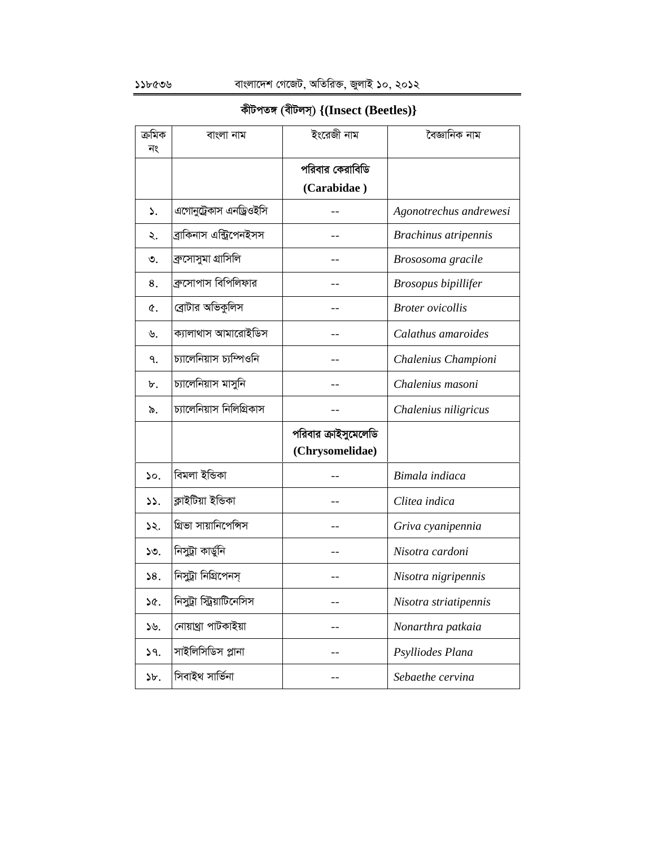## **KxUcZ½ (exUjm&) {(Insect (Beetles)}**

| ক্ৰমিক          | বাংলা নাম                 | ইংরেজী নাম           | বৈজ্ঞানিক নাম           |
|-----------------|---------------------------|----------------------|-------------------------|
| নং              |                           |                      |                         |
|                 |                           | পরিবার কেরাবিডি      |                         |
|                 |                           | (Carabidae)          |                         |
| ۵.              | এগোনুট্রেকাস এনড্রিওইসি   |                      | Agonotrechus andrewesi  |
| ২.              | ব্ৰাকিনাস এন্ট্ৰিপেনইসস   |                      | Brachinus atripennis    |
| ৩.              | ব্ৰুসোসুমা গ্ৰাসিলি       |                      | Brososoma gracile       |
| 8.              | ব্রুসোপাস বিপিলিফার       |                      | Brosopus bipillifer     |
| ¢.              | ব্রোটার অভিকুলিস          |                      | <b>Broter</b> ovicollis |
| ৬.              | ক্যালাথাস আমারোইডিস       |                      | Calathus amaroides      |
| ٩.              | চ্যালেনিয়াস চ্যম্পিওনি   |                      | Chalenius Championi     |
| ৮.              | চ্যালেনিয়াস মাসুনি       |                      | Chalenius masoni        |
| ৯.              | চ্যালেনিয়াস নিলিগ্রিকাস  |                      | Chalenius niligricus    |
|                 |                           | পরিবার ক্রাইসুমেলেডি |                         |
|                 |                           | (Chrysomelidae)      |                         |
| $\mathcal{L}$ . | বিমলা ইন্ডিকা             |                      | Bimala indiaca          |
| $\mathcal{L}$ . | ক্লাইটিয়া ইন্ডিকা        |                      | Clitea indica           |
| ১২.             | গ্রিভা সায়ানিপেন্সিস     |                      | Griva cyanipennia       |
| ১৩.             | নিসুট্রা কার্ডুনি         |                      | Nisotra cardoni         |
| 58.             | নিসুট্রা নিগ্রিপেনস্      |                      | Nisotra nigripennis     |
| ১৫.             | নিসুট্রা স্ট্রিয়াটিনেসিস |                      | Nisotra striatipennis   |
| ১৬.             | নোয়াথ্ৰা পাটকাইয়া       |                      | Nonarthra patkaia       |
| 59.             | সাইলিসিডিস প্লানা         |                      | Psylliodes Plana        |
| b.              | সিবাইথ সাৰ্ভিনা           |                      | Sebaethe cervina        |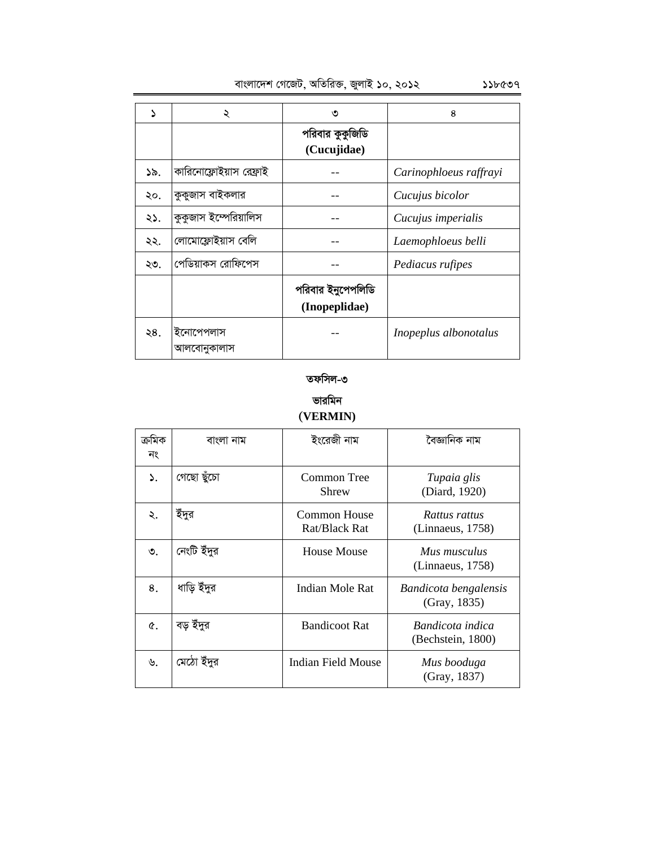| γ   | ২                        | ৩                                  | 8                      |
|-----|--------------------------|------------------------------------|------------------------|
|     |                          | পরিবার কুকুজিডি<br>(Cucujidae)     |                        |
| ১৯. | কারিনোফ্লোইয়াস রেফ্রাই  |                                    | Carinophloeus raffrayi |
| ২০. | কুকুজাস বাইকলার          |                                    | Cucujus bicolor        |
| ২১. | কুকুজাস ইস্পেরিয়ালিস    |                                    | Cucujus imperialis     |
| ২২. | লোমোফ্লোইয়াস বেলি       |                                    | Laemophloeus belli     |
| ২৩. | পেডিয়াকস রোফিপেস        |                                    | Pediacus rufipes       |
|     |                          | পরিবার ইনুপেপলিডি<br>(Inopeplidae) |                        |
| ২৪. | ইনোপেপলাস<br>আলবোনুকালাস |                                    | Inopeplus albonotalus  |

### তফসিল-৩

### **ভারমিন (VERMIN)**

| ক্ৰামক<br>নং | বাংলা নাম   | ইংরেজী নাম                    | বৈজ্ঞানিক নাম                         |
|--------------|-------------|-------------------------------|---------------------------------------|
| ۵.           | গেছো ছুঁচো  | <b>Common Tree</b><br>Shrew   | Tupaia glis<br>(Diard, 1920)          |
| ২.           | ইঁদুর       | Common House<br>Rat/Black Rat | Rattus rattus<br>(Linnaeus, 1758)     |
| ৩.           | নেংটি ইঁদুর | House Mouse                   | Mus musculus<br>(Linnaeus, 1758)      |
| 8.           | ধাড়ি ইঁদুর | Indian Mole Rat               | Bandicota bengalensis<br>(Gray, 1835) |
| Q.           | বড় ইঁদুর   | <b>Bandicoot Rat</b>          | Bandicota indica<br>(Bechstein, 1800) |
| ৬.           | মেঠো ইঁদুর  | Indian Field Mouse            | Mus booduga<br>(Gray, 1837)           |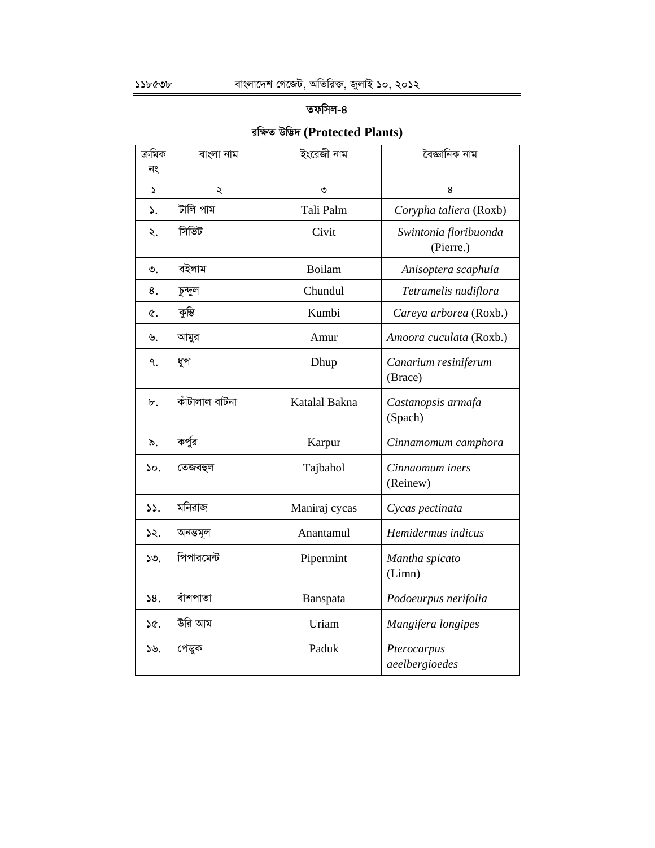### **তফসিল-৪**

## **iwÿZ Dw™¢` (Protected Plants)**

| ক্ৰমিক | বাংলা নাম      | ইংরেজী নাম    | বৈজ্ঞানিক নাম                      |
|--------|----------------|---------------|------------------------------------|
| নং     |                |               |                                    |
| ډ      | ২              | ৩             | 8                                  |
| ۵.     | টালি পাম       | Tali Palm     | Corypha taliera (Roxb)             |
| ২.     | সিভিট          | Civit         | Swintonia floribuonda<br>(Pierre.) |
| ৩.     | বইলাম          | Boilam        | Anisoptera scaphula                |
| 8.     | চুন্দুল        | Chundul       | Tetramelis nudiflora               |
| ¢.     | কুম্ভি         | Kumbi         | Careya arborea (Roxb.)             |
| ৬.     | আমুর           | Amur          | Amoora cuculata (Roxb.)            |
| ٩.     | ধুপ            | Dhup          | Canarium resiniferum<br>(Brace)    |
| ৮.     | কাঁটালাল বাটনা | Katalal Bakna | Castanopsis armafa<br>(Spach)      |
| ৯.     | কর্পুর         | Karpur        | Cinnamomum camphora                |
| ১০.    | তেজবহুল        | Tajbahol      | Cinnaomum iners<br>(Reinew)        |
| 55.    | মনিরাজ         | Maniraj cycas | Cycas pectinata                    |
| ১২.    | অনন্তমূল       | Anantamul     | Hemidermus indicus                 |
| ১৩.    | পিপারমেন্ট     | Pipermint     | Mantha spicato<br>(Limn)           |
| 58.    | বাঁশপাতা       | Banspata      | Podoeurpus nerifolia               |
| ነ৫.    | উরি আম         | Uriam         | Mangifera longipes                 |
| ১৬.    | পেডুক          | Paduk         | Pterocarpus<br>aeelbergioedes      |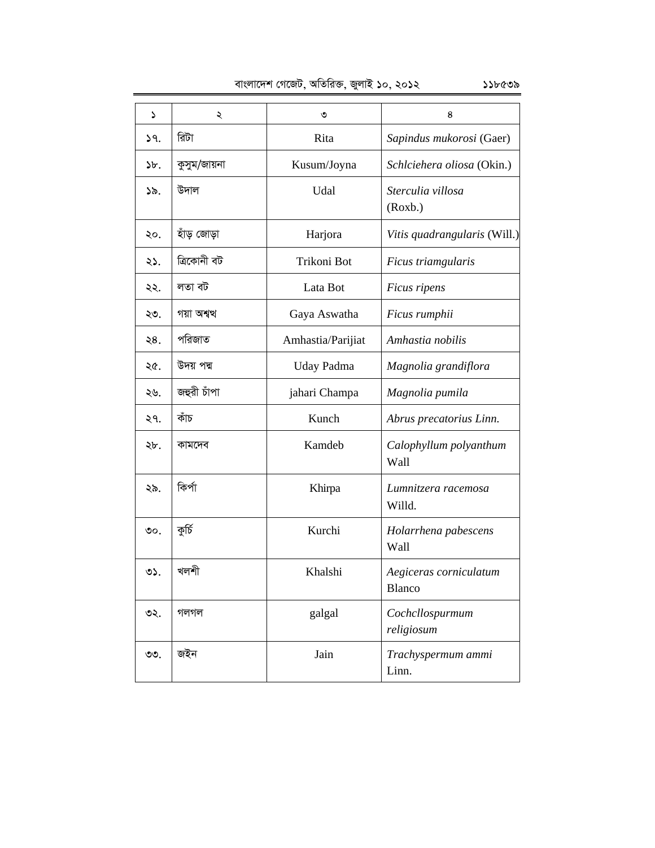1 2 3 4 17. wiUv Rita *Sapindus mukorosi* (Gaer)  $\mathcal{F}$ : কুসুম/জায়না | Kusum/Joyna | Schlciehera oliosa (Okin.) 19. D`vj Udal *Sterculia villosa*  (Roxb.) 20. nuvo †Rvov Harjora *Vitis quadrangularis* (Will.) 21. w·Kvbx eU Trikoni Bot *Ficus triamgularis*  22. jZv eU Lata Bot *Ficus ripens*  ২৩. | গয়া অশ্বত্থ Gaya Aswatha *Ficus rumphii* ২৪. | পরিজাত Amhastia/Parijiat *Amhastia nobilis* ২৫. | উদয় পদ্ম Uday Padma *Magnolia grandiflora* ২৬. | জহুৱী চাঁপা | *jahari Champa* | *Magnolia pumila* 27. KuvP Kunch *Abrus precatorius Linn.*  28. Kvg‡`e Kamdeb *Calophyllum polyanthum*  Wall 29. wKc©v Khirpa *Lumnitzera racemosa*  Willd. 30. KzwP© Kurchi *Holarrhena pabescens*  Wall 31. Ljkx Khalshi *Aegiceras corniculatum*  Blanco 32. MjMj galgal *Cochcllospurmum religiosum*  <u>৩৩.</u> জইন Jain *Trachyspermum ammi* Linn.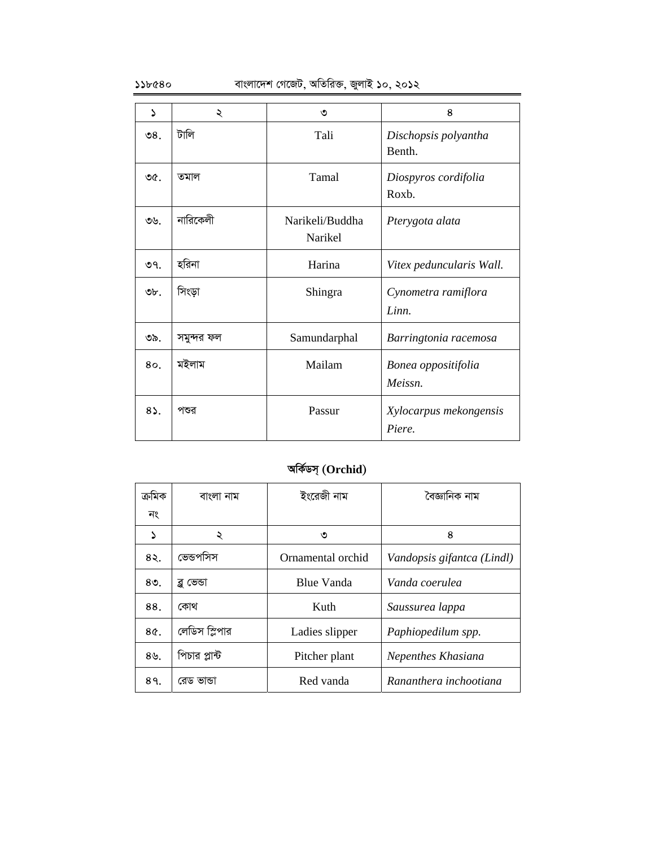$\mathcal{L}$ ১১৮৫৪০ বাংলাদেশ গেজেট, অতিরিক্ত, জুলাই ১০, ২০১২

| د                | ২          | ৩                          | 8                                |
|------------------|------------|----------------------------|----------------------------------|
| $\mathcal{S}8$ . | টালি       | Tali                       | Dischopsis polyantha<br>Benth.   |
| ৩৫.              | তমাল       | Tamal                      | Diospyros cordifolia<br>Roxb.    |
| ৩৬.              | নারিকেলী   | Narikeli/Buddha<br>Narikel | Pterygota alata                  |
| ৩৭.              | হরিনা      | Harina                     | Vitex peduncularis Wall.         |
| ৩৮.              | সিংড়া     | Shingra                    | Cynometra ramiflora<br>Linn.     |
| ৩৯.              | সমুন্দর ফল | Samundarphal               | Barringtonia racemosa            |
| 80.              | মইলাম      | Mailam                     | Bonea oppositifolia<br>Meissn.   |
| $8\Omega$ .      | পশুর       | Passur                     | Xylocarpus mekongensis<br>Piere. |

# **AwK©Wm& (Orchid)**

| ক্ৰমিক           | বাংলা নাম     | ইংরেজী নাম        | বৈজ্ঞানিক নাম              |
|------------------|---------------|-------------------|----------------------------|
| নং               |               |                   |                            |
| Σ                | ২             | ৩                 | 8                          |
| 85.              | ভেন্ডপসিস     | Ornamental orchid | Vandopsis gifantca (Lindl) |
| $80$ .           | ব্লু ভেন্ডা   | <b>Blue Vanda</b> | Vanda coerulea             |
| 88.              | কোথ           | Kuth              | Saussurea lappa            |
| 8¢.              | লেডিস স্লিপার | Ladies slipper    | Paphiopedilum spp.         |
| $8\mathcal{B}$ . | পিচার প্লান্ট | Pitcher plant     | Nepenthes Khasiana         |
| 89.              | রেড ভান্ডা    | Red vanda         | Rananthera inchootiana     |